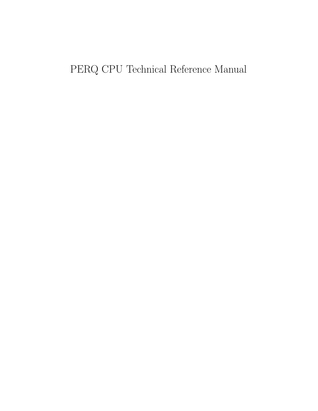# PERQ CPU Technical Reference Manual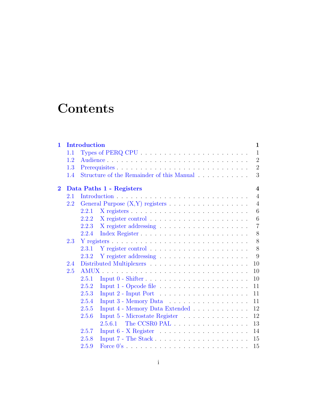# **Contents**

| $\mathbf 1$             |         | <b>Introduction</b><br>$\mathbf 1$                                          |  |
|-------------------------|---------|-----------------------------------------------------------------------------|--|
|                         | 1.1     | $\mathbf{1}$                                                                |  |
|                         | 1.2     | $\overline{2}$<br>Audience                                                  |  |
|                         | 1.3     | $\overline{2}$                                                              |  |
|                         | 1.4     | 3<br>Structure of the Remainder of this Manual                              |  |
| $\overline{\mathbf{2}}$ |         | Data Paths 1 - Registers<br>$\overline{\mathbf{4}}$                         |  |
|                         | $2.1\,$ | $\overline{4}$                                                              |  |
|                         | $2.2\,$ | General Purpose (X,Y) registers<br>$\overline{4}$                           |  |
|                         |         | 6<br>2.2.1                                                                  |  |
|                         |         | 6<br>2.2.2                                                                  |  |
|                         |         | $\overline{7}$<br>2.2.3                                                     |  |
|                         |         | 8<br>2.2.4<br>Index Register                                                |  |
|                         | $2.3\,$ | 8                                                                           |  |
|                         |         | 8<br>2.3.1                                                                  |  |
|                         |         | 9<br>2.3.2                                                                  |  |
|                         | 2.4     | 10                                                                          |  |
|                         | 2.5     | 10                                                                          |  |
|                         |         | 2.5.1<br>10                                                                 |  |
|                         |         | 2.5.2<br>11                                                                 |  |
|                         |         | 2.5.3<br>11                                                                 |  |
|                         |         | 2.5.4<br>Input $3$ - Memory Data $\ldots \ldots \ldots \ldots \ldots$<br>11 |  |
|                         |         | Input 4 - Memory Data Extended<br>2.5.5<br>12                               |  |
|                         |         | 12<br>2.5.6<br>Input 5 - Microstate Register                                |  |
|                         |         | The CCSR0 PAL<br>2.5.6.1<br>13                                              |  |
|                         |         | 2.5.7<br>14                                                                 |  |
|                         |         | 2.5.8<br>15                                                                 |  |
|                         |         | 2.5.9<br>15                                                                 |  |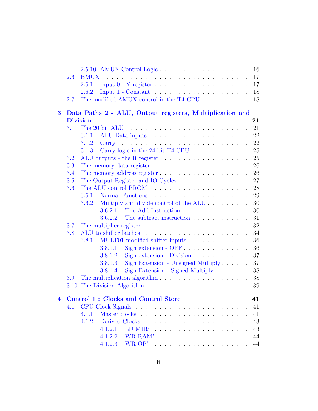| 2.6             |                                                                          |                                                                                                                                                                                                                                                                                                                                                                                                                                                |
|-----------------|--------------------------------------------------------------------------|------------------------------------------------------------------------------------------------------------------------------------------------------------------------------------------------------------------------------------------------------------------------------------------------------------------------------------------------------------------------------------------------------------------------------------------------|
| 2.6.1           |                                                                          | 17                                                                                                                                                                                                                                                                                                                                                                                                                                             |
| 2.6.2           |                                                                          | 18                                                                                                                                                                                                                                                                                                                                                                                                                                             |
| 2.7             |                                                                          | 18                                                                                                                                                                                                                                                                                                                                                                                                                                             |
|                 |                                                                          |                                                                                                                                                                                                                                                                                                                                                                                                                                                |
| <b>Division</b> |                                                                          | 21                                                                                                                                                                                                                                                                                                                                                                                                                                             |
| 3.1             |                                                                          | 21                                                                                                                                                                                                                                                                                                                                                                                                                                             |
|                 |                                                                          | 22                                                                                                                                                                                                                                                                                                                                                                                                                                             |
|                 |                                                                          | 22                                                                                                                                                                                                                                                                                                                                                                                                                                             |
|                 |                                                                          | 25                                                                                                                                                                                                                                                                                                                                                                                                                                             |
| 3.2             |                                                                          | 25                                                                                                                                                                                                                                                                                                                                                                                                                                             |
| 3.3             |                                                                          | 26                                                                                                                                                                                                                                                                                                                                                                                                                                             |
| 3.4             |                                                                          | 26                                                                                                                                                                                                                                                                                                                                                                                                                                             |
| 3.5             |                                                                          | 27                                                                                                                                                                                                                                                                                                                                                                                                                                             |
| 3.6             |                                                                          | 28                                                                                                                                                                                                                                                                                                                                                                                                                                             |
| 3.6.1           |                                                                          | 29                                                                                                                                                                                                                                                                                                                                                                                                                                             |
| 3.6.2           | Multiply and divide control of the ALU                                   | 30                                                                                                                                                                                                                                                                                                                                                                                                                                             |
|                 | The Add Instruction<br>3.6.2.1                                           | 30                                                                                                                                                                                                                                                                                                                                                                                                                                             |
|                 | The subtract instruction<br>3.6.2.2                                      | 31                                                                                                                                                                                                                                                                                                                                                                                                                                             |
| 3.7             |                                                                          | 32                                                                                                                                                                                                                                                                                                                                                                                                                                             |
| 3.8             |                                                                          | 34                                                                                                                                                                                                                                                                                                                                                                                                                                             |
|                 | MULT01-modified shifter inputs                                           | 36                                                                                                                                                                                                                                                                                                                                                                                                                                             |
|                 | Sign extension - OFF<br>3.8.1.1                                          | 36                                                                                                                                                                                                                                                                                                                                                                                                                                             |
|                 | Sign extension - Division $\ldots \ldots \ldots \ldots$<br>3.8.1.2       | 37                                                                                                                                                                                                                                                                                                                                                                                                                                             |
|                 | Sign Extension - Unsigned Multiply<br>3.8.1.3                            | 37                                                                                                                                                                                                                                                                                                                                                                                                                                             |
|                 | Sign Extension - Signed Multiply $\ldots \ldots$<br>3.8.1.4              | 38                                                                                                                                                                                                                                                                                                                                                                                                                                             |
| 3.9             | The multiplication algorithm $\dots \dots \dots \dots \dots \dots \dots$ | 38                                                                                                                                                                                                                                                                                                                                                                                                                                             |
|                 |                                                                          |                                                                                                                                                                                                                                                                                                                                                                                                                                                |
|                 | 3.10 The Division Algorithm                                              |                                                                                                                                                                                                                                                                                                                                                                                                                                                |
|                 | 4 Control 1 : Clocks and Control Store                                   |                                                                                                                                                                                                                                                                                                                                                                                                                                                |
| 4.1             |                                                                          | 39<br>41<br>41                                                                                                                                                                                                                                                                                                                                                                                                                                 |
| 4.1.1           |                                                                          | 41                                                                                                                                                                                                                                                                                                                                                                                                                                             |
| 4.1.2           |                                                                          | 43                                                                                                                                                                                                                                                                                                                                                                                                                                             |
|                 | LD MIR' $\ldots \ldots \ldots \ldots \ldots \ldots$<br>4.1.2.1           | 43                                                                                                                                                                                                                                                                                                                                                                                                                                             |
|                 | 4.1.2.2                                                                  | 44                                                                                                                                                                                                                                                                                                                                                                                                                                             |
|                 | 3.1.1<br>3.1.2                                                           | Input $1$ - $Constant \ldots \ldots \ldots \ldots \ldots \ldots \ldots$<br>The modified AMUX control in the T4 CPU $\ldots \ldots \ldots$<br>Data Paths 2 - ALU, Output registers, Multiplication and<br>Carry logic in the 24 bit T4 CPU<br>3.1.3<br>ALU outputs - the R register $\dots \dots \dots \dots \dots \dots$<br>The memory data register $\ldots \ldots \ldots \ldots \ldots \ldots$<br>The Output Register and IO Cycles<br>3.8.1 |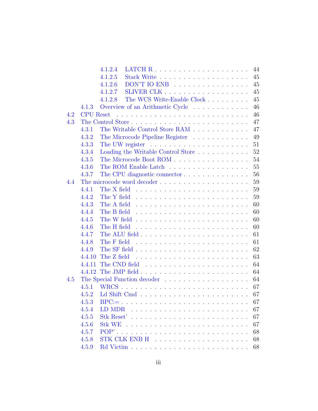|     |                  | LATCH $R$<br>4.1.2.4<br>44                                                      |
|-----|------------------|---------------------------------------------------------------------------------|
|     |                  | 4.1.2.5<br>45                                                                   |
|     |                  | $DON'T IO ENB$<br>4.1.2.6<br>45                                                 |
|     |                  | 4.1.2.7<br>45                                                                   |
|     |                  | The WCS Write-Enable Clock<br>4.1.2.8<br>45                                     |
|     | 4.1.3            | Overview of an Arithmetic Cycle<br>46                                           |
| 4.2 | <b>CPU</b> Reset | 46                                                                              |
| 4.3 |                  | 47                                                                              |
|     | 4.3.1            | The Writable Control Store RAM<br>47                                            |
|     | 4.3.2            | 49                                                                              |
|     | 4.3.3            | 51                                                                              |
|     | 4.3.4            | Loading the Writable Control Store<br>52                                        |
|     | 4.3.5            | The Microcode Boot ROM<br>54                                                    |
|     | 4.3.6            | 55                                                                              |
|     | 4.3.7            | The CPU diagnostic connector<br>56                                              |
| 4.4 |                  | 59                                                                              |
|     | 4.4.1            | The X field $\dots \dots \dots \dots \dots \dots \dots \dots \dots \dots$<br>59 |
|     | 4.4.2            | 59                                                                              |
|     | 4.4.3            | 60<br>The A field                                                               |
|     | 4.4.4            | 60<br>The B field                                                               |
|     | 4.4.5            | 60                                                                              |
|     | 4.4.6            | 60                                                                              |
|     | 4.4.7            | 61                                                                              |
|     | 4.4.8            | The F field<br>61                                                               |
|     | 4.4.9            | 62                                                                              |
|     | 4.4.10           | 63                                                                              |
|     | 4.4.11           | 64                                                                              |
|     |                  | 64                                                                              |
| 4.5 |                  | 64                                                                              |
|     | 4.5.1            | 67                                                                              |
|     | 4.5.2            | 67                                                                              |
|     | 4.5.3            | 67                                                                              |
|     | 4.5.4            | 67                                                                              |
|     | 4.5.5            | Stk Reset'<br>67                                                                |
|     | 4.5.6            | 67                                                                              |
|     | 4.5.7            | $POP'$ .<br>68                                                                  |
|     | 4.5.8            | 68                                                                              |
|     | 4.5.9            | 68                                                                              |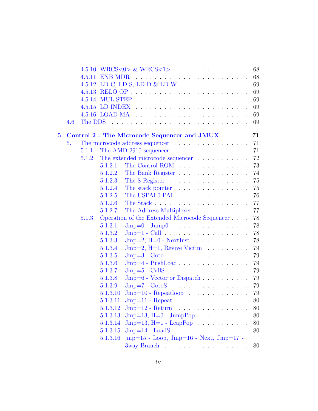|          |     |        |          | 68                                                                            |
|----------|-----|--------|----------|-------------------------------------------------------------------------------|
|          |     | 4.5.11 |          | 68                                                                            |
|          |     |        |          | 69                                                                            |
|          |     |        |          | 69                                                                            |
|          |     |        |          | 69                                                                            |
|          |     |        |          | 69                                                                            |
|          |     |        |          | 69                                                                            |
|          | 4.6 |        |          | 69                                                                            |
| $\bf{5}$ |     |        |          | Control 2: The Microcode Sequencer and JMUX<br>71                             |
|          | 5.1 |        |          | The microcode address sequencer<br>71                                         |
|          |     | 5.1.1  |          | The AMD 2910 sequencer<br>71                                                  |
|          |     | 5.1.2  |          | 72<br>The extended microcode sequencer $\ldots \ldots \ldots$                 |
|          |     |        | 5.1.2.1  | The Control ROM<br>73                                                         |
|          |     |        | 5.1.2.2  | 74<br>The Bank Register                                                       |
|          |     |        | 5.1.2.3  | The S Register<br>75                                                          |
|          |     |        | 5.1.2.4  | The stack pointer<br>75                                                       |
|          |     |        | 5.1.2.5  | The USPALO PAL<br>76                                                          |
|          |     |        | 5.1.2.6  | 77                                                                            |
|          |     |        | 5.1.2.7  | The Address Multiplexer<br>77                                                 |
|          |     | 5.1.3  |          | Operation of the Extended Microcode Sequencer<br>78                           |
|          |     |        | 5.1.3.1  | $\text{Jmp}=0$ - $\text{Jump0}$<br>78                                         |
|          |     |        | 5.1.3.2  | 78<br>$\text{Jmp}=1$ - Call $\ldots$                                          |
|          |     |        | 5.1.3.3  | $\text{Jmp=2}, \text{H=0 - NextInst}$<br>78                                   |
|          |     |        | 5.1.3.4  | $\text{Jmp}=2, \text{ H}=1, \text{ Review } \text{Victim } \dots \dots$<br>79 |
|          |     |        | 5.1.3.5  | 79                                                                            |
|          |     |        | 5.1.3.6  | $Jmp=4$ - $PushLoad \ldots \ldots \ldots \ldots \ldots$<br>$79\,$             |
|          |     |        | 5.1.3.7  | 79                                                                            |
|          |     |        | 5.1.3.8  | $Jmp=6$ - Vector or Dispatch<br>79                                            |
|          |     |        | 5.1.3.9  | $\text{Jmp}=7$ - $\text{GotoS}$<br>79                                         |
|          |     |        | 5.1.3.10 | $Jmp=10$ - Repeatloop<br>79                                                   |
|          |     |        | 5.1.3.11 | $Jmp=11$ - Repeat<br>$80\,$                                                   |
|          |     |        | 5.1.3.12 | $Jmp=12$ - Return<br>80                                                       |
|          |     |        | 5.1.3.13 | $Jmp=13$ , $H=0$ - $JumpPop$<br>$80\,$                                        |
|          |     |        | 5.1.3.14 | $Jmp=13$ , $H=1$ - $LeapPop$<br>$80\,$                                        |
|          |     |        | 5.1.3.15 | $Jmp=14$ - $LoadS$<br>80                                                      |
|          |     |        | 5.1.3.16 | $\text{imp}=15$ - Loop, Jmp=16 - Next, Jmp=17 -                               |
|          |     |        |          | 3way Branch<br>80                                                             |
|          |     |        |          |                                                                               |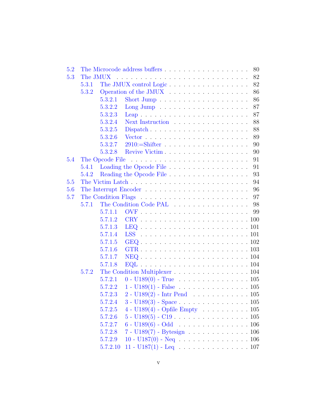| 5.2 |       |          |                                                                                                      | 80 |
|-----|-------|----------|------------------------------------------------------------------------------------------------------|----|
| 5.3 |       | The JMUX |                                                                                                      |    |
|     | 5.3.1 |          |                                                                                                      | 82 |
|     | 5.3.2 |          | Operation of the JMUX                                                                                | 86 |
|     |       | 5.3.2.1  |                                                                                                      | 86 |
|     |       | 5.3.2.2  | Long Jump $\dots \dots \dots \dots \dots \dots \dots$                                                | 87 |
|     |       | 5.3.2.3  | Leap                                                                                                 | 87 |
|     |       | 5.3.2.4  | Next Instruction                                                                                     | 88 |
|     |       | 5.3.2.5  | $Dispatch \ldots \ldots \ldots \ldots \ldots \ldots \ldots$                                          | 88 |
|     |       | 5.3.2.6  |                                                                                                      | 89 |
|     |       | 5.3.2.7  |                                                                                                      | 90 |
|     |       | 5.3.2.8  | Revive Victim                                                                                        | 90 |
| 5.4 |       |          |                                                                                                      | 91 |
|     | 5.4.1 |          |                                                                                                      | 91 |
|     | 5.4.2 |          |                                                                                                      | 93 |
| 5.5 |       |          |                                                                                                      | 94 |
| 5.6 |       |          |                                                                                                      | 96 |
| 5.7 |       |          |                                                                                                      | 97 |
|     | 5.7.1 |          | The Condition Code PAL                                                                               | 98 |
|     |       | 5.7.1.1  |                                                                                                      | 99 |
|     |       | 5.7.1.2  |                                                                                                      |    |
|     |       | 5.7.1.3  |                                                                                                      |    |
|     |       | 5.7.1.4  |                                                                                                      |    |
|     |       | 5.7.1.5  |                                                                                                      |    |
|     |       | 5.7.1.6  |                                                                                                      |    |
|     |       | 5.7.1.7  |                                                                                                      |    |
|     |       | 5.7.1.8  |                                                                                                      |    |
|     | 5.7.2 |          | The Condition Multiplexer 104                                                                        |    |
|     |       | 5.7.2.1  | $0 - U189(0) - True$ 105                                                                             |    |
|     |       | 5.7.2.2  | $1 - U189(1) - False$ 105                                                                            |    |
|     |       | 5.7.2.3  | $2 - U189(2)$ - Intr Pend 105                                                                        |    |
|     |       | 5.7.2.4  | 3 - U<br>189(3) - Space 105                                                                          |    |
|     |       | 5.7.2.5  | 4 - U<br>189(4) - Opfile Empty<br>$\hfill\ldots$ $\hfill\ldots$ $\hfill\ldots$<br>$\hfill\ldots$ 105 |    |
|     |       | 5.7.2.6  |                                                                                                      |    |
|     |       | 5.7.2.7  | 6 - U $189(6)$ - Odd $\;\;\ldots\;\;\ldots\;\;\ldots\;\;\ldots\;\;\ldots\;\;106$                     |    |
|     |       | 5.7.2.8  | 7 - U189 $(7)$ - Bytesign 106                                                                        |    |
|     |       | 5.7.2.9  |                                                                                                      |    |
|     |       | 5.7.2.10 | 11 - U187(1) - Leq $\ldots \ldots \ldots \ldots \ldots \ldots 107$                                   |    |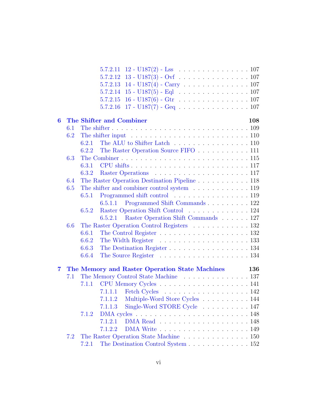|                |     |       | $5.7.2.11 \quad 12 - U187(2) - Lss \quad \ldots \quad \ldots \quad \ldots \quad \ldots \quad 107$ |
|----------------|-----|-------|---------------------------------------------------------------------------------------------------|
|                |     |       | $13 - U187(3) - Ovf$ 107<br>5.7.2.12                                                              |
|                |     |       | $5.7.2.13$ 14 - $U187(4)$ - Carry 107                                                             |
|                |     |       | 5.7.2.14                                                                                          |
|                |     |       | 5.7.2.15                                                                                          |
|                |     |       | $17 - U187(7) - Geq$ 107<br>5.7.2.16                                                              |
| $\bf{6}$       |     |       | The Shifter and Combiner<br>108                                                                   |
|                | 6.1 |       |                                                                                                   |
|                | 6.2 |       | The shifter input $\ldots \ldots \ldots \ldots \ldots \ldots \ldots \ldots \ldots 110$            |
|                |     | 6.2.1 | The ALU to Shifter Latch 110                                                                      |
|                |     | 6.2.2 | The Raster Operation Source FIFO 111                                                              |
|                | 6.3 |       |                                                                                                   |
|                |     | 6.3.1 |                                                                                                   |
|                |     | 6.3.2 |                                                                                                   |
|                | 6.4 |       | The Raster Operation Destination Pipeline 118                                                     |
|                | 6.5 |       | The shifter and combiner control system $\dots \dots \dots \dots \dots \dots 119$                 |
|                |     | 6.5.1 | Programmed shift control 119                                                                      |
|                |     |       | Programmed Shift Commands 122<br>6.5.1.1                                                          |
|                |     | 6.5.2 | Raster Operation Shift Control 124                                                                |
|                |     |       | 6.5.2.1 Raster Operation Shift Commands 127                                                       |
|                | 6.6 |       | The Raster Operation Control Registers 132                                                        |
|                |     | 6.6.1 | The Control Register $\ldots \ldots \ldots \ldots \ldots \ldots \ldots 132$                       |
|                |     | 6.6.2 |                                                                                                   |
|                |     | 6.6.3 | The Destination Register 134                                                                      |
|                |     | 6.6.4 |                                                                                                   |
|                |     |       |                                                                                                   |
| $\overline{7}$ |     |       | The Memory and Raster Operation State Machines<br>136                                             |
|                | 7.1 |       | The Memory Control State Machine 137                                                              |
|                |     |       |                                                                                                   |
|                |     |       | Fetch Cycles 142<br>7.1.1.1                                                                       |
|                |     |       | 7.1.1.2 Multiple-Word Store Cycles 144                                                            |
|                |     |       | Single-Word STORE Cycle 147<br>7.1.1.3                                                            |
|                |     | 7.1.2 |                                                                                                   |
|                |     |       | 7.1.2.1                                                                                           |
|                |     |       | 7.1.2.2                                                                                           |
|                | 7.2 |       | The Raster Operation State Machine 150                                                            |
|                |     | 7.2.1 | The Destination Control System 152                                                                |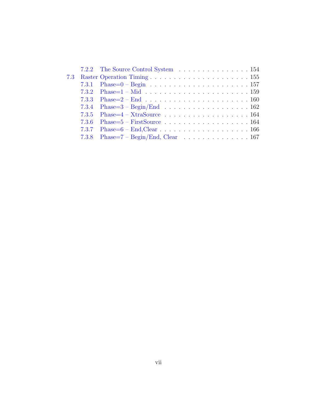|  | 7.2.2 The Source Control System 154             |
|--|-------------------------------------------------|
|  |                                                 |
|  |                                                 |
|  |                                                 |
|  |                                                 |
|  |                                                 |
|  | 7.3.5 Phase= $4 - X$ traSource 164              |
|  |                                                 |
|  |                                                 |
|  | 7.3.8 Phase= $7 - \text{Begin/End}$ , Clear 167 |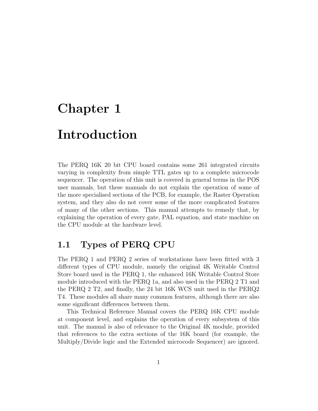# <span id="page-8-0"></span>Chapter 1

# Introduction

The PERQ 16K 20 bit CPU board contains some 261 integrated circuits varying in complexity from simple TTL gates up to a complete microcode sequencer. The operation of this unit is covered in general terms in the POS user manuals, but these manuals do not explain the operation of some of the more specialised sections of the PCB, for example, the Raster Operation system, and they also do not cover some of the more complicated features of many of the other sections. This manual attempts to remedy that, by explaining the operation of every gate, PAL equation, and state machine on the CPU module at the hardware level.

## <span id="page-8-1"></span>1.1 Types of PERQ CPU

The PERQ 1 and PERQ 2 series of workstations have been fitted with 3 different types of CPU module, namely the original 4K Writable Control Store board used in the PERQ 1, the enhanced 16K Writable Control Store module introduced with the PERQ 1a, and also used in the PERQ 2 T1 and the PERQ 2 T2, and finally, the 24 bit 16K WCS unit used in the PERQ2 T4. These modules all share many common features, although there are also some significant differences between them.

This Technical Reference Manual covers the PERQ 16K CPU module at component level, and explains the operation of every subsystem of this unit. The manual is also of relevance to the Original 4K module, provided that references to the extra sections of the 16K board (for example, the Multiply/Divide logic and the Extended microcode Sequencer) are ignored.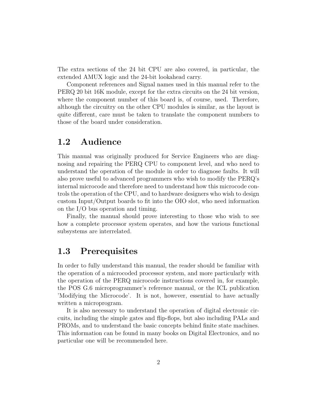The extra sections of the 24 bit CPU are also covered, in particular, the extended AMUX logic and the 24-bit lookahead carry.

Component references and Signal names used in this manual refer to the PERQ 20 bit 16K module, except for the extra circuits on the 24 bit version, where the component number of this board is, of course, used. Therefore, although the circuitry on the other CPU modules is similar, as the layout is quite different, care must be taken to translate the component numbers to those of the board under consideration.

## <span id="page-9-0"></span>1.2 Audience

This manual was originally produced for Service Engineers who are diagnosing and repairing the PERQ CPU to component level, and who need to understand the operation of the module in order to diagnose faults. It will also prove useful to advanced programmers who wish to modify the PERQ's internal microcode and therefore need to understand how this microcode controls the operation of the CPU, and to hardware designers who wish to design custom Input/Output boards to fit into the OIO slot, who need information on the I/O bus operation and timing.

Finally, the manual should prove interesting to those who wish to see how a complete processor system operates, and how the various functional subsystems are interrelated.

## <span id="page-9-1"></span>1.3 Prerequisites

In order to fully understand this manual, the reader should be familiar with the operation of a microcoded processor system, and more particularly with the operation of the PERQ microcode instructions covered in, for example, the POS G.6 microprogrammer's reference manual, or the ICL publication 'Modifying the Microcode'. It is not, however, essential to have actually written a microprogram.

It is also necessary to understand the operation of digital electronic circuits, including the simple gates and flip-flops, but also including PALs and PROMs, and to understand the basic concepts behind finite state machines. This information can be found in many books on Digital Electronics, and no particular one will be recommended here.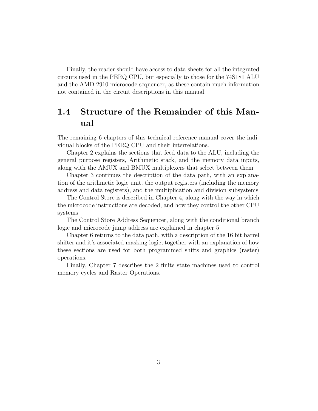Finally, the reader should have access to data sheets for all the integrated circuits used in the PERQ CPU, but especially to those for the 74S181 ALU and the AMD 2910 microcode sequencer, as these contain much information not contained in the circuit descriptions in this manual.

## <span id="page-10-0"></span>1.4 Structure of the Remainder of this Manual

The remaining 6 chapters of this technical reference manual cover the individual blocks of the PERQ CPU and their interrelations.

Chapter 2 explains the sections that feed data to the ALU, including the general purpose registers, Arithmetic stack, and the memory data inputs, along with the AMUX and BMUX multiplexers that select between them

Chapter 3 continues the description of the data path, with an explanation of the arithmetic logic unit, the output registers (including the memory address and data registers), and the multiplication and division subsystems

The Control Store is described in Chapter 4, along with the way in which the microcode instructions are decoded, and how they control the other CPU systems

The Control Store Address Sequencer, along with the conditional branch logic and microcode jump address are explained in chapter 5

Chapter 6 returns to the data path, with a description of the 16 bit barrel shifter and it's associated masking logic, together with an explanation of how these sections are used for both programmed shifts and graphics (raster) operations.

Finally, Chapter 7 describes the 2 finite state machines used to control memory cycles and Raster Operations.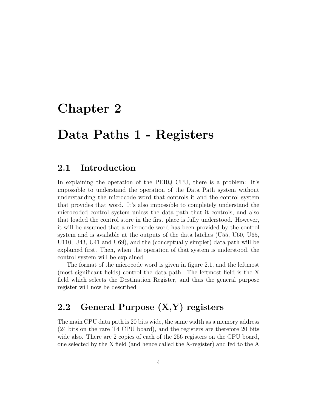# <span id="page-11-0"></span>Chapter 2

# Data Paths 1 - Registers

## <span id="page-11-1"></span>2.1 Introduction

In explaining the operation of the PERQ CPU, there is a problem: It's impossible to understand the operation of the Data Path system without understanding the microcode word that controls it and the control system that provides that word. It's also impossible to completely understand the microcoded control system unless the data path that it controls, and also that loaded the control store in the first place is fully understood. However, it will be assumed that a microcode word has been provided by the control system and is available at the outputs of the data latches (U55, U60, U65, U110, U43, U41 and U69), and the (conceptually simpler) data path will be explained first. Then, when the operation of that system is understood, the control system will be explained

The format of the microcode word is given in figure 2.1, and the leftmost (most significant fields) control the data path. The leftmost field is the X field which selects the Destination Register, and thus the general purpose register will now be described

## <span id="page-11-2"></span>2.2 General Purpose (X,Y) registers

The main CPU data path is 20 bits wide, the same width as a memory address (24 bits on the rare T4 CPU board), and the registers are therefore 20 bits wide also. There are 2 copies of each of the 256 registers on the CPU board, one selected by the X field (and hence called the X-register) and fed to the A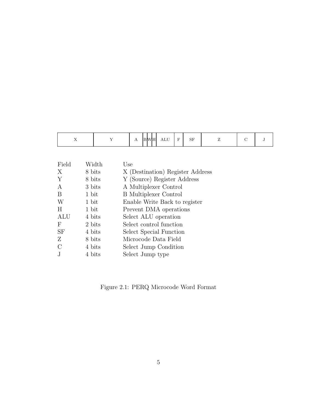| -<br>- -<br>$\overline{\phantom{a}}$ | .<br>.<br>. .<br>$-$ | $-$<br>$\overline{\phantom{a}}$<br>$\sim$<br>--<br>Δ<br><b>VIII</b><br>---- | $\alpha$ $\blacksquare$<br>DГ<br>_ | - |  |  |
|--------------------------------------|----------------------|-----------------------------------------------------------------------------|------------------------------------|---|--|--|
|--------------------------------------|----------------------|-----------------------------------------------------------------------------|------------------------------------|---|--|--|

| Field     | Width  | Use                              |
|-----------|--------|----------------------------------|
| X         | 8 bits | X (Destination) Register Address |
| Y         | 8 bits | Y (Source) Register Address      |
| A         | 3 bits | A Multiplexer Control            |
| Β         | 1 bit  | <b>B</b> Multiplexer Control     |
| W         | 1 bit  | Enable Write Back to register    |
| H         | 1 bit  | Prevent DMA operations           |
| ALU       | 4 bits | Select ALU operation             |
| F         | 2 bits | Select control function          |
| <b>SF</b> | 4 bits | Select Special Function          |
| Z         | 8 bits | Microcode Data Field             |
| С         | 4 bits | Select Jump Condition            |
|           | 4 bits | Select Jump type                 |

Figure 2.1: PERQ Microcode Word Format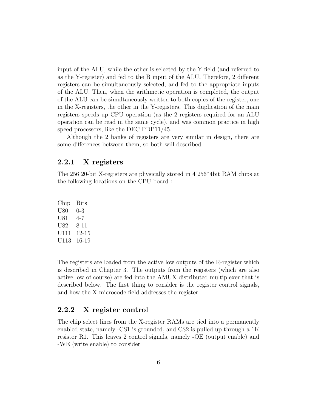input of the ALU, while the other is selected by the Y field (and referred to as the Y-register) and fed to the B input of the ALU. Therefore, 2 different registers can be simultaneously selected, and fed to the appropriate inputs of the ALU. Then, when the arithmetic operation is completed, the output of the ALU can be simultaneously written to both copies of the register, one in the X-registers, the other in the Y-registers. This duplication of the main registers speeds up CPU operation (as the 2 registers required for an ALU operation can be read in the same cycle), and was common practice in high speed processors, like the DEC PDP11/45.

Although the 2 banks of registers are very similar in design, there are some differences between them, so both will described.

#### <span id="page-13-0"></span>2.2.1 X registers

The 256 20-bit X-registers are physically stored in 4 256\*4bit RAM chips at the following locations on the CPU board :

Chip Bits U80 0-3 U81 4-7 U82 8-11 U111 12-15 U113 16-19

The registers are loaded from the active low outputs of the R-register which is described in Chapter 3. The outputs from the registers (which are also active low of course) are fed into the AMUX distributed multiplexer that is described below. The first thing to consider is the register control signals, and how the X microcode field addresses the register.

### <span id="page-13-1"></span>2.2.2 X register control

The chip select lines from the X-register RAMs are tied into a permanently enabled state, namely -CS1 is grounded, and CS2 is pulled up through a 1K resistor R1. This leaves 2 control signals, namely -OE (output enable) and -WE (write enable) to consider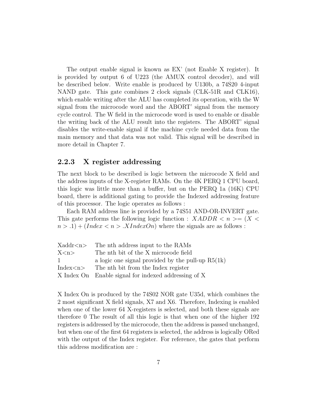The output enable signal is known as EX' (not Enable X register). It is provided by output 6 of U223 (the AMUX control decoder), and will be described below. Write enable is produced by U130b, a 74S20 4-input NAND gate. This gate combines 2 clock signals (CLK-51R and CLK16), which enable writing after the ALU has completed its operation, with the W signal from the microcode word and the ABORT' signal from the memory cycle control. The W field in the microcode word is used to enable or disable the writing back of the ALU result into the registers. The ABORT' signal disables the write-enable signal if the machine cycle needed data from the main memory and that data was not valid. This signal will be described in more detail in Chapter 7.

#### <span id="page-14-0"></span>2.2.3 X register addressing

The next block to be described is logic between the microcode X field and the address inputs of the X-register RAMs. On the 4K PERQ 1 CPU board, this logic was little more than a buffer, but on the PERQ 1a (16K) CPU board, there is additional gating to provide the Indexed addressing feature of this processor. The logic operates as follows :

Each RAM address line is provided by a 74S51 AND-OR-INVERT gate. This gate performs the following logic function :  $XADDR < n > = (X <$  $n > 0.1 + (Index < n > 0.1)$  where the signals are as follows :

|                 | $Xaddr < n$ The nth address input to the RAMs        |
|-----------------|------------------------------------------------------|
| X < n           | The nth bit of the X microcode field                 |
| -1              | a logic one signal provided by the pull-up $R5(1k)$  |
| Index $<$ n $>$ | The nth bit from the Index register                  |
|                 | X Index On Enable signal for indexed addressing of X |

X Index On is produced by the 74S02 NOR gate U35d, which combines the 2 most significant X field signals, X7 and X6. Therefore, Indexing is enabled when one of the lower 64 X-registers is selected, and both these signals are therefore 0 The result of all this logic is that when one of the higher 192 registers is addressed by the microcode, then the address is passed unchanged, but when one of the first 64 registers is selected, the address is logically ORed with the output of the Index register. For reference, the gates that perform this address modification are :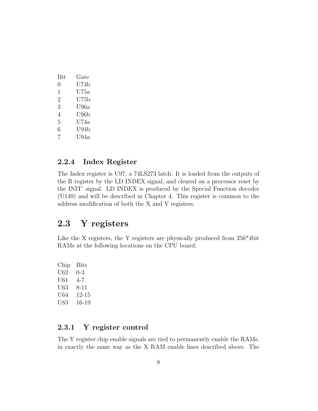| Bit           | Gate |
|---------------|------|
| $\mathcal{O}$ | U74b |
| 1             | U75a |
| 2             | U75b |
| 3             | U96a |
| 4             | U96b |
| 5             | U74a |
| 6             | U94b |
| 7             | U94a |

### <span id="page-15-0"></span>2.2.4 Index Register

The Index register is U97, a 74LS273 latch. It is loaded from the outputs of the R register by the LD INDEX signal, and cleared on a processor reset by the INIT' signal. LD INDEX is produced by the Special Function decoder (U149) and will be described in Chapter 4. This register is common to the address modification of both the X and Y registers.

## <span id="page-15-1"></span>2.3 Y registers

Like the X registers, the Y registers are physically produced from  $256*4bit$ RAMs at the following locations on the CPU board:

Chip Bits U62 0-3 U61 4-7 U63 8-11 U64 12-15 U83 16-19

## <span id="page-15-2"></span>2.3.1 Y register control

The Y register chip enable signals are tied to permanently enable the RAMs, in exactly the same way as the X RAM enable lines described above. The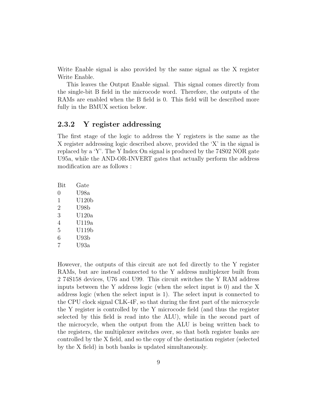Write Enable signal is also provided by the same signal as the X register Write Enable.

This leaves the Output Enable signal. This signal comes directly from the single-bit B field in the microcode word. Therefore, the outputs of the RAMs are enabled when the B field is 0. This field will be described more fully in the BMUX section below.

#### <span id="page-16-0"></span>2.3.2 Y register addressing

The first stage of the logic to address the Y registers is the same as the X register addressing logic described above, provided the 'X' in the signal is replaced by a 'Y'. The Y Index On signal is produced by the 74S02 NOR gate U95a, while the AND-OR-INVERT gates that actually perform the address modification are as follows :

| Bit | Gate    |
|-----|---------|
| 0   | U98a    |
| 1   | U120b   |
| 2   | U98b    |
| 3   | U120a   |
| 4   | U119a   |
| 5   | U119b   |
| 6   | U93b    |
| 7   | $U$ 93a |
|     |         |

However, the outputs of this circuit are not fed directly to the Y register RAMs, but are instead connected to the Y address multiplexer built from 2 74S158 devices, U76 and U99. This circuit switches the Y RAM address inputs between the Y address logic (when the select input is 0) and the X address logic (when the select input is 1). The select input is connected to the CPU clock signal CLK-4F, so that during the first part of the microcycle the Y register is controlled by the Y microcode field (and thus the register selected by this field is read into the ALU), while in the second part of the microcycle, when the output from the ALU is being written back to the registers, the multiplexer switches over, so that both register banks are controlled by the X field, and so the copy of the destination register (selected by the X field) in both banks is updated simultaneously.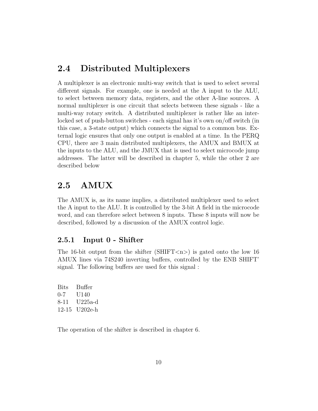## <span id="page-17-0"></span>2.4 Distributed Multiplexers

A multiplexer is an electronic multi-way switch that is used to select several different signals. For example, one is needed at the A input to the ALU, to select between memory data, registers, and the other A-line sources. A normal multiplexer is one circuit that selects between these signals - like a multi-way rotary switch. A distributed multiplexer is rather like an interlocked set of push-button switches - each signal has it's own on/off switch (in this case, a 3-state output) which connects the signal to a common bus. External logic ensures that only one output is enabled at a time. In the PERQ CPU, there are 3 main distributed multiplexers, the AMUX and BMUX at the inputs to the ALU, and the JMUX that is used to select microcode jump addresses. The latter will be described in chapter 5, while the other 2 are described below

## <span id="page-17-1"></span>2.5 AMUX

The AMUX is, as its name implies, a distributed multiplexer used to select the A input to the ALU. It is controlled by the 3-bit A field in the microcode word, and can therefore select between 8 inputs. These 8 inputs will now be described, followed by a discussion of the AMUX control logic.

### <span id="page-17-2"></span>2.5.1 Input 0 - Shifter

The 16-bit output from the shifter (SHIFT $\langle n \rangle$ ) is gated onto the low 16 AMUX lines via 74S240 inverting buffers, controlled by the ENB SHIFT' signal. The following buffers are used for this signal :

Bits Buffer 0-7 U140 8-11 U225a-d 12-15 U202e-h

The operation of the shifter is described in chapter 6.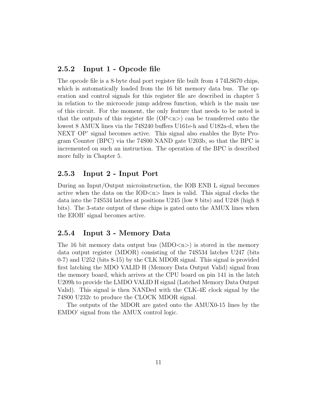### <span id="page-18-0"></span>2.5.2 Input 1 - Opcode file

The opcode file is a 8-byte dual port register file built from 4 74LS670 chips, which is automatically loaded from the 16 bit memory data bus. The operation and control signals for this register file are described in chapter 5 in relation to the microcode jump address function, which is the main use of this circuit. For the moment, the only feature that needs to be noted is that the outputs of this register file  $(OP\langle n\rangle)$  can be transferred onto the lowest 8 AMUX lines via the 74S240 buffers U161e-h and U182a-d, when the NEXT OP' signal becomes active. This signal also enables the Byte Program Counter (BPC) via the 74S00 NAND gate U203b, so that the BPC is incremented on such an instruction. The operation of the BPC is described more fully in Chapter 5.

### <span id="page-18-1"></span>2.5.3 Input 2 - Input Port

During an Input/Output microinstruction, the IOB ENB L signal becomes active when the data on the  $\text{IOD}\text{-}\text{n}$  lines is valid. This signal clocks the data into the 74S534 latches at positions U245 (low 8 bits) and U248 (high 8 bits). The 3-state output of these chips is gated onto the AMUX lines when the EIOB' signal becomes active.

#### <span id="page-18-2"></span>2.5.4 Input 3 - Memory Data

The 16 bit memory data output bus  $(MDO<sub>n</sub>)$  is stored in the memory data output register (MDOR) consisting of the 74S534 latches U247 (bits 0-7) and U252 (bits 8-15) by the CLK MDOR signal. This signal is provided first latching the MDO VALID H (Memory Data Output Valid) signal from the memory board, which arrives at the CPU board on pin 141 in the latch U209h to provide the LMDO VALID H signal (Latched Memory Data Output Valid). This signal is then NANDed with the CLK-4E clock signal by the 74S00 U232c to produce the CLOCK MDOR signal.

The outputs of the MDOR are gated onto the AMUX0-15 lines by the EMDO' signal from the AMUX control logic.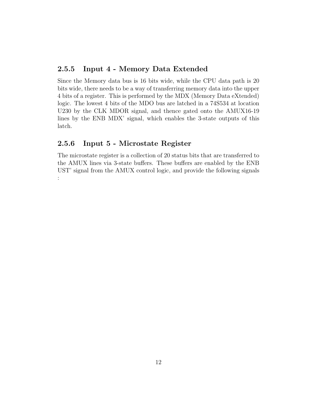### <span id="page-19-0"></span>2.5.5 Input 4 - Memory Data Extended

Since the Memory data bus is 16 bits wide, while the CPU data path is 20 bits wide, there needs to be a way of transferring memory data into the upper 4 bits of a register. This is performed by the MDX (Memory Data eXtended) logic. The lowest 4 bits of the MDO bus are latched in a 74S534 at location U230 by the CLK MDOR signal, and thence gated onto the AMUX16-19 lines by the ENB MDX' signal, which enables the 3-state outputs of this latch.

## <span id="page-19-1"></span>2.5.6 Input 5 - Microstate Register

:

The microstate register is a collection of 20 status bits that are transferred to the AMUX lines via 3-state buffers. These buffers are enabled by the ENB UST' signal from the AMUX control logic, and provide the following signals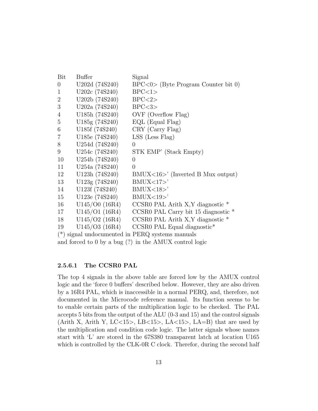| Bit             | <b>Buffer</b>                               | Signal                                                   |  |  |
|-----------------|---------------------------------------------|----------------------------------------------------------|--|--|
| $\theta$        | U202d (74S240)                              | $BPC<0$ (Byte Program Counter bit 0)                     |  |  |
| $\mathbf{1}$    | U202c (74S240)                              | BPC<1>                                                   |  |  |
| $\overline{2}$  | U202b (74S240)                              | BPC < 2>                                                 |  |  |
| 3               | U202a (74S240)                              | BPC < 3>                                                 |  |  |
| $\overline{4}$  | U185h (74S240)                              | OVF (Overflow Flag)                                      |  |  |
| $5\overline{)}$ | U185g (74S240)                              | $EQL$ (Equal Flag)                                       |  |  |
| $6\,$           | U185f (74S240)                              | CRY (Carry Flag)                                         |  |  |
| 7               | U185e (74S240)                              | $LSS$ (Less Flag)                                        |  |  |
| 8               | U254d (74S240)                              | $\Omega$                                                 |  |  |
| 9               | U254c (74S240)                              | STK EMP' (Stack Empty)                                   |  |  |
| 10              | U254b (74S240)                              | $\Omega$                                                 |  |  |
| 11              | U254a (74S240)                              | $\Omega$                                                 |  |  |
| 12              | U123h (74S240)                              | $BMUX < 16$ <sup>&gt;</sup> (Inverted B Mux output)      |  |  |
| 13              | U123g (74S240)                              | BMUX <17                                                 |  |  |
| 14              | U123f (74S240)                              | BMUX < 18                                                |  |  |
| 15              | U123e (74S240)                              | BMUX<19                                                  |  |  |
| 16              | U145/O0(16R4)                               | CCSR0 PAL Arith X, Y diagnostic $*$                      |  |  |
| 17              | U145/O1(16R4)                               | CCSR0 PAL Carry bit 15 diagnostic $*$                    |  |  |
| 18              | U145/O2(16R4)                               | CCSR0 PAL Arith X, Y diagnostic *                        |  |  |
| 19              |                                             | $U145/O3 (16R4)$ CCSR0 PAL Equal diagnostic <sup>*</sup> |  |  |
| $(*)$           | signal undocumented in PERQ systems manuals |                                                          |  |  |

#### and forced to 0 by a bug (?) in the AMUX control logic

#### <span id="page-20-0"></span>2.5.6.1 The CCSR0 PAL

The top 4 signals in the above table are forced low by the AMUX control logic and the 'force 0 buffers' described below. However, they are also driven by a 16R4 PAL, which is inaccessible in a normal PERQ, and, therefore, not documented in the Microcode reference manual. Its function seems to be to enable certain parts of the multiplication logic to be checked. The PAL accepts 5 bits from the output of the ALU (0-3 and 15) and the control signals (Arith X, Arith Y, LC<15>, LB<15>, LA<15>, LA=B) that are used by the multiplication and condition code logic. The latter signals whose names start with 'L' are stored in the 67S380 transparent latch at location U165 which is controlled by the CLK-0R C clock. Therefor, during the second half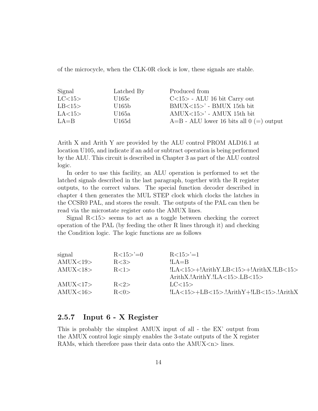of the microcycle, when the CLK-0R clock is low, these signals are stable.

| Signal   | Latched By | Produced from                                |
|----------|------------|----------------------------------------------|
| LC<15>   | U165c      | $C<15>$ - ALU 16 bit Carry out               |
| LB<15>   | U165b      | $BMUX < 15$ - BMUX 15th bit                  |
| LA < 15  | U165a      | $AMUX < 15$ - AMUX 15th bit                  |
| $LA = B$ | U165d      | $A=B$ - ALU lower 16 bits all $0 (=)$ output |

Arith X and Arith Y are provided by the ALU control PROM ALD16.1 at location U105, and indicate if an add or subtract operation is being performed by the ALU. This circuit is described in Chapter 3 as part of the ALU control logic.

In order to use this facility, an ALU operation is performed to set the latched signals described in the last paragraph, together with the R register outputs, to the correct values. The special function decoder described in chapter 4 then generates the MUL STEP clock which clocks the latches in the CCSR0 PAL, and stores the result. The outputs of the PAL can then be read via the microstate register onto the AMUX lines.

Signal R<15> seems to act as a toggle between checking the correct operation of the PAL (by feeding the other R lines through it) and checking the Condition logic. The logic functions are as follows

| $R<15>^{\circ}=0$ | $R<15> = 1$                               |
|-------------------|-------------------------------------------|
| R < 3>            | $ILA = B$                                 |
| R<1>              | $ LA<15>+!ArithY.LB<15>+!ArithX.IB<15>$   |
|                   | $ArithX.lArithY.lLA <15$ >.LB $<15$ >     |
| R < 2>            | LC < 15                                   |
| R < 0>            | $ LA<15>+LB<15>. ArithY+ LB<15>. ArithX $ |
|                   |                                           |

### <span id="page-21-0"></span>2.5.7 Input 6 - X Register

This is probably the simplest AMUX input of all - the EX' output from the AMUX control logic simply enables the 3-state outputs of the X register RAMs, which therefore pass their data onto the  $AMUX < n$  lines.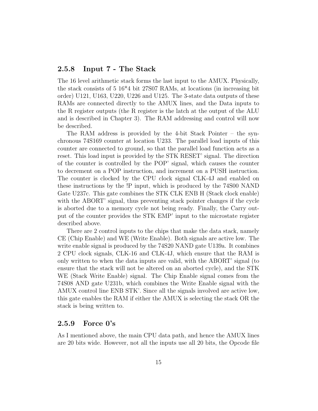#### <span id="page-22-0"></span>2.5.8 Input 7 - The Stack

The 16 level arithmetic stack forms the last input to the AMUX. Physically, the stack consists of 5 16\*4 bit 27S07 RAMs, at locations (in increasing bit order) U121, U163, U220, U226 and U125. The 3-state data outputs of these RAMs are connected directly to the AMUX lines, and the Data inputs to the R register outputs (the R register is the latch at the output of the ALU and is described in Chapter 3). The RAM addressing and control will now be described.

The RAM address is provided by the 4-bit Stack Pointer – the synchronous 74S169 counter at location U233. The parallel load inputs of this counter are connected to ground, so that the parallel load function acts as a reset. This load input is provided by the STK RESET' signal. The direction of the counter is controlled by the POP' signal, which causes the counter to decrement on a POP instruction, and increment on a PUSH instruction. The counter is clocked by the CPU clock signal CLK-4J and enabled on these instructions by the !P input, which is produced by the 74S00 NAND Gate U237c. This gate combines the STK CLK ENB H (Stack clock enable) with the ABORT' signal, thus preventing stack pointer changes if the cycle is aborted due to a memory cycle not being ready. Finally, the Carry output of the counter provides the STK EMP' input to the microstate register described above.

There are 2 control inputs to the chips that make the data stack, namely CE (Chip Enable) and WE (Write Enable). Both signals are active low. The write enable signal is produced by the 74S20 NAND gate U139a. It combines 2 CPU clock signals, CLK-16 and CLK-4J, which ensure that the RAM is only written to when the data inputs are valid, with the ABORT' signal (to ensure that the stack will not be altered on an aborted cycle), and the STK WE (Stack Write Enable) signal. The Chip Enable signal comes from the 74S08 AND gate U231b, which combines the Write Enable signal with the AMUX control line ENB STK'. Since all the signals involved are active low, this gate enables the RAM if either the AMUX is selecting the stack OR the stack is being written to.

#### <span id="page-22-1"></span>2.5.9 Force 0's

As I mentioned above, the main CPU data path, and hence the AMUX lines are 20 bits wide. However, not all the inputs use all 20 bits, the Opcode file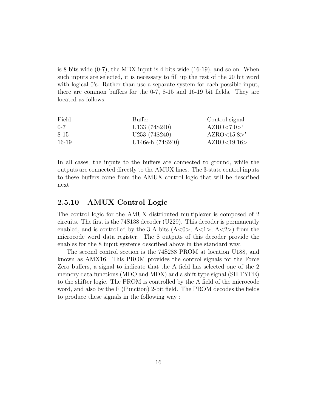is 8 bits wide  $(0-7)$ , the MDX input is 4 bits wide  $(16-19)$ , and so on. When such inputs are selected, it is necessary to fill up the rest of the 20 bit word with logical 0's. Rather than use a separate system for each possible input, there are common buffers for the 0-7, 8-15 and 16-19 bit fields. They are located as follows.

| Field   | Buffer           | Control signal       |
|---------|------------------|----------------------|
| $0 - 7$ | U133 (74S240)    | AZRO < 7:0 >'        |
| 8-15    | U253 (74S240)    | $AZRO<15:8>^{\circ}$ |
| 16-19   | U146e-h (74S240) | AZRO<19:16>          |

In all cases, the inputs to the buffers are connected to ground, while the outputs are connected directly to the AMUX lines. The 3-state control inputs to these buffers come from the AMUX control logic that will be described next

### <span id="page-23-0"></span>2.5.10 AMUX Control Logic

The control logic for the AMUX distributed multiplexer is composed of 2 circuits. The first is the 74S138 decoder (U229). This decoder is permanently enabled, and is controlled by the 3 A bits  $(A<0>, A<1>, A<2>)$  from the microcode word data register. The 8 outputs of this decoder provide the enables for the 8 input systems described above in the standard way.

The second control section is the 74S288 PROM at location U188, and known as AMX16. This PROM provides the control signals for the Force Zero buffers, a signal to indicate that the A field has selected one of the 2 memory data functions (MDO and MDX) and a shift type signal (SH TYPE) to the shifter logic. The PROM is controlled by the A field of the microcode word, and also by the F (Function) 2-bit field. The PROM decodes the fields to produce these signals in the following way :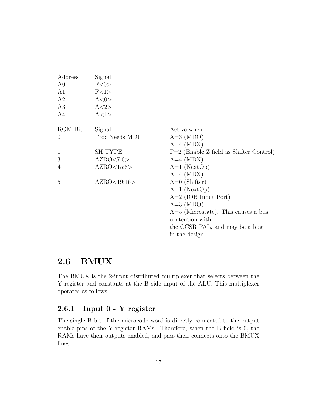| Address        | Signal         |                                           |
|----------------|----------------|-------------------------------------------|
| A <sub>0</sub> | F<0>           |                                           |
| A1             | F<1>           |                                           |
| A2             | A<0>           |                                           |
| A3             | A < 2>         |                                           |
| A4             | A<1>           |                                           |
| ROM Bit        | Signal         | Active when                               |
| $\theta$       | Proc Needs MDI | $A=3 (MDO)$                               |
|                |                | $A=4 \ (MDX)$                             |
| $\mathbf{1}$   | <b>SH TYPE</b> | $F=2$ (Enable Z field as Shifter Control) |
| 3              | AZRO < 7:0>    | $A=4 \ (MDX)$                             |
| 4              | AZRO<15:8>     | $A=1$ (NextOp)                            |
|                |                | $A=4 \ (MDX)$                             |
| 5              | AZRO<19:16>    | $A=0$ (Shifter)                           |
|                |                | $A=1$ (NextOp)                            |
|                |                | $A=2$ (IOB Input Port)                    |
|                |                | $A=3$ (MDO)                               |
|                |                | $A=5$ (Microstate). This causes a bus     |
|                |                | contention with                           |
|                |                | the CCSR PAL, and may be a bug            |
|                |                | in the design                             |

# <span id="page-24-0"></span>2.6 BMUX

The BMUX is the 2-input distributed multiplexer that selects between the Y register and constants at the B side input of the ALU. This multiplexer operates as follows

## <span id="page-24-1"></span>2.6.1 Input 0 - Y register

The single B bit of the microcode word is directly connected to the output enable pins of the Y register RAMs. Therefore, when the B field is 0, the RAMs have their outputs enabled, and pass their connects onto the BMUX lines.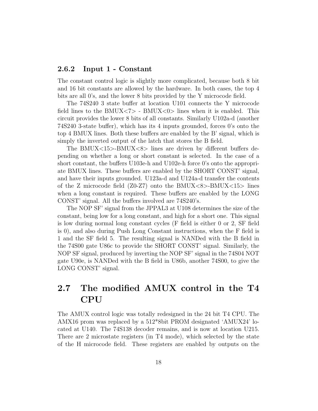#### <span id="page-25-0"></span>2.6.2 Input 1 - Constant

The constant control logic is slightly more complicated, because both 8 bit and 16 bit constants are allowed by the hardware. In both cases, the top 4 bits are all 0's, and the lower 8 bits provided by the Y microcode field.

The 74S240 3 state buffer at location U101 connects the Y microcode field lines to the BMUX $\langle 7 \rangle$  - BMUX $\langle 0 \rangle$  lines when it is enabled. This circuit provides the lower 8 bits of all constants. Similarly U102a-d (another 74S240 3-state buffer), which has its 4 inputs grounded, forces 0's onto the top 4 BMUX lines. Both these buffers are enabled by the B' signal, which is simply the inverted output of the latch that stores the B field.

The BMUX<15>-BMUX<8> lines are driven by different buffers depending on whether a long or short constant is selected. In the case of a short constant, the buffers U103e-h and U102e-h force 0's onto the appropriate BMUX lines. These buffers are enabled by the SHORT CONST' signal, and have their inputs grounded. U123a-d and U124a-d transfer the contents of the Z microcode field  $(Z0-Z7)$  onto the BMUX $<8>-BMUX<15>$  lines when a long constant is required. These buffers are enabled by the LONG CONST' signal. All the buffers involved are 74S240's.

The NOP SF' signal from the JPPAL3 at U108 determines the size of the constant, being low for a long constant, and high for a short one. This signal is low during normal long constant cycles (F field is either 0 or 2, SF field is 0), and also during Push Long Constant instructions, when the F field is 1 and the SF field 5. The resulting signal is NANDed with the B field in the 74S00 gate U86c to provide the SHORT CONST' signal. Similarly, the NOP SF signal, produced by inverting the NOP SF' signal in the 74S04 NOT gate U90e, is NANDed with the B field in U86b, another 74S00, to give the LONG CONST' signal.

# <span id="page-25-1"></span>2.7 The modified AMUX control in the T4 CPU

The AMUX control logic was totally redesigned in the 24 bit T4 CPU. The AMX16 prom was replaced by a 512\*8bit PROM designated 'AMUX24' located at U140. The 74S138 decoder remains, and is now at location U215. There are 2 microstate registers (in T4 mode), which selected by the state of the H microcode field. These registers are enabled by outputs on the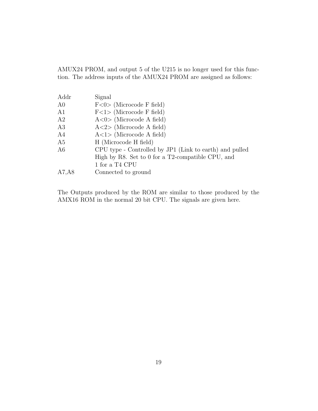AMUX24 PROM, and output 5 of the U215 is no longer used for this function. The address inputs of the AMUX24 PROM are assigned as follows:

| Addr           | Signal                                                  |
|----------------|---------------------------------------------------------|
| A <sub>0</sub> | $F<0$ (Microcode F field)                               |
| A1             | $F<1$ (Microcode F field)                               |
| A2             | $A < 0$ (Microcode A field)                             |
| A3             | $A < 2$ (Microcode A field)                             |
| A <sub>4</sub> | $A<1$ (Microcode A field)                               |
| A5             | H (Microcode H field)                                   |
| A6             | CPU type - Controlled by JP1 (Link to earth) and pulled |
|                | High by R8. Set to 0 for a T2-compatible CPU, and       |
|                | 1 for a T4 CPU                                          |
| A7, A8         | Connected to ground                                     |

The Outputs produced by the ROM are similar to those produced by the AMX16 ROM in the normal 20 bit CPU. The signals are given here.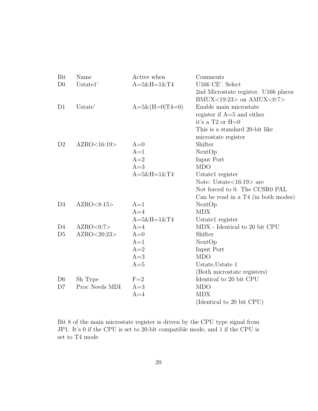| Bit            | Name           | Active when          | Comments                             |
|----------------|----------------|----------------------|--------------------------------------|
| D <sub>0</sub> | Ustate1'       | $A = 5&H = 1&T4$     | U166 CE'. Select                     |
|                |                |                      | 2nd Microstate register. U166 places |
|                |                |                      | BMUX<19:23> on $AMUX < 0:7>$         |
| D <sub>1</sub> | Ustate'        | $A=5\&(H=0 T4=0)$    | Enable main microstate               |
|                |                |                      | register if $A=5$ and either         |
|                |                |                      | it's a $T2$ or $H=0$                 |
|                |                |                      | This is a standard 20-bit like       |
|                |                |                      | microstate register                  |
| D <sub>2</sub> | AZRO<16:19>    | $A=0$                | Shifter                              |
|                |                | $A=1$                | NextOp                               |
|                |                | $A=2$                | Input Port                           |
|                |                | $A=3$                | <b>MDO</b>                           |
|                |                | $A = 5 & H = 1 & T4$ | Ustate1 register                     |
|                |                |                      | Note: Ustate $<$ 16:19 $>$ are       |
|                |                |                      | Not forced to 0. The CCSR0 PAL       |
|                |                |                      | Can be read in a T4 (in both modes)  |
| D <sub>3</sub> | AZRO < 8:15    | $A=1$                | NextOp                               |
|                |                | $A=4$                | <b>MDX</b>                           |
|                |                | $A = 5 & H = 1 & T4$ | Ustate1 register                     |
| D <sub>4</sub> | AZRO<0:7>      | $A=4$                | MDX - Identical to 20 bit CPU        |
| D <sub>5</sub> | AZRO<20:23>    | $A=0$                | Shifter                              |
|                |                | $A=1$                | NextOp                               |
|                |                | $A=2$                | Input Port                           |
|                |                | $A=3$                | <b>MDO</b>                           |
|                |                | $A=5$                | Ustate, Ustate 1                     |
|                |                |                      | (Both microstate registers)          |
| D <sub>6</sub> | Sh Type        | $F=2$                | Identical to 20 bit CPU              |
| D7             | Proc Needs MDI | $A=3$                | <b>MDO</b>                           |
|                |                | $A=4$                | <b>MDX</b>                           |
|                |                |                      | (Identical to 20 bit CPU)            |

Bit 8 of the main microstate register is driven by the CPU type signal from JP1. It's  $0$  if the CPU is set to 20-bit compatible mode, and  $1$  if the CPU is set to T4 mode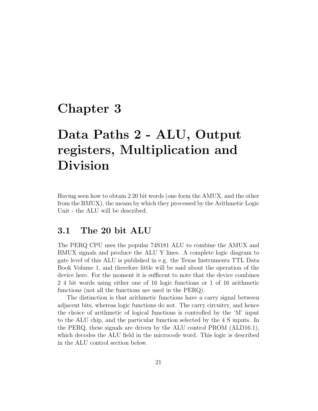# <span id="page-28-0"></span>Chapter 3

# Data Paths 2 - ALU, Output registers, Multiplication and Division

Having seen how to obtain 2 20 bit words (one form the AMUX, and the other from the BMUX), the means by which they processed by the Arithmetic Logic Unit - the ALU will be described.

## <span id="page-28-1"></span>3.1 The 20 bit ALU

The PERQ CPU uses the popular 74S181 ALU to combine the AMUX and BMUX signals and produce the ALU Y lines. A complete logic diagram to gate level of this ALU is published in e.g. the Texas Instruments TTL Data Book Volume 1, and therefore little will be said about the operation of the device here. For the moment it is sufficent to note that the device combines 2 4 bit words using either one of 16 logic functions or 1 of 16 arithmetic functions (not all the functions are used in the PERQ).

The distinction is that arithmetic functions have a carry signal between adjacent bits, whereas logic functions do not. The carry circuitry, and hence the choice of arithmetic of logical functions is controlled by the 'M' input to the ALU chip, and the particular function selected by the 4 S inputs. In the PERQ, these signals are driven by the ALU control PROM (ALD16.1), which decodes the ALU field in the microcode word. This logic is described in the ALU control section below.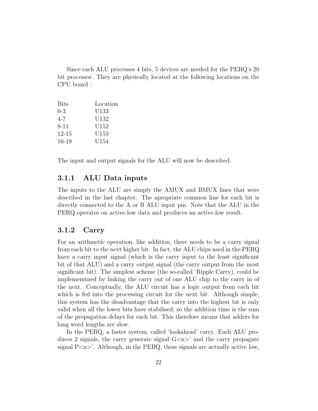Since each ALU processes 4 bits, 5 devices are needed for the PERQ's 20 bit processor. They are physically located at the following locations on the CPU board :

| <b>Bits</b> | Location |
|-------------|----------|
| $0 - 3$     | U133     |
| $4 - 7$     | U132     |
| $8 - 11$    | U152     |
| 12-15       | U153     |
| 16-19       | U154     |
|             |          |

The input and output signals for the ALU will now be described.

#### <span id="page-29-0"></span>3.1.1 ALU Data inputs

The inputs to the ALU are simply the AMUX and BMUX lines that were described in the last chapter. The apropriate common line for each bit is directly connected to the A or B ALU input pin. Note that the ALU in the PERQ operates on active-low data and produces an active-low result.

#### <span id="page-29-1"></span>3.1.2 Carry

For an arithmetic operation, like addition, there needs to be a carry signal from each bit to the next higher bit. In fact, the ALU chips used in the PERQ have a carry input signal (which is the carry input to the least significant bit of that ALU) and a carry output signal (the carry output from the most significant bit). The simplest scheme (the so-called 'Ripple Carry), could be implememtned by linking the carry out of one ALU chip to the carry in of the next. Conceptually, the ALU circuit has a logic output from each bit which is fed into the processing circuit for the next bit. Although simple, this system has the disadvantage that the carry into the highest bit is only valid when all the lower bits have stabilised, so the addition time is the sum of the propagation delays for each bit. This therefore means that adders for long word lengths are slow.

In the PERQ, a faster system, called 'lookahead' carry. Each ALU produces 2 signals, the carry generate signal  $G\langle n\rangle$  and the carry propagate signal  $P\langle n\rangle'$ . Although, in the PERQ, these signals are actually active low,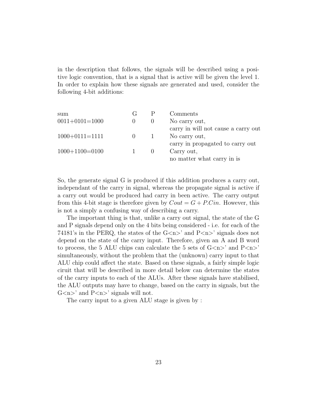in the description that follows, the signals will be described using a positive logic convention, that is a signal that is active will be given the level 1. In order to explain how these signals are generated and used, consider the following 4-bit additions:

| sum                  | G        | Comments                            |
|----------------------|----------|-------------------------------------|
| $0011 + 0101 = 1000$ | $\theta$ | No carry out,                       |
|                      |          | carry in will not cause a carry out |
| $1000+0111=1111$     |          | No carry out,                       |
|                      |          | carry in propagated to carry out    |
| $1000+1100=0100$     |          | Carry out,                          |
|                      |          | no matter what carry in is          |

So, the generate signal G is produced if this addition produces a carry out, independant of the carry in signal, whereas the propagate signal is active if a carry out would be produced had carry in been active. The carry output from this 4-bit stage is therefore given by  $Cout = G + P.Cin$ . However, this is not a simply a confusing way of describing a carry.

The important thing is that, unlike a carry out signal, the state of the G and P signals depend only on the 4 bits being considered - i.e. for each of the 74181's in the PERQ, the states of the  $G\langle n\rangle$  and  $P\langle n\rangle$  signals does not depend on the state of the carry input. Therefore, given an A and B word to process, the 5 ALU chips can calculate the 5 sets of  $G\langle n\rangle'$  and  $P\langle n\rangle'$ simultaneously, without the problem that the (unknown) carry input to that ALU chip could affect the state. Based on these signals, a fairly simple logic ciruit that will be described in more detail below can determine the states of the carry inputs to each of the ALUs. After these signals have stabilised, the ALU outputs may have to change, based on the carry in signals, but the  $G$  <n > ' and  $P$  <n > ' signals will not.

The carry input to a given ALU stage is given by :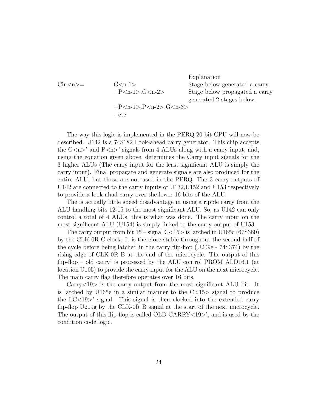Explanation Cin $\langle n \rangle$  G $\langle n-1 \rangle$  Stage below generated a carry. +P<n-1>.G<n-2> Stage below propagated a carry generated 2 stages below.

+P<n-1>.P<n-2>.G<n-3>  $+etc$ 

The way this logic is implemented in the PERQ 20 bit CPU will now be described. U142 is a 74S182 Look-ahead carry generator. This chip accepts the  $G\langle n\rangle'$  and  $P\langle n\rangle'$  signals from 4 ALUs along with a carry input, and, using the equation given above, determines the Carry input signals for the 3 higher ALUs (The carry input for the least significant ALU is simply the carry input). Final propagate and generate signals are also produced for the entire ALU, but these are not used in the PERQ. The 3 carry outputs of U142 are connected to the carry inputs of U132,U152 and U153 respectively to provide a look-ahad carry over the lower 16 bits of the ALU.

The is actually little speed disadvantage in using a ripple carry from the ALU handling bits 12-15 to the most significant ALU. So, as U142 can only control a total of 4 ALUs, this is what was done. The carry input on the most significant ALU (U154) is simply linked to the carry output of U153.

The carry output from bit  $15$  – signal  $C \lt 15$  is latched in U165c (67S380) by the CLK-0R C clock. It is therefore stable throughout the second half of the cycle before being latched in the carry flip-flop (U209e - 74S374) by the rising edge of CLK-0R B at the end of the microcycle. The output of this flip-flop – old carry' is processed by the ALU control PROM ALD16.1 (at location U105) to provide the carry input for the ALU on the next microcycle. The main carry flag therefore operates over 16 bits.

Carry<19> is the carry output from the most significant ALU bit. It is latched by U165e in a similar manner to the  $C<15$  signal to produce the  $LC < 19$  signal. This signal is then clocked into the extended carry flip-flop U209g by the CLK-0R B signal at the start of the next microcycle. The output of this flip-flop is called OLD CARRY<19>', and is used by the condition code logic.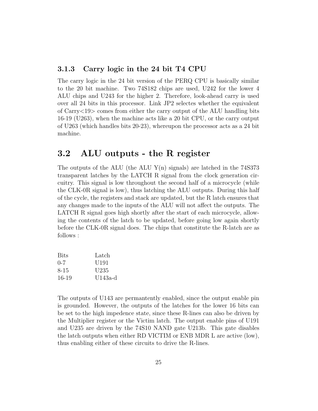#### <span id="page-32-0"></span>3.1.3 Carry logic in the 24 bit T4 CPU

The carry logic in the 24 bit version of the PERQ CPU is basically similar to the 20 bit machine. Two 74S182 chips are used, U242 for the lower 4 ALU chips and U243 for the higher 2. Therefore, look-ahead carry is used over all 24 bits in this processor. Link JP2 selectes whether the equivalent of Carry<19> comes from either the carry output of the ALU handling bits 16-19 (U263), when the machine acts like a 20 bit CPU, or the carry output of U263 (which handles bits 20-23), whereupon the processor acts as a 24 bit machine.

## <span id="page-32-1"></span>3.2 ALU outputs - the R register

The outputs of the ALU (the ALU  $Y(n)$  signals) are latched in the 74S373 transparent latches by the LATCH R signal from the clock generation circuitry. This signal is low throughout the second half of a microcycle (while the CLK-0R signal is low), thus latching the ALU outputs. During this half of the cycle, the registers and stack are updated, but the R latch ensures that any changes made to the inputs of the ALU will not affect the outputs. The LATCH R signal goes high shortly after the start of each microcycle, allowing the contents of the latch to be updated, before going low again shortly before the CLK-0R signal does. The chips that constitute the R-latch are as follows :

| <b>Bits</b> | Latch            |
|-------------|------------------|
| $0 - 7$     | U <sub>191</sub> |
| 8-15        | U <sub>235</sub> |
| $16-19$     | $U143a-d$        |

The outputs of U143 are permantently enabled, since the output enable pin is grounded. However, the outputs of the latches for the lower 16 bits can be set to the high impedence state, since these R-lines can also be driven by the Multiplier register or the Victim latch. The output enable pins of U191 and U235 are driven by the 74S10 NAND gate U213b. This gate disables the latch outputs when either RD VICTIM or ENB MDR L are active (low), thus enabling either of these circuits to drive the R-lines.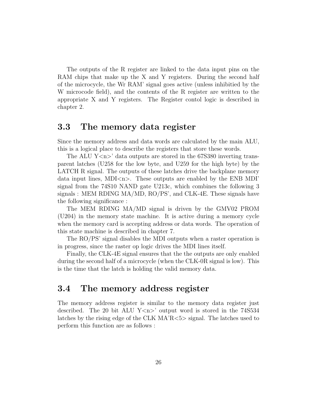The outputs of the R register are linked to the data input pins on the RAM chips that make up the X and Y registers. During the second half of the microcycle, the Wr RAM' signal goes active (unless inhibitied by the W microcode field), and the contents of the R register are written to the appropriate X and Y registers. The Register contol logic is described in chapter 2.

## <span id="page-33-0"></span>3.3 The memory data register

Since the memory address and data words are calculated by the main ALU, this is a logical place to describe the registers that store these words.

The ALU  $Y\langle n \rangle$  data outputs are stored in the 67S380 inverting transparent latches (U258 for the low byte, and U259 for the high byte) by the LATCH R signal. The outputs of these latches drive the backplane memory data input lines, MDI<n>. These outputs are enabled by the ENB MDI' signal from the 74S10 NAND gate U213c, which combines the following 3 signals : MEM RDING MA/MD, RO/PS', and CLK-4E. These signals have the following significance :

The MEM RDING MA/MD signal is driven by the GMV02 PROM (U204) in the memory state machine. It is active during a memory cycle when the memory card is accepting address or data words. The operation of this state machine is described in chapter 7.

The RO/PS' signal disables the MDI outputs when a raster operation is in progress, since the raster op logic drives the MDI lines itself.

Finally, the CLK-4E signal ensures that the the outputs are only enabled during the second half of a microcycle (when the CLK-0R signal is low). This is the time that the latch is holding the valid memory data.

## <span id="page-33-1"></span>3.4 The memory address register

The memory address register is similar to the memory data register just described. The 20 bit ALU  $Y\langle n \rangle$  output word is stored in the 74S534 latches by the rising edge of the CLK MA'R<5> signal. The latches used to perform this function are as follows :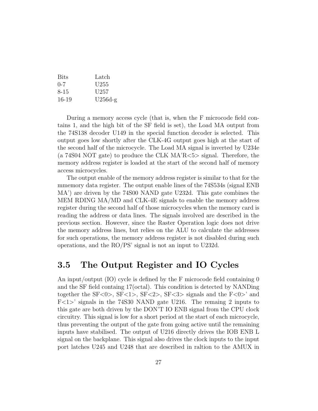| <b>Bits</b> | Latch            |
|-------------|------------------|
| $(1 - 7)$   | U <sub>255</sub> |
| 8-15        | U <sub>257</sub> |
| 16-19       | $U256d-g$        |

During a memory access cycle (that is, when the F microcode field contains 1, and the high bit of the SF field is set), the Load MA output from the 74S138 decoder U149 in the special function decoder is selected. This output goes low shortly after the CLK-4G output goes high at the start of the second half of the microcycle. The Load MA signal is inverted by U234e (a 74S04 NOT gate) to produce the CLK MA'R<5> signal. Therefore, the memory address register is loaded at the start of the second half of memory access microcycles.

The output enable of the memory address register is similar to that for the mmemory data register. The output enable lines of the 74S534s (signal ENB MA') are driven by the 74S00 NAND gate U232d. This gate combines the MEM RDING MA/MD and CLK-4E signals to enable the memory address register during the second half of those microcycles when the memory card is reading the address or data lines. The signals involved are described in the previous section. However, since the Raster Operation logic does not drive the memory address lines, but relies on the ALU to calculate the addresses for such operations, the memory address register is not disabled during such operations, and the RO/PS' signal is not an input to U232d.

## <span id="page-34-0"></span>3.5 The Output Register and IO Cycles

An input/output (IO) cycle is defined by the F microcode field containing 0 and the SF field containg 17(octal). This condition is detected by NANDing together the  $F<0>$ ,  $SF<1>$ ,  $SF<2>$ ,  $SF<3>$  signals and the  $F<0>$ ' and F<1>' signals in the 74S30 NAND gate U216. The remaing 2 inputs to this gate are both driven by the DON'T IO ENB signal from the CPU clock circuitry. This signal is low for a short period at the start of each microcycle, thus preventing the output of the gate from going active until the remaining inputs have stabilised. The output of U216 directly drives the IOB ENB L signal on the backplane. This signal also drives the clock inputs to the input port latches U245 and U248 that are described in raltion to the AMUX in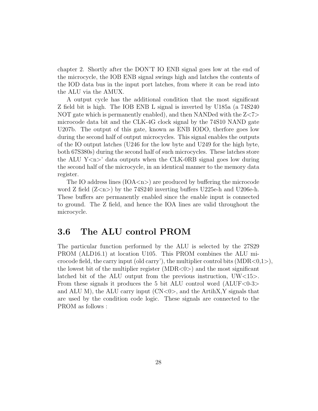chapter 2. Shortly after the DON'T IO ENB signal goes low at the end of the microcycle, the IOB ENB signal swings high and latches the contents of the IOD data bus in the input port latches, from where it can be read into the ALU via the AMUX.

A output cycle has the additional condition that the most significant Z field bit is high. The IOB ENB L signal is inverted by U185a (a 74S240 NOT gate which is permanently enabled), and then NANDed with the  $Z \ll 7$ microcode data bit and the CLK-4G clock signal by the 74S10 NAND gate U207b. The output of this gate, known as ENB IODO, therfore goes low during the second half of output microcycles. This signal enables the outputs of the IO output latches (U246 for the low byte and U249 for the high byte, both 67S380s) during the second half of such microcycles. These latches store the ALU  $Y\leq n$ <sup>2</sup> data outputs when the CLK-0RB signal goes low during the second half of the microcycle, in an identical manner to the memory data register.

The IO address lines  $(IOA < n>)$  are produced by buffering the microcode word Z field  $(Z \le n)$  by the 74S240 inverting buffers U225e-h and U206e-h. These buffers are permanently enabled since the enable input is connected to ground. The Z field, and hence the IOA lines are valid throughout the microcycle.

## <span id="page-35-0"></span>3.6 The ALU control PROM

The particular function performed by the ALU is selected by the 27S29 PROM (ALD16.1) at location U105. This PROM combines the ALU microcode field, the carry input (old carry'), the multiplier control bits  $(MDR<0,1)$ , the lowest bit of the multiplier register  $(MDR<0)$  and the most significant latched bit of the ALU output from the previous instruction, UW<15>. From these signals it produces the 5 bit ALU control word  $(ALUF<0-3>$ and ALU M), the ALU carry input  $(CN<0)$ , and the ArtihX, Y signals that are used by the condition code logic. These signals are connected to the PROM as follows :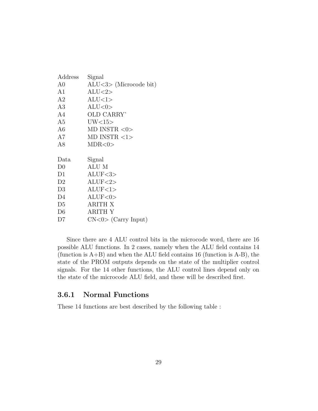| Address        | Signal                    |
|----------------|---------------------------|
| A0             | $ALU < 3$ (Microcode bit) |
| A1             | ALU < 2>                  |
| A2             | ALU<1>                    |
| A3             | ALU < 0                   |
| A4             | OLD CARRY'                |
| A <sub>5</sub> | UV<15>                    |
| A6             | MD INSTR $<0>$            |
| A7             | MD INSTR $<1>$            |
| A8             | MDR <0>                   |
|                |                           |
|                |                           |
| Data           | Signal                    |
| D <sub>0</sub> | ALU M                     |
| D1             | ALUF<3>                   |
| D <sub>2</sub> | ALUF<2>                   |
| D <sub>3</sub> | ALUF<1>                   |
| D4             | ALUF<0>                   |
| D <sub>5</sub> | <b>ARITH X</b>            |
| D <sub>6</sub> | <b>ARITH Y</b>            |

Since there are 4 ALU control bits in the microcode word, there are 16 possible ALU functions. In 2 cases, namely when the ALU field contains 14 (function is  $A+B$ ) and when the ALU field contains 16 (function is  $A-B$ ), the state of the PROM outputs depends on the state of the multiplier control signals. For the 14 other functions, the ALU control lines depend only on the state of the microcode ALU field, and these will be described first.

# 3.6.1 Normal Functions

These 14 functions are best described by the following table :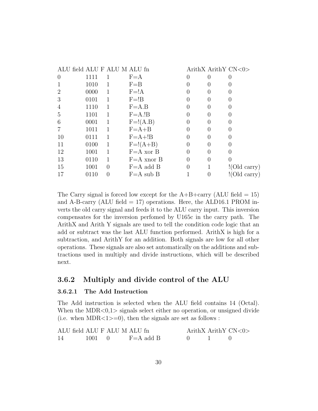| ALU field ALU F ALU M ALU fn |      |          |                |                  |                  | ArithX ArithY CN<0> |
|------------------------------|------|----------|----------------|------------------|------------------|---------------------|
| $\left( \right)$             | 1111 |          | $F = A$        | $\left( \right)$ | $\mathbf{0}$     | 0                   |
|                              | 1010 |          | $F = B$        |                  |                  | $\left( \right)$    |
| 2                            | 0000 |          | $F = !A$       |                  |                  |                     |
| 3                            | 0101 | 1        | $F = !B$       |                  | $\theta$         |                     |
| 4                            | 1110 |          | $F = A.B$      |                  |                  |                     |
| 5                            | 1101 | 1        | $F = A.IB$     | $\mathcal{O}$    | $\left( \right)$ | $\left( \right)$    |
| 6                            | 0001 | 1        | $F=!(A.B)$     | $\left( \right)$ | O                |                     |
|                              | 1011 | 1        | $F = A + B$    | 0                | $\left( \right)$ | $\left( \right)$    |
| 10                           | 0111 | 1        | $F = A + B$    | $\left( \right)$ |                  |                     |
| 11                           | 0100 | 1        | $F=\xi(A+B)$   | 0                | $\left( \right)$ | 0                   |
| 12                           | 1001 |          | $F = A x$ or B | 0                |                  |                     |
| 13                           | 0110 | 1        | $F = A$ xnor B | 0                | $\left( \right)$ | $\theta$            |
| 15                           | 1001 | $\theta$ | $F = A$ add B  | 0                |                  | !(Old carry)        |
| 17                           | 0110 | $\theta$ | $F = A$ sub B  |                  |                  | ! (Old carry)       |
|                              |      |          |                |                  |                  |                     |

The Carry signal is forced low except for the  $A+B+\text{carry}$  (ALU field = 15) and A-B-carry  $(ALU \text{ field} = 17)$  operations. Here, the ALD16.1 PROM inverts the old carry signal and feeds it to the ALU carry input. This inversion compensates for the inversion perfomed by U165c in the carry path. The ArithX and Arith Y signals are used to tell the condition code logic that an add or subtract was the last ALU function performed. ArithX is high for a subtraction, and ArithY for an addition. Both signals are low for all other operations. These signals are also set automatically on the additions and subtractions used in multiply and divide instructions, which will be described next.

# 3.6.2 Multiply and divide control of the ALU

#### 3.6.2.1 The Add Instruction

The Add instruction is selected when the ALU field contains 14 (Octal). When the MDR $< 0.1$  ignals select either no operation, or unsigned divide (i.e. when MDR $\lt 1$ ) = 0, then the signals are set as follows :

| ALU field ALU F ALU M ALU fn |                |               |  | ArithX ArithY $CN < 0$ |
|------------------------------|----------------|---------------|--|------------------------|
|                              | $1001 \quad 0$ | $F = A$ add B |  |                        |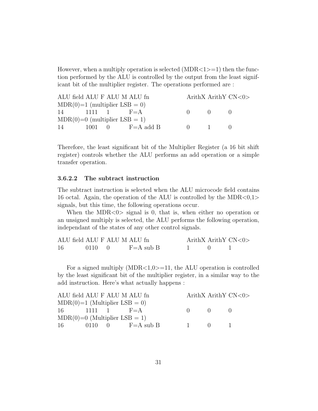However, when a multiply operation is selected  $(MDR < 1> = 1)$  then the function performed by the ALU is controlled by the output from the least significant bit of the multiplier register. The operations performed are :

| ALU field ALU F ALU M ALU fn    |  |  |                                         |              |                 | ArithX ArithY $CN < 0$ |
|---------------------------------|--|--|-----------------------------------------|--------------|-----------------|------------------------|
| $MDR(0)=1$ (multiplier LSB = 0) |  |  |                                         |              |                 |                        |
| $14$ 1111 1 F=A                 |  |  |                                         | $\mathbf{0}$ | $\Box$          |                        |
| $MDR(0)=0$ (multiplier LSB = 1) |  |  |                                         |              |                 |                        |
| 14                              |  |  | $1001 \quad 0 \quad F=A \text{ add } B$ | $\mathbf{u}$ | $\sim$ 1 $\sim$ |                        |

Therefore, the least significant bit of the Multiplier Register (a 16 bit shift register) controls whether the ALU performs an add operation or a simple transfer operation.

#### 3.6.2.2 The subtract instruction

The subtract instruction is selected when the ALU microcode field contains 16 octal. Again, the operation of the ALU is controlled by the MDR $< 0.1$ signals, but this time, the following operations occur.

When the MDR $<0>$  signal is 0, that is, when either no operation or an unsigned multiply is selected, the ALU performs the following operation, independant of the states of any other control signals.

| ALU field ALU F ALU M ALU fn |             |               |  | ArithX ArithY $CN < 0$ |
|------------------------------|-------------|---------------|--|------------------------|
| -16                          | $0110 \t 0$ | $F = A$ sub B |  |                        |

For a signed multiply  $(MDR<1,0>=11$ , the ALU operation is controlled by the least significant bit of the multiplier register, in a similar way to the add instruction. Here's what actually happens :

| ALU field ALU F ALU M ALU fn    |  |  |                      |                           |                                                                | ArithX ArithY $CN < 0$ |
|---------------------------------|--|--|----------------------|---------------------------|----------------------------------------------------------------|------------------------|
| $MDR(0)=1$ (Multiplier LSB = 0) |  |  |                      |                           |                                                                |                        |
| $16 \t 1111 \t 1 \t F = A$      |  |  |                      | $\mathbf{0}$ $\mathbf{0}$ |                                                                | $\mathbf{u}$           |
| $MDR(0)=0$ (Multiplier LSB = 1) |  |  |                      |                           |                                                                |                        |
| 16                              |  |  | 0110 0 $F = A$ sub B | $\sim$ 1                  | $\left( \begin{array}{ccc} 1 & 1 \\ 1 & 1 \end{array} \right)$ |                        |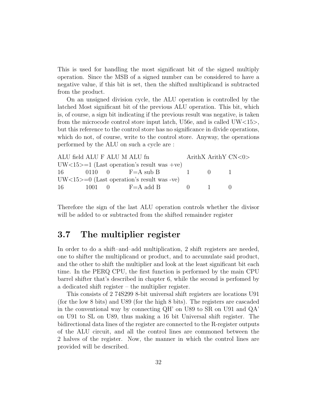This is used for handling the most significant bit of the signed multiply operation. Since the MSB of a signed number can be considered to have a negative value, if this bit is set, then the shifted multiplicand is subtracted from the product.

On an unsigned division cycle, the ALU operation is controlled by the latched Most significant bit of the previous ALU operation. This bit, which is, of course, a sign bit indicating if the previous result was negative, is taken from the microcode control store input latch, U56e, and is called UW<15>, but this reference to the control store has no significance in divide operations, which do not, of course, write to the control store. Anyway, the operations performed by the ALU on such a cycle are :

| ALU field ALU F ALU M ALU fn                 |  |  |                                                      | ArithX ArithY $CN < 0$ |                           |  |
|----------------------------------------------|--|--|------------------------------------------------------|------------------------|---------------------------|--|
|                                              |  |  | $UW<15>=1$ (Last operation's result was +ve)         |                        |                           |  |
|                                              |  |  | $16 \t\t 0110 \t\t 0 \t\t F=A \text{ sub } B \t\t 1$ |                        | $\mathbf{0}$ $\mathbf{1}$ |  |
| $UW<15>=0$ (Last operation's result was -ve) |  |  |                                                      |                        |                           |  |
|                                              |  |  | 16 $1001 \t 0 \t F = A \t add B \t 0$                |                        | $-1$                      |  |

Therefore the sign of the last ALU operation controls whether the divisor will be added to or subtracted from the shifted remainder register

# 3.7 The multiplier register

In order to do a shift–and–add multiplication, 2 shift registers are needed, one to shifter the multiplicand or product, and to accumulate said product, and the other to shift the multiplier and look at the least significant bit each time. In the PERQ CPU, the first function is performed by the main CPU barrel shifter that's described in chapter 6, while the second is perfomed by a dedicated shift register – the multiplier register.

This consists of 2 74S299 8-bit universal shift registers are locations U91 (for the low 8 bits) and U89 (for the high 8 bits). The registers are cascaded in the conventional way by connecting QH' on U89 to SR on U91 and QA' on U91 to SL on U89, thus making a 16 bit Universal shift register. The bidirectional data lines of the register are connected to the R-register outputs of the ALU circuit, and all the control lines are commoned between the 2 halves of the register. Now, the manner in which the control lines are provided will be described.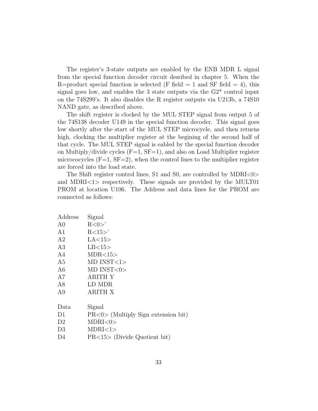The register's 3-state outputs are enabled by the ENB MDR L signal from the special function decoder circuit desribed in chapter 5. When the R=product special function is selected (F field  $= 1$  and SF field  $= 4$ ), this signal goes low, and enables the 3 state outputs via the  $G2^*$  control input on the 74S299's. It also disables the R register outputs via U213b, a 74S10 NAND gate, as described above.

The shift register is clocked by the MUL STEP signal from output 5 of the 74S138 decoder U149 in the special function decoder. This signal goes low shortly after the start of the MUL STEP microcycle, and then returns high, clocking the multiplier register at the begining of the second half of that cycle. The MUL STEP signal is eabled by the special function decoder on Multiply/divide cycles  $(F=1, SF=1)$ , and also on Load Multiplier register micrococycles  $(F=1, SF=2)$ , when the control lines to the multiplier register are forced into the load state.

The Shift register control lines, S1 and S0, are controlled by MDRI<0> and MDRI<1> respectively. These signals are provided by the MULT01 PROM at location U106. The Address and data lines for the PROM are connected as follows:

| Address        | Signal                                 |
|----------------|----------------------------------------|
| A <sub>0</sub> | R < 0 >'                               |
| A1             | R<15>                                  |
| A <sub>2</sub> | LA<15>                                 |
| A3             | LB<15>                                 |
| A4             | MDR < 15                               |
| A <sub>5</sub> | $MD$ $INST < 1>$                       |
| A6             | $MD$ $INST <0>$                        |
| A7             | ARITH Y                                |
| A8             | LD MDR                                 |
| A9             | <b>ARITH X</b>                         |
|                |                                        |
| Data           | Signal                                 |
| D <sub>1</sub> | $PR < 0$ (Multiply Sign extension bit) |
| D <sub>2</sub> | MDRI < 0>                              |
| D <sub>3</sub> | MDRI < 1>                              |
| D4             | $PR < 15$ (Divide Quotient bit)        |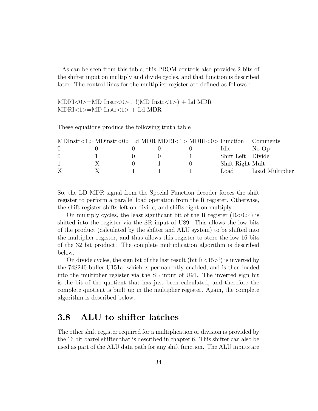. As can be seen from this table, this PROM controls also provides 2 bits of the shifter input on multiply and divide cycles, and that function is described later. The control lines for the multiplier register are defined as follows :

 $MDRI < 0 \geq MD$  Instr $< 0 \geq .$  !(MD Instr $< 1 \geq ) + Ld$  MDR  $MDRI < 1$  > = MD  $Inst < 1$  > + Ld MDR

These equations produce the following truth table

|                  | $MDInstr < 1 > MDinstr < 0 > Ld$ MDR MDRI $< 1 > MDRI < 0 > F$ unction |  |                   | Comments        |
|------------------|------------------------------------------------------------------------|--|-------------------|-----------------|
| $\left( \right)$ |                                                                        |  | Idle -            | No Op           |
| $\Omega$         |                                                                        |  | Shift Left Divide |                 |
|                  | X                                                                      |  | Shift Right Mult  |                 |
|                  | X                                                                      |  | Load              | Load Multiplier |
|                  |                                                                        |  |                   |                 |

So, the LD MDR signal from the Special Function decoder forces the shift register to perform a parallel load operation from the R register. Otherwise, the shift register shifts left on divide, and shifts right on multiply.

On multiply cycles, the least significant bit of the R register  $(R<0>)$  is shifted into the register via the SR input of U89. This allows the low bits of the product (calculated by the shfiter and ALU system) to be shifted into the multiplier register, and thus allows this register to store the low 16 bits of the 32 bit product. The complete multiplication algorithm is described below.

On divide cycles, the sign bit of the last result (bit  $R<15>$ ) is inverted by the 74S240 buffer U151a, which is permanently enabled, and is then loaded into the multiplier register via the SL input of U91. The inverted sign bit is the bit of the quotient that has just been calculated, and therefore the complete quotient is built up in the multiplier register. Again, the complete algorithm is described below.

# 3.8 ALU to shifter latches

The other shift register required for a multiplication or division is provided by the 16 bit barrel shifter that is described in chapter 6. This shifter can also be used as part of the ALU data path for any shift function. The ALU inputs are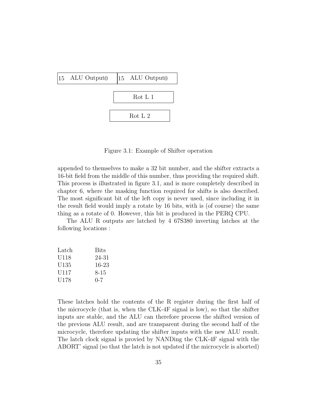

Figure 3.1: Example of Shifter operation

appended to themselves to make a 32 bit number, and the shifter extracts a 16-bit field from the middle of this number, thus providing the required shift. This process is illustrated in figure 3.1, and is more completely described in chapter 6, where the masking function required for shifts is also described. The most significant bit of the left copy is never used, since including it in the result field would imply a rotate by 16 bits, with is (of course) the same thing as a rotate of 0. However, this bit is produced in the PERQ CPU.

The ALU R outputs are latched by 4 67S380 inverting latches at the following locations :

| Latch            | <b>Bits</b> |
|------------------|-------------|
| U <sub>118</sub> | 24-31       |
| U135             | 16-23       |
| U117             | 8-15        |
| U <sub>178</sub> | $0 - 7$     |

These latches hold the contents of the R register during the first half of the microcycle (that is, when the CLK-4F signal is low), so that the shifter inputs are stable, and the ALU can therefore process the shifted version of the previous ALU result, and are transparent during the second half of the microcycle, therefore updating the shifter inputs with the new ALU result. The latch clock signal is provied by NANDing the CLK-4F signal with the ABORT' signal (so that the latch is not updated if the microcycle is aborted)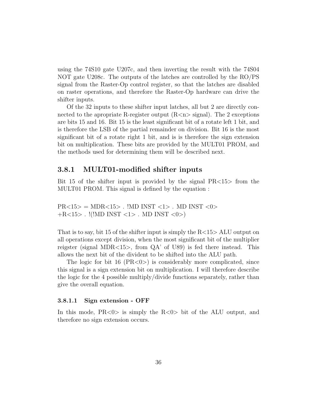using the 74S10 gate U207c, and then inverting the result with the 74S04 NOT gate U208c. The outputs of the latches are controlled by the RO/PS signal from the Raster-Op control register, so that the latches are disabled on raster operations, and therefore the Raster-Op hardware can drive the shifter inputs.

Of the 32 inputs to these shifter input latches, all but 2 are directly connected to the apropriate R-register output  $(R \le n >$  signal). The 2 exceptions are bits 15 and 16. Bit 15 is the least significant bit of a rotate left 1 bit, and is therefore the LSB of the partial remainder on division. Bit 16 is the most significant bit of a rotate right 1 bit, and is is therefore the sign extension bit on multiplication. These bits are provided by the MULT01 PROM, and the methods used for determining them will be described next.

### 3.8.1 MULT01-modified shifter inputs

Bit 15 of the shifter input is provided by the signal PR<15> from the MULT01 PROM. This signal is defined by the equation :

 $PR < 15$  = MDR $< 15$  . IMD INST  $< 1$  > . MD INST  $< 0$  >  $+R<15>$ . !(!MD INST <1> . MD INST <0>)

That is to say, bit 15 of the shifter input is simply the  $R<15$  ALU output on all operations except division, when the most significant bit of the multiplier reigster (signal MDR $<15$ ), from QA' of U89) is fed there instead. This allows the next bit of the divident to be shifted into the ALU path.

The logic for bit 16 ( $PR < 0$ ) is considerably more complicated, since this signal is a sign extension bit on multiplication. I will therefore describe the logic for the 4 possible multiply/divide functions separately, rather than give the overall equation.

#### 3.8.1.1 Sign extension - OFF

In this mode,  $PR < 0$  is simply the  $R < 0$  bit of the ALU output, and therefore no sign extension occurs.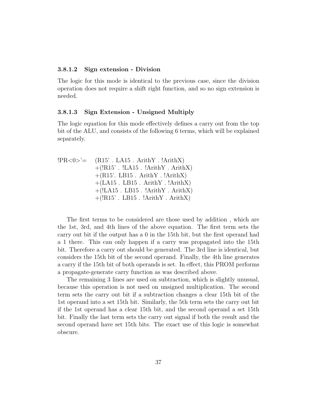#### 3.8.1.2 Sign extension - Division

The logic for this mode is identical to the previous case, since the division operation does not require a shift right function, and so no sign extension is needed.

#### 3.8.1.3 Sign Extension - Unsigned Multiply

The logic equation for this mode effectively defines a carry out from the top bit of the ALU, and consists of the following 6 terms, which will be explained separately.

| $ PR<0>$ = $(R15)$ . LA15. ArithY. !ArithX) |
|---------------------------------------------|
| $+(!R15)$ . $!LA15$ . $!ArithY$ . $ArithX)$ |
| $+(R15)$ . LB15. ArithY. !ArithX)           |
| $+(LA15$ . LB15. ArithY. !ArithX)           |
| $+(!LA15$ . LB15. $!ArithY$ . ArithX)       |
| $+(!R15'.LB15'.IArithY.ArithX)$             |

The first terms to be considered are those used by addition , which are the 1st, 3rd, and 4th lines of the above equation. The first term sets the carry out bit if the output has a 0 in the 15th bit, but the first operand had a 1 there. This can only happen if a carry was propagated into the 15th bit. Therefore a carry out should be generated. The 3rd line is identical, but considers the 15th bit of the second operand. Finally, the 4th line generates a carry if the 15th bit of both operands is set. In effect, this PROM performs a propagate-generate carry function as was described above.

The remaining 3 lines are used on subtraction, which is slightly unusual, because this operation is not used on unsigned multiplication. The second term sets the carry out bit if a subtraction changes a clear 15th bit of the 1st operand into a set 15th bit. Similarly, the 5th term sets the carry out bit if the 1st operand has a clear 15th bit, and the second operand a set 15th bit. Finally the last term sets the carry out signal if both the result and the second operand have set 15th bits. The exact use of this logic is somewhat obscure.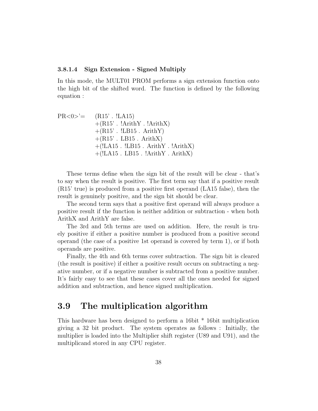#### 3.8.1.4 Sign Extension - Signed Multiply

In this mode, the MULT01 PROM performs a sign extension function onto the high bit of the shifted word. The function is defined by the following equation :

 $PR < 0 >' = (R15'. LA15)$  $+(R15)$ . !ArithY. !ArithX)  $+(R15)$ .  $!LB15$ . ArithY)  $+(R15)$ . LB15. ArithX)  $+(!LA15 \tcdot ILB15 \tcdot ArithY \tcdot !ArithX)$  $+(!LA15$ . LB15.  $!ArithY$ .  $ArithX)$ 

These terms define when the sign bit of the result will be clear - that's to say when the result is positive. The first term say that if a positive result (R15' true) is produced from a positive first operand (LA15 false), then the result is genuinely positive, and the sign bit should be clear.

The second term says that a positive first operand will always produce a positive result if the function is neither addition or subtraction - when both ArithX and ArithY are false.

The 3rd and 5th terms are used on addition. Here, the result is truely positive if either a positive number is produced from a positive second operand (the case of a positive 1st operand is covered by term 1), or if both operands are positive.

Finally, the 4th and 6th terms cover subtraction. The sign bit is cleared (the result is positive) if either a positive result occurs on subtracting a negative number, or if a negative number is subtracted from a positive number. It's fairly easy to see that these cases cover all the ones needed for signed addition and subtraction, and hence signed multiplication.

# 3.9 The multiplication algorithm

This hardware has been designed to perform a 16bit \* 16bit multiplication giving a 32 bit product. The system operates as follows : Initially, the multiplier is loaded into the Multiplier shift register (U89 and U91), and the multiplicand stored in any CPU register.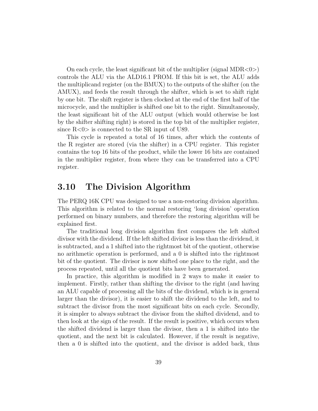On each cycle, the least significant bit of the multiplier (signal  $MDR < 0>$ ) controls the ALU via the ALD16.1 PROM. If this bit is set, the ALU adds the multiplicand register (on the BMUX) to the outputs of the shifter (on the AMUX), and feeds the result through the shifter, which is set to shift right by one bit. The shift register is then clocked at the end of the first half of the microcycle, and the multiplier is shifted one bit to the right. Simultaneously, the least significant bit of the ALU output (which would otherwise be lost by the shifter shifting right) is stored in the top bit of the multiplier register, since  $R \leq 0$  is connected to the SR input of U89.

This cycle is repeated a total of 16 times, after which the contents of the R register are stored (via the shifter) in a CPU register. This register contains the top 16 bits of the product, while the lower 16 bits are contained in the multiplier register, from where they can be transferred into a CPU register.

# 3.10 The Division Algorithm

The PERQ 16K CPU was designed to use a non-restoring division algorithm. This algorithm is related to the normal restoring 'long division' operation performed on binary numbers, and therefore the restoring algorithm will be explained first.

The traditional long division algorithm first compares the left shifted divisor with the dividend. If the left shifted divisor is less than the dividend, it is subtracted, and a 1 shifted into the rightmost bit of the quotient, otherwise no arithmetic operation is performed, and a 0 is shifted into the rightmost bit of the quotient. The divisor is now shifted one place to the right, and the process repeated, until all the quotient bits have been generated.

In practice, this algorithm is modified in 2 ways to make it easier to implement. Firstly, rather than shifting the divisor to the right (and having an ALU capable of processing all the bits of the dividend, which is in general larger than the divisor), it is easier to shift the dividend to the left, and to subtract the divisor from the most significant bits on each cycle. Secondly, it is simpler to always subtract the divisor from the shifted dividend, and to then look at the sign of the result. If the result is positive, which occurs when the shifted dividend is larger than the divisor, then a 1 is shifted into the quotient, and the next bit is calculated. However, if the result is negative, then a 0 is shifted into the quotient, and the divisor is added back, thus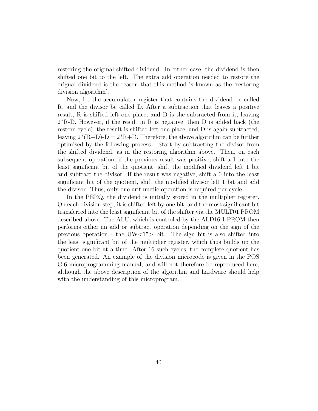restoring the original shifted dividend. In either case, the dividend is then shifted one bit to the left. The extra add operation needed to restore the orignal dividend is the reason that this method is known as the 'restoring division algorithm'.

Now, let the accumulator register that contains the dividend be called R, and the divisor be called D. After a subtraction that leaves a positive result, R is shifted left one place, and D is the subtracted from it, leaving  $2*R$ -D. However, if the result in R is negative, then D is added back (the restore cycle), the result is shifted left one place, and D is again subtracted, leaving  $2^*(R+D)-D=2^*R+D$ . Therefore, the above algorithm can be further optimised by the following process : Start by subtracting the divisor from the shifted dividend, as in the restoring algorithm above. Then, on each subsequent operation, if the previous result was positive, shift a 1 into the least significant bit of the quotient, shift the modified dividend left 1 bit and subtract the divisor. If the result was negative, shift a 0 into the least significant bit of the quotient, shift the modified divisor left 1 bit and add the divisor. Thus, only one arithmetic operation is required per cycle.

In the PERQ, the dividend is initially stored in the multiplier register. On each division step, it is shifted left by one bit, and the most significant bit transferred into the least significant bit of the shifter via the MULT01 PROM described above. The ALU, which is controled by the ALD16.1 PROM then performs either an add or subtract operation depending on the sign of the previous operation - the UW<15> bit. The sign bit is also shifted into the least significant bit of the multiplier register, which thus builds up the quotient one bit at a time. After 16 such cycles, the complete quotient has been generated. An example of the division microcode is given in the POS G.6 microprogramming manual, and will not therefore be reproduced here, although the above description of the algorithm and hardware should help with the understanding of this microprogram.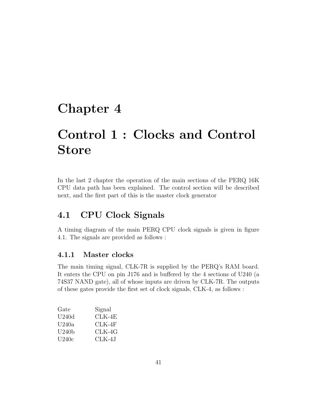# Chapter 4

# Control 1 : Clocks and Control Store

In the last 2 chapter the operation of the main sections of the PERQ 16K CPU data path has been explained. The control section will be described next, and the first part of this is the master clock generator

# 4.1 CPU Clock Signals

A timing diagram of the main PERQ CPU clock signals is given in figure 4.1. The signals are provided as follows :

# 4.1.1 Master clocks

The main timing signal, CLK-7R is supplied by the PERQ's RAM board. It enters the CPU on pin J176 and is buffered by the 4 sections of U240 (a 74S37 NAND gate), all of whose inputs are driven by CLK-7R. The outputs of these gates provide the first set of clock signals, CLK-4, as follows :

| Gate               | Signal |
|--------------------|--------|
| U240d              | CLK-4E |
| U <sub>240</sub> a | CLK-4F |
| U240b              | CLK-4G |
| U240c              | CLK-4J |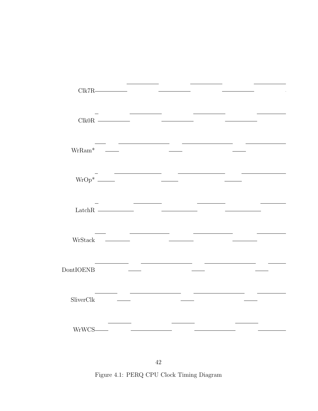|                      | Clk7R               |                                                                                                                                                                                                                                      |                                                                                                                                                                                                                                                                                                                                                                                                                                               |                                                      |  |
|----------------------|---------------------|--------------------------------------------------------------------------------------------------------------------------------------------------------------------------------------------------------------------------------------|-----------------------------------------------------------------------------------------------------------------------------------------------------------------------------------------------------------------------------------------------------------------------------------------------------------------------------------------------------------------------------------------------------------------------------------------------|------------------------------------------------------|--|
|                      |                     |                                                                                                                                                                                                                                      | <u> Albanya (Albanya Albanya)</u>                                                                                                                                                                                                                                                                                                                                                                                                             |                                                      |  |
|                      |                     |                                                                                                                                                                                                                                      | $\text{Clk} 0\text{R} \text{ \textcolor{red}{\overbrace{\hspace{15em}}}} \text{ \textcolor{red}{\overbrace{\hspace{15em}}}} \text{ \textcolor{red}{\overbrace{\hspace{15em}}}} \text{ \textcolor{red}{\overbrace{\hspace{15em}}}} \text{ \textcolor{red}{\overbrace{\hspace{15em}}}} \text{ \textcolor{red}{\overbrace{\hspace{15em}}}}$                                                                                                      |                                                      |  |
|                      | $\text{WrRam}^*$ —— |                                                                                                                                                                                                                                      | <u> 1999 - Andre Sta</u>                                                                                                                                                                                                                                                                                                                                                                                                                      |                                                      |  |
|                      |                     |                                                                                                                                                                                                                                      |                                                                                                                                                                                                                                                                                                                                                                                                                                               |                                                      |  |
|                      |                     |                                                                                                                                                                                                                                      | <u> 1980 - Antonio Alemania, prima prima prestava prima prima prima prima prestava prima prima prima prima prima</u>                                                                                                                                                                                                                                                                                                                          |                                                      |  |
|                      |                     |                                                                                                                                                                                                                                      |                                                                                                                                                                                                                                                                                                                                                                                                                                               |                                                      |  |
|                      |                     | <u> 1989 - Andrea State Barbara, prima popula</u>                                                                                                                                                                                    | $\text{LatchR} \begin{tabular}{lllllllllll} \textbf{LatchR} & \textcolor{red}{\textbf{5.66} \textbf{0.67}} & \textcolor{red}{\textbf{5.66} \textbf{0.67}} \\ \textcolor{red}{\textbf{6.66} \textbf{0.67}} & \textcolor{red}{\textbf{6.66} \textbf{0.67}} & \textcolor{red}{\textbf{6.66} \textbf{0.67}} \\ \textcolor{red}{\textbf{7.66} \textbf{0.67}} & \textcolor{red}{\textbf{8.66} \textbf{0.67}} & \textcolor{red}{\textbf{8.66} \text$ | <u> Albany a Communication and the Communication</u> |  |
|                      |                     |                                                                                                                                                                                                                                      |                                                                                                                                                                                                                                                                                                                                                                                                                                               |                                                      |  |
|                      | $WrStack$ $\qquad$  |                                                                                                                                                                                                                                      | and the control of the control of the                                                                                                                                                                                                                                                                                                                                                                                                         |                                                      |  |
| DontIOENB            |                     | <u>and the state of the state of the state of the state of the state of the state of the state of the state of the state of the state of the state of the state of the state of the state of the state of the state of the state</u> | <u> 1989 - Johann Marie Barn, mars eta inperiodo</u>                                                                                                                                                                                                                                                                                                                                                                                          |                                                      |  |
|                      |                     |                                                                                                                                                                                                                                      |                                                                                                                                                                                                                                                                                                                                                                                                                                               |                                                      |  |
| $SliverClk$ $\qquad$ |                     |                                                                                                                                                                                                                                      |                                                                                                                                                                                                                                                                                                                                                                                                                                               |                                                      |  |
|                      |                     |                                                                                                                                                                                                                                      |                                                                                                                                                                                                                                                                                                                                                                                                                                               |                                                      |  |
|                      |                     |                                                                                                                                                                                                                                      |                                                                                                                                                                                                                                                                                                                                                                                                                                               | <b>Contract Contract Contract</b>                    |  |

Figure 4.1: PERQ CPU Clock Timing Diagram 42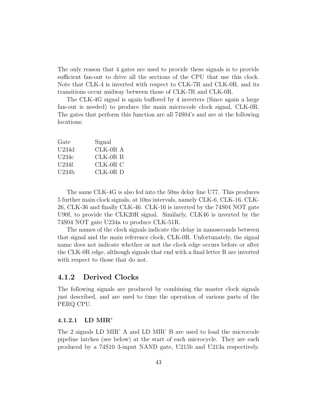The only reason that 4 gates are used to provide these signals is to provide sufficient fan-out to drive all the sections of the CPU that use this clock. Note that CLK-4 is inverted with respect to CLK-7R and CLK-0R, and its transitions occur midway between those of CLK-7R and CLK-0R.

The CLK-4G signal is again buffered by 4 inverters (Since again a large fan-out is needed) to produce the main microcode clock signal, CLK-0R. The gates that perform this function are all 74S04's and are at the following locations:

| Gate             | Signal     |
|------------------|------------|
| U <sub>234</sub> | $CLK-0R A$ |
| U234c            | $CLK-0R$ B |
| U234f            | $CLK-0R$ C |
| U234h            | $CLK-0R$ D |

The same CLK-4G is also fed into the 50ns delay line U77. This produces 5 further main clock signals, at 10ns intervals, namely CLK-6, CLK-16, CLK-26, CLK-36 and finally CLK-46. CLK-16 is inverted by the 74S04 NOT gate U90f, to provide the CLK20R signal. Similarly, CLK46 is inverted by the 74S04 NOT gate U234a to produce CLK-51R.

The names of the clock signals indicate the delay in nanoseconds between that signal and the main reference clock, CLK-0R. Unfortunately, the signal name does not indicate whether or not the clock edge occurs before or after the CLK-0R edge, although signals that end with a final letter R are inverted with respect to those that do not.

### 4.1.2 Derived Clocks

The following signals are produced by combining the master clock signals just described, and are used to time the operation of various parts of the PERQ CPU.

#### 4.1.2.1 LD MIR'

The 2 signals LD MIR' A and LD MIR' B are used to load the microcode pipeline latches (see below) at the start of each microcycle. They are each produced by a 74S10 3-input NAND gate, U215b and U213a respectively.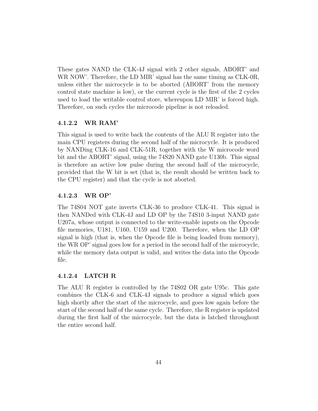These gates NAND the CLK-4J signal with 2 other signals, ABORT' and WR NOW'. Therefore, the LD MIR' signal has the same timing as CLK-0R, unless either the microcycle is to be aborted (ABORT' from the memory control state machine is low), or the current cycle is the first of the 2 cycles used to load the writable control store, whereupon LD MIR' is forced high. Therefore, on such cycles the microcode pipeline is not reloaded.

#### 4.1.2.2 WR RAM'

This signal is used to write back the contents of the ALU R register into the main CPU registers during the second half of the microcycle. It is produced by NANDing CLK-16 and CLK-51R, together with the W microcode word bit and the ABORT' signal, using the 74S20 NAND gate U130b. This signal is therefore an active low pulse during the second half of the microcycle, provided that the W bit is set (that is, the result should be written back to the CPU register) and that the cycle is not aborted.

### 4.1.2.3 WR OP'

The 74S04 NOT gate inverts CLK-36 to produce CLK-41. This signal is then NANDed with CLK-4J and LD OP by the 74S10 3-input NAND gate U207a, whose output is connected to the write-enable inputs on the Opcode file memories, U181, U160, U159 and U200. Therefore, when the LD OP signal is high (that is, when the Opcode file is being loaded from memory), the WR OP' signal goes low for a period in the second half of the microcycle, while the memory data output is valid, and writes the data into the Opcode file.

#### 4.1.2.4 LATCH R

The ALU R register is controlled by the 74S02 OR gate U95c. This gate combines the CLK-6 and CLK-4J signals to produce a signal which goes high shortly after the start of the microcycle, and goes low again before the start of the second half of the same cycle. Therefore, the R register is updated during the first half of the microcycle, but the data is latched throughout the entire second half.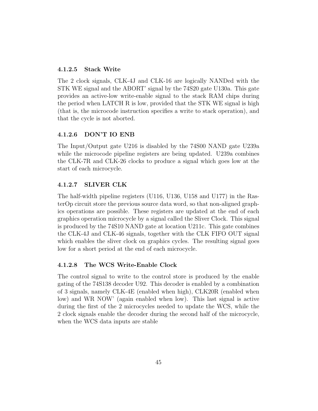### 4.1.2.5 Stack Write

The 2 clock signals, CLK-4J and CLK-16 are logically NANDed with the STK WE signal and the ABORT' signal by the 74S20 gate U130a. This gate provides an active-low write-enable signal to the stack RAM chips during the period when LATCH R is low, provided that the STK WE signal is high (that is, the microcode instruction specifies a write to stack operation), and that the cycle is not aborted.

### 4.1.2.6 DON'T IO ENB

The Input/Output gate U216 is disabled by the 74S00 NAND gate U239a while the microcode pipeline registers are being updated. U239a combines the CLK-7R and CLK-26 clocks to produce a signal which goes low at the start of each microcycle.

### 4.1.2.7 SLIVER CLK

The half-width pipeline registers (U116, U136, U158 and U177) in the RasterOp circuit store the previous source data word, so that non-aligned graphics operations are possible. These registers are updated at the end of each graphics operation microcycle by a signal called the Sliver Clock. This signal is produced by the 74S10 NAND gate at location U211c. This gate combines the CLK-4J and CLK-46 signals, together with the CLK FIFO OUT signal which enables the sliver clock on graphics cycles. The resulting signal goes low for a short period at the end of each microcycle.

#### 4.1.2.8 The WCS Write-Enable Clock

The control signal to write to the control store is produced by the enable gating of the 74S138 decoder U92. This decoder is enabled by a combination of 3 signals, namely CLK-4E (enabled when high), CLK20R (enabled when low) and WR NOW' (again enabled when low). This last signal is active during the first of the 2 microcycles needed to update the WCS, while the 2 clock signals enable the decoder during the second half of the microcycle, when the WCS data inputs are stable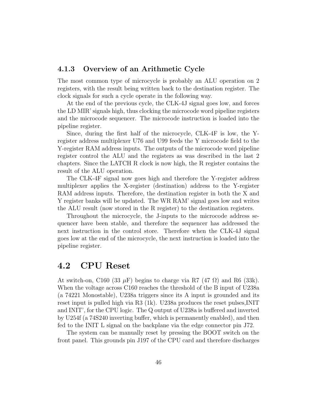### 4.1.3 Overview of an Arithmetic Cycle

The most common type of microcycle is probably an ALU operation on 2 registers, with the result being written back to the destination register. The clock signals for such a cycle operate in the following way.

At the end of the previous cycle, the CLK-4J signal goes low, and forces the LD MIR' signals high, thus clocking the microcode word pipeline registers and the microcode sequencer. The microcode instruction is loaded into the pipeline register.

Since, during the first half of the microcycle, CLK-4F is low, the Yregister address multiplexer U76 and U99 feeds the Y microcode field to the Y-register RAM address inputs. The outputs of the microcode word pipeline register control the ALU and the registers as was described in the last 2 chapters. Since the LATCH R clock is now high, the R register contains the result of the ALU operation.

The CLK-4F signal now goes high and therefore the Y-register address multiplexer applies the X-register (destination) address to the Y-register RAM address inputs. Therefore, the destination register in both the X and Y register banks will be updated. The WR RAM' signal goes low and writes the ALU result (now stored in the R register) to the destination registers.

Throughout the microcycle, the J-inputs to the microcode address sequencer have been stable, and therefore the sequencer has addressed the next instruction in the control store. Therefore when the CLK-4J signal goes low at the end of the microcycle, the next instruction is loaded into the pipeline register.

# 4.2 CPU Reset

At switch-on, C160 (33  $\mu$ F) begins to charge via R7 (47  $\Omega$ ) and R6 (33k). When the voltage across C160 reaches the threshold of the B input of U238a (a 74221 Monostable), U238a triggers since its A input is grounded and its reset input is pulled high via R3 (1k). U238a produces the reset pulses,INIT and INIT', for the CPU logic. The Q output of U238a is buffered and inverted by U254f (a 74S240 inverting buffer, which is permanently enabled), and then fed to the INIT L signal on the backplane via the edge connector pin J72.

The system can be manually reset by pressing the BOOT switch on the front panel. This grounds pin J197 of the CPU card and therefore discharges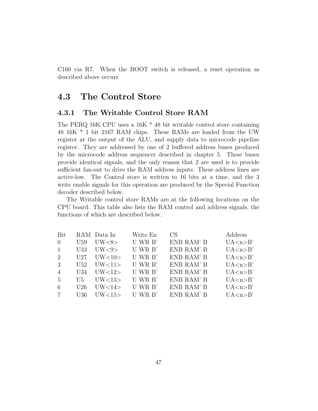C160 via R7. When the BOOT switch is released, a reset operation as described above occurs

# 4.3 The Control Store

### 4.3.1 The Writable Control Store RAM

The PERQ 16K CPU uses a 16K \* 48 bit writable control store containing 48 16K \* 1 bit 2167 RAM chips. These RAMs are loaded from the UW register at the output of the ALU, and supply data to microcode pipeline register. They are addressed by one of 2 buffered address buses produced by the microcode address sequencer described in chapter 5. These buses provide identical signals, and the only reason that 2 are used is to provide sufficient fan-out to drive the RAM address inputs. These address lines are active-low. The Control store is written to 16 bits at a time, and the 3 write enable signals for this operation are produced by the Special Function decoder described below.

The Writable control store RAMs are at the following locations on the CPU board. This table also lists the RAM control and address signals, the functions of which are described below.

| U WR B'<br>ENB RAM' B<br>UW<8><br>U59<br>$\theta$            | UA < n > B'               |
|--------------------------------------------------------------|---------------------------|
|                                                              |                           |
| U WR B'<br>ENB RAM' B<br>UW<9><br>U33<br>$\mathbf{1}$        | UA < n > B'               |
| U WR B'<br>ENB RAM' B<br>UV<10><br>U27<br>2                  | UA < n > B'               |
| U WR B'<br>ENB RAM' B<br>UW<11<br>3<br>U52                   | UA < n > B'               |
| U WR B'<br>ENB RAM' B<br>UW<12<br>$\overline{4}$<br>U34      | UA < n > B'               |
| U WR B'<br>ENB RAM' B<br>UV<13><br>5<br>U5                   | UA < n > B'               |
| U WR B'<br>ENB RAM' B<br>UW<14><br>U26<br>6                  | $UA \langle n \rangle B'$ |
| $U$ WR $B'$<br>ENB RAM' B<br>U36<br>UW<15><br>$\overline{7}$ | UA < n > B'               |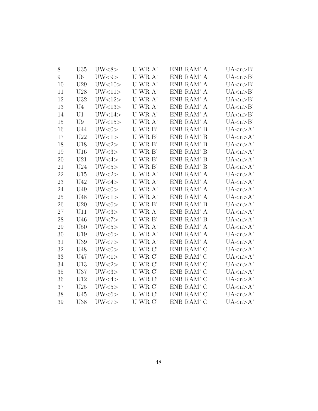| 8  | U35             | UW<8>           | U WR A'                     | ENB RAM' A | UA <sub>n</sub> > B' |
|----|-----------------|-----------------|-----------------------------|------------|----------------------|
| 9  | U <sub>6</sub>  | UW<9>           | U WR A'                     | ENB RAM' A | UA < n > B'          |
| 10 | U29             | UW<10>          | U WR A'                     | ENB RAM' A | UA < n > B'          |
| 11 | U28             | UW<11           | U WR A'                     | ENB RAM' A | UA < n>B'            |
| 12 | U32             | UW<12>          | U WR A'                     | ENB RAM' A | UA < n > B'          |
| 13 | U <sub>4</sub>  | UW<13           | U WR A'                     | ENB RAM' A | UA < n>B'            |
| 14 | U <sub>1</sub>  | UW<14>          | U WR A'                     | ENB RAM' A | UA < n>B'            |
| 15 | U9              | UW<15           | U WR A'                     | ENB RAM' A | UA < n > B'          |
| 16 | U44             | UW<0>           | U WR B'                     | ENB RAM' B | UA < n > A'          |
| 17 | U22             | UW<1>           | U WR B'                     | ENB RAM' B | UA < n > A'          |
| 18 | U18             | UW<2>           | U WR B'                     | ENB RAM' B | UA <sub>n</sub> > A' |
| 19 | U16             | UW<3>           | U WR B'                     | ENB RAM' B | UA <sub>n</sub> > A' |
| 20 | U21             | UW<4>           | U WR B'                     | ENB RAM' B | UA <sub>n</sub> > A' |
| 21 | U24             | UW <sub>5</sub> | U WR B'                     | ENB RAM' B | UA < n > A'          |
| 22 | U15             | UW<2>           | U WR A'                     | ENB RAM' A | UA < n > A'          |
| 23 | U <sub>42</sub> | UW<4>           | U WR A'                     | ENB RAM' A | UA < n > A'          |
| 24 | U49             | UW<0>           | U WR A'                     | ENB RAM' A | UA < n > A'          |
| 25 | U48             | UW<1>           | U WR A'                     | ENB RAM' A | UA <sub>n</sub> > A' |
| 26 | U20             | UW<6>           | U WR B'                     | ENB RAM' B | UA <sub>n</sub> > A' |
| 27 | U11             | UW<3>           | U WR A'                     | ENB RAM' A | UA < n > A'          |
| 28 | U46             | UW < 7          | U WR B'                     | ENB RAM' B | UA < n > A'          |
| 29 | U50             | UW<5>           | U WR A'                     | ENB RAM' A | UA < n > A'          |
| 30 | U19             | UW<6>           | U WR A'                     | ENB RAM' A | UA < n > A'          |
| 31 | U39             | UW < 7          | U WR A'                     | ENB RAM' A | UA <sub>n&gt;A</sub> |
| 32 | U48             | UW<0>           | U WR C'                     | ENB RAM' C | UA <sub>n</sub> > A' |
| 33 | U47             | UW<1>           | U WR C'                     | ENB RAM' C | UA < n > A'          |
| 34 | U13             | UW<2>           | U WR C'                     | ENB RAM' C | UA <sub>n</sub> > A' |
| 35 | U37             | UW<3>           | U WR C'                     | ENB RAM' C | UA < n > A'          |
| 36 | U12             | UW<4>           | $\mathbf U$ WR $\mathbf C'$ | ENB RAM' C | UA < n > A'          |
| 37 | U25             | UW<5>           | U WR C'                     | ENB RAM' C | UA <sub>n</sub> > A' |
| 38 | U <sub>45</sub> | UW<6>           | U WR C'                     | ENB RAM' C | UA < n > A'          |
| 39 | U38             | UW < 7          | U WR C'                     | ENB RAM' C | UA <sub>n</sub> > A' |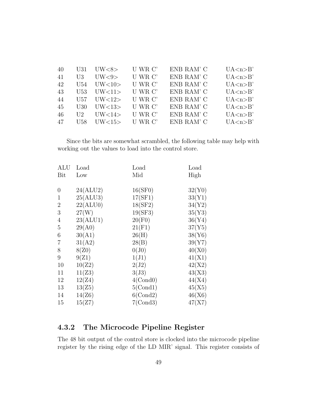| 40  | U31.             | UW<8>   | U WR C' | ENB RAM' C | UA < n > B' |
|-----|------------------|---------|---------|------------|-------------|
| 41  | UЗ               | UV < 9> | U WR C' | ENB RAM' C | UA < n > B' |
| 42  | U54              | UW<10>  | U WR C' | ENB RAM' C | UA < n > B' |
| 43  | U53              | UW<11>  | U WR C' | ENB RAM' C | UA < n > B' |
| -44 | U57.             | UW<12   | U WR C' | ENB RAM' C | UA < n > B' |
| 45  | U30              | UV<13>  | U WR C' | ENB RAM' C | UA < n > B' |
| -46 | $\overline{112}$ | UW<14>  | U WR C' | ENB RAM' C | UA < n > B' |
| 47  | U58.             | UV<15   | U WR C' | ENB RAM' C | UA < n > B' |

Since the bits are somewhat scrambled, the following table may help with working out the values to load into the control store.

| ALU             | Load     | Load        | Load   |
|-----------------|----------|-------------|--------|
| Bit             | Low      | Mid         | High   |
| $\overline{0}$  | 24(ALU2) | 16(SF0)     | 32(Y0) |
| $\mathbf{1}$    | 25(ALU3) | 17(SF1)     | 33(Y1) |
| $\overline{2}$  | 22(ALU0) | 18(SF2)     | 34(Y2) |
| $\mathfrak{Z}$  | 27(W)    | 19(SF3)     | 35(Y3) |
| $\overline{4}$  | 23(ALU1) | 20(F0)      | 36(Y4) |
| $\overline{5}$  | 29(A0)   | 21(F1)      | 37(Y5) |
| 6               | 30(A1)   | 26(H)       | 38(Y6) |
| 7               | 31(A2)   | 28(B)       | 39(Y7) |
| 8               | 8(Z0)    | $0(J_0)$    | 40(X0) |
| $9\phantom{.0}$ | 9(Z1)    | 1(J1)       | 41(X1) |
| 10              | 10(Z2)   | 2(J2)       | 42(X2) |
| 11              | 11(Z3)   | 3(J3)       | 43(X3) |
| 12              | 12(Z4)   | 4(Cond0)    | 44(X4) |
| 13              | 13(25)   | 5(Cond1)    | 45(X5) |
| 14              | 14(Z6)   | $6$ (Cond2) | 46(X6) |
| 15              | 15(Z7)   | 7(Cond3)    | 47(X7) |
|                 |          |             |        |

# 4.3.2 The Microcode Pipeline Register

The 48 bit output of the control store is clocked into the microcode pipeline register by the rising edge of the LD MIR' signal. This register consists of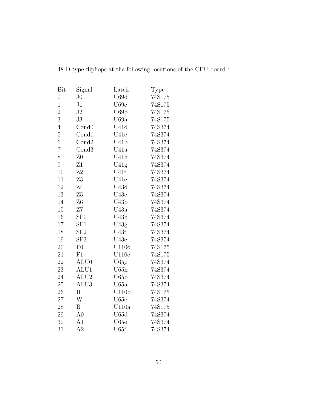| Bit            | Signal              | Latch              | Type   |
|----------------|---------------------|--------------------|--------|
| $\overline{0}$ | J <sub>0</sub>      | U69d               | 74S175 |
| $\overline{1}$ | J1                  | U69c               | 74S175 |
| $\overline{2}$ | J2                  | U69b               | 74S175 |
| 3              | J3                  | U69a               | 74S175 |
| $\overline{4}$ | Cond <sub>0</sub>   | U41d               | 74S374 |
| $\overline{5}$ | Cond1               | U41c               | 74S374 |
| 6              | Cond2               | U41b               | 74S374 |
| $\overline{7}$ | Cond3               | U41a               | 74S374 |
| 8              | Z <sub>0</sub>      | U41h               | 74S374 |
| 9              | Z1                  | U41g               | 74S374 |
| 10             | Z <sub>2</sub>      | U41f               | 74S374 |
| 11             | Z3                  | U41e               | 74S374 |
| 12             | Z4                  | U43d               | 74S374 |
| 13             | Z5                  | U43c               | 74S374 |
| 14             | Z6                  | U43b               | 74S374 |
| 15             | Ζ7                  | U43a               | 74S374 |
| 16             | ${\rm S}{\rm F}0$   | U43h               | 74S374 |
| 17             | SF1                 | U43g               | 74S374 |
| 18             | ${\rm S} {\rm F} 2$ | U43f               | 74S374 |
| 19             | SF <sub>3</sub>     | U43e               | 74S374 |
| 20             | F <sub>0</sub>      | U110d              | 74S175 |
| 21             | $\rm F1$            | U110c              | 74S175 |
| 22             | ALU <sub>0</sub>    | U65g               | 74S374 |
| 23             | ALU1                | U65h               | 74S374 |
| 24             | ALU <sub>2</sub>    | ${\rm U}65{\rm b}$ | 74S374 |
| 25             | ALU3                | U65a               | 74S374 |
| 26             | Η                   | U110b              | 74S175 |
| 27             | W                   | U65c               | 74S374 |
| 28             | B                   | U110a              | 74S175 |
| 29             | A <sub>0</sub>      | U65d               | 74S374 |
| 30             | A1                  | U65e               | 74S374 |
| 31             | A <sub>2</sub>      | U65f               | 74S374 |

48 D-type flipflops at the following locations of the CPU board :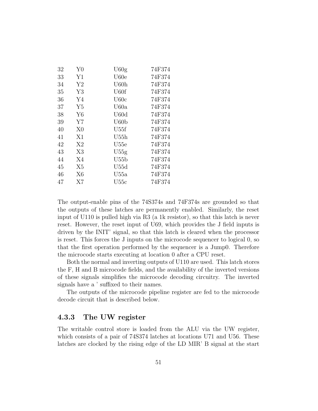| 32 | Y <sub>0</sub> | U60g             | 74F374 |
|----|----------------|------------------|--------|
| 33 | Y1             | U60e             | 74F374 |
| 34 | Y2             | U60h             | 74F374 |
| 35 | Y3             | U <sub>60f</sub> | 74F374 |
| 36 | Y4             | U60c             | 74F374 |
| 37 | Y <sub>5</sub> | U60a             | 74F374 |
| 38 | Y6             | U60d             | 74F374 |
| 39 | Y7             | U60 <sub>b</sub> | 74F374 |
| 40 | X <sub>0</sub> | U55f             | 74F374 |
| 41 | X1             | U55h             | 74F374 |
| 42 | X2             | U55e             | 74F374 |
| 43 | X3             | U55g             | 74F374 |
| 44 | X4             | U55b             | 74F374 |
| 45 | X <sub>5</sub> | U55d             | 74F374 |
| 46 | X6             | U55a             | 74F374 |
| 47 | X7             | $_{\rm U55c}$    | 74F374 |

The output-enable pins of the 74S374s and 74F374s are grounded so that the outputs of these latches are permanently enabled. Similarly, the reset input of U110 is pulled high via R3 (a 1k resistor), so that this latch is never reset. However, the reset input of U69, which provides the J field inputs is driven by the INIT' signal, so that this latch is cleared when the processor is reset. This forces the J inputs on the microcode sequencer to logical 0, so that the first operation performed by the sequencer is a Jump0. Therefore the microcode starts executing at location 0 after a CPU reset.

Both the normal and inverting outputs of U110 are used. This latch stores the F, H and B microcode fields, and the availability of the inverted versions of these signals simplifies the microcode decoding circuitry. The inverted signals have a ' suffixed to their names.

The outputs of the microcode pipeline register are fed to the microcode decode circuit that is described below.

### 4.3.3 The UW register

The writable control store is loaded from the ALU via the UW register, which consists of a pair of 74S374 latches at locations U71 and U56. These latches are clocked by the rising edge of the LD MIR' B signal at the start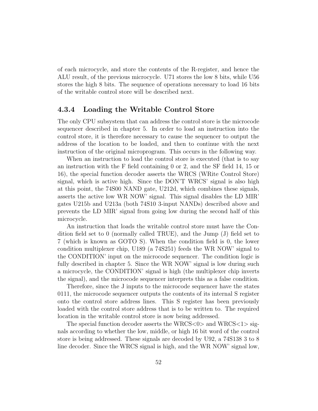of each microcycle, and store the contents of the R-register, and hence the ALU result, of the previous microcycle. U71 stores the low 8 bits, while U56 stores the high 8 bits. The sequence of operations necessary to load 16 bits of the writable control store will be described next.

### 4.3.4 Loading the Writable Control Store

The only CPU subsystem that can address the control store is the microcode sequencer described in chapter 5. In order to load an instruction into the control store, it is therefore necessary to cause the sequencer to output the address of the location to be loaded, and then to continue with the next instruction of the original microprogram. This occurs in the following way.

When an instruction to load the control store is executed (that is to say an instruction with the F field containing 0 or 2, and the SF field 14, 15 or 16), the special function decoder asserts the WRCS (WRite Control Store) signal, which is active high. Since the DON'T WRCS' signal is also high at this point, the 74S00 NAND gate, U212d, which combines these signals, asserts the active low WR NOW' signal. This signal disables the LD MIR' gates U215b and U213a (both 74S10 3-input NANDs) described above and prevents the LD MIR' signal from going low during the second half of this microcycle.

An instruction that loads the writable control store must have the Condition field set to 0 (normally called TRUE), and the Jump  $(J)$  field set to 7 (which is known as GOTO S). When the condition field is 0, the lower condition multiplexer chip, U189 (a 74S251) feeds the WR NOW' signal to the CONDITION' input on the microcode sequencer. The condition logic is fully described in chapter 5. Since the WR NOW' signal is low during such a microcycle, the CONDITION' signal is high (the multiplexer chip inverts the signal), and the microcode sequencer interprets this as a false condition.

Therefore, since the J inputs to the microcode sequencer have the states 0111, the microcode sequencer outputs the contents of its internal S register onto the control store address lines. This S register has been previously loaded with the control store address that is to be written to. The required location in the writable control store is now being addressed.

The special function decoder asserts the WRCS $< 0$  and WRCS $< 1$  signals according to whether the low, middle, or high 16 bit word of the control store is being addressed. These signals are decoded by U92, a 74S138 3 to 8 line decoder. Since the WRCS signal is high, and the WR NOW' signal low,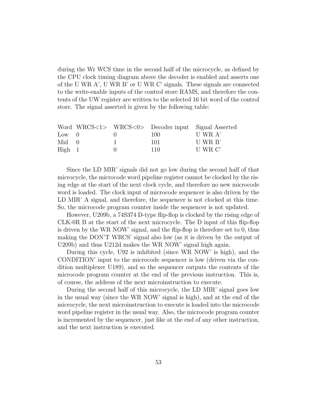during the Wr WCS time in the second half of the microcycle, as defined by the CPU clock timing diagram above the decoder is enabled and asserts one of the U WR A', U WR B' or U WR C' signals. These signals are connected to the write-enable inputs of the control store RAMS, and therefore the contents of the UW register are written to the selected 16 bit word of the control store. The signal asserted is given by the following table:

|                |  |     | Word WRCS<1> WRCS<0> Decoder input Signal Asserted |
|----------------|--|-----|----------------------------------------------------|
| $Low \quad 0$  |  | 100 | U WR A'                                            |
| $Mid \quad 0$  |  | 101 | U WR B'                                            |
| $High \quad 1$ |  | 110 | U WR C'                                            |

Since the LD MIR' signals did not go low during the second half of that microcycle, the microcode word pipeline register cannot be clocked by the rising edge at the start of the next clock cycle, and therefore no new microcode word is loaded. The clock input of microcode sequencer is also driven by the LD MIR' A signal, and therefore, the sequencer is not clocked at this time. So, the microcode program counter inside the sequencer is not updated.

However, U209b, a 74S374 D-type flip-flop is clocked by the rising edge of CLK-0R B at the start of the next microcycle. The D input of this flip-flop is driven by the WR NOW' signal, and the flip-flop is therefore set to 0, thus making the DON'T WRCS' signal also low (as it is driven by the output of U209b) and thus U212d makes the WR NOW' signal high again.

During this cycle, U92 is inhibited (since WR NOW' is high), and the CONDITION' input to the microcode sequencer is low (driven via the condition multiplexer U189), and so the sequencer outputs the contents of the microcode program counter at the end of the previous instruction. This is, of course, the address of the next microinstruction to execute.

During the second half of this microcycle, the LD MIR' signal goes low in the usual way (since the WR NOW' signal is high), and at the end of the microcycle, the next microinstruction to execute is loaded into the microcode word pipeline register in the usual way. Also, the microcode program counter is incremented by the sequencer, just like at the end of any other instruction, and the next instruction is executed.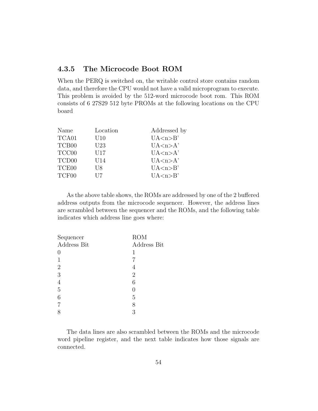# 4.3.5 The Microcode Boot ROM

When the PERQ is switched on, the writable control store contains random data, and therefore the CPU would not have a valid microprogram to execute. This problem is avoided by the 512-word microcode boot rom. This ROM consists of 6 27S29 512 byte PROMs at the following locations on the CPU board

| Name              | Location | Addressed by |
|-------------------|----------|--------------|
| TCA01             | U10      | UA < n > B'  |
| TCB <sub>00</sub> | U23      | UA < n > A'  |
| TCC00             | U17      | UA < n > A'  |
| TCD <sub>00</sub> | U14      | UA < n > A'  |
| TCE00             | U8       | UA < n > B'  |
| TCF00             | U7       | UA < n > B'  |

As the above table shows, the ROMs are addressed by one of the 2 buffered address outputs from the microcode sequencer. However, the address lines are scrambled between the sequencer and the ROMs, and the following table indicates which address line goes where:

| <b>ROM</b>     |
|----------------|
| Address Bit    |
| 1              |
|                |
| 4              |
| $\overline{2}$ |
| 6              |
| 0              |
| 5              |
| 8              |
| 3              |
|                |

The data lines are also scrambled between the ROMs and the microcode word pipeline register, and the next table indicates how those signals are connected.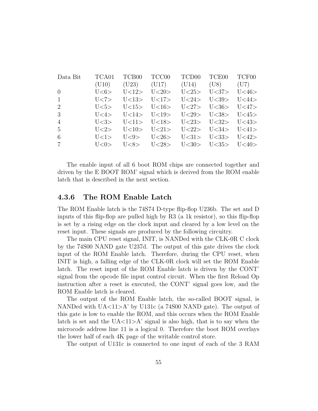| Data Bit       | TCA01      | TCB00 TCC00   |                                              | TCD00 TCE00 TCF00 |  |
|----------------|------------|---------------|----------------------------------------------|-------------------|--|
|                | (U10)      |               | $(U23)$ $(U17)$ $(U14)$ $(U8)$ $(U7)$        |                   |  |
| $\Omega$       | U<6>       | $U<12$ $U<20$ | $U < 25$ > $U < 37$ > $U < 46$ >             |                   |  |
| $\mathbf{1}$   | U<7>       |               | $U<13$ > $U<17$ > $U<24$ > $U<39$ > $U<44$ > |                   |  |
| 2              |            |               | $U5 > U15 > U16 > U27 > U36 > U47$           |                   |  |
| 3              |            |               | U<4> U<14> U<19> U<29> U<38> U<45>           |                   |  |
| $\overline{4}$ | 1 < 3      |               | $U(1) > U(18)$ $U(23)$ $U(32)$ $U(43)$       |                   |  |
| $\frac{5}{2}$  | $1\leq 2>$ |               | $U(10)$ $U(21)$ $U(22)$ $U(34)$ $U(41)$      |                   |  |
| 6              | 1 < 1 > 1  |               | $U<9>$ $U<26>$ $U<31>$ $U<33>$ $U<42>$       |                   |  |
| $\overline{7}$ | 1 < 0>     |               | U<8> U<28> U<30> U<35> U<40>                 |                   |  |

The enable input of all 6 boot ROM chips are connected together and driven by the E BOOT ROM' signal which is derived from the ROM enable latch that is described in the next section.

### 4.3.6 The ROM Enable Latch

The ROM Enable latch is the 74S74 D-type flip-flop U236b. The set and D inputs of this flip-flop are pulled high by R3 (a 1k resistor), so this flip-flop is set by a rising edge on the clock input and cleared by a low level on the reset input. These signals are produced by the following circuitry.

The main CPU reset signal, INIT, is NANDed with the CLK-0R C clock by the 74S00 NAND gate U237d. The output of this gate drives the clock input of the ROM Enable latch. Therefore, during the CPU reset, when INIT is high, a falling edge of the CLK-0R clock will set the ROM Enable latch. The reset input of the ROM Enable latch is driven by the CONT' signal from the opcode file input control circuit. When the first Reload Op instruction after a reset is executed, the CONT' signal goes low, and the ROM Enable latch is cleared.

The output of the ROM Enable latch, the so-called BOOT signal, is NANDed with  $UA < 11 > A'$  by U131c (a 74S00 NAND gate). The output of this gate is low to enable the ROM, and this occurs when the ROM Enable latch is set and the  $U\text{A} \langle 11 \rangle \text{A}'$  signal is also high, that is to say when the microcode address line 11 is a logical 0. Therefore the boot ROM overlays the lower half of each 4K page of the writable control store.

The output of U131c is connected to one input of each of the 3 RAM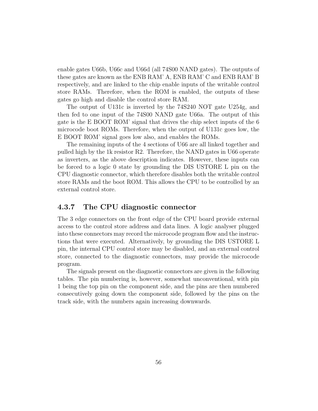enable gates U66b, U66c and U66d (all 74S00 NAND gates). The outputs of these gates are known as the ENB RAM' A, ENB RAM' C and ENB RAM' B respectively, and are linked to the chip enable inputs of the writable control store RAMs. Therefore, when the ROM is enabled, the outputs of these gates go high and disable the control store RAM.

The output of U131c is inverted by the 74S240 NOT gate U254g, and then fed to one input of the 74S00 NAND gate U66a. The output of this gate is the E BOOT ROM' signal that drives the chip select inputs of the 6 microcode boot ROMs. Therefore, when the output of U131c goes low, the E BOOT ROM' signal goes low also, and enables the ROMs.

The remaining inputs of the 4 sections of U66 are all linked together and pulled high by the 1k resistor R2. Therefore, the NAND gates in U66 operate as inverters, as the above description indicates. However, these inputs can be forced to a logic 0 state by grounding the DIS USTORE L pin on the CPU diagnostic connector, which therefore disables both the writable control store RAMs and the boot ROM. This allows the CPU to be controlled by an external control store.

### 4.3.7 The CPU diagnostic connector

The 3 edge connectors on the front edge of the CPU board provide external access to the control store address and data lines. A logic analyser plugged into these connectors may record the microcode program flow and the instructions that were executed. Alternatively, by grounding the DIS USTORE L pin, the internal CPU control store may be disabled, and an external control store, connected to the diagnostic connectors, may provide the microcode program.

The signals present on the diagnostic connectors are given in the following tables. The pin numbering is, however, somewhat unconventional, with pin 1 being the top pin on the component side, and the pins are then numbered consecutively going down the component side, followed by the pins on the track side, with the numbers again increasing downwards.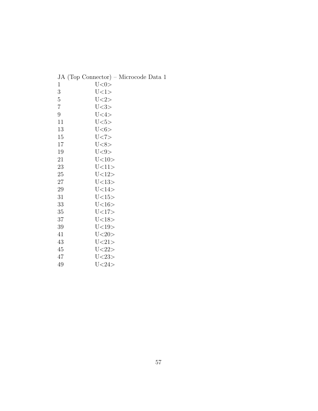| JA (Top Connector) – Microcode Data 1 |  |
|---------------------------------------|--|
|---------------------------------------|--|

| 1              | U < 0 >        |
|----------------|----------------|
| 3              | U<1>           |
| 5              | U < 2>         |
| $\overline{7}$ | U < 3>         |
| 9              | U<4>           |
| 11             | U <sub>5</sub> |
| 13             | U <sub>6</sub> |
| 15             | U < 7>         |
| 17             | U < 8>         |
| 19             | U<9>           |
| 21             | U < 10>        |
| 23             | U<11>          |
| 25             | U<12>          |
| 27             | U<13>          |
| 29             | U < 14         |
| 31             | U<15>          |
| 33             | U < 16         |
| 35             | U<17>          |
| 37             | U<18>          |
| 39             | U<19>          |
| 41             | U < 20         |
| 43             | U < 21         |
| 45             | U < 22         |
| 47             | U < 23         |
| 49             | U < 24         |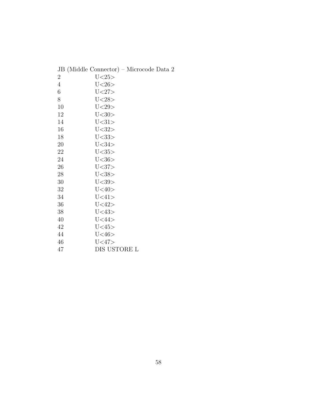|                | JB (Middle Connector) - Microcode Data 2 |
|----------------|------------------------------------------|
| $\overline{2}$ | U < 25                                   |
| $\overline{4}$ | U < 26                                   |
| 6              | U < 27                                   |
| 8              | U < 28                                   |
| 10             | U < 29                                   |
| 12             | U < 30                                   |
| 14             | U < 31                                   |
| 16             | U < 32                                   |
| 18             | U < 33                                   |
| 20             | U < 34                                   |
| 22             | U<35>                                    |
| 24             | U < 36                                   |
| 26             | U<37>                                    |
| 28             | U < 38                                   |
| 30             | U < 39                                   |
| 32             | U < 40>                                  |
| 34             | U<41>                                    |
| 36             | U < 42                                   |
| 38             | U<43>                                    |
| 40             | U < 44                                   |
| 42             | U <sub>45&gt;</sub>                      |
| 44             | U<46>                                    |
| 46             | U<47>                                    |
| 47             | DIS USTORE L                             |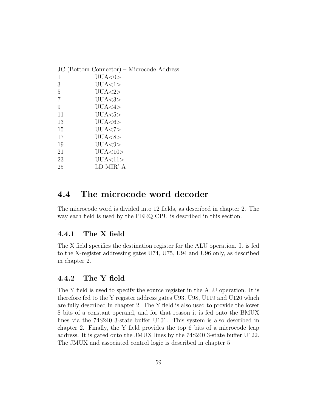|                | JC (Bottom Connector) – Microcode Address |
|----------------|-------------------------------------------|
| 1              | UUA<0>                                    |
| 3              | UUA<1>                                    |
| 5              | UUA < 2>                                  |
| $\overline{7}$ | UUA<3>                                    |
| 9              | UUA<4>                                    |
| 11             | UUA<5>                                    |
| 13             | UUA<6>                                    |
| 15             | UUA < 7                                   |
| 17             | UUA<8>                                    |
| 19             | UUA<9>                                    |
| 21             | UUA<10>                                   |
| 23             | UUA<11>                                   |
| 25             | LD MIR' A                                 |
|                |                                           |

# 4.4 The microcode word decoder

The microcode word is divided into 12 fields, as described in chapter 2. The way each field is used by the PERQ CPU is described in this section.

### 4.4.1 The X field

The X field specifies the destination register for the ALU operation. It is fed to the X-register addressing gates U74, U75, U94 and U96 only, as described in chapter 2.

### 4.4.2 The Y field

The Y field is used to specify the source register in the ALU operation. It is therefore fed to the Y register address gates U93, U98, U119 and U120 which are fully described in chapter 2. The Y field is also used to provide the lower 8 bits of a constant operand, and for that reason it is fed onto the BMUX lines via the 74S240 3-state buffer U101. This system is also described in chapter 2. Finally, the Y field provides the top 6 bits of a microcode leap address. It is gated onto the JMUX lines by the 74S240 3-state buffer U122. The JMUX and associated control logic is described in chapter 5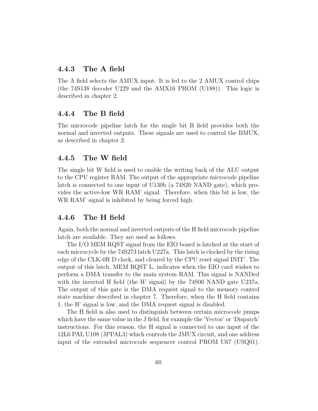### 4.4.3 The A field

The A field selects the AMUX input. It is fed to the 2 AMUX control chips (the 74S138 decoder U229 and the AMX16 PROM (U188)). This logic is described in chapter 2.

### 4.4.4 The B field

The microcode pipeline latch for the single bit B field provides both the normal and inverted outputs. These signals are used to control the BMUX, as described in chapter 2.

### 4.4.5 The W field

The single bit W field is used to enable the writing back of the ALU output to the CPU register RAM. The output of the appropriate microcode pipeline latch is connected to one input of U130b (a 74S20 NAND gate), which provides the active-low WR RAM' signal. Therefore, when this bit is low, the WR RAM' signal is inhibited by being forced high.

### 4.4.6 The H field

Again, both the normal and inverted outputs of the H field microcode pipeline latch are available. They are used as follows.

The I/O MEM RQST signal from the EIO board is latched at the start of each microcycle by the 74S273 latch U227a. This latch is clocked by the rising edge of the CLK-0R D clock, and cleared by the CPU reset signal INIT'. The output of this latch, MEM RQST L, indicates when the EIO card wishes to perform a DMA transfer to the main system RAM. This signal is NANDed with the inverted H field (the H' signal) by the 74S00 NAND gate U237a. The output of this gate is the DMA request signal to the memory control state machine described in chapter 7. Therefore, when the H field contains 1, the H' signal is low, and the DMA request signal is disabled.

The H field is also used to distinguish between certain microcode jumps which have the same value in the J field, for example the 'Vector' or 'Dispatch' instructions. For this reason, the H signal is connected to one input of the 12L6 PAL U108 (JPPAL3) which controls the JMUX circuit, and one address input of the extended microcode sequencer control PROM U67 (USQ01).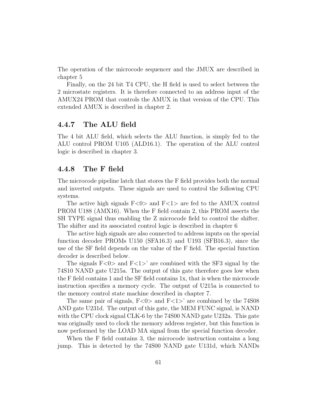The operation of the microcode sequencer and the JMUX are described in chapter 5

Finally, on the 24 bit T4 CPU, the H field is used to select between the 2 microstate registers. It is therefore connected to an address input of the AMUX24 PROM that controls the AMUX in that version of the CPU. This extended AMUX is described in chapter 2.

### 4.4.7 The ALU field

The 4 bit ALU field, which selects the ALU function, is simply fed to the ALU control PROM U105 (ALD16.1). The operation of the ALU control logic is described in chapter 3.

### 4.4.8 The F field

The microcode pipeline latch that stores the F field provides both the normal and inverted outputs. These signals are used to control the following CPU systems.

The active high signals  $F<0>$  and  $F<1>$  are fed to the AMUX control PROM U188 (AMX16). When the F field contain 2, this PROM asserts the SH TYPE signal thus enabling the Z microcode field to control the shifter. The shifter and its associated control logic is described in chapter 6

The active high signals are also connected to address inputs on the special function decoder PROMs U150 (SFA16.3) and U193 (SFB16.3), since the use of the SF field depends on the value of the F field. The special function decoder is described below.

The signals  $F<0>$  and  $F<1>$ ' are combined with the SF3 signal by the 74S10 NAND gate U215a. The output of this gate therefore goes low when the F field contains 1 and the SF field contains 1x, that is when the microcode instruction specifies a memory cycle. The output of U215a is connected to the memory control state machine described in chapter 7.

The same pair of signals,  $F<0>$  and  $F<1>$ ' are combined by the 74S08 AND gate U231d. The output of this gate, the MEM FUNC signal, is NAND with the CPU clock signal CLK-6 by the 74S00 NAND gate U232a. This gate was originally used to clock the memory address register, but this function is now performed by the LOAD MA signal from the special function decoder.

When the F field contains 3, the microcode instruction contains a long jump. This is detected by the 74S00 NAND gate U131d, which NANDs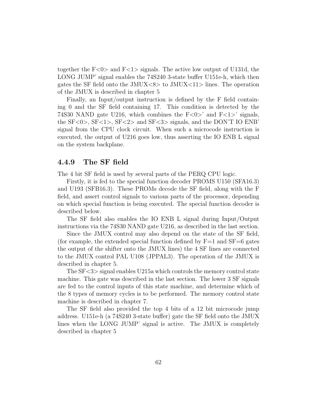together the  $F<0>$  and  $F<1>$  signals. The active low output of U131d, the LONG JUMP' signal enables the 74S240 3-state buffer U151e-h, which then gates the SF field onto the JMUX $\langle 8 \rangle$  to JMUX $\langle 11 \rangle$  lines. The operation of the JMUX is described in chapter 5

Finally, an Input/output instruction is defined by the F field containing 0 and the SF field containing 17. This condition is detected by the 74S30 NAND gate U216, which combines the  $F<0>$ <sup>'</sup> and  $F<1>$ <sup>'</sup> signals, the SF<0>, SF<1>, SF<2> and SF<3> signals, and the DON'T IO ENB' signal from the CPU clock circuit. When such a microcode instruction is executed, the output of U216 goes low, thus asserting the IO ENB L signal on the system backplane.

### 4.4.9 The SF field

The 4 bit SF field is used by several parts of the PERQ CPU logic.

Firstly, it is fed to the special function decoder PROMS U150 (SFA16.3) and U193 (SFB16.3). These PROMs decode the SF field, along with the F field, and assert control signals to various parts of the processor, depending on which special function is being executed. The special function decoder is described below.

The SF field also enables the IO ENB L signal during Input/Output instructions via the 74S30 NAND gate U216, as described in the last section.

Since the JMUX control may also depend on the state of the SF field, (for example, the extended special function defined by  $F=1$  and  $SF=6$  gates the output of the shifter onto the JMUX lines) the 4 SF lines are connected to the JMUX control PAL U108 (JPPAL3). The operation of the JMUX is described in chapter 5.

The SF<3> signal enables U215a which controls the memory control state machine. This gate was described in the last section. The lower 3 SF signals are fed to the control inputs of this state machine, and determine which of the 8 types of memory cycles is to be performed. The memory control state machine is described in chapter 7.

The SF field also provided the top 4 bits of a 12 bit microcode jump address. U151e-h (a 74S240 3-state buffer) gate the SF field onto the JMUX lines when the LONG JUMP' signal is active. The JMUX is completely described in chapter 5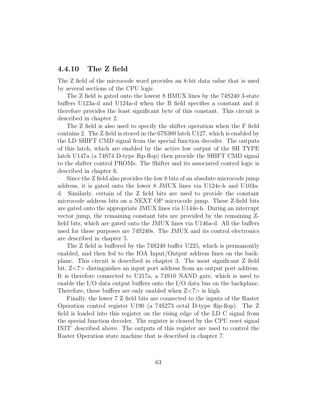### 4.4.10 The Z field

The Z field of the microcode word provides an 8-bit data value that is used by several sections of the CPU logic.

The Z field is gated onto the lowest 8 BMUX lines by the 74S240 3-state buffers U123a-d and U124a-d when the B field specifies a constant and it therefore provides the least significant byte of this constant. This circuit is described in chapter 2.

The Z field is also used to specify the shifter operation when the F field contains 2. The Z field is stored in the 67S380 latch U127, which is enabled by the LD SHIFT CMD signal from the special function decoder. The outputs of this latch, which are enabled by the active low output of the SH TYPE latch U147a (a 74S74 D-type flip-flop) then provide the SHIFT CMD signal to the shifter control PROMs. The Shifter and its associated control logic is described in chapter 6.

Since the Z field also provides the low 8 bits of an absolute microcode jump address, it is gated onto the lower 8 JMUX lines via U124e-h and U103ad. Similarly, certain of the Z field bits are used to provide the constant microcode address bits on a NEXT OP microcode jump. These Z-field bits are gated onto the appropriate JMUX lines via U144e-h. During an interrupt vector jump, the remaining constant bits are provided by the remaining Zfield bits, which are gated onto the JMUX lines via U146a-d. All the buffers used for these purposes are 74S240s. The JMUX and its control electronics are described in chapter 5.

The Z field is buffered by the 74S240 buffer U225, which is permanently enabled, and then fed to the IOA Input/Output address lines on the backplane. This circuit is described in chapter 3. The most significant Z field bit, Z<7> distinguishes an input port address from an output port address. It is therefore connected to U217a, a 74S10 NAND gate, which is used to enable the I/O data output buffers onto the I/O data bus on the backplane. Therefore, these buffers are only enabled when  $Z\langle 7\rangle$  is high.

Finally, the lower 7 Z field bits are connected to the inputs of the Raster Operation control register U190 (a 74S273 octal D-type flip-flop). The Z field is loaded into this register on the rising edge of the LD C signal from the special function decoder. The register is cleared by the CPU reset signal INIT' described above. The outputs of this register are used to control the Raster Operation state machine that is described in chapter 7.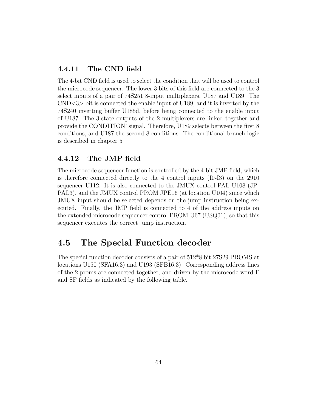## 4.4.11 The CND field

The 4-bit CND field is used to select the condition that will be used to control the microcode sequencer. The lower 3 bits of this field are connected to the 3 select inputs of a pair of 74S251 8-input multiplexers, U187 and U189. The  $\text{CND} \leq 3$  bit is connected the enable input of U189, and it is inverted by the 74S240 inverting buffer U185d, before being connected to the enable input of U187. The 3-state outputs of the 2 multiplexers are linked together and provide the CONDITION' signal. Therefore, U189 selects between the first 8 conditions, and U187 the second 8 conditions. The conditional branch logic is described in chapter 5

### 4.4.12 The JMP field

The microcode sequencer function is controlled by the 4-bit JMP field, which is therefore connected directly to the 4 control inputs (I0-I3) on the 2910 sequencer U112. It is also connected to the JMUX control PAL U108 (JP-PAL3), and the JMUX control PROM JPE16 (at location U104) since which JMUX input should be selected depends on the jump instruction being executed. Finally, the JMP field is connected to 4 of the address inputs on the extended microcode sequencer control PROM U67 (USQ01), so that this sequencer executes the correct jump instruction.

# 4.5 The Special Function decoder

The special function decoder consists of a pair of 512\*8 bit 27S29 PROMS at locations U150 (SFA16.3) and U193 (SFB16.3). Corresponding address lines of the 2 proms are connected together, and driven by the microcode word F and SF fields as indicated by the following table.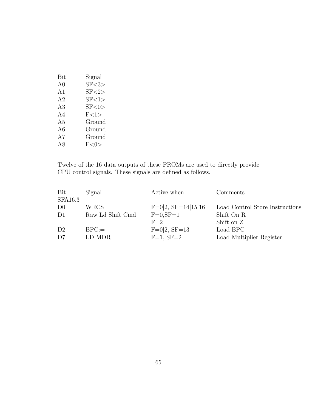| Bit | Signal   |
|-----|----------|
| A0  | SF < 3   |
| A1  | SF < 2   |
| A2  | SF < 1   |
| A3  | SF < 0 > |
| A4  | F<1>     |
| A5  | Ground   |
| A6  | Ground   |
| A7  | Ground   |
| A8  | F<0>     |

Twelve of the 16 data outputs of these PROMs are used to directly provide CPU control signals. These signals are defined as follows.

| Bit            | Signal           | Active when          | Comments                        |
|----------------|------------------|----------------------|---------------------------------|
| <b>SFA16.3</b> |                  |                      |                                 |
| D <sub>0</sub> | <b>WRCS</b>      | $F=0 2, SF=14 15 16$ | Load Control Store Instructions |
| D <sub>1</sub> | Raw Ld Shift Cmd | $F=0, SF=1$          | Shift On R                      |
|                |                  | $F=2$                | Shift on Z                      |
| D <sub>2</sub> | $BPC =$          | $F=0 2, SF=13$       | Load BPC                        |
| D <sub>7</sub> | LD MDR           | $F=1$ , $SF=2$       | Load Multiplier Register        |
|                |                  |                      |                                 |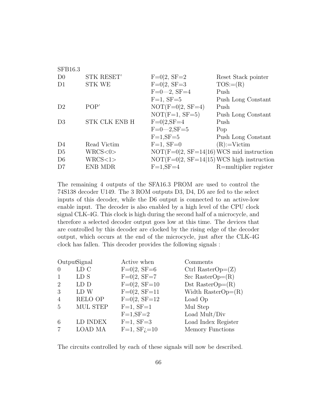| <b>SFB16.3</b> |                      |                                             |                       |
|----------------|----------------------|---------------------------------------------|-----------------------|
| D <sub>0</sub> | STK RESET'           | $F=0 2, SF=2$                               | Reset Stack pointer   |
| D1             | <b>STK WE</b>        | $F=0 2, SF=3$                               | $TOS:= (R)$           |
|                |                      | $F=0-2$ , $SF=4$                            | Push                  |
|                |                      | $F=1$ , $SF=5$                              | Push Long Constant    |
| D <sub>2</sub> | POP'                 | $NOT(F=0 2, SF=4)$                          | Push                  |
|                |                      | $NOT(F=1, SF=5)$                            | Push Long Constant    |
| D <sub>3</sub> | <b>STK CLK ENB H</b> | $F=0 2, SF=4$                               | Push                  |
|                |                      | $F = 0 - 2, SF = 5$                         | Pop                   |
|                |                      | $F=1,SF=5$                                  | Push Long Constant    |
| D4             | Read Victim          | $F=1$ , $SF=0$                              | $(R):=Victim$         |
| D <sub>5</sub> | WRCS<0>              | $NOT(F=0 2, SF=14 16) WCS$ mid instruction  |                       |
| D <sub>6</sub> | WRCS<1>              | $NOT(F=0 2, SF=14 15) WCS$ high instruction |                       |
| D7             | <b>ENB MDR</b>       | $F=1,SF=4$                                  | R=multiplier register |
|                |                      |                                             |                       |

The remaining 4 outputs of the SFA16.3 PROM are used to control the 74S138 decoder U149. The 3 ROM outputs D3, D4, D5 are fed to the select inputs of this decoder, while the D6 output is connected to an active-low enable input. The decoder is also enabled by a high level of the CPU clock signal CLK-4G. This clock is high during the second half of a microcycle, and therefore a selected decoder output goes low at this time. The devices that are controlled by this decoder are clocked by the rising edge of the decoder output, which occurs at the end of the microcycle, just after the CLK-4G clock has fallen. This decoder provides the following signals :

| LD C<br>$F=0 2, SF=6$<br>Ctrl RasterOp= $(Z)$<br>$\Omega$<br>$F=0 2, SF=7$<br>$Src$ RasterOp= $(R)$<br>LD S<br>1 |  |
|------------------------------------------------------------------------------------------------------------------|--|
|                                                                                                                  |  |
|                                                                                                                  |  |
| $F=0 2, SF=10$<br>Dst RasterOp= $(R)$<br>$\overline{2}$<br>LD D                                                  |  |
| $F=0 2, SF=11$<br>LD W<br>Width Raster $Op=(R)$<br>3                                                             |  |
| $F=0 2, SF=12$<br><b>RELO OP</b><br>$\overline{4}$<br>Load Op                                                    |  |
| <b>MUL STEP</b><br>$F=1$ , $SF=1$<br>Mul Step<br>$\overline{5}$                                                  |  |
| Load Mult/Div<br>$F=1, SF=2$                                                                                     |  |
| $F=1$ , $SF=3$<br>Load Index Register<br>LD INDEX<br>6                                                           |  |
| $F=1$ , $SFj=10$<br><b>LOAD MA</b><br>Memory Functions<br>$\overline{7}$                                         |  |

The circuits controlled by each of these signals will now be described.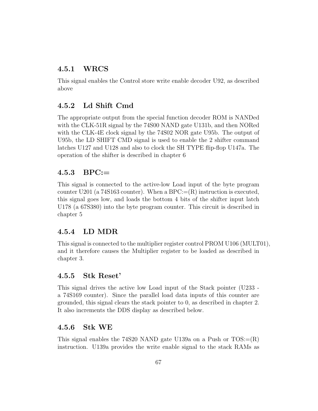## 4.5.1 WRCS

This signal enables the Control store write enable decoder U92, as described above

## 4.5.2 Ld Shift Cmd

The appropriate output from the special function decoder ROM is NANDed with the CLK-51R signal by the 74S00 NAND gate U131b, and then NORed with the CLK-4E clock signal by the 74S02 NOR gate U95b. The output of U95b, the LD SHIFT CMD signal is used to enable the 2 shifter command latches U127 and U128 and also to clock the SH TYPE flip-flop U147a. The operation of the shifter is described in chapter 6

## 4.5.3 BPC:=

This signal is connected to the active-low Load input of the byte program counter U201 (a 74S163 counter). When a BPC: $=(R)$  instruction is executed, this signal goes low, and loads the bottom 4 bits of the shifter input latch U178 (a 67S380) into the byte program counter. This circuit is described in chapter 5

## 4.5.4 LD MDR

This signal is connected to the multiplier register control PROM U106 (MULT01), and it therefore causes the Multiplier register to be loaded as described in chapter 3.

## 4.5.5 Stk Reset'

This signal drives the active low Load input of the Stack pointer (U233 a 74S169 counter). Since the parallel load data inputs of this counter are grounded, this signal clears the stack pointer to 0, as described in chapter 2. It also increments the DDS display as described below.

## 4.5.6 Stk WE

This signal enables the 74S20 NAND gate U139a on a Push or  $TOS := (R)$ instruction. U139a provides the write enable signal to the stack RAMs as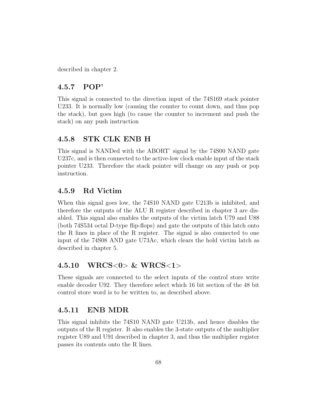described in chapter 2.

## 4.5.7 POP'

This signal is connected to the direction input of the 74S169 stack pointer U233. It is normally low (causing the counter to count down, and thus pop the stack), but goes high (to cause the counter to increment and push the stack) on any push instruction

## 4.5.8 STK CLK ENB H

This signal is NANDed with the ABORT' signal by the 74S00 NAND gate U237c, and is then connected to the active-low clock enable input of the stack pointer U233. Therefore the stack pointer will change on any push or pop instruction.

## 4.5.9 Rd Victim

When this signal goes low, the 74S10 NAND gate U213b is inhibited, and therefore the outputs of the ALU R register described in chapter 3 are disabled. This signal also enables the outputs of the victim latch U79 and U88 (both 74S534 octal D-type flip-flops) and gate the outputs of this latch onto the R lines in place of the R register. The signal is also connected to one input of the 74S08 AND gate U73Ac, which clears the hold victim latch as described in chapter 5.

## 4.5.10 WRCS<0> & WRCS<1>

These signals are connected to the select inputs of the control store write enable decoder U92. They therefore select which 16 bit section of the 48 bit control store word is to be written to, as described above.

## 4.5.11 ENB MDR

This signal inhibits the 74S10 NAND gate U213b, and hence disables the outputs of the R register. It also enables the 3-state outputs of the multiplier register U89 and U91 described in chapter 3, and thus the multiplier register passes its contents onto the R lines.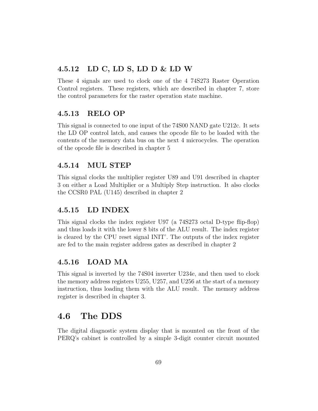## 4.5.12 LD C, LD S, LD D & LD W

These 4 signals are used to clock one of the 4 74S273 Raster Operation Control registers. These registers, which are described in chapter 7, store the control parameters for the raster operation state machine.

## 4.5.13 RELO OP

This signal is connected to one input of the 74S00 NAND gate U212c. It sets the LD OP control latch, and causes the opcode file to be loaded with the contents of the memory data bus on the next 4 microcycles. The operation of the opcode file is described in chapter 5

## 4.5.14 MUL STEP

This signal clocks the multiplier register U89 and U91 described in chapter 3 on either a Load Multiplier or a Multiply Step instruction. It also clocks the CCSR0 PAL (U145) described in chapter 2

## 4.5.15 LD INDEX

This signal clocks the index register U97 (a 74S273 octal D-type flip-flop) and thus loads it with the lower 8 bits of the ALU result. The index register is cleared by the CPU reset signal INIT'. The outputs of the index register are fed to the main register address gates as described in chapter 2

## 4.5.16 LOAD MA

This signal is inverted by the 74S04 inverter U234e, and then used to clock the memory address registers U255, U257, and U256 at the start of a memory instruction, thus loading them with the ALU result. The memory address register is described in chapter 3.

# 4.6 The DDS

The digital diagnostic system display that is mounted on the front of the PERQ's cabinet is controlled by a simple 3-digit counter circuit mounted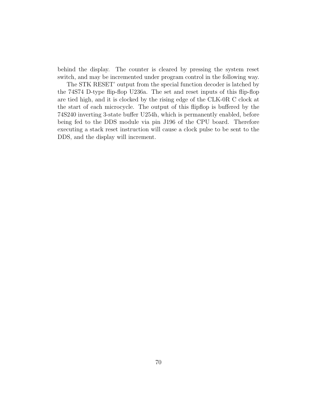behind the display. The counter is cleared by pressing the system reset switch, and may be incremented under program control in the following way.

The STK RESET' output from the special function decoder is latched by the 74S74 D-type flip-flop U236a. The set and reset inputs of this flip-flop are tied high, and it is clocked by the rising edge of the CLK-0R C clock at the start of each microcycle. The output of this flipflop is buffered by the 74S240 inverting 3-state buffer U254h, which is permanently enabled, before being fed to the DDS module via pin J196 of the CPU board. Therefore executing a stack reset instruction will cause a clock pulse to be sent to the DDS, and the display will increment.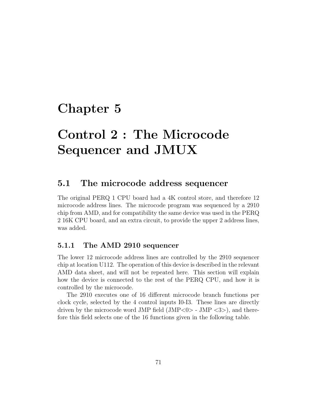# Chapter 5

# Control 2 : The Microcode Sequencer and JMUX

# 5.1 The microcode address sequencer

The original PERQ 1 CPU board had a 4K control store, and therefore 12 microcode address lines. The microcode program was sequenced by a 2910 chip from AMD, and for compatibility the same device was used in the PERQ 2 16K CPU board, and an extra circuit, to provide the upper 2 address lines, was added.

## 5.1.1 The AMD 2910 sequencer

The lower 12 microcode address lines are controlled by the 2910 sequencer chip at location U112. The operation of this device is described in the relevant AMD data sheet, and will not be repeated here. This section will explain how the device is connected to the rest of the PERQ CPU, and how it is controlled by the microcode.

The 2910 executes one of 16 different microcode branch functions per clock cycle, selected by the 4 control inputs I0-I3. These lines are directly driven by the microcode word JMP field  $(MP<0> - JMP <3>)$ , and therefore this field selects one of the 16 functions given in the following table.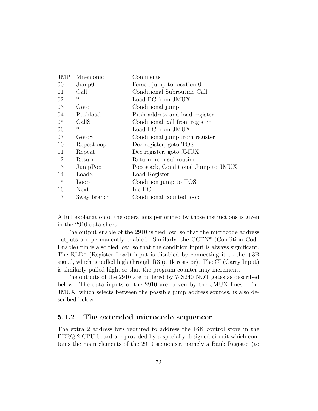| <b>JMP</b> | Mnemonic       | Comments                            |
|------------|----------------|-------------------------------------|
| $00\,$     | $\text{Jump0}$ | Forced jump to location 0           |
| 01         | Call           | Conditional Subroutine Call         |
| 02         | $^\ast$        | Load PC from JMUX                   |
| 03         | Goto           | Conditional jump                    |
| 04         | Pushload       | Push address and load register      |
| 05         | CallS          | Conditional call from register      |
| 06         | $\ast$         | Load PC from JMUX                   |
| 07         | GotoS          | Conditional jump from register      |
| 10         | Repeatloop     | Dec register, goto TOS              |
| 11         | Repeat         | Dec register, goto JMUX             |
| 12         | Return         | Return from subroutine              |
| 13         | JumpPop        | Pop stack, Conditional Jump to JMUX |
| 14         | LoadS          | Load Register                       |
| 15         | Loop           | Condition jump to TOS               |
| 16         | Next           | Inc PC                              |
| 17         | 3way branch    | Conditional counted loop            |

A full explanation of the operations performed by those instructions is given in the 2910 data sheet.

The output enable of the 2910 is tied low, so that the microcode address outputs are permanently enabled. Similarly, the CCEN\* (Condition Code Enable) pin is also tied low, so that the condition input is always significant. The  $RLD^*$  (Register Load) input is disabled by connecting it to the  $+3B$ signal, which is pulled high through R3 (a 1k resistor). The CI (Carry Input) is similarly pulled high, so that the program counter may increment.

The outputs of the 2910 are buffered by 74S240 NOT gates as described below. The data inputs of the 2910 are driven by the JMUX lines. The JMUX, which selects between the possible jump address sources, is also described below.

#### 5.1.2 The extended microcode sequencer

The extra 2 address bits required to address the 16K control store in the PERQ 2 CPU board are provided by a specially designed circuit which contains the main elements of the 2910 sequencer, namely a Bank Register (to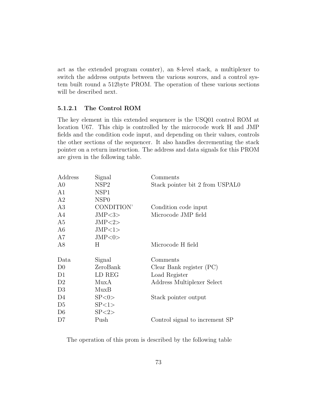act as the extended program counter), an 8-level stack, a multiplexer to switch the address outputs between the various sources, and a control system built round a 512byte PROM. The operation of these various sections will be described next.

#### 5.1.2.1 The Control ROM

The key element in this extended sequencer is the USQ01 control ROM at location U67. This chip is controlled by the microcode work H and JMP fields and the condition code input, and depending on their values, controls the other sections of the sequencer. It also handles decrementing the stack pointer on a return instruction. The address and data signals for this PROM are given in the following table.

| Address        | Signal           | Comments                        |
|----------------|------------------|---------------------------------|
| A <sub>0</sub> | NSP <sub>2</sub> | Stack pointer bit 2 from USPAL0 |
| A1             | NSP1             |                                 |
| A <sub>2</sub> | NSP <sub>0</sub> |                                 |
| A3             | CONDITION'       | Condition code input            |
| A4             | JMP < 3          | Microcode JMP field             |
| A <sub>5</sub> | JMP < 2>         |                                 |
| A <sub>6</sub> | JMP<1>           |                                 |
| A7             | JMP<0>           |                                 |
| A8             | Η                | Microcode H field               |
|                |                  |                                 |
| Data           | Signal           | Comments                        |
|                |                  |                                 |
| D <sub>0</sub> | ZeroBank         | Clear Bank register (PC)        |
| D1             | LD REG           | Load Register                   |
| D <sub>2</sub> | MuxA             | Address Multiplexer Select      |
| D <sub>3</sub> | MuxB             |                                 |
| D4             | SP < 0 >         | Stack pointer output            |
| D <sub>5</sub> | SP<1>            |                                 |
| D <sub>6</sub> | SP < 2>          |                                 |
| D7             | Push             | Control signal to increment SP  |

The operation of this prom is described by the following table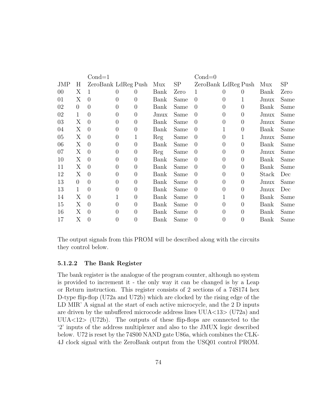|     |                | $Cond=1$            |                  |          |      |      | $Cond=0$            |                |                |       |      |
|-----|----------------|---------------------|------------------|----------|------|------|---------------------|----------------|----------------|-------|------|
| JMP | H              | ZeroBank LdReg Push |                  |          | Mux  | SP   | ZeroBank LdReg Push |                |                | Mux   | SP   |
| 00  | X              | T                   | 0                |          | Bank | Zero |                     | $\theta$       | 0              | Bank  | Zero |
| 01  | X              | $\overline{0}$      | $\overline{0}$   | 0        | Bank | Same | $\theta$            | $\theta$       | 1              | Jmux  | Same |
| 02  | $\theta$       | $\overline{0}$      | $\overline{0}$   | $\theta$ | Bank | Same | $\overline{0}$      | $\theta$       | $\overline{0}$ | Bank  | Same |
| 02  | 1              | $\theta$            | 0                | $\theta$ | Jmux | Same | $\theta$            | $\theta$       | $\theta$       | Jmux  | Same |
| 03  | Χ              | $\theta$            | $\overline{0}$   | $\theta$ | Bank | Same | $\theta$            | $\theta$       | $\overline{0}$ | Jmux  | Same |
| 04  | X              | $\overline{0}$      | 0                | $\theta$ | Bank | Same | $\theta$            | 1              | $\overline{0}$ | Bank  | Same |
| 05  | Χ              | $\theta$            | 0                | 1        | Reg  | Same | $\theta$            | 0              | 1              | Jmux  | Same |
| 06  | Х              | $\theta$            | 0                | $\theta$ | Bank | Same | $\theta$            | 0              | 0              | Bank  | Same |
| 07  | Χ              | $\overline{0}$      | 0                | $\theta$ | Reg  | Same | $\theta$            | $\theta$       | $\overline{0}$ | Jmux  | Same |
| 10  | Χ              | $\overline{0}$      | $\theta$         | $\theta$ | Bank | Same | $\theta$            | $\theta$       | 0              | Bank  | Same |
| 11  | Χ              | $\overline{0}$      | 0                | $\theta$ | Bank | Same | $\theta$            | 0              | 0              | Bank  | Same |
| 12  | Χ              | $\theta$            | 0                | $\theta$ | Bank | Same | $\theta$            | 0              | 0              | Stack | Dec  |
| 13  | $\overline{0}$ | $\theta$            | 0                | $\theta$ | Bank | Same | $\theta$            | $\overline{0}$ | $\overline{0}$ | Jmux  | Same |
| 13  | 1              | $\overline{0}$      | 0                | $\Omega$ | Bank | Same | $\theta$            | 0              | $\overline{0}$ | Jmux  | Dec  |
| 14  | Х              | $\theta$            |                  | $\theta$ | Bank | Same | $\theta$            |                | $\overline{0}$ | Bank  | Same |
| 15  | Х              | $\theta$            | 0                | $\theta$ | Bank | Same | 0                   | 0              | $\overline{0}$ | Bank  | Same |
| 16  | Χ              | $\overline{0}$      | $\left( \right)$ | $\Omega$ | Bank | Same | $\theta$            | $\Omega$       | $\overline{0}$ | Bank  | Same |
| 17  | Х              | $\overline{0}$      | 0                |          | Bank | Same | $\theta$            | 0              | 0              | Bank  | Same |

The output signals from this PROM will be described along with the circuits they control below.

#### 5.1.2.2 The Bank Register

The bank register is the analogue of the program counter, although no system is provided to increment it - the only way it can be changed is by a Leap or Return instruction. This register consists of 2 sections of a 74S174 hex D-type flip-flop (U72a and U72b) which are clocked by the rising edge of the LD MIR' A signal at the start of each active microcycle, and the 2 D inputs are driven by the unbuffered microcode address lines  $UUA<13$  (U72a) and UUA $\langle$ 12> (U72b). The outputs of these flip-flops are connected to the '2' inputs of the address multiplexer and also to the JMUX logic described below. U72 is reset by the 74S00 NAND gate U86a, which combines the CLK-4J clock signal with the ZeroBank output from the USQ01 control PROM.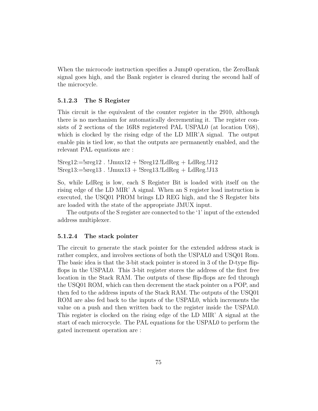When the microcode instruction specifies a Jump0 operation, the ZeroBank signal goes high, and the Bank register is cleared during the second half of the microcycle.

#### 5.1.2.3 The S Register

This circuit is the equivalent of the counter register in the 2910, although there is no mechanism for automatically decrementing it. The register consists of 2 sections of the 16R8 registered PAL USPAL0 (at location U68), which is clocked by the rising edge of the LD MIR'A signal. The output enable pin is tied low, so that the outputs are permanently enabled, and the relevant PAL equations are :

 $!Sreg12:=lsreg12$  .  $!Jmux12 + !Sreg12$ .  $!LdReg + LdReg$ .  $!J12$  $!Sreg13:=lsreg13$ .  $!Jmux13 + !Sreg13$ . $!LdReg + LdReg.$ ! $J13$ 

So, while LdReg is low, each S Register Bit is loaded with itself on the rising edge of the LD MIR' A signal. When an S register load instruction is executed, the USQ01 PROM brings LD REG high, and the S Register bits are loaded with the state of the appropriate JMUX input.

The outputs of the S register are connected to the '1' input of the extended address multiplexer.

#### 5.1.2.4 The stack pointer

The circuit to generate the stack pointer for the extended address stack is rather complex, and involves sections of both the USPAL0 and USQ01 Rom. The basic idea is that the 3-bit stack pointer is stored in 3 of the D-type flipflops in the USPAL0. This 3-bit register stores the address of the first free location in the Stack RAM. The outputs of these flip-flops are fed through the USQ01 ROM, which can then decrement the stack pointer on a POP, and then fed to the address inputs of the Stack RAM. The outputs of the USQ01 ROM are also fed back to the inputs of the USPAL0, which increments the value on a push and then written back to the register inside the USPAL0. This register is clocked on the rising edge of the LD MIR' A signal at the start of each microcycle. The PAL equations for the USPAL0 to perform the gated increment operation are :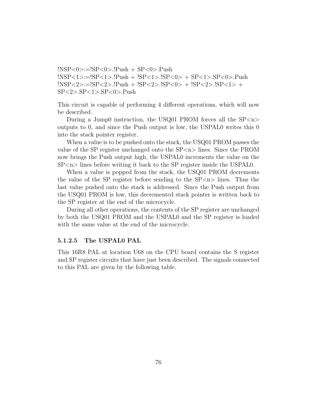$|NSP<0>=|SP<0>.|Push + SP<0>.Push$ !NSP<1>:=!SP<1>.!Push + !SP<1>.!SP<0> + SP<1>.SP<0>.Push  $!$   $\text{NSP} < 2 > := !\text{SP} < 2 > . !\text{P}$ ush +  $! \text{SP} < 2 > . !\text{SP} < 0 > + . !\text{SP} < 2 > . !\text{SP} < 1 > + .$  $SP < 2$ >. $SP < 1$ >. $SP < 0$ >.Push

This circuit is capable of performing 4 different operations, which will now be described.

During a Jump0 instruction, the USQ01 PROM forces all the  $SP < n$ outputs to 0, and since the Push output is low, the USPAL0 writes this 0 into the stack pointer register.

When a value is to be pushed onto the stack, the USQ01 PROM passes the value of the SP register unchanged onto the  $SP < n >$  lines. Since the PROM now brings the Push output high, the USPAL0 increments the value on the  $SP < n$  lines before writing it back to the SP register inside the USPAL0.

When a value is popped from the stack, the USQ01 PROM decrements the value of the SP register before sending to the  $SP\langle n \rangle$  lines. Thus the last value pushed onto the stack is addressed. Since the Push output from the USQ01 PROM is low, this decremented stack pointer is written back to the SP register at the end of the microcycle.

During all other operations, the contents of the SP register are unchanged by both the USQ01 PROM and the USPAL0 and the SP register is loaded with the same value at the end of the microcycle.

#### 5.1.2.5 The USPAL0 PAL

This 16R8 PAL at location U68 on the CPU board contains the S register and SP register circuits that have just been described. The signals connected to this PAL are given by the following table.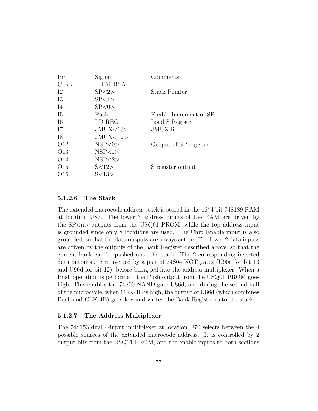| Pin             | Signal     | Comments               |
|-----------------|------------|------------------------|
| Clock           | LD MIR' A  |                        |
| 12              | SP < 2     | Stack Pointer          |
| 13              | SP<1>      |                        |
| I4              | SP < 0 >   |                        |
| $15\,$          | Push       | Enable Increment of SP |
| I6              | LD REG     | Load S Register        |
| I7              | JMUX < 13> | <b>JMUX</b> line       |
| I8              | JMUX<12>   |                        |
| O <sub>12</sub> | NSP<0>     | Output of SP register  |
| O <sub>13</sub> | NSP<1>     |                        |
| O14             | NSP<2>     |                        |
| O15             | S<12>      | S register output      |
| O16             | S<13>      |                        |

#### 5.1.2.6 The Stack

The extended microcode address stack is stored in the 16\*4 bit 74S189 RAM at location U87. The lower 3 address inputs of the RAM are driven by the  $SP < n$  outputs from the USQ01 PROM, while the top address input is grounded since only 8 locations are used. The Chip Enable input is also grounded, so that the data outputs are always active. The lower 2 data inputs are driven by the outputs of the Bank Register described above, so that the current bank can be pushed onto the stack. The 2 corresponding inverted data outputs are reinverted by a pair of 74S04 NOT gates (U90a for bit 13 and U90d for bit 12), before being fed into the address multiplexer. When a Push operation is performed, the Push output from the USQ01 PROM goes high. This enables the 74S00 NAND gate U86d, and during the second half of the microcycle, when CLK-4E is high, the output of U86d (which combines Push and CLK-4E) goes low and writes the Bank Register onto the stack.

#### 5.1.2.7 The Address Multiplexer

The 74S153 dual 4-input multiplexer at location U70 selects between the 4 possible sources of the extended microcode address. It is controlled by 2 output bits from the USQ01 PROM, and the enable inputs to both sections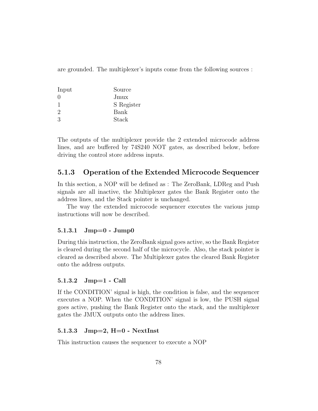are grounded. The multiplexer's inputs come from the following sources :

| Input         | Source     |
|---------------|------------|
| $\cup$        | Jmux       |
|               | S Register |
| $\mathcal{D}$ | Bank       |
| $\mathcal{S}$ | Stack      |

The outputs of the multiplexer provide the 2 extended microcode address lines, and are buffered by 74S240 NOT gates, as described below, before driving the control store address inputs.

## 5.1.3 Operation of the Extended Microcode Sequencer

In this section, a NOP will be defined as : The ZeroBank, LDReg and Push signals are all inactive, the Multiplexer gates the Bank Register onto the address lines, and the Stack pointer is unchanged.

The way the extended microcode sequencer executes the various jump instructions will now be described.

### 5.1.3.1 Jmp=0 - Jump0

During this instruction, the ZeroBank signal goes active, so the Bank Register is cleared during the second half of the microcycle. Also, the stack pointer is cleared as described above. The Multiplexer gates the cleared Bank Register onto the address outputs.

#### 5.1.3.2 Jmp=1 - Call

If the CONDITION' signal is high, the condition is false, and the sequencer executes a NOP. When the CONDITION' signal is low, the PUSH signal goes active, pushing the Bank Register onto the stack, and the multiplexer gates the JMUX outputs onto the address lines.

#### 5.1.3.3 Jmp=2, H=0 - NextInst

This instruction causes the sequencer to execute a NOP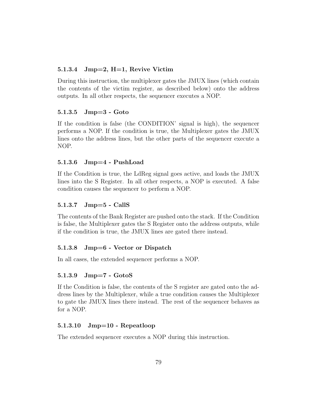#### 5.1.3.4 Jmp=2, H=1, Revive Victim

During this instruction, the multiplexer gates the JMUX lines (which contain the contents of the victim register, as described below) onto the address outputs. In all other respects, the sequencer executes a NOP.

#### 5.1.3.5 Jmp=3 - Goto

If the condition is false (the CONDITION' signal is high), the sequencer performs a NOP. If the condition is true, the Multiplexer gates the JMUX lines onto the address lines, but the other parts of the sequencer execute a NOP.

#### 5.1.3.6 Jmp=4 - PushLoad

If the Condition is true, the LdReg signal goes active, and loads the JMUX lines into the S Register. In all other respects, a NOP is executed. A false condition causes the sequencer to perform a NOP.

#### 5.1.3.7 Jmp=5 - CallS

The contents of the Bank Register are pushed onto the stack. If the Condition is false, the Multiplexer gates the S Register onto the address outputs, while if the condition is true, the JMUX lines are gated there instead.

#### 5.1.3.8 Jmp=6 - Vector or Dispatch

In all cases, the extended sequencer performs a NOP.

#### 5.1.3.9 Jmp=7 - GotoS

If the Condition is false, the contents of the S register are gated onto the address lines by the Multiplexer, while a true condition causes the Multiplexer to gate the JMUX lines there instead. The rest of the sequencer behaves as for a NOP.

#### 5.1.3.10 Jmp=10 - Repeatloop

The extended sequencer executes a NOP during this instruction.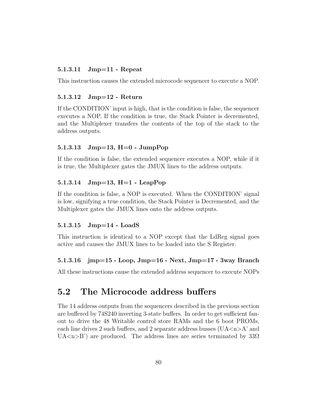#### 5.1.3.11 Jmp=11 - Repeat

This instruction causes the extended microcode sequencer to execute a NOP.

#### 5.1.3.12 Jmp=12 - Return

If the CONDITION' input is high, that is the condition is false, the sequencer executes a NOP. If the condition is true, the Stack Pointer is decremented, and the Multiplexer transfers the contents of the top of the stack to the address outputs.

#### 5.1.3.13 Jmp=13, H=0 - JumpPop

If the condition is false, the extended sequencer executes a NOP, while if it is true, the Multiplexer gates the JMUX lines to the address outputs.

#### 5.1.3.14 Jmp=13, H=1 - LeapPop

If the condition is false, a NOP is executed. When the CONDITION' signal is low, signifying a true condition, the Stack Pointer is Decremented, and the Multiplexer gates the JMUX lines onto the address outputs.

#### 5.1.3.15 Jmp=14 - LoadS

This instruction is identical to a NOP except that the LdReg signal goes active and causes the JMUX lines to be loaded into the S Register.

#### 5.1.3.16 jmp=15 - Loop, Jmp=16 - Next, Jmp=17 - 3way Branch

All these instructions cause the extended address sequencer to execute NOPs

# 5.2 The Microcode address buffers

The 14 address outputs from the sequencers described in the previous section are buffered by 74S240 inverting 3-state buffers. In order to get sufficient fanout to drive the 48 Writable control store RAMs and the 6 boot PROMs, each line drives 2 such buffers, and 2 separate address busses ( $U$ A $\lt$ n $>$ A' and UA $\langle n \rangle$  are produced. The address lines are series terminated by 33 $\Omega$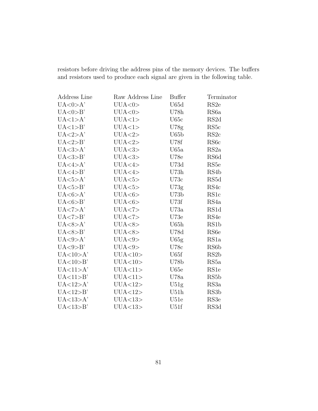resistors before driving the address pins of the memory devices. The buffers and resistors used to produce each signal are given in the following table.

| Address Line         | Raw Address Line | <b>Buffer</b>    | Terminator        |
|----------------------|------------------|------------------|-------------------|
| UA < 0 > A'          | UUA<0>           | U65d             | RS2e              |
| UA < 0 > B'          | UUA<0>           | U78h             | RS <sub>6</sub> a |
| UA<1>A'              | UUA<1>           | U65c             | RS <sub>2</sub> d |
| UA<1>B'              | UUA<1>           | U78g             | RS <sub>5</sub> c |
| UA < 2>A'            | UUA < 2>         | U65 <sub>b</sub> | RS2c              |
| UA < 2>B'            | UUA < 2>         | U78f             | RS <sub>6</sub> c |
| UA <sub>3</sub> > A' | UUA<3>           | U65a             | RS2a              |
| UA <sub>3</sub> > B' | UUA <sub>3</sub> | <b>U78e</b>      | RS <sub>6</sub> d |
| UA < 4 > A'          | UUA<4>           | U73d             | RS <sub>5e</sub>  |
| UA < 4>B'            | UUA<4>           | U73h             | RS4b              |
| UA < 5>A'            | UUA<5>           | U73c             | RS5d              |
| UA < 5 > B'          | UUA<5>           | U73g             | RS4c              |
| UA < 6 > A'          | UUA<6>           | U73b             | RS <sub>1</sub> c |
| UA < 6 > B'          | UUA<6>           | U73f             | RS4a              |
| UA < 7>A'            | UUA < 7          | U73a             | RS1d              |
| UA < 7>B'            | UUA < 7          | U73e             | RS4e              |
| UA < 8 > A'          | UUA<8>           | U65h             | RS <sub>1</sub> b |
| UA < 8 > B'          | UUA<8>           | U78d             | RS <sub>6</sub> e |
| UA < 9>A'            | UUA<9>           | U65g             | RS <sub>1</sub> a |
| UA < 9 > B'          | UUA<9>           | U78c             | RS <sub>6</sub> b |
| UA<10>A'             | UUA<10>          | U65f             | RS <sub>2</sub> b |
| UA<10>B'             | UUA<10>          | U78b             | RS5a              |
| UA<11>A'             | UUA<11>          | U <sub>65e</sub> | RS <sub>1e</sub>  |
| UA < 11 > B'         | UUA<11>          | U78a             | RS <sub>5</sub> b |
| UA<12>A'             | UUA<12>          | U51g             | RS3a              |
| UA < 12>B'           | UUA<12>          | U51h             | RS3 <sub>b</sub>  |
| UA<13>A'             | UUA<13>          | U51e             | RS3e              |
| UA<13>B'             | UUA<13>          | U51f             | RS3d              |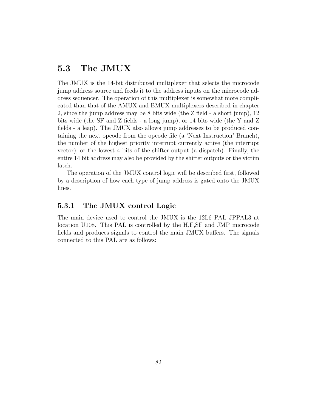# 5.3 The JMUX

The JMUX is the 14-bit distributed multiplexer that selects the microcode jump address source and feeds it to the address inputs on the microcode address sequencer. The operation of this multiplexer is somewhat more complicated than that of the AMUX and BMUX multiplexers described in chapter 2, since the jump address may be 8 bits wide (the Z field - a short jump), 12 bits wide (the SF and Z fields - a long jump), or 14 bits wide (the Y and Z fields - a leap). The JMUX also allows jump addresses to be produced containing the next opcode from the opcode file (a 'Next Instruction' Branch), the number of the highest priority interrupt currently active (the interrupt vector), or the lowest 4 bits of the shifter output (a dispatch). Finally, the entire 14 bit address may also be provided by the shifter outputs or the victim latch.

The operation of the JMUX control logic will be described first, followed by a description of how each type of jump address is gated onto the JMUX lines.

## 5.3.1 The JMUX control Logic

The main device used to control the JMUX is the 12L6 PAL JPPAL3 at location U108. This PAL is controlled by the H,F,SF and JMP microcode fields and produces signals to control the main JMUX buffers. The signals connected to this PAL are as follows: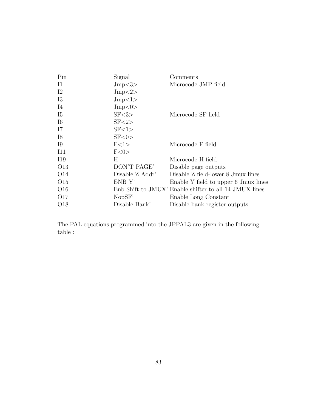| Pin             | Signal          | Comments                                               |
|-----------------|-----------------|--------------------------------------------------------|
| $_{\rm I1}$     | Jmp<3>          | Microcode JMP field                                    |
| $12\,$          | Jmp<2>          |                                                        |
| 13              | Jmp<1>          |                                                        |
| I4              | Jmp<0>          |                                                        |
| <b>I5</b>       | SF <3>          | Microcode SF field                                     |
| I <sub>6</sub>  | SF < 2          |                                                        |
| I7              | SF < 1          |                                                        |
| I8              | SF < 0          |                                                        |
| <b>I</b> 9      | F<1>            | Microcode F field                                      |
| I11             | F<0>            |                                                        |
| I19             | Н               | Microcode H field                                      |
| O <sub>13</sub> | DON'T PAGE'     | Disable page outputs                                   |
| O <sub>14</sub> | Disable Z Addr' | Disable Z field-lower 8 Jmux lines                     |
| O <sub>15</sub> | ENB Y'          | Enable Y field to upper 6 Jmux lines                   |
| O <sub>16</sub> |                 | Enb Shift to JMUX' Enable shifter to all 14 JMUX lines |
| O <sub>17</sub> | NopSF'          | Enable Long Constant                                   |
| O <sub>18</sub> | Disable Bank'   | Disable bank register outputs                          |

The PAL equations programmed into the JPPAL3 are given in the following table :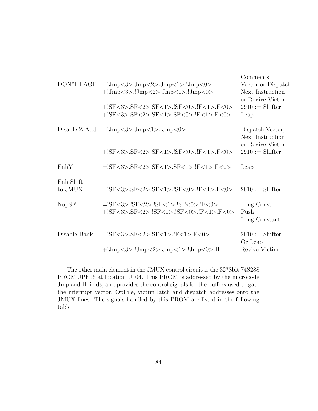| DON'T PAGE           | $=!Jmp<3>.Jmp<2>.Jmp<1>.Jmp<0>$<br>$+!Jmp<3>$ .!Jmp $<2>$ .Jmp $<1>$ .!Jmp $<0>$<br>+!SF<3>.SF<2>.SF<1>.!SF<0>.!F<1>.F<0><br>+!SF<3>.SF<2>.SF<1>.SF<0>.!F<1>.F<0> | Comments<br>Vector or Dispatch<br>Next Instruction<br>or Revive Victim<br>$2910 := Shifter$<br>Leap |
|----------------------|-------------------------------------------------------------------------------------------------------------------------------------------------------------------|-----------------------------------------------------------------------------------------------------|
|                      | Disable Z Addr $=$ !Jmp $<$ 3>.Jmp $<$ 1>.!Jmp $<$ 0>                                                                                                             | Dispatch, Vector,<br>Next Instruction<br>or Revive Victim                                           |
|                      | $+!SF<3>SF<2>SF<1>IF<1>IF<0>IF<1>IF<0>$                                                                                                                           | $2910 := Shifter$                                                                                   |
| EnbY                 | $=$ !SF<3>.SF<2>.SF<1>.SF<0>.!F<1>.F<0>                                                                                                                           | Leap                                                                                                |
| Enb Shift<br>to JMUX | $=!SF<3>.SF<2>.SF<1>.ISF<0>.IF<1>.F<0>$                                                                                                                           | $2910 := Shifter$                                                                                   |
| <b>NopSF</b>         | $=$ !SF<3>.!SF<2>.!SF<1>.!SF<0>.!F<0><br>+!SF<3>.SF<2>.!SF<1>.!SF<0>.!F<1>.F<0>                                                                                   | Long Const<br>Push<br>Long Constant                                                                 |
| Disable Bank         | $=$ !SF<3>.SF<2>.SF<1>.!F<1>.F<0>                                                                                                                                 | $2910 := Shifter$<br>Or Leap                                                                        |
|                      | $+!Jmp<3>$ $Jmp<2>$ $Jmp<1>$ $Jmp<0>$                                                                                                                             | Revive Victim                                                                                       |

The other main element in the JMUX control circuit is the 32\*8bit 74S288 PROM JPE16 at location U104. This PROM is addressed by the microcode Jmp and H fields, and provides the control signals for the buffers used to gate the interrupt vector, OpFile, victim latch and dispatch addresses onto the JMUX lines. The signals handled by this PROM are listed in the following table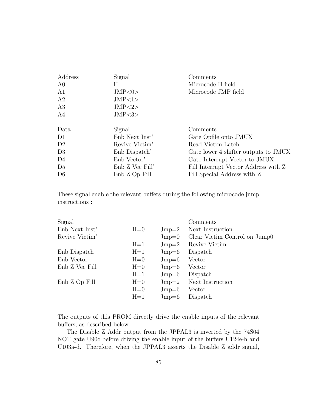| Address        | Signal          | Comments                             |
|----------------|-----------------|--------------------------------------|
| A0             | Η               | Microcode H field                    |
| A1             | JMP<0>          | Microcode JMP field                  |
| A2             | JMP<1>          |                                      |
| A3             | JMP < 2>        |                                      |
| A4             | JMP < 3>        |                                      |
|                |                 |                                      |
| Data           | Signal          | Comments                             |
| D <sub>1</sub> | Enb Next Inst'  | Gate Opfile onto JMUX                |
| D <sub>2</sub> | Revive Victim'  | Read Victim Latch                    |
| D <sub>3</sub> | Enb Dispatch'   | Gate lower 4 shifter outputs to JMUX |
| D4             | Enb Vector'     | Gate Interrupt Vector to JMUX        |
| D <sub>5</sub> | Enb Z Vec Fill' | Fill Interrupt Vector Address with Z |
| D <sub>6</sub> | Enb Z Op Fill   | Fill Special Address with Z          |
|                |                 |                                      |

These signal enable the relevant buffers during the following microcode jump instructions :

| Signal         |         |                | Comments                      |
|----------------|---------|----------------|-------------------------------|
| Enb Next Inst' | $H=0$   | $_{\rm Jmp=2}$ | Next Instruction              |
| Revive Victim' |         | $_{\rm Jmp=0}$ | Clear Victim Control on Jump0 |
|                | $H=1$   | $_{\rm Jmp=2}$ | Revive Victim                 |
| Enb Dispatch   | $H=1$   | $_{\rm Jmp=6}$ | Dispatch                      |
| Enb Vector     | $H=0$   | $_{\rm Jmp=6}$ | Vector                        |
| Enb Z Vec Fill | $H=0$   | $_{\rm Jmp=6}$ | Vector                        |
|                | $H=1$   | $Jmp=6$        | Dispatch                      |
| Enb Z Op Fill  | $H=0$   | $_{\rm Jmp=2}$ | Next Instruction              |
|                | $H=0$   | $_{\rm Jmp=6}$ | Vector                        |
|                | $H = 1$ | $_{\rm Jmp=6}$ | Dispatch                      |
|                |         |                |                               |

The outputs of this PROM directly drive the enable inputs of the relevant buffers, as described below.

The Disable Z Addr output from the JPPAL3 is inverted by the 74S04 NOT gate U90c before driving the enable input of the buffers U124e-h and U103a-d. Therefore, when the JPPAL3 asserts the Disable Z addr signal,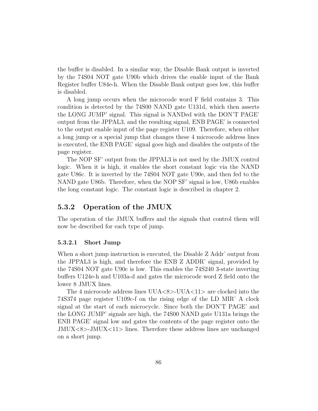the buffer is disabled. In a similar way, the Disable Bank output is inverted by the 74S04 NOT gate U90b which drives the enable input of the Bank Register buffer U84e-h. When the Disable Bank output goes low, this buffer is disabled.

A long jump occurs when the microcode word F field contains 3. This condition is detected by the 74S00 NAND gate U131d, which then asserts the LONG JUMP' signal. This signal is NANDed with the DON'T PAGE' output from the JPPAL3, and the resulting signal, ENB PAGE' is connected to the output enable input of the page register U109. Therefore, when either a long jump or a special jump that changes these 4 microcode address lines is executed, the ENB PAGE' signal goes high and disables the outputs of the page register.

The NOP SF' output from the JPPAL3 is not used by the JMUX control logic. When it is high, it enables the short constant logic via the NAND gate U86c. It is inverted by the 74S04 NOT gate U90e, and then fed to the NAND gate U86b. Therefore, when the NOP SF' signal is low, U86b enables the long constant logic. The constant logic is described in chapter 2.

#### 5.3.2 Operation of the JMUX

The operation of the JMUX buffers and the signals that control them will now be described for each type of jump.

#### 5.3.2.1 Short Jump

When a short jump instruction is executed, the Disable Z Addr' output from the JPPAL3 is high, and therefore the ENB Z ADDR' signal, provided by the 74S04 NOT gate U90c is low. This enables the 74S240 3-state inverting buffers U124e-h and U103a-d and gates the microcode word Z field onto the lower 8 JMUX lines.

The 4 microcode address lines  $UUA < 8$  >- $UUA < 11$  are clocked into the 74S374 page register U109c-f on the rising edge of the LD MIR' A clock signal at the start of each microcycle. Since both the DON'T PAGE' and the LONG JUMP' signals are high, the 74S00 NAND gate U131a brings the ENB PAGE' signal low and gates the contents of the page register onto the  $JMUX < 8$  > -JMUX $< 11$  > lines. Therefore these address lines are unchanged on a short jump.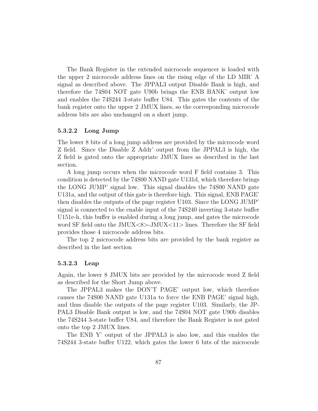The Bank Register in the extended microcode sequencer is loaded with the upper 2 microcode address lines on the rising edge of the LD MIR' A signal as described above. The JPPAL3 output Disable Bank is high, and therefore the 74S04 NOT gate U90b brings the ENB BANK' output low and enables the 74S244 3-state buffer U84. This gates the contents of the bank register onto the upper 2 JMUX lines, so the corresponding microcode address bits are also unchanged on a short jump.

#### 5.3.2.2 Long Jump

The lower 8 bits of a long jump address are provided by the microcode word Z field. Since the Disable Z Addr' output from the JPPAL3 is high, the Z field is gated onto the appropriate JMUX lines as described in the last section.

A long jump occurs when the microcode word F field contains 3. This condition is detected by the 74S00 NAND gate U131d, which therefore brings the LONG JUMP' signal low. This signal disables the 74S00 NAND gate U131a, and the output of this gate is therefore high. This signal, ENB PAGE' then disables the outputs of the page register U103. Since the LONG JUMP' signal is connected to the enable input of the 74S240 inverting 3-state buffer U151e-h, this buffer is enabled during a long jump, and gates the microcode word SF field onto the JMUX<8>-JMUX<11> lines. Therefore the SF field provides those 4 microcode address bits.

The top 2 microcode address bits are provided by the bank register as described in the last section

#### 5.3.2.3 Leap

Again, the lower 8 JMUX bits are provided by the microcode word Z field as described for the Short Jump above.

The JPPAL3 makes the DON'T PAGE' output low, which therefore causes the 74S00 NAND gate U131a to force the ENB PAGE' signal high, and thus disable the outputs of the page register U103. Similarly, the JP-PAL3 Disable Bank output is low, and the 74S04 NOT gate U90b disables the 74S244 3-state buffer U84, and therefore the Bank Register is not gated onto the top 2 JMUX lines.

The ENB Y' output of the JPPAL3 is also low, and this enables the 74S244 3-state buffer U122, which gates the lower 6 bits of the microcode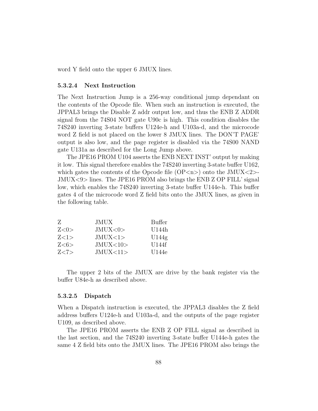word Y field onto the upper 6 JMUX lines.

#### 5.3.2.4 Next Instruction

The Next Instruction Jump is a 256-way conditional jump dependant on the contents of the Opcode file. When such an instruction is executed, the JPPAL3 brings the Disable Z addr output low, and thus the ENB Z ADDR signal from the 74S04 NOT gate U90c is high. This condition disables the 74S240 inverting 3-state buffers U124e-h and U103a-d, and the microcode word Z field is not placed on the lower 8 JMUX lines. The DON'T PAGE' output is also low, and the page register is disabled via the 74S00 NAND gate U131a as described for the Long Jump above.

The JPE16 PROM U104 asserts the ENB NEXT INST' output by making it low. This signal therefore enables the 74S240 inverting 3-state buffer U162, which gates the contents of the Opcode file  $\langle OP\langle n\rangle$  onto the JMUX $\langle 2\rangle$ -JMUX<9> lines. The JPE16 PROM also brings the ENB Z OP FILL' signal low, which enables the 74S240 inverting 3-state buffer U144e-h. This buffer gates 4 of the microcode word Z field bits onto the JMUX lines, as given in the following table.

| Z    | JMUX      | <b>Buffer</b> |
|------|-----------|---------------|
| Z<0> | JMUX<0>   | U144h         |
| Z<1> | JMUX < 1> | U144g         |
| Z<6> | JMUX<10>  | U144f         |
| Z<7> | JMUX<11>  | U144e         |

The upper 2 bits of the JMUX are drive by the bank register via the buffer U84e-h as described above.

#### 5.3.2.5 Dispatch

When a Dispatch instruction is executed, the JPPAL3 disables the Z field address buffers U124e-h and U103a-d, and the outputs of the page register U109, as described above.

The JPE16 PROM asserts the ENB Z OP FILL signal as described in the last section, and the 74S240 inverting 3-state buffer U144e-h gates the same 4 Z field bits onto the JMUX lines. The JPE16 PROM also brings the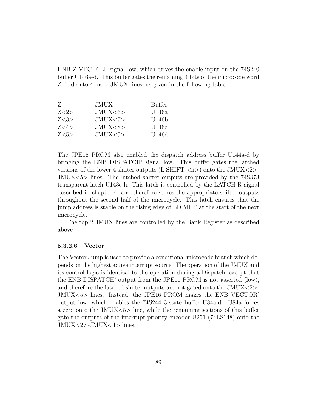ENB Z VEC FILL signal low, which drives the enable input on the 74S240 buffer U146a-d. This buffer gates the remaining 4 bits of the microcode word Z field onto 4 more JMUX lines, as given in the following table:

| Z    | JMUX      | Buffer |
|------|-----------|--------|
| Z<2> | JMUX<6>   | U146a  |
| Z<3> | JMUX < 7  | U146b  |
| Z<4> | JMUX<8>   | U146c  |
| Z<5> | JMIIX < 9 | U146d  |

The JPE16 PROM also enabled the dispatch address buffer U144a-d by bringing the ENB DISPATCH' signal low. This buffer gates the latched versions of the lower 4 shifter outputs (L SHIFT  $\langle n \rangle$ ) onto the JMUX $\langle 2 \rangle$ -JMUX<5> lines. The latched shifter outputs are provided by the 74S373 transparent latch U143e-h. This latch is controlled by the LATCH R signal described in chapter 4, and therefore stores the appropriate shifter outputs throughout the second half of the microcycle. This latch ensures that the jump address is stable on the rising edge of LD MIR' at the start of the next microcycle.

The top 2 JMUX lines are controlled by the Bank Register as described above

#### 5.3.2.6 Vector

The Vector Jump is used to provide a conditional microcode branch which depends on the highest active interrupt source. The operation of the JMUX and its control logic is identical to the operation during a Dispatch, except that the ENB DISPATCH' output from the JPE16 PROM is not asserted (low), and therefore the latched shifter outputs are not gated onto the JMUX<2>- JMUX<5> lines. Instead, the JPE16 PROM makes the ENB VECTOR' output low, which enables the 74S244 3-state buffer U84a-d. U84a forces a zero onto the  $JMUX \le 5$  line, while the remaining sections of this buffer gate the outputs of the interrupt priority encoder U251 (74LS148) onto the JMUX<2>-JMUX<4> lines.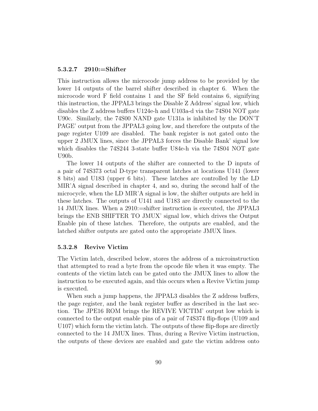#### 5.3.2.7 2910:=Shifter

This instruction allows the microcode jump address to be provided by the lower 14 outputs of the barrel shifter described in chapter 6. When the microcode word F field contains 1 and the SF field contains 6, signifying this instruction, the JPPAL3 brings the Disable Z Address' signal low, which disables the Z address buffers U124e-h and U103a-d via the 74S04 NOT gate U90c. Similarly, the 74S00 NAND gate U131a is inhibited by the DON'T PAGE' output from the JPPAL3 going low, and therefore the outputs of the page register U109 are disabled. The bank register is not gated onto the upper 2 JMUX lines, since the JPPAL3 forces the Disable Bank' signal low which disables the 74S244 3-state buffer U84e-h via the 74S04 NOT gate U90b.

The lower 14 outputs of the shifter are connected to the D inputs of a pair of 74S373 octal D-type transparent latches at locations U141 (lower 8 bits) and U183 (upper 6 bits). These latches are controlled by the LD MIR'A signal described in chapter 4, and so, during the second half of the microcycle, when the LD MIR'A signal is low, the shifter outputs are held in these latches. The outputs of U141 and U183 are directly connected to the 14 JMUX lines. When a 2910:=shifter instruction is executed, the JPPAL3 brings the ENB SHIFTER TO JMUX' signal low, which drives the Output Enable pin of these latches. Therefore, the outputs are enabled, and the latched shifter outputs are gated onto the appropriate JMUX lines.

#### 5.3.2.8 Revive Victim

The Victim latch, described below, stores the address of a microinstruction that attempted to read a byte from the opcode file when it was empty. The contents of the victim latch can be gated onto the JMUX lines to allow the instruction to be executed again, and this occurs when a Revive Victim jump is executed.

When such a jump happens, the JPPAL3 disables the Z address buffers, the page register, and the bank register buffer as described in the last section. The JPE16 ROM brings the REVIVE VICTIM' output low which is connected to the output enable pins of a pair of 74S374 flip-flops (U109 and U107) which form the victim latch. The outputs of these flip-flops are directly connected to the 14 JMUX lines. Thus, during a Revive Victim instruction, the outputs of these devices are enabled and gate the victim address onto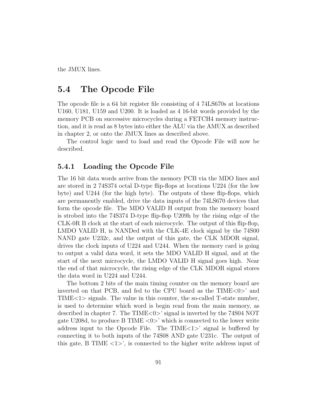the JMUX lines.

# 5.4 The Opcode File

The opcode file is a 64 bit register file consisting of 4 74LS670s at locations U160, U181, U159 and U200. It is loaded as 4 16-bit words provided by the memory PCB on successive microcycles during a FETCH4 memory instruction, and it is read as 8 bytes into either the ALU via the AMUX as described in chapter 2, or onto the JMUX lines as described above.

The control logic used to load and read the Opcode File will now be described.

## 5.4.1 Loading the Opcode File

The 16 bit data words arrive from the memory PCB via the MDO lines and are stored in 2 74S374 octal D-type flip-flops at locations U224 (for the low byte) and U244 (for the high byte). The outputs of these flip-flops, which are permanently enabled, drive the data inputs of the 74LS670 devices that form the opcode file. The MDO VALID H output from the memory board is strobed into the 74S374 D-type flip-flop U209h by the rising edge of the CLK-0R B clock at the start of each microcycle. The output of this flip-flop, LMDO VALID H, is NANDed with the CLK-4E clock signal by the 74S00 NAND gate U232c, and the output of this gate, the CLK MDOR signal, drives the clock inputs of U224 and U244. When the memory card is going to output a valid data word, it sets the MDO VALID H signal, and at the start of the next microcycle, the LMDO VALID H signal goes high. Near the end of that microcycle, the rising edge of the CLK MDOR signal stores the data word in U224 and U244.

The bottom 2 bits of the main timing counter on the memory board are inverted on that PCB, and fed to the CPU board as the TIME<0>' and TIME<1> signals. The value in this counter, the so-called T-state number, is used to determine which word is begin read from the main memory, as described in chapter 7. The TIME<0>' signal is inverted by the 74S04 NOT gate U208d, to produce B TIME  $\langle 0 \rangle$  which is connected to the lower write address input to the Opcode File. The  $TIME < 1$  signal is buffered by connecting it to both inputs of the 74S08 AND gate U231c. The output of this gate, B TIME  $\langle 1 \rangle$ , is connected to the higher write address input of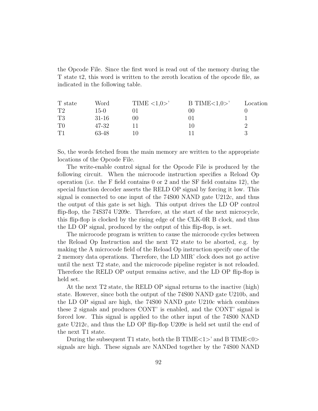the Opcode File. Since the first word is read out of the memory during the T state t2, this word is written to the zeroth location of the opcode file, as indicated in the following table.

| T state        | Word   | TIME $\langle 1,0 \rangle$ | B TIME $<1,0>$ | Location |
|----------------|--------|----------------------------|----------------|----------|
| T2             | $15-0$ |                            | $($ i $()()$   |          |
| T3             | 31-16  | 00                         | UI             |          |
| T <sub>0</sub> | 47-32  |                            |                |          |
| T1             | 63-48  |                            |                |          |

So, the words fetched from the main memory are written to the appropriate locations of the Opcode File.

The write-enable control signal for the Opcode File is produced by the following circuit. When the microcode instruction specifies a Reload Op operation (i.e. the F field contains 0 or 2 and the SF field contains 12), the special function decoder asserts the RELD OP signal by forcing it low. This signal is connected to one input of the 74S00 NAND gate U212c, and thus the output of this gate is set high. This output drives the LD OP control flip-flop, the 74S374 U209c. Therefore, at the start of the next microcycle, this flip-flop is clocked by the rising edge of the CLK-0R B clock, and thus the LD OP signal, produced by the output of this flip-flop, is set.

The microcode program is written to cause the microcode cycles between the Reload Op Instruction and the next T2 state to be aborted, e.g. by making the A microcode field of the Reload Op instruction specify one of the 2 memory data operations. Therefore, the LD MIR' clock does not go active until the next T2 state, and the microcode pipeline register is not reloaded. Therefore the RELD OP output remains active, and the LD OP flip-flop is held set.

At the next T2 state, the RELD OP signal returns to the inactive (high) state. However, since both the output of the 74S00 NAND gate U210b, and the LD OP signal are high, the 74S00 NAND gate U210c which combines these 2 signals and produces CONT' is enabled, and the CONT' signal is forced low. This signal is applied to the other input of the 74S00 NAND gate U212c, and thus the LD OP flip-flop U209c is held set until the end of the next T1 state.

During the subsequent T1 state, both the B TIME $\langle 1 \rangle$  and B TIME $\langle 0 \rangle$ signals are high. These signals are NANDed together by the 74S00 NAND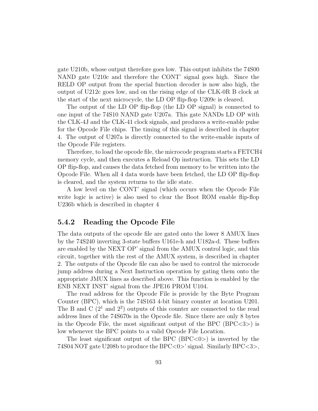gate U210b, whose output therefore goes low. This output inhibits the 74S00 NAND gate U210c and therefore the CONT' signal goes high. Since the RELD OP output from the special function decoder is now also high, the output of U212c goes low, and on the rising edge of the CLK-0R B clock at the start of the next microcycle, the LD OP flip-flop U209c is cleared.

The output of the LD OP flip-flop (the LD OP signal) is connected to one input of the 74S10 NAND gate U207a. This gate NANDs LD OP with the CLK-4J and the CLK-41 clock signals, and produces a write-enable pulse for the Opcode File chips. The timing of this signal is described in chapter 4. The output of U207a is directly connected to the write-enable inputs of the Opcode File registers.

Therefore, to load the opcode file, the microcode program starts a FETCH4 memory cycle, and then executes a Reload Op instruction. This sets the LD OP flip-flop, and causes the data fetched from memory to be written into the Opcode File. When all 4 data words have been fetched, the LD OP flip-flop is cleared, and the system returns to the idle state.

A low level on the CONT' signal (which occurs when the Opcode File write logic is active) is also used to clear the Boot ROM enable flip-flop U236b which is described in chapter 4

## 5.4.2 Reading the Opcode File

The data outputs of the opcode file are gated onto the lower 8 AMUX lines by the 74S240 inverting 3-state buffers U161e-h and U182a-d. These buffers are enabled by the NEXT OP' signal from the AMUX control logic, and this circuit, together with the rest of the AMUX system, is described in chapter 2. The outputs of the Opcode file can also be used to control the microcode jump address during a Next Instruction operation by gating them onto the appropriate JMUX lines as described above. This function is enabled by the ENB NEXT INST' signal from the JPE16 PROM U104.

The read address for the Opcode File is provide by the Byte Program Counter (BPC), which is the 74S163 4-bit binary counter at location U201. The B and C  $(2^1 \text{ and } 2^2)$  outputs of this counter are connected to the read address lines of the 74S670s in the Opcode file. Since there are only 8 bytes in the Opcode File, the most significant output of the BPC  $(BPC < 3)$  is low whenever the BPC points to a valid Opcode File Location.

The least significant output of the BPC  $(BPC\langle 0\rangle)$  is inverted by the 74S04 NOT gate U208b to produce the BPC<0>' signal. Similarly BPC<3>,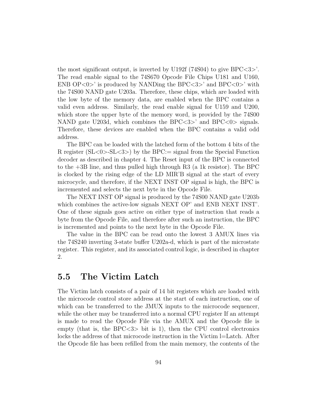the most significant output, is inverted by U192f  $(74S04)$  to give BPC $\lt3>$ '. The read enable signal to the 74S670 Opcode File Chips U181 and U160, ENB  $\text{OP}<0$  is produced by NANDing the BPC $\lt3$  and BPC $\lt0$  with the 74S00 NAND gate U203a. Therefore, these chips, which are loaded with the low byte of the memory data, are enabled when the BPC contains a valid even address. Similarly, the read enable signal for U159 and U200, which store the upper byte of the memory word, is provided by the 74S00 NAND gate U203d, which combines the BPC $\langle 3 \rangle$  and BPC $\langle 0 \rangle$  signals. Therefore, these devices are enabled when the BPC contains a valid odd address.

The BPC can be loaded with the latched form of the bottom 4 bits of the R register  $(SL<0>SL<3>)$  by the BPC:= signal from the Special Function decoder as described in chapter 4. The Reset input of the BPC is connected to the +3B line, and thus pulled high through R3 (a 1k resistor). The BPC is clocked by the rising edge of the LD MIR'B signal at the start of every microcycle, and therefore, if the NEXT INST OP signal is high, the BPC is incremented and selects the next byte in the Opcode File.

The NEXT INST OP signal is produced by the 74S00 NAND gate U203b which combines the active-low signals NEXT OP' and ENB NEXT INST'. One of these signals goes active on either type of instruction that reads a byte from the Opcode File, and therefore after such an instruction, the BPC is incremented and points to the next byte in the Opcode File.

The value in the BPC can be read onto the lowest 3 AMUX lines via the 74S240 inverting 3-state buffer U202a-d, which is part of the microstate register. This register, and its associated control logic, is described in chapter 2.

# 5.5 The Victim Latch

The Victim latch consists of a pair of 14 bit registers which are loaded with the microcode control store address at the start of each instruction, one of which can be transferred to the JMUX inputs to the microcode sequencer, while the other may be transferred into a normal CPU register If an attempt is made to read the Opcode File via the AMUX and the Opcode file is empty (that is, the  $\text{BPC} < 3$  bit is 1), then the CPU control electronics locks the address of that microcode instruction in the Victim l=Latch. After the Opcode file has been refilled from the main memory, the contents of the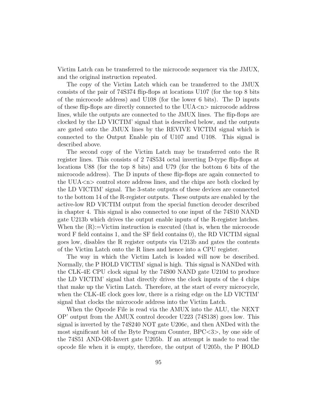Victim Latch can be transferred to the microcode sequencer via the JMUX, and the original instruction repeated.

The copy of the Victim Latch which can be transferred to the JMUX consists of the pair of 74S374 flip-flops at locations U107 (for the top 8 bits of the microcode address) and U108 (for the lower 6 bits). The D inputs of these flip-flops are directly connected to the  $UUA\langle n\rangle$  microcode address lines, while the outputs are connected to the JMUX lines. The flip-flops are clocked by the LD VICTIM' signal that is described below, and the outputs are gated onto the JMUX lines by the REVIVE VICTIM signal which is connected to the Output Enable pin of U107 amd U108. This signal is described above.

The second copy of the Victim Latch may be transferred onto the R register lines. This consists of 2 74S534 octal inverting D-type flip-flops at locations U88 (for the top 8 bits) and U79 (for the bottom 6 bits of the microcode address). The D inputs of these flip-flops are again connected to the  $UUA \leq n$  control store address lines, and the chips are both clocked by the LD VICTIM' signal. The 3-state outputs of these devices are connected to the bottom 14 of the R-register outputs. These outputs are enabled by the active-low RD VICTIM output from the special function decoder described in chapter 4. This signal is also connected to one input of the 74S10 NAND gate U213b which drives the output enable inputs of the R-register latches. When the  $(R)$ :=Victim instruction is executed (that is, when the microcode word F field contains 1, and the SF field contains 0), the RD VICTIM signal goes low, disables the R register outputs via U213b and gates the contents of the Victim Latch onto the R lines and hence into a CPU register.

The way in which the Victim Latch is loaded will now be described. Normally, the P HOLD VICTIM' signal is high. This signal is NANDed with the CLK-4E CPU clock signal by the 74S00 NAND gate U210d to produce the LD VICTIM' signal that directly drives the clock inputs of the 4 chips that make up the Victim Latch. Therefore, at the start of every microcycle, when the CLK-4E clock goes low, there is a rising edge on the LD VICTIM' signal that clocks the microcode address into the Victim Latch.

When the Opcode File is read via the AMUX into the ALU, the NEXT OP' output from the AMUX control decoder U223 (74S138) goes low. This signal is inverted by the 74S240 NOT gate U206c, and then ANDed with the most significant bit of the Byte Program Counter, BPC<3>, by one side of the 74S51 AND-OR-Invert gate U205b. If an attempt is made to read the opcode file when it is empty, therefore, the output of U205b, the P HOLD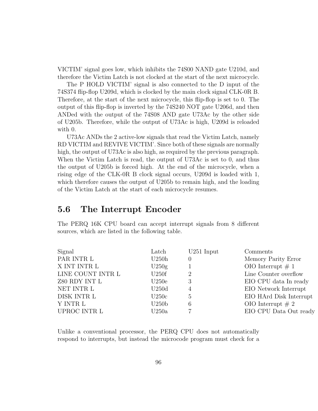VICTIM' signal goes low, which inhibits the 74S00 NAND gate U210d, and therefore the Victim Latch is not clocked at the start of the next microcycle.

The P HOLD VICTIM' signal is also connected to the D input of the 74S374 flip-flop U209d, which is clocked by the main clock signal CLK-0R B. Therefore, at the start of the next microcycle, this flip-flop is set to 0. The output of this flip-flop is inverted by the 74S240 NOT gate U206d, and then ANDed with the output of the 74S08 AND gate U73Ac by the other side of U205b. Therefore, while the output of U73Ac is high, U209d is reloaded with 0.

U73Ac ANDs the 2 active-low signals that read the Victim Latch, namely RD VICTIM and REVIVE VICTIM'. Since both of these signals are normally high, the output of U73Ac is also high, as required by the previous paragraph. When the Victim Latch is read, the output of U73Ac is set to 0, and thus the output of U205b is forced high. At the end of the microcycle, when a rising edge of the CLK-0R B clock signal occurs, U209d is loaded with 1, which therefore causes the output of U205b to remain high, and the loading of the Victim Latch at the start of each microcycle resumes.

# 5.6 The Interrupt Encoder

The PERQ 16K CPU board can accept interrupt signals from 8 different sources, which are listed in the following table.

| Latch             | $U251$ Input | Comments                |
|-------------------|--------------|-------------------------|
| U250h             | $\theta$     | Memory Parity Error     |
| U250g             |              | OIO Interrupt $\# 1$    |
| U250f             | 2            | Line Counter overflow   |
| U250e             | 3            | EIO CPU data In ready   |
| U250d             | 4            | EIO Network Interrupt   |
| U250c             | 5            | EIO HArd Disk Interrupt |
| U250 <sub>b</sub> | 6            | OIO Interrupt $#2$      |
| U250a             |              | EIO CPU Data Out ready  |
|                   |              |                         |

Unlike a conventional processor, the PERQ CPU does not automatically respond to interrupts, but instead the microcode program must check for a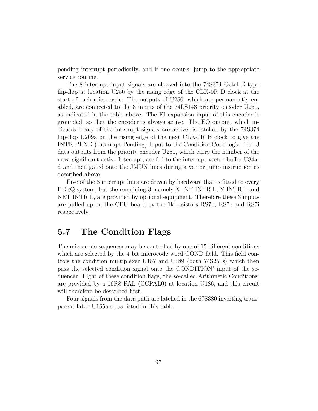pending interrupt periodically, and if one occurs, jump to the appropriate service routine.

The 8 interrupt input signals are clocked into the 74S374 Octal D-type flip-flop at location U250 by the rising edge of the CLK-0R D clock at the start of each microcycle. The outputs of U250, which are permanently enabled, are connected to the 8 inputs of the 74LS148 priority encoder U251, as indicated in the table above. The EI expansion input of this encoder is grounded, so that the encoder is always active. The EO output, which indicates if any of the interrupt signals are active, is latched by the 74S374 flip-flop U209a on the rising edge of the next CLK-0R B clock to give the INTR PEND (Interrupt Pending) Input to the Condition Code logic. The 3 data outputs from the priority encoder U251, which carry the number of the most significant active Interrupt, are fed to the interrupt vector buffer U84ad and then gated onto the JMUX lines during a vector jump instruction as described above.

Five of the 8 interrupt lines are driven by hardware that is fitted to every PERQ system, but the remaining 3, namely X INT INTR L, Y INTR L and NET INTR L, are provided by optional equipment. Therefore these 3 inputs are pulled up on the CPU board by the 1k resistors RS7b, RS7c and RS7i respectively.

# 5.7 The Condition Flags

The microcode sequencer may be controlled by one of 15 different conditions which are selected by the 4 bit microcode word COND field. This field controls the condition multiplexer U187 and U189 (both 74S251s) which then pass the selected condition signal onto the CONDITION' input of the sequencer. Eight of these condition flags, the so-called Arithmetic Conditions, are provided by a 16R8 PAL (CCPAL0) at location U186, and this circuit will therefore be described first.

Four signals from the data path are latched in the 67S380 inverting transparent latch U165a-d, as listed in this table.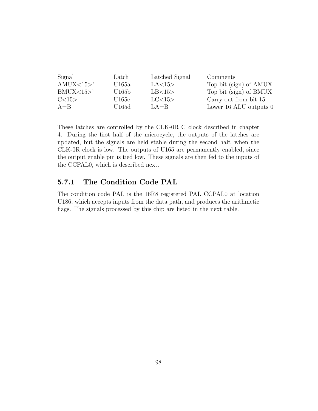| Signal   | Latch             | Latched Signal | Comments                 |
|----------|-------------------|----------------|--------------------------|
| AMUX <15 | U165a             | LA<15>         | Top bit (sign) of AMUX   |
| BMUX <15 | U165 <sub>b</sub> | LB<15>         | Top bit (sign) of BMUX   |
| C<15     | U165c             | LC<15>         | Carry out from bit 15    |
| $A = B$  | U165d             | $LA = B$       | Lower 16 ALU outputs $0$ |

These latches are controlled by the CLK-0R C clock described in chapter 4. During the first half of the microcycle, the outputs of the latches are updated, but the signals are held stable during the second half, when the CLK-0R clock is low. The outputs of U165 are permanently enabled, since the output enable pin is tied low. These signals are then fed to the inputs of the CCPAL0, which is described next.

# 5.7.1 The Condition Code PAL

The condition code PAL is the 16R8 registered PAL CCPAL0 at location U186, which accepts inputs from the data path, and produces the arithmetic flags. The signals processed by this chip are listed in the next table.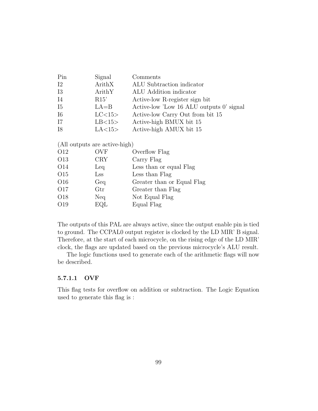| Pin        | Signal   | Comments                                 |
|------------|----------|------------------------------------------|
| $12\,$     | ArithX   | ALU Subtraction indicator                |
| 13         | ArithY   | ALU Addition indicator                   |
| <b>I4</b>  | R15'     | Active-low R-register sign bit           |
| <b>I5</b>  | $LA = B$ | Active-low 'Low 16 ALU outputs 0' signal |
| <b>I</b> 6 | LC < 15  | Active-low Carry Out from bit 15         |
| I7         | LB<15>   | Active-high BMUX bit 15                  |
| I8         | LA<15>   | Active-high AMUX bit 15                  |

(All outputs are active-high)

| O12             | <b>OVF</b>           | Overflow Flag              |
|-----------------|----------------------|----------------------------|
| O13             | <b>CRY</b>           | Carry Flag                 |
| O <sub>14</sub> | Leq                  | Less than or equal Flag    |
| O15             | $\rm Lss$            | Less than Flag             |
| O16             | Geq                  | Greater than or Equal Flag |
| O17             | $\operatorname{Gtr}$ | Greater than Flag          |
| O18             | Neq                  | Not Equal Flag             |
| O19             | EQL                  | Equal Flag                 |
|                 |                      |                            |

The outputs of this PAL are always active, since the output enable pin is tied to ground. The CCPAL0 output register is clocked by the LD MIR' B signal. Therefore, at the start of each microcycle, on the rising edge of the LD MIR' clock, the flags are updated based on the previous microcycle's ALU result.

The logic functions used to generate each of the arithmetic flags will now be described.

#### 5.7.1.1 OVF

This flag tests for overflow on addition or subtraction. The Logic Equation used to generate this flag is :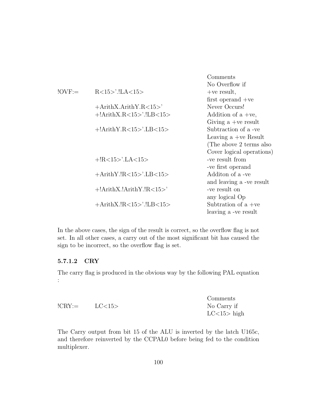|                  |                             | Comments                  |
|------------------|-----------------------------|---------------------------|
|                  |                             | No Overflow if            |
| $\text{IOVF} :=$ |                             | $+ve$ result,             |
|                  |                             | first operand $+ve$       |
|                  | $+ArithX.ArithY.R < 15>$    | Never Occurs!             |
|                  | $+!$ ArithX.R<15>'.!LB<15>  | Addition of $a +ve$ ,     |
|                  |                             | Giving $a +ve$ result     |
|                  | $+!$ ArithY.R<15>'.LB<15>   | Subtraction of a -ve      |
|                  |                             | Leaving $a +ve$ Result    |
|                  |                             | (The above 2 terms also   |
|                  |                             | Cover logical operations) |
|                  | $+!R<15>$ '.LA $<15>$       | -ve result from           |
|                  |                             | -ve first operand         |
|                  | $+ArithY.IR<15>$ .LB $<15>$ | Additon of a -ve          |
|                  |                             | and leaving a -ve result  |
|                  | $+!$ ArithX.!ArithY.!R<15>' | -ve result on             |
|                  |                             | any logical Op            |
|                  | $+A$ rithX.!R<15>'.!LB<15>  | Subtration of a $+ve$     |
|                  |                             | leaving a -ve result      |

In the above cases, the sign of the result is correct, so the overflow flag is not set. In all other cases, a carry out of the most significant bit has caused the sign to be incorrect, so the overflow flag is set.

## 5.7.1.2 CRY

The carry flag is produced in the obvious way by the following PAL equation :

|                    |         | Comments      |
|--------------------|---------|---------------|
| $!{\rm CRY}\!\!:=$ | LC < 15 | No Carry if   |
|                    |         | $LC<15>$ high |

The Carry output from bit 15 of the ALU is inverted by the latch U165c, and therefore reinverted by the CCPAL0 before being fed to the condition multiplexer.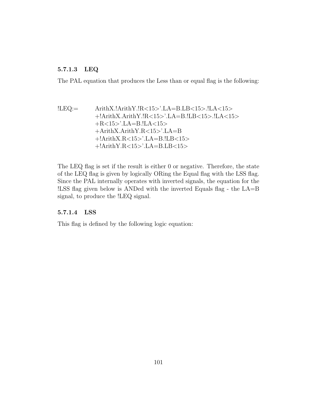# 5.7.1.3 LEQ

The PAL equation that produces the Less than or equal flag is the following:

!LEQ:= ArithX.!ArithY.!R<15>'.LA=B.LB<15>.!LA<15> +!ArithX.ArithY.!R<15>'.LA=B.!LB<15>.!LA<15> +R<15>'.LA=B.!LA<15> +ArithX.ArithY.R<15>'.LA=B +!ArithX.R<15>'.LA=B.!LB<15> +!ArithY.R<15>'.LA=B.LB<15>

The LEQ flag is set if the result is either 0 or negative. Therefore, the state of the LEQ flag is given by logically ORing the Equal flag with the LSS flag. Since the PAL internally operates with inverted signals, the equation for the !LSS flag given below is ANDed with the inverted Equals flag - the LA=B signal, to produce the !LEQ signal.

## 5.7.1.4 LSS

This flag is defined by the following logic equation: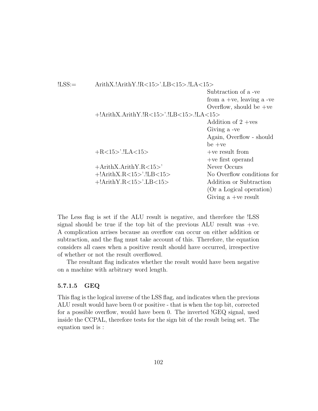| ArithX.!ArithY.!R<15>'.LB<15>.!LA<15>      |                              |  |
|--------------------------------------------|------------------------------|--|
|                                            | Subtraction of a -ve         |  |
|                                            | from a +ve, leaving a -ve    |  |
|                                            | Overflow, should be $+ve$    |  |
| $+!$ ArithX.ArithY.!R<15>'.!LB<15>.!LA<15> |                              |  |
|                                            | Addition of $2 + \text{ves}$ |  |
|                                            | Giving a -ve                 |  |
|                                            | Again, Overflow - should     |  |
|                                            | $be +ve$                     |  |
|                                            | $+ve$ result from            |  |
|                                            | $+ve$ first operand          |  |
| $+ArithX.ArithY.R < 15>$                   | Never Occurs                 |  |
| $+!$ ArithX.R<15>'.!LB<15>                 | No Overflow conditions for   |  |
| $+!$ ArithY.R<15>'.LB<15>                  | Addition or Subtraction      |  |
|                                            | (Or a Logical operation)     |  |
|                                            | Giving a +ve result          |  |
|                                            |                              |  |

The Less flag is set if the ALU result is negative, and therefore the !LSS signal should be true if the top bit of the previous  $ALU$  result was  $+ve$ . A complication arrises because an overflow can occur on either addition or subtraction, and the flag must take account of this. Therefore, the equation considers all cases when a positive result should have occurred, irrespective of whether or not the result overflowed.

The resultant flag indicates whether the result would have been negative on a machine with arbitrary word length.

## 5.7.1.5 GEQ

This flag is the logical inverse of the LSS flag, and indicates when the previous ALU result would have been 0 or positive - that is when the top bit, corrected for a possible overflow, would have been 0. The inverted !GEQ signal, used inside the CCPAL, therefore tests for the sign bit of the result being set. The equation used is :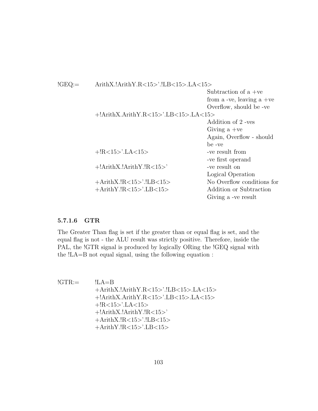| $!{\rm GEO}\!\!:=$ | ArithX.!ArithY.R<15>'.!LB<15>.LA<15>    |                            |
|--------------------|-----------------------------------------|----------------------------|
|                    |                                         | Subtraction of $a +ve$     |
|                    |                                         | from a -ve, leaving a +ve  |
|                    |                                         | Overflow, should be -ve    |
|                    | $+!$ ArithX.ArithY.R<15>'.LB<15>.LA<15> |                            |
|                    |                                         | Addition of 2 -ves         |
|                    |                                         | Giving $a +ve$             |
|                    |                                         | Again, Overflow - should   |
|                    |                                         | be -ve                     |
|                    | $+!R<15>$ '.LA $<15>$                   | -ve result from            |
|                    |                                         | -ve first operand          |
|                    | $+!$ ArithX. $!$ ArithY. $!$ R<15>'     | -ve result on              |
|                    |                                         | Logical Operation          |
|                    | $+A$ rithX.!R<15>'.!LB<15>              | No Overflow conditions for |
|                    | $+A$ rithY.!R<15>'.LB<15>               | Addition or Subtraction    |
|                    |                                         | Giving a -ve result        |
|                    |                                         |                            |

## 5.7.1.6 GTR

The Greater Than flag is set if the greater than or equal flag is set, and the equal flag is not - the ALU result was strictly positive. Therefore, inside the PAL, the !GTR signal is produced by logically ORing the !GEQ signal with the !LA=B not equal signal, using the following equation :

 $!GTR :=$   $!LA=B$ +ArithX.!ArithY.R<15>'.!LB<15>.LA<15> +!ArithX.ArithY.R<15>'.LB<15>.LA<15> +!R<15>'.LA<15> +!ArithX.!ArithY.!R<15>' +ArithX.!R<15>'.!LB<15> +ArithY.!R<15>'.LB<15>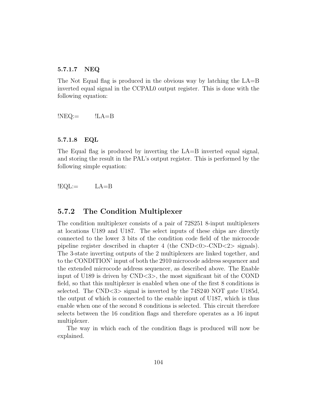#### 5.7.1.7 NEQ

The Not Equal flag is produced in the obvious way by latching the LA=B inverted equal signal in the CCPAL0 output register. This is done with the following equation:

 $$ 

### 5.7.1.8 EQL

The Equal flag is produced by inverting the LA=B inverted equal signal, and storing the result in the PAL's output register. This is performed by the following simple equation:

$$
!EQL:= LA=B
$$

# 5.7.2 The Condition Multiplexer

The condition multiplexer consists of a pair of 72S251 8-input multiplexers at locations U189 and U187. The select inputs of these chips are directly connected to the lower 3 bits of the condition code field of the microcode pipeline register described in chapter 4 (the  $\text{CND}<0$ )- $\text{CND}<2$ ) signals). The 3-state inverting outputs of the 2 multiplexers are linked together, and to the CONDITION' input of both the 2910 microcode address sequencer and the extended microcode address sequencer, as described above. The Enable input of U189 is driven by CND<3>, the most significant bit of the COND field, so that this multiplexer is enabled when one of the first 8 conditions is selected. The CND<3> signal is inverted by the 74S240 NOT gate U185d, the output of which is connected to the enable input of U187, which is thus enable when one of the second 8 conditions is selected. This circuit therefore selects between the 16 condition flags and therefore operates as a 16 input multiplexer.

The way in which each of the condition flags is produced will now be explained.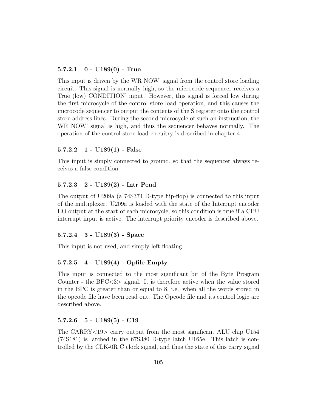## $5.7.2.1 \quad 0 - U189(0)$  - True

This input is driven by the WR NOW' signal from the control store loading circuit. This signal is normally high, so the microcode sequencer receives a True (low) CONDITION' input. However, this signal is forced low during the first microcycle of the control store load operation, and this causes the microcode sequencer to output the contents of the S register onto the control store address lines. During the second microcycle of such an instruction, the WR NOW' signal is high, and thus the sequencer behaves normally. The operation of the control store load circuitry is described in chapter 4.

### $5.7.2.2 \quad 1 - \text{U189}(1)$  - False

This input is simply connected to ground, so that the sequencer always receives a false condition.

#### 5.7.2.3 2 - U189(2) - Intr Pend

The output of U209a (a 74S374 D-type flip-flop) is connected to this input of the multiplexer. U209a is loaded with the state of the Interrupt encoder EO output at the start of each microcycle, so this condition is true if a CPU interrupt input is active. The interrupt priority encoder is described above.

## 5.7.2.4 3 - U189(3) - Space

This input is not used, and simply left floating.

#### 5.7.2.5 4 - U189(4) - Opfile Empty

This input is connected to the most significant bit of the Byte Program Counter - the BPC<3> signal. It is therefore active when the value stored in the BPC is greater than or equal to 8, i.e. when all the words stored in the opcode file have been read out. The Opcode file and its control logic are described above.

### $5.7.2.6 \quad 5 - \mathrm{U}189(5) - \mathrm{C}19$

The CARRY<19> carry output from the most significant ALU chip U154 (74S181) is latched in the 67S380 D-type latch U165e. This latch is controlled by the CLK-0R C clock signal, and thus the state of this carry signal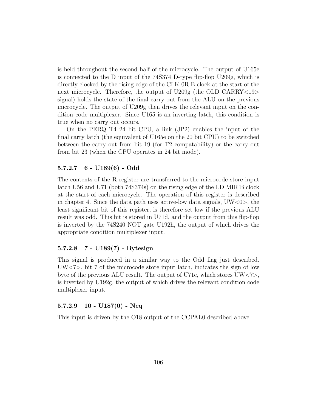is held throughout the second half of the microcycle. The output of U165e is connected to the D input of the 74S374 D-type flip-flop U209g, which is directly clocked by the rising edge of the CLK-0R B clock at the start of the next microcycle. Therefore, the output of U209g (the OLD CARRY<19> signal) holds the state of the final carry out from the ALU on the previous microcycle. The output of U209g then drives the relevant input on the condition code multiplexer. Since U165 is an inverting latch, this condition is true when no carry out occurs.

On the PERQ T4 24 bit CPU, a link (JP2) enables the input of the final carry latch (the equivalent of U165e on the 20 bit CPU) to be switched between the carry out from bit 19 (for T2 compatability) or the carry out from bit 23 (when the CPU operates in 24 bit mode).

### 5.7.2.7 6 - U189(6) - Odd

The contents of the R register are transferred to the microcode store input latch U56 and U71 (both 74S374s) on the rising edge of the LD MIR'B clock at the start of each microcycle. The operation of this register is described in chapter 4. Since the data path uses active-low data signals,  $UW<0>$ , the least significant bit of this register, is therefore set low if the previous ALU result was odd. This bit is stored in U71d, and the output from this flip-flop is inverted by the 74S240 NOT gate U192h, the output of which drives the appropriate condition multiplexer input.

# 5.7.2.8 7 - U189(7) - Bytesign

This signal is produced in a similar way to the Odd flag just described. UW<7>, bit 7 of the microcode store input latch, indicates the sign of low byte of the previous ALU result. The output of U71e, which stores UW<7>, is inverted by U192g, the output of which drives the relevant condition code multiplexer input.

# $5.7.2.9$  10 - U187(0) - Neq

This input is driven by the O18 output of the CCPAL0 described above.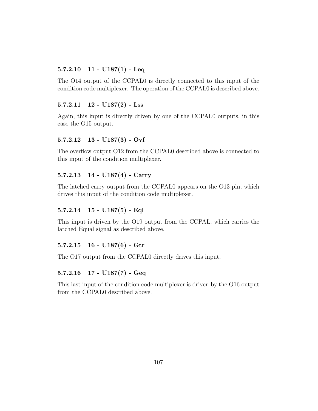# $5.7.2.10$  11 -  $U187(1)$  - Leq

The O14 output of the CCPAL0 is directly connected to this input of the condition code multiplexer. The operation of the CCPAL0 is described above.

## $5.7.2.11$   $12$  -  $U187(2)$  - Lss

Again, this input is directly driven by one of the CCPAL0 outputs, in this case the O15 output.

## 5.7.2.12 13 - U187(3) - Ovf

The overflow output O12 from the CCPAL0 described above is connected to this input of the condition multiplexer.

### 5.7.2.13 14 - U187(4) - Carry

The latched carry output from the CCPAL0 appears on the O13 pin, which drives this input of the condition code multiplexer.

## 5.7.2.14 15 - U187(5) - Eql

This input is driven by the O19 output from the CCPAL, which carries the latched Equal signal as described above.

### 5.7.2.15 16 - U187(6) - Gtr

The O17 output from the CCPAL0 directly drives this input.

## 5.7.2.16 17 - U187(7) - Geq

This last input of the condition code multiplexer is driven by the O16 output from the CCPAL0 described above.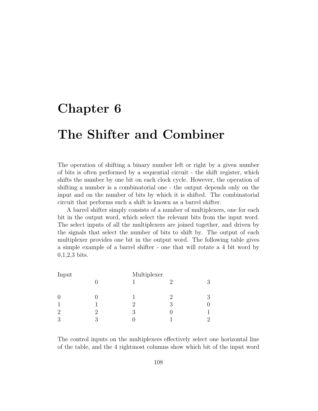# Chapter 6

# The Shifter and Combiner

The operation of shifting a binary number left or right by a given number of bits is often performed by a sequential circuit - the shift register, which shifts the number by one bit on each clock cycle. However, the operation of shifting a number is a combinatorial one - the output depends only on the input and on the number of bits by which it is shifted. The combinatorial circuit that performs such a shift is known as a barrel shifter.

A barrel shifter simply consists of a number of multiplexers, one for each bit in the output word, which select the relevant bits from the input word. The select inputs of all the multiplexers are joined together, and driven by the signals that select the number of bits to shift by. The output of each multiplexer provides one bit in the output word. The following table gives a simple example of a barrel shifter - one that will rotate a 4 bit word by 0,1,2,3 bits.

| Input          |    | Multiplexer |   |   |
|----------------|----|-------------|---|---|
|                |    |             |   | 3 |
| $\theta$       |    |             | 2 | 3 |
|                |    | 9           | २ |   |
| $\overline{2}$ | ') |             |   |   |
| 3              | 2  |             |   | 2 |

The control inputs on the multiplexers effectively select one horizontal line of the table, and the 4 rightmost columns show which bit of the input word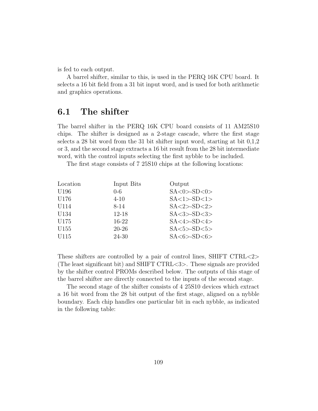is fed to each output.

A barrel shifter, similar to this, is used in the PERQ 16K CPU board. It selects a 16 bit field from a 31 bit input word, and is used for both arithmetic and graphics operations.

# 6.1 The shifter

The barrel shifter in the PERQ 16K CPU board consists of 11 AM25S10 chips. The shifter is designed as a 2-stage cascade, where the first stage selects a 28 bit word from the 31 bit shifter input word, starting at bit 0,1,2 or 3, and the second stage extracts a 16 bit result from the 28 bit intermediate word, with the control inputs selecting the first nybble to be included.

The first stage consists of 7 25S10 chips at the following locations:

| Location         | Input Bits | Output               |
|------------------|------------|----------------------|
| U <sub>196</sub> | $0-6$      | $SA <0>-SD <0>$      |
| U176             | $4 - 10$   | $SA < 1 > -SD < 1 >$ |
| U114             | 8-14       | $SA < 2 > -SD < 2 >$ |
| U134             | $12 - 18$  | $SA < 3 > -SD < 3 >$ |
| U175             | 16-22      | $SA < 4 > -SD < 4 >$ |
| U <sub>155</sub> | $20 - 26$  | $SA < 5 > -SD < 5 >$ |
| U115             | 24-30      | $SA < 6 > -SD < 6 >$ |
|                  |            |                      |

These shifters are controlled by a pair of control lines, SHIFT CTRL<2> (The least significant bit) and SHIFT CTRL<3>. These signals are provided by the shifter control PROMs described below. The outputs of this stage of the barrel shifter are directly connected to the inputs of the second stage.

The second stage of the shifter consists of 4 25S10 devices which extract a 16 bit word from the 28 bit output of the first stage, aligned on a nybble boundary. Each chip handles one particular bit in each nybble, as indicated in the following table: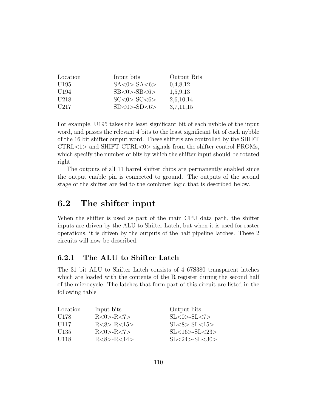| Location         | Input bits           | Output Bits |
|------------------|----------------------|-------------|
| U195             | $SA < 0 > -SA < 6>$  | 0,4,8,12    |
| U <sub>194</sub> | $SB<0$ > $-SB<6$ >   | 1,5,9,13    |
| U218             | $SC < 0 > -SC < 6 >$ | 2,6,10,14   |
| U217             | $SD < 0 > -SD < 6 >$ | 3,7,11,15   |

For example, U195 takes the least significant bit of each nybble of the input word, and passes the relevant 4 bits to the least significant bit of each nybble of the 16 bit shifter output word. These shifters are controlled by the SHIFT CTRL<1> and SHIFT CTRL<0> signals from the shifter control PROMs, which specify the number of bits by which the shifter input should be rotated right.

The outputs of all 11 barrel shifter chips are permanently enabled since the output enable pin is connected to ground. The outputs of the second stage of the shifter are fed to the combiner logic that is described below.

# 6.2 The shifter input

When the shifter is used as part of the main CPU data path, the shifter inputs are driven by the ALU to Shifter Latch, but when it is used for raster operations, it is driven by the outputs of the half pipeline latches. These 2 circuits will now be described.

# 6.2.1 The ALU to Shifter Latch

The 31 bit ALU to Shifter Latch consists of 4 67S380 transparent latches which are loaded with the contents of the R register during the second half of the microcycle. The latches that form part of this circuit are listed in the following table

| Location         | Input bits       | Output bits            |
|------------------|------------------|------------------------|
| U <sub>178</sub> | R < 0 > R < 7 >  | $SL < 0 > -SL < 7>$    |
| U <sub>117</sub> | R < 8 > R < 15 > | $SL < 8 > -SL < 15 >$  |
| U135             | R < 0 > R < 7 >  | $SL < 16 > -SL < 23 >$ |
| U <sub>118</sub> | R < 8 > R < 14 > | $SL < 24 > -SL < 30 >$ |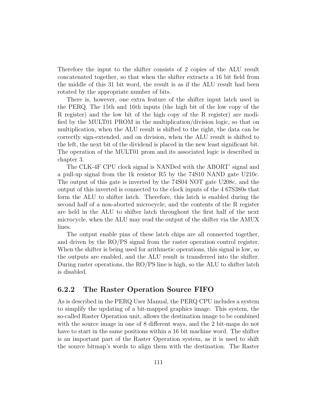Therefore the input to the shifter consists of 2 copies of the ALU result concatenated together, so that when the shifter extracts a 16 bit field from the middle of this 31 bit word, the result is as if the ALU result had been rotated by the appropriate number of bits.

There is, however, one extra feature of the shifter input latch used in the PERQ. The 15th and 16th inputs (the high bit of the low copy of the R register) and the low bit of the high copy of the R register) are modified by the MULT01 PROM in the multiplication/division logic, so that on multiplication, when the ALU result is shifted to the right, the data can be correctly sign-extended, and on division, when the ALU result is shifted to the left, the next bit of the dividend is placed in the new least significant bit. The operation of the MULT01 prom and its associated logic is described in chapter 3.

The CLK-4F CPU clock signal is NANDed with the ABORT' signal and a pull-up signal from the 1k resistor R5 by the 74S10 NAND gate U210c. The output of this gate is inverted by the 74S04 NOT gate U208c, and the output of this inverted is connected to the clock inputs of the 4 67S380s that form the ALU to shifter latch. Therefore, this latch is enabled during the second half of a non-aborted microcycle, and the contents of the R register are held in the ALU to shifter latch throughout the first half of the next microcycle, when the ALU may read the output of the shifter via the AMUX lines.

The output enable pins of these latch chips are all connected together, and driven by the RO/PS signal from the raster operation control register. When the shifter is being used for arithmetic operations, this signal is low, so the outputs are enabled, and the ALU result is transferred into the shifter. During raster operations, the RO/PS line is high, so the ALU to shifter latch is disabled.

# 6.2.2 The Raster Operation Source FIFO

As is described in the PERQ User Manual, the PERQ CPU includes a system to simplify the updating of a bit-mapped graphics image. This system, the so-called Raster Operation unit, allows the destination image to be combined with the source image in one of 8 different ways, and the 2 bit-maps do not have to start in the same positions within a 16 bit machine word. The shifter is an important part of the Raster Operation system, as it is used to shift the source bitmap's words to align them with the destination. The Raster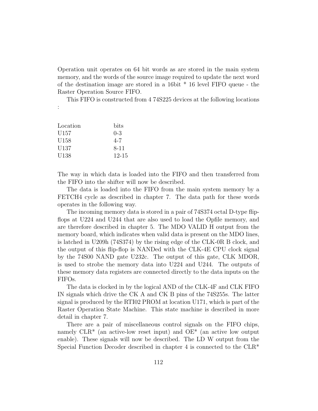Operation unit operates on 64 bit words as are stored in the main system memory, and the words of the source image required to update the next word of the destination image are stored in a 16bit \* 16 level FIFO queue - the Raster Operation Source FIFO.

This FIFO is constructed from 4 74S225 devices at the following locations

| Location         | bits      |
|------------------|-----------|
| U <sub>157</sub> | $0 - 3$   |
| U <sub>158</sub> | $4 - 7$   |
| U137             | 8-11      |
| U138             | $12 - 15$ |

:

The way in which data is loaded into the FIFO and then transferred from the FIFO into the shifter will now be described.

The data is loaded into the FIFO from the main system memory by a FETCH4 cycle as described in chapter 7. The data path for these words operates in the following way.

The incoming memory data is stored in a pair of 74S374 octal D-type flipflops at U224 and U244 that are also used to load the Opfile memory, and are therefore described in chapter 5. The MDO VALID H output from the memory board, which indicates when valid data is present on the MDO lines, is latched in U209h (74S374) by the rising edge of the CLK-0R B clock, and the output of this flip-flop is NANDed with the CLK-4E CPU clock signal by the 74S00 NAND gate U232c. The output of this gate, CLK MDOR, is used to strobe the memory data into U224 and U244. The outputs of these memory data registers are connected directly to the data inputs on the FIFOs.

The data is clocked in by the logical AND of the CLK-4F and CLK FIFO IN signals which drive the CK A and CK B pins of the 74S255s. The latter signal is produced by the RTI02 PROM at location U171, which is part of the Raster Operation State Machine. This state machine is described in more detail in chapter 7.

There are a pair of miscellaneous control signals on the FIFO chips, namely  $CLR^*$  (an active-low reset input) and  $OE^*$  (an active low output enable). These signals will now be described. The LD W output from the Special Function Decoder described in chapter 4 is connected to the CLR\*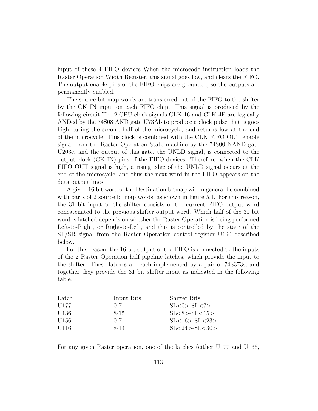input of these 4 FIFO devices When the microcode instruction loads the Raster Operation Width Register, this signal goes low, and clears the FIFO. The output enable pins of the FIFO chips are grounded, so the outputs are permanently enabled.

The source bit-map words are transferred out of the FIFO to the shifter by the CK IN input on each FIFO chip. This signal is produced by the following circuit The 2 CPU clock signals CLK-16 and CLK-4E are logically ANDed by the 74S08 AND gate U73Ab to produce a clock pulse that is goes high during the second half of the microcycle, and returns low at the end of the microcycle. This clock is combined with the CLK FIFO OUT enable signal from the Raster Operation State machine by the 74S00 NAND gate U203c, and the output of this gate, the UNLD signal, is connected to the output clock (CK IN) pins of the FIFO devices. Therefore, when the CLK FIFO OUT signal is high, a rising edge of the UNLD signal occurs at the end of the microcycle, and thus the next word in the FIFO appears on the data output lines

A given 16 bit word of the Destination bitmap will in general be combined with parts of 2 source bitmap words, as shown in figure 5.1. For this reason, the 31 bit input to the shifter consists of the current FIFO output word concatenated to the previous shifter output word. Which half of the 31 bit word is latched depends on whether the Raster Operation is being performed Left-to-Right, or Right-to-Left, and this is controlled by the state of the SL/SR signal from the Raster Operation control register U190 described below.

For this reason, the 16 bit output of the FIFO is connected to the inputs of the 2 Raster Operation half pipeline latches, which provide the input to the shifter. These latches are each implemented by a pair of 74S373s, and together they provide the 31 bit shifter input as indicated in the following table.

| Latch            | Input Bits | Shifter Bits           |
|------------------|------------|------------------------|
| U177             | $(1 - 7)$  | $SL < 0 > -SL < 7>$    |
| U136             | 8-15       | $SL <8>$ - $SL <15>$   |
| U156             | $0 - 7$    | $SL < 16 > -SL < 23 >$ |
| U <sub>116</sub> | 8-14       | $SL < 24 > -SL < 30>$  |
|                  |            |                        |

For any given Raster operation, one of the latches (either U177 and U136,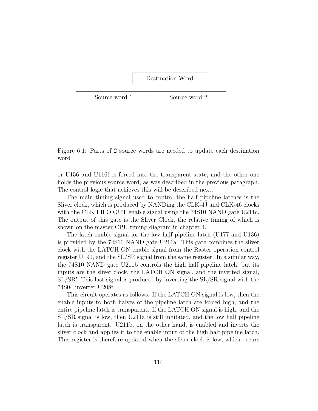

Figure 6.1: Parts of 2 source words are needed to update each destination word

or U156 and U116) is forced into the transparent state, and the other one holds the previous source word, as was described in the previous paragraph. The control logic that achieves this will be described next.

The main timing signal used to control the half pipeline latches is the Sliver clock, which is produced by NANDing the CLK-4J and CLK-46 clocks with the CLK FIFO OUT enable signal using the 74S10 NAND gate U211c. The output of this gate is the Sliver Clock, the relative timing of which is shown on the master CPU timing diagram in chapter 4.

The latch enable signal for the low half pipeline latch (U177 and U136) is provided by the 74S10 NAND gate U211a. This gate combines the sliver clock with the LATCH ON enable signal from the Raster operation control register U190, and the SL/SR signal from the same register. In a similar way, the 74S10 NAND gate U211b controls the high half pipeline latch, but its inputs are the sliver clock, the LATCH ON signal, and the inverted signal, SL/SR'. This last signal is produced by inverting the SL/SR signal with the 74S04 inverter U208f.

This circuit operates as follows: If the LATCH ON signal is low, then the enable inputs to both halves of the pipeline latch are forced high, and the entire pipeline latch is transparent. If the LATCH ON signal is high, and the SL/SR signal is low, then U211a is still inhibited, and the low half pipeline latch is transparent. U211b, on the other hand, is enabled and inverts the sliver clock and applies it to the enable input of the high half pipeline latch. This register is therefore updated when the sliver clock is low, which occurs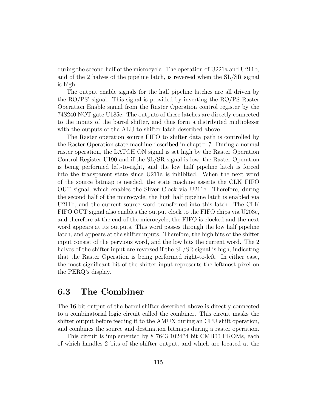during the second half of the microcycle. The operation of U221a and U211b, and of the 2 halves of the pipeline latch, is reversed when the SL/SR signal is high.

The output enable signals for the half pipeline latches are all driven by the RO/PS' signal. This signal is provided by inverting the RO/PS Raster Operation Enable signal from the Raster Operation control register by the 74S240 NOT gate U185c. The outputs of these latches are directly connected to the inputs of the barrel shifter, and thus form a distributed multiplexer with the outputs of the ALU to shifter latch described above.

The Raster operation source FIFO to shifter data path is controlled by the Raster Operation state machine described in chapter 7. During a normal raster operation, the LATCH ON signal is set high by the Raster Operation Control Register U190 and if the SL/SR signal is low, the Raster Operation is being performed left-to-right, and the low half pipeline latch is forced into the transparent state since U211a is inhibited. When the next word of the source bitmap is needed, the state machine asserts the CLK FIFO OUT signal, which enables the Sliver Clock via U211c. Therefore, during the second half of the microcycle, the high half pipeline latch is enabled via U211b, and the current source word transferred into this latch. The CLK FIFO OUT signal also enables the output clock to the FIFO chips via U203c, and therefore at the end of the microcycle, the FIFO is clocked and the next word appears at its outputs. This word passes through the low half pipeline latch, and appears at the shifter inputs. Therefore, the high bits of the shifter input consist of the pervious word, and the low bits the current word. The 2 halves of the shifter input are reversed if the SL/SR signal is high, indicating that the Raster Operation is being performed right-to-left. In either case, the most significant bit of the shifter input represents the leftmost pixel on the PERQ's display.

# 6.3 The Combiner

The 16 bit output of the barrel shifter described above is directly connected to a combinatorial logic circuit called the combiner. This circuit masks the shifter output before feeding it to the AMUX during an CPU shift operation, and combines the source and destination bitmaps during a raster operation.

This circuit is implemented by 8 7643 1024\*4 bit CMB00 PROMs, each of which handles 2 bits of the shifter output, and which are located at the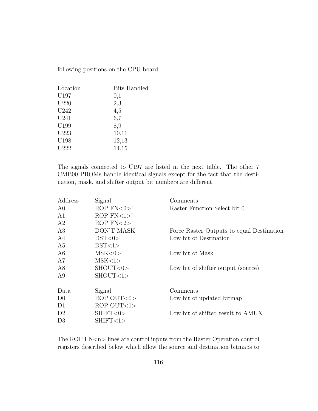following positions on the CPU board.

| Location         | <b>Bits Handled</b> |
|------------------|---------------------|
| U197             | 0,1                 |
| U <sub>220</sub> | 2,3                 |
| U242             | 4,5                 |
| U241             | 6,7                 |
| U199             | 8,9                 |
| U223             | 10,11               |
| U198             | 12,13               |
| U222             | 14,15               |
|                  |                     |

The signals connected to U197 are listed in the next table. The other 7 CMB00 PROMs handle identical signals except for the fact that the destination, mask, and shifter output bit numbers are different.

| Address        | Signal           | Comments                                  |
|----------------|------------------|-------------------------------------------|
| A <sub>0</sub> | ROP $FN < 0$     | Raster Function Select bit 0              |
| A <sub>1</sub> | ROP $FN < 1 >$   |                                           |
| A <sub>2</sub> | ROP $FN < 2$     |                                           |
| A3             | DON'T MASK       | Force Raster Outputs to equal Destination |
| A4             | DST < 0>         | Low bit of Destination                    |
| A5             | DST<1>           |                                           |
| A6             | MSK <0>          | Low bit of Mask                           |
| A7             | MSK<1>           |                                           |
| A8             | SHOUT<0>         | Low bit of shifter output (source)        |
| A9             | SHOUT <1>        |                                           |
| Data           | Signal           | Comments                                  |
| D <sub>0</sub> | $ROP$ $OUT < 0>$ | Low bit of updated bitmap                 |
| D1             | $ROP$ $OUT < 1>$ |                                           |
| D <sub>2</sub> | SHIFT<0>         | Low bit of shifted result to AMUX         |
| D <sub>3</sub> | SHIFT<1>         |                                           |

The ROP FN<n> lines are control inputs from the Raster Operation control registers described below which allow the source and destination bitmaps to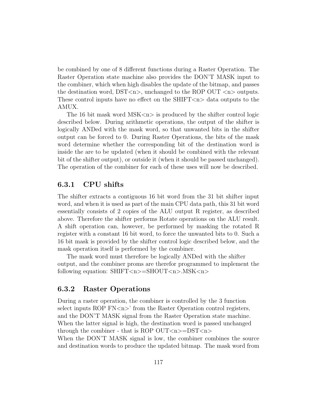be combined by one of 8 different functions during a Raster Operation. The Raster Operation state machine also provides the DON'T MASK input to the combiner, which when high disables the update of the bitmap, and passes the destination word,  $DST < n$ , unchanged to the ROP OUT  $< n$  outputs. These control inputs have no effect on the  $SHIFT <sub>n</sub>$  data outputs to the AMUX.

The 16 bit mask word  $MSK \langle n \rangle$  is produced by the shifter control logic described below. During arithmetic operations, the output of the shifter is logically ANDed with the mask word, so that unwanted bits in the shifter output can be forced to 0. During Raster Operations, the bits of the mask word determine whether the corresponding bit of the destination word is inside the are to be updated (when it should be combined with the relevant bit of the shifter output), or outside it (when it should be passed unchanged). The operation of the combiner for each of these uses will now be described.

# 6.3.1 CPU shifts

The shifter extracts a contiguous 16 bit word from the 31 bit shifter input word, and when it is used as part of the main CPU data path, this 31 bit word essentially consists of 2 copies of the ALU output R register, as described above. Therefore the shifter performs Rotate operations on the ALU result. A shift operation can, however, be performed by masking the rotated R register with a constant 16 bit word, to force the unwanted bits to 0. Such a 16 bit mask is provided by the shifter control logic described below, and the mask operation itself is performed by the combiner.

The mask word must therefore be logically ANDed with the shifter output, and the combiner proms are therefor programmed to implement the following equation:  $SHIFT <sub>n</sub>>= SHOUT <sub>n</sub> < MSK <sub>n</sub>$ 

# 6.3.2 Raster Operations

During a raster operation, the combiner is controlled by the 3 function select inputs ROP  $FN < n$ <sup>t</sup> from the Raster Operation control registers, and the DON'T MASK signal from the Raster Operation state machine. When the latter signal is high, the destination word is passed unchanged through the combiner - that is ROP OUT $\langle n \rangle =$ DST $\langle n \rangle$ 

When the DON'T MASK signal is low, the combiner combines the source and destination words to produce the updated bitmap. The mask word from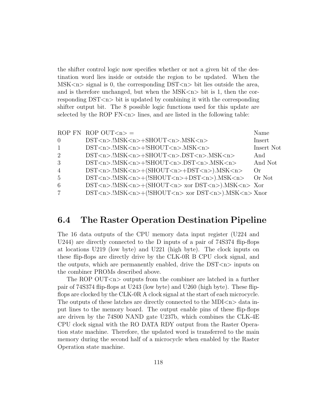the shifter control logic now specifies whether or not a given bit of the destination word lies inside or outside the region to be updated. When the  $MSK < n$  signal is 0, the corresponding  $DST < n$  bit lies outside the area, and is therefore unchanged, but when the  $MSK\langle n\rangle$  bit is 1, then the corresponding  $DST < n$  bit is updated by combining it with the corresponding shifter output bit. The 8 possible logic functions used for this update are selected by the ROP  $FN < n >$  lines, and are listed in the following table:

|                 | ROP FN ROP OUT $\langle n \rangle$ =                                      | Name       |
|-----------------|---------------------------------------------------------------------------|------------|
| $\overline{0}$  | $DST < n >$ .!MSK $< n > +$ SHOUT $< n >$ .MSK $< n >$                    | Insert     |
| $\mathbf{1}$    | $DST < n >$ .!MSK $< n > +!$ SHOUT $< n >$ .MSK $< n >$                   | Insert Not |
| 2               | $DST < n >$ .!MSK $< n > +$ SHOUT $< n >$ .DST $< n >$ .MSK $< n >$       | And        |
| 3               | $DST < n >$ .!MSK $< n > +$ !SHOUT $< n >$ .DST $< n >$ .MSK $< n >$      | And Not    |
| $\overline{4}$  | $DST < n >$ .!MSK $< n > +$ (SHOUT $< n > +DST < n >$ ).MSK $< n >$       | ()r        |
| 5               | $DST < n >$ .!MSK $< n > +$ (!SHOUT $< n > +DST < n >$ ).MSK $< n >$      | Or Not     |
| 6               | $DST < n$ MSK $< n$ > + (SHOUT $< n$ > xor DST $< n$ > ). MSK $< n$ > Xor |            |
| $7\phantom{.0}$ | DST <n>.!MSK<n>+(!SHOUT<n> xor DST<n>).MSK<n> Xnor</n></n></n></n></n>    |            |

# 6.4 The Raster Operation Destination Pipeline

The 16 data outputs of the CPU memory data input register (U224 and U244) are directly connected to the D inputs of a pair of 74S374 flip-flops at locations U219 (low byte) and U221 (high byte). The clock inputs on these flip-flops are directly drive by the CLK-0R B CPU clock signal, and the outputs, which are permanently enabled, drive the  $DST < n >$  inputs on the combiner PROMs described above.

The ROP OUT $\langle n \rangle$  outputs from the combiner are latched in a further pair of 74S374 flip-flops at U243 (low byte) and U260 (high byte). These flipflops are clocked by the CLK-0R A clock signal at the start of each microcycle. The outputs of these latches are directly connected to the  $MDI < n > 0$  data input lines to the memory board. The output enable pins of these flip-flops are driven by the 74S00 NAND gate U237b, which combines the CLK-4E CPU clock signal with the RO DATA RDY output from the Raster Operation state machine. Therefore, the updated word is transferred to the main memory during the second half of a microcycle when enabled by the Raster Operation state machine.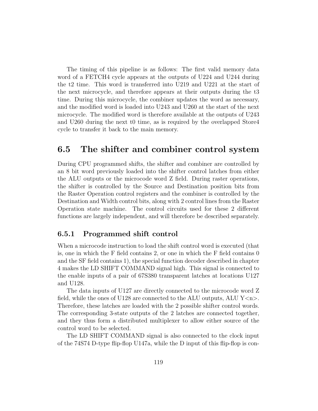The timing of this pipeline is as follows: The first valid memory data word of a FETCH4 cycle appears at the outputs of U224 and U244 during the t2 time. This word is transferred into U219 and U221 at the start of the next microcycle, and therefore appears at their outputs during the t3 time. During this microcycle, the combiner updates the word as necessary, and the modified word is loaded into U243 and U260 at the start of the next microcycle. The modified word is therefore available at the outputs of U243 and U260 during the next t0 time, as is required by the overlapped Store4 cycle to transfer it back to the main memory.

# 6.5 The shifter and combiner control system

During CPU programmed shifts, the shifter and combiner are controlled by an 8 bit word previously loaded into the shifter control latches from either the ALU outputs or the microcode word Z field. During raster operations, the shifter is controlled by the Source and Destination position bits from the Raster Operation control registers and the combiner is controlled by the Destination and Width control bits, along with 2 control lines from the Raster Operation state machine. The control circuits used for these 2 different functions are largely independent, and will therefore be described separately.

# 6.5.1 Programmed shift control

When a microcode instruction to load the shift control word is executed (that is, one in which the F field contains 2, or one in which the F field contains 0 and the SF field contains 1), the special function decoder described in chapter 4 makes the LD SHIFT COMMAND signal high. This signal is connected to the enable inputs of a pair of 67S380 transparent latches at locations U127 and U128.

The data inputs of U127 are directly connected to the microcode word Z field, while the ones of U128 are connected to the ALU outputs, ALU  $Y\leq n$ . Therefore, these latches are loaded with the 2 possible shifter control words. The corresponding 3-state outputs of the 2 latches are connected together, and they thus form a distributed multiplexer to allow either source of the control word to be selected.

The LD SHIFT COMMAND signal is also connected to the clock input of the 74S74 D-type flip-flop U147a, while the D input of this flip-flop is con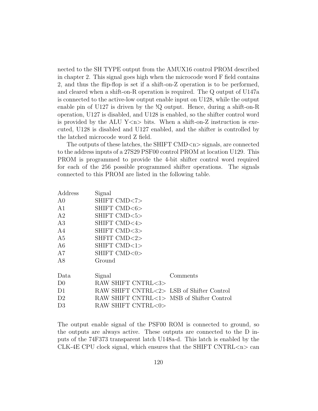nected to the SH TYPE output from the AMUX16 control PROM described in chapter 2. This signal goes high when the microcode word F field contains 2, and thus the flip-flop is set if a shift-on-Z operation is to be performed, and cleared when a shift-on-R operation is required. The Q output of U147a is connected to the active-low output enable input on U128, while the output enable pin of U127 is driven by the !Q output. Hence, during a shift-on-R operation, U127 is disabled, and U128 is enabled, so the shifter control word is provided by the ALU  $Y\leq n$  bits. When a shift-on-Z instruction is executed, U128 is disabled and U127 enabled, and the shifter is controlled by the latched microcode word Z field.

The outputs of these latches, the SHIFT CMD<n> signals, are connected to the address inputs of a 27S29 PSF00 control PROM at location U129. This PROM is programmed to provide the 4-bit shifter control word required for each of the 256 possible programmed shifter operations. The signals connected to this PROM are listed in the following table.

| Address        | Signal                                    |          |
|----------------|-------------------------------------------|----------|
| A <sub>0</sub> | SHIFT CMD<7>                              |          |
| A <sub>1</sub> | SHIFT CMD<6>                              |          |
| A <sub>2</sub> | SHIFT CMD<5>                              |          |
| A3             | SHIFT CMD<4>                              |          |
| A <sub>4</sub> | SHIFT CMD<3>                              |          |
| A <sub>5</sub> | SHFIT CMD<2>                              |          |
| A6             | SHIFT CMD<1>                              |          |
| A7             | SHIFT CMD<0>                              |          |
| A8             | Ground                                    |          |
| Data           | Signal                                    | Comments |
| D <sub>0</sub> | RAW SHIFT CNTRL<3>                        |          |
| D <sub>1</sub> | RAW SHIFT CNTRL<2> LSB of Shifter Control |          |
| D <sub>2</sub> | RAW SHIFT CNTRL<1> MSB of Shifter Control |          |
| D3             | RAW SHIFT CNTRL<0>                        |          |

The output enable signal of the PSF00 ROM is connected to ground, so the outputs are always active. These outputs are connected to the D inputs of the 74F373 transparent latch U148a-d. This latch is enabled by the CLK-4E CPU clock signal, which ensures that the SHIFT CNTRL $\langle n \rangle$  can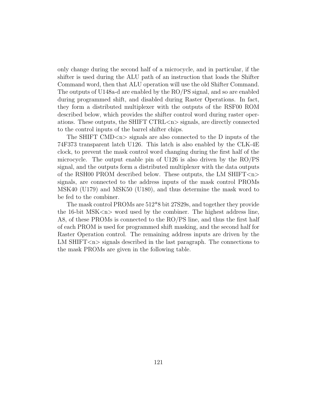only change during the second half of a microcycle, and in particular, if the shifter is used during the ALU path of an instruction that loads the Shifter Command word, then that ALU operation will use the old Shifter Command. The outputs of U148a-d are enabled by the RO/PS signal, and so are enabled during programmed shift, and disabled during Raster Operations. In fact, they form a distributed multiplexer with the outputs of the RSF00 ROM described below, which provides the shifter control word during raster operations. These outputs, the SHIFT CTRL $\langle n \rangle$  signals, are directly connected to the control inputs of the barrel shifter chips.

The SHIFT CMD<n> signals are also connected to the D inputs of the 74F373 transparent latch U126. This latch is also enabled by the CLK-4E clock, to prevent the mask control word changing during the first half of the microcycle. The output enable pin of U126 is also driven by the RO/PS signal, and the outputs form a distributed multiplexer with the data outputs of the RSH00 PROM described below. These outputs, the LM SHIFT $\langle n \rangle$ signals, are connected to the address inputs of the mask control PROMs MSK40 (U179) and MSK50 (U180), and thus determine the mask word to be fed to the combiner.

The mask control PROMs are 512\*8 bit 27S29s, and together they provide the 16-bit  $MSK < n$  word used by the combiner. The highest address line, A8, of these PROMs is connected to the RO/PS line, and thus the first half of each PROM is used for programmed shift masking, and the second half for Raster Operation control. The remaining address inputs are driven by the LM SHIFT $\langle n \rangle$  signals described in the last paragraph. The connections to the mask PROMs are given in the following table.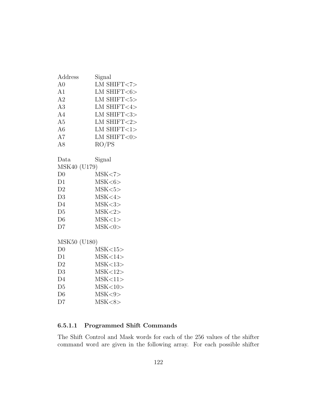| Address        | Signal             |
|----------------|--------------------|
| A <sub>0</sub> | LM SHIFT $<7>$     |
| A1             | LM SHIFT $<$ 6 $>$ |
| A2             | LM SHIFT $<$ 5 $>$ |
| A3             | LM SHIFT<4>        |
| A4             | LM SHIFT<3>        |
| A <sub>5</sub> | LM SHIFT $<$ 2>    |
| A <sub>6</sub> | $LM$ SHIFT<1>      |
| A7             | LM SHIFT<0>        |
| A8             | RO/PS              |
|                |                    |
| Data           | Signal             |
| MSK40 (U179)   |                    |
| D <sub>0</sub> | MSK < 7            |
| D1             | MSK <sub>6</sub>   |
| D2             | MSK <sub>5</sub>   |
| D3             | MSK < 4>           |
| D <sub>4</sub> | MSK <sub>3</sub>   |
| D <sub>5</sub> | MSK <sub>2</sub>   |
| D <sub>6</sub> | MSK < 1>           |
| D7             | MSK <0>            |
|                |                    |
| MSK50 (U180)   |                    |
| D <sub>0</sub> | MSK<15>            |
| D1             | MSK<14>            |
| D <sub>2</sub> | MSK<13>            |
| D3             | MSK<12>            |
| D <sub>4</sub> | MSK<11>            |
| D <sub>5</sub> | MSK<10>            |
| D <sub>6</sub> | MSK < 9            |

D7 MSK<8>

# 6.5.1.1 Programmed Shift Commands

The Shift Control and Mask words for each of the 256 values of the shifter command word are given in the following array. For each possible shifter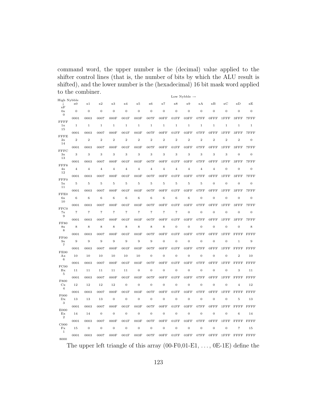command word, the upper number is the (decimal) value applied to the shifter control lines (that is, the number of bits by which the ALU result is shifted), and the lower number is the (hexadecimal) 16 bit mask word applied to the combiner.

|                                       |                          |                |                |                |                |                |                |                |                   | Low Nybble $\rightarrow$ |                  |                  |                  |                  |                                                                                 |
|---------------------------------------|--------------------------|----------------|----------------|----------------|----------------|----------------|----------------|----------------|-------------------|--------------------------|------------------|------------------|------------------|------------------|---------------------------------------------------------------------------------|
| High Nybble<br>T                      | $_{\rm x0}$              | x1             | x2             | x3             | x4             | x5             | $\times 6$     | x7             | x8                | x9                       | xA               | xB               | $_{\rm xC}$      | хD               | xE                                                                              |
| xF<br>0x<br>$\overline{0}$            | $\overline{0}$           | $\mathbf{0}$   | $\mathbf{0}$   | $\mathbf{0}$   | $\overline{0}$ | $\mathbf{0}$   | $\mathbf{0}$   | $\overline{0}$ | $\mathbf{0}$      | $\mathbf{0}$             | $\boldsymbol{0}$ | $\mathbf{0}$     | $\mathbf{0}$     | $\mathbf{0}$     | $\mathbf{0}$                                                                    |
|                                       | 0001                     | 0003           | 0007           | 000F           | 001F           | 003F           | 007F           | 00FF           | 01FF              | 03FF                     | 07FF             | $0$ FFF          | $1$ $FF$ $FF$    | 3FFF             | 7FFF                                                                            |
| <b>FFFF</b><br>1x<br>15               | $\,1\,$                  | $\mathbf{1}$   | $\mathbf{1}$   | $\,1\,$        | $\mathbf 1$    | $\mathbf 1$    | $\,1$          | $\mathbf 1$    | $\mathbf 1$       | $\mathbf 1$              | $\mathbf{1}$     | $\,1$            | $\mathbf 1$      | $\mathbf 1$      | $\,1$                                                                           |
|                                       | 0001                     | 0003           | 0007           | 000F           | 001F           | 003F           | 007F           | 00FF           | 01FF              | 03FF                     | 07FF             | 0FFF             | $1$ $FF$ $F$     | $3$ $FF$ $F$     | 7FFF                                                                            |
| FFFE<br>2x<br>14                      | $\,2\,$                  | $\overline{2}$ | $\overline{2}$ | $\overline{2}$ | $\overline{2}$ | $\overline{2}$ | $\sqrt{2}$     | $\overline{2}$ | $\overline{2}$    | $\overline{2}$           | $\overline{2}$   | $\overline{2}$   | $\overline{2}$   | $\overline{2}$   | $\mathbf{0}$                                                                    |
| <b>FFFC</b>                           | 0001                     | 0003           | 0007           | 000F           | 001F           | 003F           | 007F           | 00FF           | 01FF              | 03FF                     | 07FF             | $0$ FFF          | $1$ $FF$ $FF$    | 3FFF             | 7FFF                                                                            |
| 3x<br>13                              | 3                        | 3              | 3              | 3              | 3              | 3              | 3              | 3              | 3                 | 3                        | 3                | 3                | 3                | $\mathbf{0}$     | $\mathbf{0}$                                                                    |
| FFF8                                  | 0001                     | 0003           | 0007           | 000F           | 001F           | 003F           | 007F           | 00FF           | 01FF              | 03FF                     | 07FF             | $0$ FFF          | $1$ $FF$ $FF$    | 3FFF             | 7FFF                                                                            |
| 4x<br>12                              | $\overline{4}$           | $\overline{4}$ | $\overline{4}$ | $\overline{4}$ | $\overline{4}$ | $\overline{4}$ | $\overline{4}$ | $\overline{4}$ | $\overline{4}$    | $\overline{4}$           | $\overline{4}$   | $\overline{4}$   | $\boldsymbol{0}$ | $\mathbf{0}$     | $\mathbf{0}$                                                                    |
| FFF0                                  | 0001                     | 0003           | 0007           | 000F           | 001F           | 003F           | 007F           | 00FF           | 01FF              | 03FF                     | 07FF             | $0$ FFF          | $1$ $FF$ $FF$    | $3$ $FF$ $F$     | 7FFF                                                                            |
| 5x<br>11                              | $\overline{5}$           | $\mathbf 5$    | 5              | $\overline{5}$ | 5              | $\overline{5}$ | $\overline{5}$ | 5              | 5                 | $\overline{5}$           | 5                | $\mathbf{0}$     | $\boldsymbol{0}$ | $\mathbf{0}$     | $\mathbf{0}$                                                                    |
|                                       | 0001                     | 0003           | 0007           | 000F           | 001F           | 003F           | 007F           | 00FF           | 01FF              | 03FF                     | 07FF             | $0$ FFF          | $1$ $FF$ $F$     | $3$ $FF$ $F$     | 7FFF                                                                            |
| FFE0<br>6x<br>10                      | $\,$ 6 $\,$              | $\,6$          | $\,6$          | $\,6$          | 6              | $\,$ 6 $\,$    | $\,$ 6 $\,$    | 6              | $\,$ 6 $\,$       | 6                        | $\overline{0}$   | $\boldsymbol{0}$ | 0                | $\overline{0}$   | $\mathbf{0}$                                                                    |
| FFC0                                  | 0001                     | 0003           | 0007           | 000F           | 001F           | 003F           | 007F           | 00FF           | 01FF              | 03FF                     | 07FF             | 0FFF             | $1$ $FF$ $FF$    | $3$ $FF$ $F$     | 7FFF                                                                            |
| 7x<br>9                               | $\overline{\phantom{a}}$ | $\overline{7}$ | $\overline{7}$ | $\overline{7}$ | $\overline{7}$ | $\overline{7}$ | $\overline{7}$ | $\overline{7}$ | $\scriptstyle{7}$ | $\boldsymbol{0}$         | $\boldsymbol{0}$ | $\boldsymbol{0}$ | $\boldsymbol{0}$ | $\boldsymbol{0}$ | $\mathbf{0}$                                                                    |
| <b>FF80</b>                           | 0001                     | 0003           | 0007           | 000F           | 001F           | 003F           | 007F           | 00FF           | 01FF              | 03FF                     | 07FF             | 0FFF             | $1$ $FF$ $F$     | $3$ $FF$ $F$     | 7FFF                                                                            |
| 8x<br>8                               | 8                        | 8              | 8              | 8              | 8              | 8              | 8              | 8              | $\mathbf{0}$      | $\boldsymbol{0}$         | $\boldsymbol{0}$ | $\boldsymbol{0}$ | $\boldsymbol{0}$ | $\mathbf{0}$     | 8                                                                               |
| FF00                                  | 0001                     | 0003           | 0007           | 000F           | 001F           | 003F           | 007F           | 00FF           | 01FF              | 03FF                     | 07FF             | 0FFF             | $1$ $FF$ $F$     | <b>FFFF</b>      | FFFF                                                                            |
| 9x<br>$\overline{7}$                  | $\overline{9}$           | 9              | 9              | $\overline{9}$ | 9              | 9              | 9              | $\overline{0}$ | $\mathbf{0}$      | $\boldsymbol{0}$         | $\boldsymbol{0}$ | $\boldsymbol{0}$ | $\boldsymbol{0}$ | $\,1$            | 9                                                                               |
| FE00                                  | 0001                     | 0003           | 0007           | 000F           | 001F           | 003F           | 007F           | 00FF           | 01FF              | 03FF                     | 07FF             | 0FFF             | $1$ $FF$ $F$     | <b>FFFF</b>      | FFFF                                                                            |
| Ax<br>6                               | 10                       | 10             | 10             | $10$           | 10             | 10             | $\mathbf{0}$   | $\overline{0}$ | $\overline{0}$    | $\overline{0}$           | $\overline{0}$   | $\overline{0}$   | $\overline{0}$   | $\overline{2}$   | 10                                                                              |
| FC00                                  | 0001                     | 0003           | 0007           | 000F           | 001F           | 003F           | 007F           | 00FF           | 01FF              | 03FF                     | 07FF             | 0FFF             | $1$ $FF$ $FF$    | <b>FFFF</b>      | FFFF                                                                            |
| Bx<br>$\bf 5$                         | 11                       | 11             | 11             | 11             | $11\,$         | $\mathbf{0}$   | $\mathbf{0}$   | $\overline{0}$ | $\mathbf{0}$      | $\mathbf{0}$             | $\boldsymbol{0}$ | $\mathbf 0$      | $\mathbf{0}$     | 3                | 11                                                                              |
| F800                                  | 0001                     | 0003           | 0007           | 000F           | 001F           | 003F           | 007F           | 00FF           | 01FF              | 03FF                     | 07FF             | $0$ $FFF$        | $1$ $FF$ $FF$    | <b>FFFF</b>      | FFFF                                                                            |
| Cx<br>$\overline{4}$                  | 12                       | 12             | 12             | 12             | $\overline{0}$ | $\mathbf{0}$   | $\mathbf{0}$   | $\overline{0}$ | $\mathbf{0}$      | $\mathbf{0}$             | $\overline{0}$   | $\mathbf{0}$     | $\boldsymbol{0}$ | $\overline{4}$   | 12                                                                              |
| F000                                  | 0001                     | 0003           | 0007           | 000F           | 001F           | 003F           | 007F           | 00FF           | 01FF              | 03FF                     | 07FF             | 0FFF             | $1$ $FF$ $F$     | <b>FFFF</b>      | FFFF                                                                            |
| Dx<br>3                               | 13                       | 13             | 13             | $\mathbf{0}$   | $\overline{0}$ | $\mathbf{0}$   | $\mathbf{0}$   | $\overline{0}$ | $\mathbf{0}$      | $\mathbf{0}$             | $\mathbf{0}$     | $\mathbf{0}$     | $\mathbf{0}$     | $\overline{5}$   | 13                                                                              |
| E000                                  | 0001                     | 0003           | 0007           | 000F           | 001F           | 003F           | 007F           | 00FF           | 01FF              | 03FF                     | 07FF             | 0FFF             | $1$ $FF$ $FF$    | <b>FFFF</b>      | FFFF                                                                            |
| $\mathop{\rm Ex}\nolimits$<br>$\,2$   | 14                       | 14             | $\mathbf{0}$   | $\theta$       | $\overline{0}$ | $\mathbf{0}$   | $\mathbf{0}$   | $\overline{0}$ | $\mathbf{0}$      | $\mathbf{0}$             | $\mathbf{0}$     | $\mathbf 0$      | $\bf{0}$         | 6                | 14                                                                              |
|                                       | 0001                     | 0003           | 0007           | 000F           | 001F           | 003F           | 007F           | 00FF           | 01FF              | 03FF                     | 07FF             | $0$ FFF          | $1$ $FF$ $FF$    | <b>FFFF</b>      | FFFF                                                                            |
| C000<br>$\mathbf{Fx}$<br>$\mathbf{1}$ | 15                       | $\overline{0}$ | $\mathbf{0}$   | $\mathbf{0}$   | $\overline{0}$ | $\mathbf{0}$   | $\overline{0}$ | $\overline{0}$ | $\mathbf{0}$      | $\mathbf{0}$             | $\mathbf 0$      | $\mathbf 0$      | $\boldsymbol{0}$ | $\overline{7}$   | 15                                                                              |
| 8000                                  | 0001                     | 0003           | 0007           | 000F           | 001F           | 003F           | 007F           | 00FF           | 01FF              | 03FF                     | 07FF             | 0FFF             | $1$ $FF$ $F$     | <b>FFFF</b>      | FFFF                                                                            |
|                                       |                          |                |                |                |                |                |                |                |                   |                          |                  |                  |                  |                  | The upper left triangle of this array $(00-F0,01-E1, \ldots, 0E-1E)$ define the |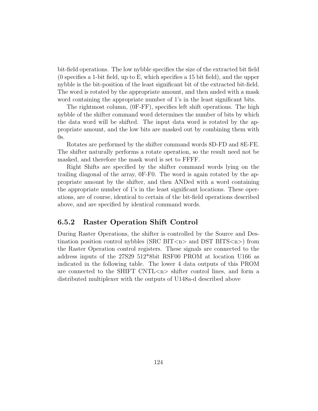bit-field operations. The low nybble specifies the size of the extracted bit field (0 specifies a 1-bit field, up to E, which specifies a 15 bit field), and the upper nybble is the bit-position of the least significant bit of the extracted bit-field. The word is rotated by the appropriate amount, and then anded with a mask word containing the appropriate number of 1's in the least significant bits.

The rightmost column, (0F-FF), specifies left shift operations. The high nybble of the shifter command word determines the number of bits by which the data word will be shifted. The input data word is rotated by the appropriate amount, and the low bits are masked out by combining them with  $0s.$ 

Rotates are performed by the shifter command words 8D-FD and 8E-FE. The shifter naturally performs a rotate operation, so the result need not be masked, and therefore the mask word is set to FFFF.

Right Shifts are specified by the shifter command words lying on the trailing diagonal of the array, 0F-F0. The word is again rotated by the appropriate amount by the shifter, and then ANDed with a word containing the appropriate number of 1's in the least significant locations. These operations, are of course, identical to certain of the bit-field operations described above, and are specified by identical command words.

# 6.5.2 Raster Operation Shift Control

During Raster Operations, the shifter is controlled by the Source and Destination position control nybbles (SRC BIT $\langle$ n $\rangle$  and DST BITS $\langle$ n $\rangle$ ) from the Raster Operation control registers. These signals are connected to the address inputs of the 27S29 512\*8bit RSF00 PROM at location U166 as indicated in the following table. The lower 4 data outputs of this PROM are connected to the SHIFT CNTL $\langle n \rangle$  shifter control lines, and form a distributed multiplexer with the outputs of U148a-d described above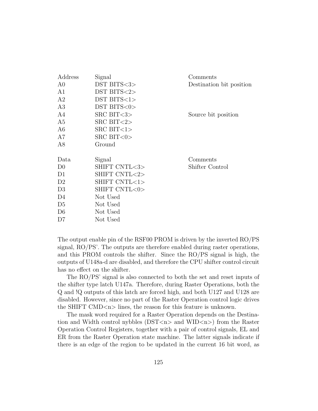| Signal              | Comments                 |
|---------------------|--------------------------|
| DST BITS<3>         | Destination bit position |
| $DST$ BITS $<2>$    |                          |
| $DST$ $BITS < 1>$   |                          |
| DST BITS<0>         |                          |
| $SRC$ BIT $<$ 3 $>$ | Source bit position      |
| $SRC$ BIT $<$ 2 $>$ |                          |
| $SRC$ BIT $<1>$     |                          |
| $SRC$ BIT $<0>$     |                          |
| Ground              |                          |
|                     |                          |
| Signal              | Comments                 |
| SHIFT CNTL<3>       | Shifter Control          |
| SHIFT CNTL<2>       |                          |
| SHIFT CNTL<1>       |                          |
| SHIFT CNTL<0>       |                          |
| Not Used            |                          |
| Not Used            |                          |
| Not Used            |                          |
| Not Used            |                          |
|                     |                          |

The output enable pin of the RSF00 PROM is driven by the inverted RO/PS signal, RO/PS'. The outputs are therefore enabled during raster operations, and this PROM controls the shifter. Since the RO/PS signal is high, the outputs of U148a-d are disabled, and therefore the CPU shifter control circuit has no effect on the shifter.

The RO/PS' signal is also connected to both the set and reset inputs of the shifter type latch U147a. Therefore, during Raster Operations, both the Q and !Q outputs of this latch are forced high, and both U127 and U128 are disabled. However, since no part of the Raster Operation control logic drives the SHIFT CMD<n> lines, the reason for this feature is unknown.

The mask word required for a Raster Operation depends on the Destination and Width control nybbles ( $DST < n >$  and  $WID < n >$ ) from the Raster Operation Control Registers, together with a pair of control signals, EL and ER from the Raster Operation state machine. The latter signals indicate if there is an edge of the region to be updated in the current 16 bit word, as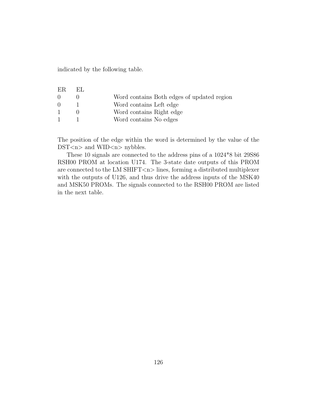indicated by the following table.

| -ER.             | EL. |                                            |
|------------------|-----|--------------------------------------------|
| $\left( \right)$ |     | Word contains Both edges of updated region |
| $\Omega$         |     | Word contains Left edge                    |
| $\mathbf{1}$     |     | Word contains Right edge                   |
| $\mathbf{1}$     |     | Word contains No edges                     |

The position of the edge within the word is determined by the value of the DST<n> and WID<n> nybbles.

These 10 signals are connected to the address pins of a 1024\*8 bit 29S86 RSH00 PROM at location U174. The 3-state date outputs of this PROM are connected to the LM SHIFT<n> lines, forming a distributed multiplexer with the outputs of U126, and thus drive the address inputs of the MSK40 and MSK50 PROMs. The signals connected to the RSH00 PROM are listed in the next table.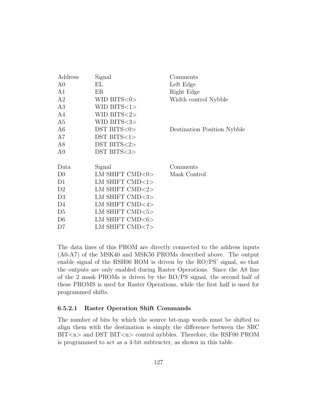| Address        | Signal                   | Comments                    |
|----------------|--------------------------|-----------------------------|
| A <sub>0</sub> | ΕL                       | Left Edge                   |
| A1             | ER                       | Right Edge                  |
| A2             | WID BITS $<$ 0 $>$       | Width control Nybble        |
| A3             | WID BITS $<$ 1>          |                             |
| A4             | WID BITS $<$ 2>          |                             |
| A5             | WID BITS<3>              |                             |
| A <sub>6</sub> | DST BITS<0>              | Destination Position Nybble |
| A7             | $DST$ $BITS < 1>$        |                             |
| A8             | DST BITS<2>              |                             |
| A <sub>9</sub> | DST BITS<3>              |                             |
|                |                          |                             |
| Data           | Signal                   | Comments                    |
| D <sub>0</sub> | LM SHIFT $\text{CMD}<0>$ | Mask Control                |
| D1             | LM SHIFT CMD<1>          |                             |
| D <sub>2</sub> | LM SHIFT CMD<2>          |                             |
| D <sub>3</sub> | LM SHIFT CMD<3>          |                             |
| D4             | LM SHIFT CMD<4>          |                             |
| D <sub>5</sub> | LM SHIFT CMD<5>          |                             |
| D <sub>6</sub> | LM SHIFT CMD<6>          |                             |
| D7             | LM SHIFT CMD<7>          |                             |

The data lines of this PROM are directly connected to the address inputs (A0-A7) of the MSK40 and MSK50 PROMs described above. The output enable signal of the RSH00 ROM is driven by the RO/PS' signal, so that the outputs are only enabled during Raster Operations. Since the A8 line of the 2 mask PROMs is driven by the RO/PS signal, the second half of these PROMS is used for Raster Operations, while the first half is used for programmed shifts.

## 6.5.2.1 Raster Operation Shift Commands

The number of bits by which the source bit-map words must be shifted to align them with the destination is simply the difference between the SRC BIT<n> and DST BIT<n> control nybbles. Therefore, the RSF00 PROM is programmed to act as a 4-bit subtracter, as shown in this table.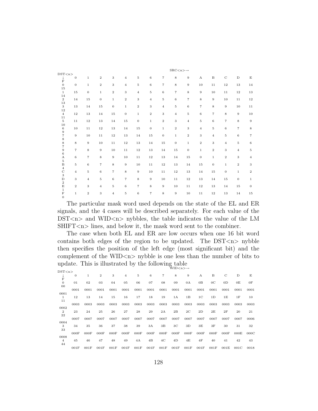|                                                 | $\text{SRC}\ll n\llap{>} \rightarrow$ |                   |                   |                   |                  |                |                   |                   |                  |                |                           |                   |                  |                   |                   |
|-------------------------------------------------|---------------------------------------|-------------------|-------------------|-------------------|------------------|----------------|-------------------|-------------------|------------------|----------------|---------------------------|-------------------|------------------|-------------------|-------------------|
| DST < n >                                       |                                       |                   |                   |                   |                  |                |                   |                   |                  |                |                           |                   |                  |                   |                   |
| Ť<br>$\mathbf F$                                | $\mathbf{0}$                          | $\mathbf{1}$      | $\,2\,$           | 3                 | $\overline{4}$   | $\rm 5$        | $\,6\,$           | $\scriptstyle{7}$ | 8                | $\overline{9}$ | $\boldsymbol{\mathrm{A}}$ | $\, {\bf B}$      | $\mathbf C$      | $\mathbf D$       | $\mathbf E$       |
| $\overline{0}$<br>15                            | $\mathbf{0}$                          | $\mathbf{1}$      | $\,2\,$           | 3                 | $\overline{4}$   | 5              | $\,$ 6 $\,$       | $\scriptstyle{7}$ | 8                | $\overline{9}$ | 10                        | 11                | 12               | 13                | $14\,$            |
| $\mathbf{1}$                                    | 15                                    | $\boldsymbol{0}$  | $\mathbf{1}$      | $\sqrt{2}$        | 3                | $\overline{4}$ | $\rm 5$           | $\overline{6}$    | $\overline{7}$   | 8              | 9                         | 10                | 11               | 12                | $13\,$            |
| 14<br>$\mathbf{2}$                              | 14                                    | 15                | $\mathbf{0}$      | $\,1$             | $\,2$            | 3              | $\overline{4}$    | $\rm 5$           | 6                | $\overline{7}$ | 8                         | $\boldsymbol{9}$  | 10               | 11                | $1\sqrt{2}$       |
| 13<br>3                                         | 13                                    | 14                | $15\,$            | $\boldsymbol{0}$  | $\mathbf 1$      | $\,2$          | 3                 | $\overline{4}$    | $\bf 5$          | $\,$ 6 $\,$    | $\scriptstyle{7}$         | 8                 | 9                | 10                | $1\,1$            |
| $12\,$<br>$\overline{4}$                        | 12                                    | 13                | 14                | $15\,$            | $\boldsymbol{0}$ | $\,1$          | $\,2$             | 3                 | $\overline{4}$   | 5              | $\,$ 6 $\,$               | $\scriptstyle{7}$ | 8                | $\overline{9}$    | $10\,$            |
| 11                                              |                                       |                   |                   |                   |                  |                |                   |                   |                  |                |                           |                   |                  |                   |                   |
| $\bf 5$<br>$10\,$                               | 11                                    | $12\,$            | 13                | 14                | 15               | $\mathbf{0}$   | $\,1$             | $\overline{2}$    | 3                | $\overline{4}$ | $\,$ 5                    | $\,6$             | $\overline{7}$   | 8                 | $\overline{9}$    |
| $\,6\,$                                         | 10                                    | $1\,1$            | $12\,$            | 13                | 14               | 15             | $\bf 0$           | $\,1$             | $\boldsymbol{2}$ | 3              | $\overline{4}$            | 5                 | 6                | $\scriptstyle{7}$ | $\,$ 8 $\,$       |
| $\begin{array}{c} 9 \\ 7 \end{array}$           | $\overline{9}$                        | 10                | 11                | $1\sqrt{2}$       | 13               | 14             | 15                | $\overline{0}$    | $\,1$            | $\,2$          | 3                         | $\overline{4}$    | 5                | 6                 | $\scriptstyle{7}$ |
| $\begin{array}{c} 8 \\ 8 \\ 7 \\ 9 \end{array}$ | 8                                     | $\overline{9}$    | 10                | 11                | $12\,$           | 13             | 14                | 15                | $\mathbf 0$      | $\mathbf{1}$   | $\,2\,$                   | 3                 | $\overline{4}$   | 5                 | $\,6\,$           |
|                                                 | $\overline{7}$                        | 8                 | 9                 | 10                | $1\,1$           | 12             | 13                | 14                | 15               | $\mathbf{0}$   | $\mathbf{1}$              | $\overline{2}$    | 3                | $\overline{4}$    | $\rm 5$           |
| $\,6$<br>A                                      | 6                                     | $\scriptstyle{7}$ | 8                 | $\boldsymbol{9}$  | 10               | 11             | $12\,$            | 13                | 14               | $15\,$         | $\mathbf{0}$              | $\,1$             | $\boldsymbol{2}$ | 3                 | $\overline{4}$    |
| $\rm 5$                                         |                                       |                   |                   |                   |                  |                |                   |                   |                  |                |                           |                   |                  |                   |                   |
| $\, {\bf B}$<br>$\overline{4}$                  | $\rm 5$                               | 6                 | $\scriptstyle{7}$ | 8                 | 9                | 10             | 11                | 12                | 13               | 14             | 15                        | $\boldsymbol{0}$  | $\mathbf{1}$     | $\mathbf{2}$      | $\,3$             |
| $\mathbf C$<br>$\,$ 3 $\,$                      | $\overline{4}$                        | 5                 | $\,$ 6 $\,$       | $\scriptstyle{7}$ | 8                | 9              | 10                | 11                | 12               | 13             | 14                        | $15\,$            | $\boldsymbol{0}$ | $\mathbf{1}$      | $\,2\,$           |
| $\mathbf D$                                     | 3                                     | $\overline{4}$    | $\rm 5$           | $\,6$             | $\overline{7}$   | 8              | $\overline{9}$    | 10                | 11               | $12\,$         | 13                        | 14                | 15               | $\mathbf{0}$      | $\mathbf{1}$      |
| $\,2$<br>$\mathbf E$                            | $\,2$                                 | 3                 | $\overline{4}$    | $\rm 5$           | $\,$ 6 $\,$      | $\overline{7}$ | $\,$ 8 $\,$       | $\boldsymbol{9}$  | 10               | 11             | 12                        | 13                | 14               | 15                | $\mathbf{0}$      |
| $\mathbf{1}$<br>$\mathbf F$                     | $\,1$                                 | $\boldsymbol{2}$  | 3                 | $\overline{4}$    | $\bf 5$          | $\,$ 6 $\,$    | $\scriptstyle{7}$ | 8                 | 9                | 10             | 11                        | $12\,$            | 13               | 14                | $15\,$            |
| $\boldsymbol{0}$                                |                                       |                   |                   |                   |                  |                |                   |                   |                  |                |                           |                   |                  |                   |                   |

The particular mask word used depends on the state of the EL and ER signals, and the 4 cases will be described separately. For each value of the  $DST < n >$  and WID $< n >$  nybbles, the table indicates the value of the LM  $SHIFT <sub>n</sub>$  lines, and below it, the mask word sent to the combiner.

The case when both EL and ER are low occurs when one 16 bit word contains both edges of the region to be updated. The  $DST < n > n$  subset then specifies the position of the left edge (most significant bit) and the complement of the WID $\langle n \rangle$  nybble is one less than the number of bits to update. This is illustrated by the following table WID<n>→

| $DST {<} n {>}$          |          |      |                |        |                |      |      |                |                |                |                |                |                |      |      |
|--------------------------|----------|------|----------------|--------|----------------|------|------|----------------|----------------|----------------|----------------|----------------|----------------|------|------|
| $\mathbf F$              | $\theta$ | 1    | $\overline{2}$ | 3      | $\overline{4}$ | 5    | 6    | $\overline{7}$ | 8              | 9              | A              | B              | $\mathbf C$    | D    | E    |
| $\mathbf{0}$             | 01       | 02   | 03             | 04     | 05             | 06   | 07   | 08             | 09             | 0A             | 0B             | $_{0C}$        | 0 <sub>D</sub> | 0E   | 0F   |
| 00                       | 0001     | 0001 | 0001           | 0001   | 0001           | 0001 | 0001 | 0001           | 0001           | 0001           | 0001           | 0001           | 0001           | 0001 | 0001 |
| 0001<br>1                | 12       | 13   | 14             | $15\,$ | 16             | 17   | 18   | 19             | 1A             | 1B             | 1 <sup>C</sup> | 1 <sub>D</sub> | 1E             | 1F   | 10   |
| 11                       | 0003     | 0003 | 0003           | 0003   | 0003           | 0003 | 0003 | 0003           | 0003           | 0003           | 0003           | 0003           | 0003           | 0003 | 0003 |
| 0002<br>$\boldsymbol{2}$ | 23       | 24   | 25             | 26     | 27             | 28   | 29   | 2A             | 2B             | 2 <sub>C</sub> | 2D             | 2E             | 2F             | 20   | 21   |
| 22                       | 0007     | 0007 | 0007           | 0007   | 0007           | 0007 | 0007 | 0007           | 0007           | 0007           | 0007           | 0007           | 0007           | 0007 | 0006 |
| 0004<br>3                | 34       | 35   | 36             | 37     | 38             | 39   | 3A   | 3B             | 3 <sub>C</sub> | 3D             | ЗE             | 3F             | 30             | 31   | 32   |
| 33                       | 000F     | 000F | 000F           | 000F   | 000F           | 000F | 000F | 000F           | 000F           | 000F           | 000F           | 000F           | 000F           | 000E | 000C |
| 0008<br>$\overline{4}$   | 45       | 46   | 47             | 48     | 49             | 4Α   | 4B   | 4 <sup>C</sup> | 4D             | 4E             | 4F             | 40             | 41             | 42   | 43   |
| 44                       | 001F     | 001F | 001F           | 001F   | 001F           | 001F | 001F | 001F           | 001F           | 001F           | 001F           | 001F           | 001E           | 001C | 0018 |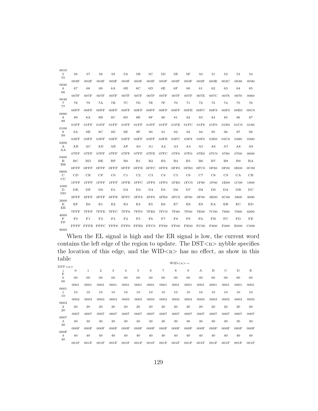| 0010                         |                |               |                |                |                |                |                |                |                |                |                |      |                  |                  |             |
|------------------------------|----------------|---------------|----------------|----------------|----------------|----------------|----------------|----------------|----------------|----------------|----------------|------|------------------|------------------|-------------|
| 5<br>55                      | 56             | 57            | 58             | 59             | 5Α             | 5B             | 5C             | 5D             | 5E             | 5F             | 50             | 51   | 52               | 53               | 54          |
| 0020                         | 003F           | 003F          | 003F           | 003F           | 003F           | 003F           | 003F           | 003F           | 003F           | 003F           | 003F           | 003E | 003C             | 0038             | 0030        |
| 6<br>66                      | 67             | 68            | 69             | 6A             | 6B             | 6C             | 6 <sub>D</sub> | 6E             | 6F             | 60             | 61             | 62   | 63               | 64               | 65          |
|                              | 007F           | 007F          | 007F           | 007F           | 007F           | 007F           | 007F           | 007F           | 007F           | 007F           | 007E           | 007C | 0078             | 0070             | 0060        |
| 0040<br>$\overline{7}$<br>77 | 78             | 79            | 7A             | 7B             | 7 <sub>C</sub> | 7D             | 7E             | 7F             | 70             | 71             | 72             | 73   | 74               | 75               | 76          |
| 0080                         | $00$ FF        | 00FF          | 00FF           | $00$ FF        | 00FF           | 00FF           | $00$ FF        | $00$ FF        | 00FF           | 00FE           | 00FC           | 00F8 | 00F0             | 00E0             | 00C0        |
| 8<br>88                      | 89             | 8A            | 8B             | 8 <sup>C</sup> | 8D             | 8E             | 8F             | 80             | 81             | 82             | 83             | 84   | 85               | 86               | 87          |
| 0100                         | 01FF           | 01FF          | 01FF           | 01FF           | 01FF           | 01FF           | 01FF           | 01FF           | 01FE           | 01FC           | 01F8           | 01F0 | 01E0             | 01C0             | 0180        |
| 9<br>99                      | 9A             | 9B            | 9C             | 9D             | 9E             | 9F             | 90             | 91             | 92             | 93             | 94             | 95   | 96               | 97               | 98          |
| 0200                         | 03FF           | 03FF          | 03FF           | 03FF           | 03FF           | 03FF           | 03FF           | 03FE           | 03FC           | 03F8           | 03F0           | 03E0 | 03C0             | 0380             | 0300        |
| $\mathbf{A}$<br>AA           | AВ             | AC            | AD             | AE             | AF             | A <sub>0</sub> | A <sub>1</sub> | A <sub>2</sub> | A3             | A <sub>4</sub> | A <sub>5</sub> | A6   | A7               | A8               | A9          |
|                              | 07FF           | 07FF          | 07FF           | 07FF           | 07FF           | 07FF           | 07FE           | 07FC           | 07F8           | 07F0           | 07E0           | 07C0 | 0780             | 0700             | 0600        |
| 0400<br>B<br>$_{\rm BB}$     | BC             | <b>BD</b>     | BE             | BF             | B <sub>0</sub> | B1             | B <sub>2</sub> | B <sub>3</sub> | B <sub>4</sub> | B <sub>5</sub> | B6             | B7   | <b>B8</b>        | <b>B</b> 9       | <b>BA</b>   |
| 0800                         | $0$ FFF        | $0$ FFF       | 0FFF           | $0$ FFF        | 0FFF           | $0$ FFE        | 0FFC           | 0FF8           | 0FF0           | 0FE0           | 0FC0           | 0F80 | 0F00             | 0E00             | 0C00        |
| $\mathbf C$<br>$_{\rm CC}$   | CD             | CE            | CF             | $_{\rm CO}$    | C1             | C <sub>2</sub> | C <sub>3</sub> | C <sub>4</sub> | C5             | C6             | C7             | C8   | C9               | CA               | CB          |
| 1000                         | $1$ $FF$ $FF$  | $1$ $FF$ $FF$ | $1$ $FF$ $FF$  | $1$ $FF$ $FF$  | $1$ $FFE$      | 1FFC           | 1FF8           | 1FF0           | 1FE0           | 1FC0           | 1F80           | 1F00 | 1E00             | 1C <sub>00</sub> | 1800        |
| D<br>DD                      | DE             | DF            | D <sub>0</sub> | D1             | D <sub>2</sub> | D3             | D <sub>4</sub> | D <sub>5</sub> | D6             | D7             | D8             | D9   | DA               | $DB$             | $_{\rm DC}$ |
|                              | $3$ $FF$ $F$   | 3FFF          | 3FFF           | 3FFE           | 3FFC           | 3FF8           | 3FF0           | 3FE0           | 3FC0           | 3F80           | 3F00           | 3E00 | 3C <sub>00</sub> | 3800             | 3000        |
| 2000<br>E<br>EE              | ΕF             | E0            | E1             | E2             | E3             | E <sub>4</sub> | E5             | E <sub>6</sub> | E7             | E8             | E9             | EA   | EB               | EC               | ED          |
|                              | 7FFF           | 7FFF          | 7FFE           | 7FFC           | 7FF8           | 7FF0           | 7FE0           | 7FC0           | 7F80           | <b>7F00</b>    | 7E00           | 7C00 | 7800             | 7000             | 6000        |
| 4000<br>$\mathbf F$<br>FF    | F <sub>0</sub> | F1            | F <sub>2</sub> | F3             | F <sub>4</sub> | F <sub>5</sub> | F6             | F7             | F8             | F9             | <b>FA</b>      | FB   | FC               | FD               | FE          |
| 8000                         | FFFF           |               | FFFE FFFC      | FFF8           | FFF0           | FFE0           | FFC0           | <b>FF80</b>    | FF00           | FE00           | FC00           | F800 | F <sub>000</sub> | E000             | C000        |

When the EL signal is high and the ER signal is low, the current word contains the left edge of the region to update. The  $DST < n$  nybble specifies the location of this edge, and the WID $\langle n \rangle$  has no effect, as show in this table

|                  |              |      |                |        |        |             |        |                | $WID < n > \rightarrow$ |        |                |        |             |        |        |
|------------------|--------------|------|----------------|--------|--------|-------------|--------|----------------|-------------------------|--------|----------------|--------|-------------|--------|--------|
| DST < n          |              |      |                |        |        |             |        |                |                         |        |                |        |             |        |        |
| ÷                | $\mathbf{0}$ | 1    | $\overline{2}$ | 3      | 4      | $\mathbf 5$ | 6      | $\overline{7}$ | 8                       | 9      | $\mathbf{A}$   | B      | $\mathbf C$ | D      | E      |
| F                |              |      |                |        |        |             |        |                |                         |        |                |        |             |        |        |
| $\mathbf{0}$     | $00\,$       | 00   | $00\,$         | $00\,$ | $00\,$ | $00\,$      | $00\,$ | $00\,$         | 00                      | $00\,$ | 0 <sub>0</sub> | $00\,$ | $00\,$      | $00\,$ | $00\,$ |
| $00\,$           |              |      |                |        |        |             |        |                |                         |        |                |        |             |        |        |
|                  | 0001         | 0001 | 0001           | 0001   | 0001   | 0001        | 0001   | 0001           | 0001                    | 0001   | 0001           | 0001   | 0001        | 0001   | 0001   |
| 0001             |              |      |                |        |        |             |        |                |                         |        |                |        |             |        |        |
| 1                | 10           | 10   | 10             | 10     | 10     | 10          | 10     | 10             | 10                      | 10     | 10             | 10     | 10          | 10     | 10     |
| 10               |              |      |                |        |        |             |        |                |                         |        |                |        |             |        |        |
|                  | 0003         | 0003 | 0003           | 0003   | 0003   | 0003        | 0003   | 0003           | 0003                    | 0003   | 0003           | 0003   | 0003        | 0003   | 0003   |
| 0003             |              |      |                |        |        |             |        |                |                         |        |                |        |             |        |        |
| $\boldsymbol{2}$ | 20           | 20   | 20             | 20     | 20     | 20          | 20     | 20             | 20                      | 20     | 20             | 20     | 20          | 20     | 20     |
| 20               |              |      |                |        |        |             |        |                |                         |        |                |        |             |        |        |
|                  | 0007         | 0007 | 0007           | 0007   | 0007   | 0007        | 0007   | 0007           | 0007                    | 0007   | 0007           | 0007   | 0007        | 0007   | 0007   |
| 0007             |              |      |                |        |        |             |        |                |                         |        |                |        |             |        |        |
| 3                | 30           | 30   | 30             | 30     | 30     | 30          | 30     | 30             | 30                      | 30     | 30             | 30     | 30          | 30     | 30     |
| 30               | 000F         | 000F | 000F           | 000F   | 000F   |             |        |                | 000F                    | 000F   | 000F           |        | 000F        | 000F   | 000F   |
| 000F             |              |      |                |        |        | 000F        | 000F   | 000F           |                         |        |                | 000F   |             |        |        |
| 4                | 40           | 40   | 40             | 40     | 40     | 40          | 40     | 40             | 40                      | 40     | 40             | 40     | 40          | 40     | 40     |
| 40               |              |      |                |        |        |             |        |                |                         |        |                |        |             |        |        |
|                  | 001F         | 001F | 001F           | 001F   | 001F   | 001F        | 001F   | 001F           | 001F                    | 001F   | 001F           | 001F   | 001F        | 001F   | 001F   |
|                  |              |      |                |        |        |             |        |                |                         |        |                |        |             |        |        |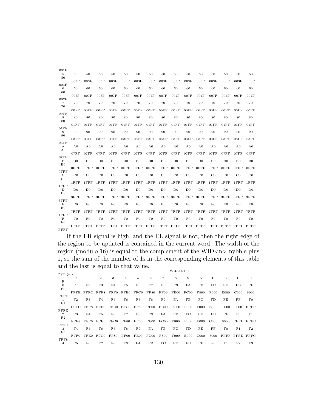| 001F                                        |                |                |                |                |                |                |                |                |                |                |                |                |                |                |                |
|---------------------------------------------|----------------|----------------|----------------|----------------|----------------|----------------|----------------|----------------|----------------|----------------|----------------|----------------|----------------|----------------|----------------|
| $\,$ 5<br>50                                | 50             | 50             | 50             | 50             | 50             | 50             | 50             | 50             | 50             | 50             | 50             | 50             | 50             | 50             | 50             |
| 003F                                        | 003F           | 003F           | 003F           | 003F           | 003F           | 003F           | 003F           | 003F           | 003F           | 003F           | 003F           | 003F           | 003F           | 003F           | 003F           |
| 6<br>60                                     | 60             | 60             | 60             | 60             | 60             | 60             | 60             | 60             | 60             | 60             | 60             | 60             | 60             | 60             | 60             |
| 007F                                        | 007F           | 007F           | 007F           | 007F           | 007F           | 007F           | 007F           | 007F           | 007F           | 007F           | 007F           | 007F           | 007F           | 007F           | 007F           |
| $\overline{7}$<br>70                        | 70             | 70             | 70             | 70             | 70             | 70             | 70             | 70             | 70             | 70             | 70             | 70             | 70             | 70             | 70             |
|                                             | 00FF           | 00FF           | 00FF           | 00FF           | $00$ FF        | $00$ FF        | 00FF           | $00$ FF        | 00FF           | 00FF           | 00FF           | 00FF           | 00FF           | 00FF           | 00FF           |
| 00FF<br>8<br>80                             | 80             | 80             | 80             | 80             | 80             | 80             | 80             | 80             | 80             | 80             | 80             | 80             | 80             | 80             | 80             |
|                                             | 01FF           | 01FF           | 01FF           | 01FF           | 01FF           | 01FF           | 01FF           | 01FF           | 01FF           | 01FF           | 01FF           | 01FF           | 01FF           | 01FF           | 01FF           |
| 01FF<br>9<br>90                             | 90             | 90             | 90             | 90             | 90             | 90             | 90             | 90             | 90             | 90             | 90             | 90             | 90             | 90             | 90             |
| 03FF                                        | 03FF           | 03FF           | 03FF           | 03FF           | 03FF           | 03FF           | 03FF           | 03FF           | 03FF           | 03FF           | 03FF           | 03FF           | 03FF           | 03FF           | 03FF           |
| $\boldsymbol{\mathrm{A}}$<br>A <sub>0</sub> | A <sub>0</sub> | A <sub>0</sub> | A <sub>0</sub> | A <sub>0</sub> | A <sub>0</sub> | A <sub>0</sub> | A <sub>0</sub> | A <sub>0</sub> | A <sub>0</sub> | A <sub>0</sub> | A <sub>0</sub> | A <sub>0</sub> | A <sub>0</sub> | A <sub>0</sub> | A <sub>0</sub> |
|                                             | 07FF           | 07FF           | 07FF           | 07FF           | 07FF           | 07FF           | 07FF           | 07FF           | 07FF           | 07FF           | 07FF           | 07FF           | 07FF           | 07FF           | 07FF           |
| 07FF<br>B<br>B <sub>0</sub>                 | B <sub>0</sub> | B <sub>0</sub> | B <sub>0</sub> | B <sub>0</sub> | B <sub>0</sub> | B <sub>0</sub> | B <sub>0</sub> | B <sub>0</sub> | B <sub>0</sub> | B <sub>0</sub> | B <sub>0</sub> | B <sub>0</sub> | B <sub>0</sub> | B <sub>0</sub> | B <sub>0</sub> |
|                                             | $0$ FFF        | $0$ FFF        | $0$ FFF        | $0$ FFF        | $0$ FFF        | $0$ FFF        | 0FFF           | $0$ FFF        | 0FFF           | $0$ FFF        | $0$ FFF        | $0$ FFF        | $0$ FFF        | $0$ FFF        | $0$ FFF        |
| $0$ FFF<br>$\mathbf C$<br>$_{\rm CO}$       | $_{\rm C0}$    | $_{\rm C0}$    | $_{\rm C0}$    | $_{\rm C0}$    | $_{\rm C0}$    | $_{\rm CO}$    | $_{\rm CO}$    | $_{\rm CO}$    | $_{\rm C0}$    | $_{\rm CO}$    | $_{\rm CO}$    | $_{\rm CO}$    | $_{\rm CO}$    | $_{\rm C0}$    | $_{\rm CO}$    |
| $1$ $FF$ $FF$                               | $1$ FFF        | $1$ $FF$ $FF$  | $1$ $FF$ $FF$  | $1$ $FF$ $FF$  | $1$ $FF$ $FF$  | $1$ $FF$ $FF$  | $1$ $FF$ $FF$  | $1$ $FF$ $F$   | $1$ $FF$ $FF$  | $1$ $FF$ $FF$  | $1$ $FF$ $FF$  | $1$ $FF$ $F$   | $1$ $FF$ $FF$  | $1$ $FF$ $FF$  | $1$ $FF$ $F$   |
| D<br>D <sub>0</sub>                         | D <sub>0</sub> | D <sub>0</sub> | D <sub>0</sub> | D <sub>0</sub> | D <sub>0</sub> | D <sub>0</sub> | D <sub>0</sub> | D <sub>0</sub> | D <sub>0</sub> | D <sub>0</sub> | D <sub>0</sub> | D <sub>0</sub> | D <sub>0</sub> | D <sub>0</sub> | D <sub>0</sub> |
|                                             | 3FFF           | 3FFF           | 3FFF           | $3$ $FF$ $F$   | $3$ $FF$ $F$   | $3$ $FF$ $F$   | $3$ $FF$ $F$   | $3$ $FF$ $F$   | 3FFF           | $3$ $FF$ $F$   | $3$ $FF$ $F$   | 3FFF           | 3FFF           | 3FFF           | $3$ $FF$ $F$   |
| $3$ $FF$ $F$<br>E<br>E0                     | E0             | E <sub>0</sub> | E0             | E0             | E0             | E0             | E <sub>0</sub> | E0             | E0             | E0             | E0             | E0             | E0             | E <sub>0</sub> | E0             |
|                                             | 7FFF           | 7FFF           | 7FFF           | 7FFF           | 7FFF           | 7FFF           | 7FFF           | 7FFF           | 7FFF           | 7FFF           | 7FFF           | 7FFF           | 7FFF           | 7FFF           | 7FFF           |
| 7FFF<br>$\mathbf F$<br>F()                  | F <sub>0</sub> | F <sub>0</sub> | F <sub>0</sub> | F <sub>0</sub> | F <sub>0</sub> | F <sub>0</sub> | F <sub>0</sub> | F <sub>0</sub> | F <sub>0</sub> | F <sub>0</sub> | F <sub>0</sub> | F <sub>0</sub> | F <sub>0</sub> | F <sub>0</sub> | F <sub>0</sub> |
| <b>FFFF</b>                                 | FFFF           | FFFF           | <b>FFFF</b>    | FFFF           | FFFF           | <b>FFFF</b>    | FFFF           | FFFF           | FFFF           | FFFF           | FFFF           | FFFF           | <b>FFFF</b>    | FFFF           | FFFF           |

If the ER signal is high, and the EL signal is not, then the right edge of the region to be updated is contained in the current word. The width of the region (modulo 16) is equal to the complement of the WID $\langle n \rangle$  nybble plus 1, so the sum of the number of 1s in the corresponding elements of this table and the last is equal to that value.  $WID < n > \rightarrow$ 

|                |                |                |      |                |             |             |      | .           |                  |                  |                  |                  |                  |                |
|----------------|----------------|----------------|------|----------------|-------------|-------------|------|-------------|------------------|------------------|------------------|------------------|------------------|----------------|
|                |                |                |      |                |             |             |      |             |                  |                  |                  |                  |                  |                |
| $\theta$       | 1              | $\overline{2}$ | 3    | $\overline{4}$ | 5           | 6           | 7    | 8           | 9                | A                | B                | $\mathcal{C}$    | D                | E              |
|                |                |                |      |                |             |             |      |             |                  |                  |                  |                  |                  |                |
|                |                |                | F4   |                | F6.         |             |      | F9          | FA               |                  |                  |                  |                  | FF             |
|                |                |                |      |                |             |             |      |             |                  |                  |                  |                  |                  |                |
| FFFF.          | FFFC.          | FFF8           | FFF0 | FFE0           | FFC0        | <b>FF80</b> | FF00 | FE00        | FC00             | F800             | F000             | E000             | C <sub>000</sub> | 8000           |
|                |                |                |      |                |             |             |      |             |                  |                  |                  |                  |                  |                |
| F <sub>2</sub> | F3             | F4             | F5   | F6             | F7          | F8          | F9   | FA          | FB               | FC               | FD               | FE               | FF               | $_{\rm F0}$    |
|                |                |                |      |                |             |             |      |             |                  |                  |                  |                  |                  |                |
|                | $_{\rm{FFFS}}$ | FFF0           | FFE0 | FFCO           | <b>FF80</b> | FF00        | FE00 | FC00        | F800             | F000             | E000             | C <sub>000</sub> | 8000             | FFFF           |
|                |                |                |      |                |             |             |      |             |                  |                  |                  |                  |                  |                |
| F3             | F4             | F5             | F6   | F7             | F8          | F9          | FA   | FB          | FC               | FD               | FE               | FF               | F0               | F1             |
|                |                |                |      |                |             |             |      |             |                  |                  |                  |                  |                  |                |
| FFF8           | FFF0           | FFE0           | FFCO | <b>FF80</b>    | FF00        | FEOO        | FC00 | F800        | F <sub>000</sub> | E000             | CO <sub>00</sub> | 8000             | FFFF             | <b>FFFE</b>    |
|                |                |                |      |                |             |             |      |             |                  |                  |                  |                  |                  |                |
| F <sub>4</sub> | F5             | $_{\rm F6}$    | F7   | F8             | F9          | FA          | FB   | $_{\rm FC}$ | FD               | FE               | FF               | $_{\rm F0}$      | $_{\rm F1}$      | F <sub>2</sub> |
|                |                |                |      |                |             |             |      |             |                  |                  |                  |                  |                  |                |
| FFF0.          | $_{\rm FFE0}$  | FFCO           | FF80 | FF00           | FE00        | FC00        | F800 | F000        | E000             | C <sub>000</sub> | 8000             | <b>FFFF</b>      | FFFE             | FFFC           |
|                |                |                |      |                |             |             |      |             |                  |                  |                  |                  |                  |                |
| F5             | F6             | F7             | F8   | F9             | FA          | FB          | FC   | FD          | FE               | FF               | $_{\rm F0}$      | F1               | F2               | F3             |
|                | DST < n<br>F1  | F2<br>FFFC     | F3   |                | F5          |             | F7   | F8          |                  |                  | FB               | FC               | FD               | FE             |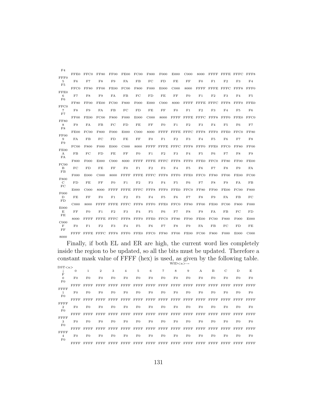| F <sub>4</sub>               |                  |                  |                  |                  |                  |                  |                  |                  |                  |                  |                |                |                |                |                  |
|------------------------------|------------------|------------------|------------------|------------------|------------------|------------------|------------------|------------------|------------------|------------------|----------------|----------------|----------------|----------------|------------------|
|                              | FFE0             | FFCO             | <b>FF80</b>      | FF00             | FE00             | FC00             | F800             | F000             | E000             | C <sub>000</sub> | 8000           | FFFF           | FFFE FFFC      |                | FFF8             |
| FFF0<br>5<br>F5              | F6               | ${\rm F}7$       | F8               | F9               | FA               | FB               | FC               | FD               | FE               | FF               | F0             | F1             | F <sub>2</sub> | F3             | F <sub>4</sub>   |
| FFE0                         | FFC0             | <b>FF80</b>      | FF00             | FE00             | FC00             | F800             | F000             | E000             | C <sub>000</sub> | 8000             | FFFF           | <b>FFFE</b>    | <b>FFFC</b>    | FFF8           | FFF0             |
| 6<br>F6                      | F7               | F8               | F9               | FA               | FB               | FC               | FD               | FE               | FF               | F <sub>0</sub>   | F1             | F2             | F3             | F <sub>4</sub> | F5               |
|                              | <b>FF80</b>      | FF00             | FE00             | FC00             | F800             | F <sub>000</sub> | E000             | C <sub>000</sub> | 8000             | FFFF             | <b>FFFE</b>    | FFFC           | FFF8           | FFF0           | FFE0             |
| FFC0<br>$\overline{7}$<br>F7 | F8               | F9               | FA               | FB               | FC               | FD               | FE               | FF               | $_{\rm F0}$      | F1               | F <sub>2</sub> | F3             | F <sub>4</sub> | F5             | F6               |
|                              | FF00             | FE00             | FC00             | F800             | F000             | E000             | C <sub>000</sub> | 8000             | <b>FFFF</b>      | <b>FFFE</b>      | <b>FFFC</b>    | FFF8           | FFF0           | FFE0           | FFC0             |
| <b>FF80</b><br>8             | F9               | FA               | FB               | FC               | FD               | FE               | FF               | F <sub>0</sub>   | $\rm F1$         | F <sub>2</sub>   | F3             | F <sub>4</sub> | F5             | F6             | F7               |
| F8                           |                  |                  |                  |                  |                  |                  |                  |                  |                  |                  |                |                |                |                |                  |
| FF00                         | FE00             | FC00             | F800             | F000             | E000             | C <sub>000</sub> | 8000             | FFFF             | FFFE             | $\rm FFFC$       | FFF8           | FFF0           | FFE0           | FFCO           | <b>FF80</b>      |
| 9<br>F9                      | FA               | FB               | FC               | FD               | FE               | FF               | F <sub>0</sub>   | $_{\rm F1}$      | F2               | F3               | F <sub>4</sub> | F5             | F6             | F7             | F8               |
|                              | FC00             | F800             | F <sub>000</sub> | E000             | C <sub>000</sub> | 8000             | FFFF             | <b>FFFE</b>      | <b>FFFC</b>      | FFF8             | FFF0           | FFE0           | FFC0           | <b>FF80</b>    | <b>FF00</b>      |
| FE00<br>$\mathbf{A}$<br>FA   | <b>FB</b>        | FC               | FD               | FE               | FF               | F <sub>0</sub>   | F1               | F <sub>2</sub>   | F3               | F <sub>4</sub>   | F5             | F6             | F7             | F8             | F9               |
|                              | F800             | F <sub>000</sub> | E000             | C <sub>000</sub> | 8000             | FFFF             | <b>FFFE</b>      | FFFC             | FFF8             | FFF0             | FFE0           | FFCO           | <b>FF80</b>    | FF00           | FE00             |
| FC00<br>B<br>FB              | FC               | FD               | FE               | $_{\rm FF}$      | F <sub>0</sub>   | F1               | F <sub>2</sub>   | F3               | F <sub>4</sub>   | F5               | F6             | F7             | F8             | F9             | FA               |
|                              | F <sub>000</sub> | E000             | C <sub>000</sub> | 8000             | FFFF             | FFFE             | FFFC             | FFF8             | FFF0             | FFE0             | FFCO           | <b>FF80</b>    | <b>FF00</b>    | FEOO           | FC00             |
| F800<br>C<br>FC              | FD               | FE               | FF               | F <sub>0</sub>   | F1               | F <sub>2</sub>   | F3               | F <sub>4</sub>   | F5               | F <sub>6</sub>   | F7             | F8             | F9             | FA             | FB               |
|                              | E000             | C <sub>000</sub> | 8000             | FFFF             | FFFE             | <b>FFFC</b>      | FFF8             | FFF0             | FFE0             | FFCO             | <b>FF80</b>    | FF00           | FE00           | FC00           | F800             |
| F000<br>D                    | FE               | FF               | F()              | F1               | F <sub>2</sub>   | F3               | F <sub>4</sub>   | F5               | F6               | F7               | F8             | F9             | FA             | FB             | FC               |
| FD                           | C <sub>000</sub> | 8000             | FFFF             | <b>FFFE</b>      | $\rm FFFC$       | FFF8             | FFF0             | FFE0             | FFCO             | <b>FF80</b>      | FF00           | FE00           | FC00           | F800           | F <sub>000</sub> |
| E000<br>Е<br>FE              | FF               | F <sub>0</sub>   | F1               | F <sub>2</sub>   | F3               | F <sub>4</sub>   | F5               | F6               | F7               | F8               | F9             | FA             | FB             | FC             | FD               |
|                              | 8000             | <b>FFFF</b>      | <b>FFFE</b>      | <b>FFFC</b>      | FFF8             | FFF0             | FFE0             | FFC0             | <b>FF80</b>      | FF00             | FE00           | FC00           | F800           | F000           | E000             |
| C <sub>000</sub>             |                  |                  |                  |                  |                  |                  |                  |                  |                  |                  |                |                |                |                |                  |
| F<br>FF                      | F <sub>0</sub>   | F1               | F <sub>2</sub>   | F3               | F <sub>4</sub>   | F5               | F6               | F7               | F8               | F9               | FA             | FB             | FC             | FD             | FE               |
| 8000                         | FFFF             | FFFE FFFC        |                  | FFF8             | FFF0             | FFE0             | FFC0             | <b>FF80</b>      | FF00             | FE00             | FC00           | F800           | F000           | E000           | C <sub>000</sub> |

Finally, if both EL and ER are high, the current word lies completely inside the region to be updated, so all the bits must be updated. Therefore a constant mask value of FFFF (hex) is used, as given by the following table.  $WID < n > -$ 

DST<n> ↓ 0 1 2 3 4 5 6 7 8 9 A B C D E  $_{\rm F}^{\downarrow}$ 0 F0 F0 F0 F0 F0 F0 F0 F0 F0 F0 F0 F0 F0 F0 F0  $\frac{0}{\mathrm{F0}}$ FFFF FFFF FFFF FFFF FFFF FFFF FFFF FFFF FFFF FFFF FFFF FFFF FFFF FFFF FFFF FFFF 1 F0 F0 F0 F0 F0 F0 F0 F0 F0 F0 F0 F0 F0 F0 F0 F0 FFFF FFFF FFFF FFFF FFFF FFFF FFFF FFFF FFFF FFFF FFFF FFFF FFFF FFFF FFFF FFFF 2 F0 F0 F0 F0 F0 F0 F0 F0 F0 F0 F0 F0 F0 F0 F0  ${\rm F0}$ FFFF FFFF FFFF FFFF FFFF FFFF FFFF FFFF FFFF FFFF FFFF FFFF FFFF FFFF FFFF FFFF 3 F0 F0 F0 F0 F0 F0 F0 F0 F0 F0 F0 F0 F0 F0 F0  $\frac{3}{\mathrm{F0}}$ FFFF FFFF FFFF FFFF FFFF FFFF FFFF FFFF FFFF FFFF FFFF FFFF FFFF FFFF FFFF FFFF 4 F0 F0 F0 F0 F0 F0 F0 F0 F0 F0 F0 F0 F0 F0 F0  $\frac{4}{\rm{F0}}$ FFFF FFFF FFFF FFFF FFFF FFFF FFFF FFFF FFFF FFFF FFFF FFFF FFFF FFFF FFFF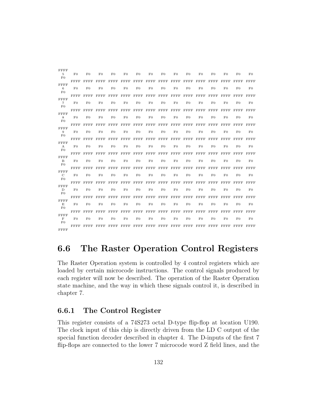FFFF 5 F0 F0 F0 F0 F0 F0 F0 F0 F0 F0 F0 F0 F0 F0 F0 F0 FFFF FFFF FFFF FFFF FFFF FFFF FFFF FFFF FFFF FFFF FFFF FFFF FFFF FFFF FFFF FFFF 6 F0 F0 F0 F0 F0 F0 F0 F0 F0 F0 F0 F0 F0 F0 F0  $\check{F}0$ FFFF FFFF FFFF FFFF FFFF FFFF FFFF FFFF FFFF FFFF FFFF FFFF FFFF FFFF FFFF FFFF 7 F0 F0 F0 F0 F0 F0 F0 F0 F0 F0 F0 F0 F0 F0 F0  ${\rm F0}$ FFFF FFFF FFFF FFFF FFFF FFFF FFFF FFFF FFFF FFFF FFFF FFFF FFFF FFFF FFFF FFFF 8 F0 F0 F0 F0 F0 F0 F0 F0 F0 F0 F0 F0 F0 F0 F0 F0 FFFF FFFF FFFF FFFF FFFF FFFF FFFF FFFF FFFF FFFF FFFF FFFF FFFF FFFF FFFF FFFF 9 F0 F0 F0 F0 F0 F0 F0 F0 F0 F0 F0 F0 F0 F0 F0 F0 FFFF FFFF FFFF FFFF FFFF FFFF FFFF FFFF FFFF FFFF FFFF FFFF FFFF FFFF FFFF FFFF A F0 F0 F0 F0 F0 F0 F0 F0 F0 F0 F0 F0 F0 F0 F0 F0 FFFF FFFF FFFF FFFF FFFF FFFF FFFF FFFF FFFF FFFF FFFF FFFF FFFF FFFF FFFF FFFF B F0 F0 F0 F0 F0 F0 F0 F0 F0 F0 F0 F0 F0 F0 F0  ${\rm F0}$ FFFF FFFF FFFF FFFF FFFF FFFF FFFF FFFF FFFF FFFF FFFF FFFF FFFF FFFF FFFF FFFF C F0 F0 F0 F0 F0 F0 F0 F0 F0 F0 F0 F0 F0 F0 F0  ${\rm F0}$ FFFF FFFF FFFF FFFF FFFF FFFF FFFF FFFF FFFF FFFF FFFF FFFF FFFF FFFF FFFF FFFF D F0 F0 F0 F0 F0 F0 F0 F0 F0 F0 F0 F0 F0 F0 F0  $\overline{F}0$ FFFF FFFF FFFF FFFF FFFF FFFF FFFF FFFF FFFF FFFF FFFF FFFF FFFF FFFF FFFF FFFF E F0 F0 F0 F0 F0 F0 F0 F0 F0 F0 F0 F0 F0 F0 F0  ${\rm F0}$ FFFF FFFF FFFF FFFF FFFF FFFF FFFF FFFF FFFF FFFF FFFF FFFF FFFF FFFF FFFF FFFF F F0 F0 F0 F0 F0 F0 F0 F0 F0 F0 F0 F0 F0 F0 F0  $\overline{F}0$ FFFF FFFF FFFF FFFF FFFF FFFF FFFF FFFF FFFF FFFF FFFF FFFF FFFF FFFF FFFF FFFF

# 6.6 The Raster Operation Control Registers

The Raster Operation system is controlled by 4 control registers which are loaded by certain microcode instructions. The control signals produced by each register will now be described. The operation of the Raster Operation state machine, and the way in which these signals control it, is described in chapter 7.

# 6.6.1 The Control Register

This register consists of a 74S273 octal D-type flip-flop at location U190. The clock input of this chip is directly driven from the LD C output of the special function decoder described in chapter 4. The D-inputs of the first 7 flip-flops are connected to the lower 7 microcode word Z field lines, and the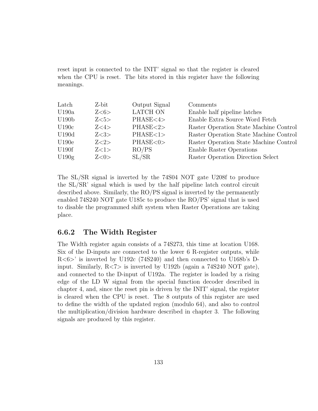reset input is connected to the INIT' signal so that the register is cleared when the CPU is reset. The bits stored in this register have the following meanings.

| Latch             | Z-bit | Output Signal   | Comments                               |
|-------------------|-------|-----------------|----------------------------------------|
| U190a             | Z<6>  | <b>LATCH ON</b> | Enable half pipeline latches           |
| U190 <sub>b</sub> | Z<5>  | PHASE<4>        | Enable Extra Source Word Fetch         |
| U190c             | Z<4>  | PHASE < 2>      | Raster Operation State Machine Control |
| U190d             | Z<3>  | PHASE<1>        | Raster Operation State Machine Control |
| U190e             | Z<2>  | PHASE<0>        | Raster Operation State Machine Control |
| U190f             | Z<1>  | RO/PS           | Enable Raster Operations               |
| U190g             | Z<0>  | SL/SR           | Raster Operation Direction Select      |

The SL/SR signal is inverted by the 74S04 NOT gate U208f to produce the SL/SR' signal which is used by the half pipeline latch control circuit described above. Similarly, the RO/PS signal is inverted by the permanently enabled 74S240 NOT gate U185c to produce the RO/PS' signal that is used to disable the programmed shift system when Raster Operations are taking place.

# 6.6.2 The Width Register

The Width register again consists of a 74S273, this time at location U168. Six of the D-inputs are connected to the lower 6 R-register outputs, while R<6>' is inverted by U192c (74S240) and then connected to U168b's Dinput. Similarly,  $R \le 7$  is inverted by U192b (again a 74S240 NOT gate), and connected to the D-input of U192a. The register is loaded by a rising edge of the LD W signal from the special function decoder described in chapter 4, and, since the reset pin is driven by the INIT' signal, the register is cleared when the CPU is reset. The 8 outputs of this register are used to define the width of the updated region (modulo 64), and also to control the multiplication/division hardware described in chapter 3. The following signals are produced by this register.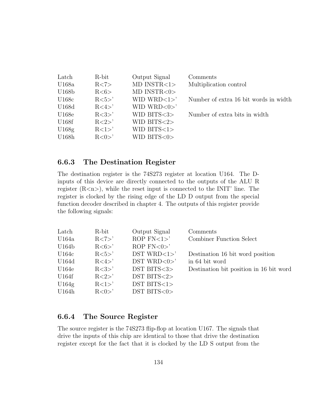| Latch | R-bit          | Output Signal              | Comments                              |
|-------|----------------|----------------------------|---------------------------------------|
| U168a | R < 7>         | $MD$ $INSTR < 1$           | Multiplication control                |
| U168b | R<6>           | $MD$ $INSTR < 0$           |                                       |
| U168c | $R<5>^{\circ}$ | WID WRD $<1>$ <sup>'</sup> | Number of extra 16 bit words in width |
| U168d | R < 4 >'       | WID WRD $<0>^{\circ}$      |                                       |
| U168e | R < 3>         | WID BITS $<$ 3 $>$         | Number of extra bits in width         |
| U168f | R < 2 >'       | WID BITS $<2>$             |                                       |
| U168g | $R<1>^{\circ}$ | WID BITS $<1>$             |                                       |
| U168h | R < 0 >'       | WID BITS $<0>$             |                                       |

# 6.6.3 The Destination Register

The destination register is the 74S273 register at location U164. The Dinputs of this device are directly connected to the outputs of the ALU R register  $(R < n>)$ , while the reset input is connected to the INIT' line. The register is clocked by the rising edge of the LD D output from the special function decoder described in chapter 4. The outputs of this register provide the following signals:

| Latch | R-bit          | Output Signal              | Comments                                |
|-------|----------------|----------------------------|-----------------------------------------|
| U164a | R < 7>         | ROP $FN < 1 >'$            | <b>Combiner Function Select</b>         |
| U164b | R < 6 >'       | ROP $FN < 0$               |                                         |
| U164c | $R<5>$ '       | DST WRD $<1>$ <sup>'</sup> | Destination 16 bit word position        |
| U164d | R < 4 >'       | DST WRD $<0>^{\circ}$      | in 64 bit word                          |
| U164e | $R < 3>$ '     | $DST$ BITS $3$             | Destination bit position in 16 bit word |
| U164f | R < 2 >'       | $DST$ BITS $<2>$           |                                         |
| U164g | $R<1>^{\circ}$ | $DST$ BITS $<1>$           |                                         |
| U164h | R < 0 >'       | $DST$ BITS $<0>$           |                                         |

# 6.6.4 The Source Register

The source register is the 74S273 flip-flop at location U167. The signals that drive the inputs of this chip are identical to those that drive the destination register except for the fact that it is clocked by the LD S output from the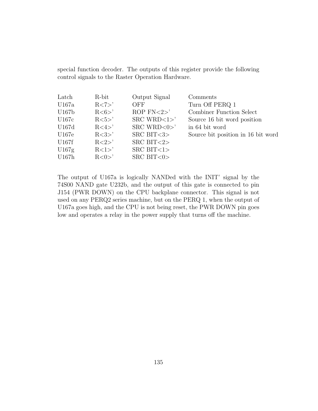special function decoder. The outputs of this register provide the following control signals to the Raster Operation Hardware.

| Latch | R-bit          | Output Signal                | Comments                           |
|-------|----------------|------------------------------|------------------------------------|
| U167a | R < 7          | OFF                          | Turn Off PERQ 1                    |
| U167b | R < 6 >'       | ROP $FN < 2$                 | Combiner Function Select           |
| U167c | $R<5>$ '       | $SRC$ WRD $<1>$ <sup>'</sup> | Source 16 bit word position        |
| U167d | R < 4 >'       | $SRC$ WRD $<0>$              | in 64 bit word                     |
| U167e | $R < 3>$ '     | SRC BIT $<3>$                | Source bit position in 16 bit word |
| U167f | $R < 2>$ '     | SRC BIT $<2>$                |                                    |
| U167g | $R<1>^{\circ}$ | $SRC$ BIT $<1>$              |                                    |
| U167h | R < 0 >'       | SRC BIT $<0>$                |                                    |

The output of U167a is logically NANDed with the INIT' signal by the 74S00 NAND gate U232b, and the output of this gate is connected to pin J154 (PWR DOWN) on the CPU backplane connector. This signal is not used on any PERQ2 series machine, but on the PERQ 1, when the output of U167a goes high, and the CPU is not being reset, the PWR DOWN pin goes low and operates a relay in the power supply that turns off the machine.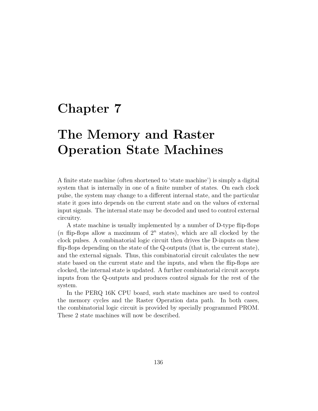# Chapter 7

# The Memory and Raster Operation State Machines

A finite state machine (often shortened to 'state machine') is simply a digital system that is internally in one of a finite number of states. On each clock pulse, the system may change to a different internal state, and the particular state it goes into depends on the current state and on the values of external input signals. The internal state may be decoded and used to control external circuitry.

A state machine is usually implemented by a number of D-type flip-flops (*n* flip-flops allow a maximum of  $2^n$  states), which are all clocked by the clock pulses. A combinatorial logic circuit then drives the D-inputs on these flip-flops depending on the state of the Q-outputs (that is, the current state), and the external signals. Thus, this combinatorial circuit calculates the new state based on the current state and the inputs, and when the flip-flops are clocked, the internal state is updated. A further combinatorial circuit accepts inputs from the Q-outputs and produces control signals for the rest of the system.

In the PERQ 16K CPU board, such state machines are used to control the memory cycles and the Raster Operation data path. In both cases, the combinatorial logic circuit is provided by specially programmed PROM. These 2 state machines will now be described.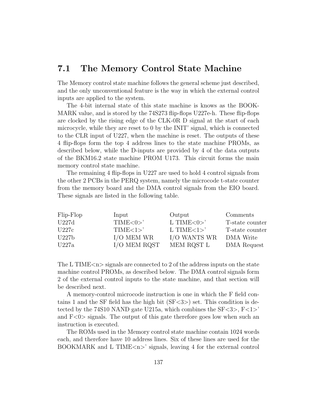# 7.1 The Memory Control State Machine

The Memory control state machine follows the general scheme just described, and the only unconventional feature is the way in which the external control inputs are applied to the system.

The 4-bit internal state of this state machine is knows as the BOOK-MARK value, and is stored by the 74S273 flip-flops U227e-h. These flip-flops are clocked by the rising edge of the CLK-0R D signal at the start of each microcycle, while they are reset to 0 by the INIT' signal, which is connected to the CLR input of U227, when the machine is reset. The outputs of these 4 flip-flops form the top 4 address lines to the state machine PROMs, as described below, while the D-inputs are provided by 4 of the data outputs of the BKM16.2 state machine PROM U173. This circuit forms the main memory control state machine.

The remaining 4 flip-flops in U227 are used to hold 4 control signals from the other 2 PCBs in the PERQ system, namely the microcode t-state counter from the memory board and the DMA control signals from the EIO board. These signals are listed in the following table.

| Flip-Flop | Input              | Output               | Comments        |
|-----------|--------------------|----------------------|-----------------|
| U227d     | TIME < 0>          | L TIME $<0>^{\circ}$ | T-state counter |
| U227c     | TIME < 1>          | L TIME $<1>$ '       | T-state counter |
| U227b     | $I/O$ MEM WR       | I/O WANTS WR         | DMA Write       |
| U227a     | $\rm I/O$ MEM RQST | MEM ROST L           | DMA Request     |

The L TIME $\langle n \rangle$  signals are connected to 2 of the address inputs on the state machine control PROMs, as described below. The DMA control signals form 2 of the external control inputs to the state machine, and that section will be described next.

A memory-control microcode instruction is one in which the F field contains 1 and the SF field has the high bit  $(SF<3>)$  set. This condition is detected by the 74S10 NAND gate U215a, which combines the  $SF < 3$ ,  $F < 1$ ' and  $F<0>$  signals. The output of this gate therefore goes low when such an instruction is executed.

The ROMs used in the Memory control state machine contain 1024 words each, and therefore have 10 address lines. Six of these lines are used for the BOOKMARK and L TIME $\langle n \rangle$  signals, leaving 4 for the external control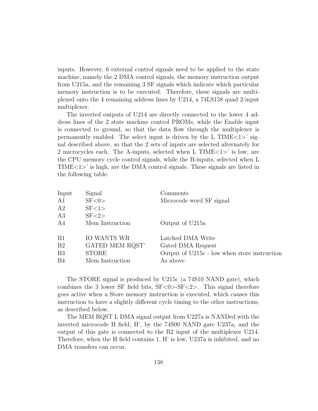inputs. However, 6 external control signals need to be applied to the state machine, namely the 2 DMA control signals, the memory instruction output from U215a, and the remaining 3 SF signals which indicate which particular memory instruction is to be executed. Therefore, these signals are multiplexed onto the 4 remaining address lines by U214, a 74LS158 quad 2-input multiplexer.

The inverted outputs of U214 are directly connected to the lower 4 address lines of the 2 state machine control PROMs, while the Enable input is connected to ground, so that the data flow through the multiplexer is permanently enabled. The select input is driven by the L TIME $\langle 1 \rangle$  signal described above, so that the 2 sets of inputs are selected alternately for 2 microcycles each. The A-inputs, selected when L TIME $\langle 1 \rangle$  is low, are the CPU memory cycle control signals, while the B-inputs, selected when L TIME<1>' is high, are the DMA control signals. These signals are listed in the following table.

| Input          | Signal             | Comments                                     |
|----------------|--------------------|----------------------------------------------|
| A1             | SF < 0             | Microcode word SF signal                     |
| A2             | SF < 1             |                                              |
| A3             | SF < 2             |                                              |
| A4             | Mem Instruction    | Output of U215a                              |
| B1             | <b>IO WANTS WR</b> | Latched DMA Write                            |
| B <sub>2</sub> | GATED MEM RQST'    | Gated DMA Request                            |
| B <sub>3</sub> | <b>STORE</b>       | Output of U215c - low when store instruction |
| B <sub>4</sub> | Mem Instruction    | As above                                     |
|                |                    |                                              |

The STORE signal is produced by U215c (a 74S10 NAND gate), which combines the 3 lower SF field bits,  $S_F < 0 > S_F < 2$ . This signal therefore goes active when a Store memory instruction is executed, which causes this instruction to have a slightly different cycle timing to the other instructions, as described below.

The MEM RQST L DMA signal output from U227a is NANDed with the inverted microcode H field, H', by the 74S00 NAND gate U237a, and the output of this gate is connected to the B2 input of the multiplexer U214. Therefore, when the H field contains 1, H' is low, U237a is inhibited, and no DMA transfers can occur.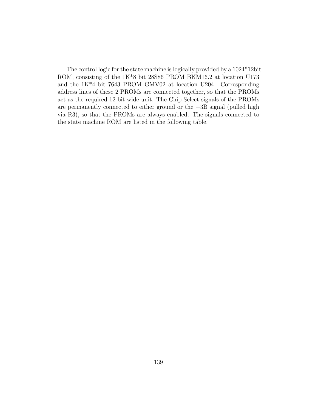The control logic for the state machine is logically provided by a 1024\*12bit ROM, consisting of the 1K\*8 bit 28S86 PROM BKM16.2 at location U173 and the 1K\*4 bit 7643 PROM GMV02 at location U204. Corresponding address lines of these 2 PROMs are connected together, so that the PROMs act as the required 12-bit wide unit. The Chip Select signals of the PROMs are permanently connected to either ground or the  $+3B$  signal (pulled high via R3), so that the PROMs are always enabled. The signals connected to the state machine ROM are listed in the following table.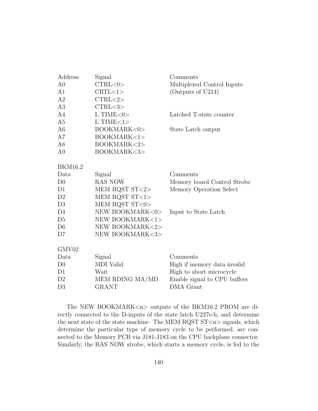| Address        | Signal                                | Comments                     |
|----------------|---------------------------------------|------------------------------|
| A <sub>0</sub> | CTRL <0>                              | Multiplexed Control Inputs   |
| A1             | CRTL<1>                               | (Outputs of U214)            |
| A2             | CTRL < 2>                             |                              |
| A3             | CTRL <sub>3</sub>                     |                              |
| A4             | $L$ TIME $<$ 0 $>$                    | Latched T-state counter      |
| A <sub>5</sub> | $L$ TIME $<$ 1>                       |                              |
| A <sub>6</sub> | BOOKMARK<0>                           | State Latch output           |
| A7             | BOOKMARK<1>                           |                              |
| A8             | BOOKMARK<2>                           |                              |
| A9             | BOOKMARK<3>                           |                              |
|                |                                       |                              |
| <b>BKM16.2</b> |                                       |                              |
| Data           | Signal                                | Comments                     |
| D <sub>0</sub> | <b>RAS NOW</b>                        | Memory board Control Strobe  |
| D1             | MEM RQST ST<2>                        | Memory Operation Select      |
| D <sub>2</sub> | MEM RQST $\mathrm{ST}\! <\! 1 \!\! >$ |                              |
| D3             | MEM RQST ST<0>                        |                              |
| D4             | NEW BOOKMARK<0>                       | Input to State Latch         |
| D <sub>5</sub> | NEW BOOKMARK<1>                       |                              |
| D <sub>6</sub> | NEW BOOKMARK<2>                       |                              |
| D7             | NEW BOOKMARK<3>                       |                              |
|                |                                       |                              |
| GMV02          |                                       |                              |
| Data           | Signal                                | Comments                     |
| D <sub>0</sub> | MDI Valid                             | High if memory data invalid  |
| D1             | Wait                                  | High to abort microcycle     |
| D <sub>2</sub> | MEM RDING MA/MD                       | Enable signal to CPU buffers |
| D <sub>3</sub> | <b>GRANT</b>                          | DMA Grant                    |
|                |                                       |                              |

The NEW BOOKMARK<n> outputs of the BKM16.2 PROM are directly connected to the D-inputs of the state latch U227e-h, and determine the next state of the state machine. The MEM RQST  $ST < n >$  signals, which determine the particular type of memory cycle to be performed, are connected to the Memory PCB via J181-J183 on the CPU backplane connector. Similarly, the RAS NOW strobe, which starts a memory cycle, is fed to the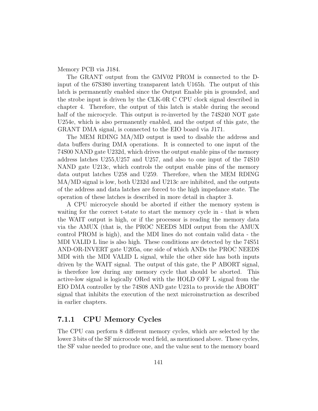#### Memory PCB via J184.

The GRANT output from the GMV02 PROM is connected to the Dinput of the 67S380 inverting transparent latch U165h. The output of this latch is permanently enabled since the Output Enable pin is grounded, and the strobe input is driven by the CLK-0R C CPU clock signal described in chapter 4. Therefore, the output of this latch is stable during the second half of the microcycle. This output is re-inverted by the 74S240 NOT gate U254e, which is also permanently enabled, and the output of this gate, the GRANT DMA signal, is connected to the EIO board via J171.

The MEM RDING MA/MD output is used to disable the address and data buffers during DMA operations. It is connected to one input of the 74S00 NAND gate U232d, which drives the output enable pins of the memory address latches U255,U257 and U257, and also to one input of the 74S10 NAND gate U213c, which controls the output enable pins of the memory data output latches U258 and U259. Therefore, when the MEM RDING MA/MD signal is low, both U232d and U213c are inhibited, and the outputs of the address and data latches are forced to the high impedance state. The operation of these latches is described in more detail in chapter 3.

A CPU microcycle should be aborted if either the memory system is waiting for the correct t-state to start the memory cycle in - that is when the WAIT output is high, or if the processor is reading the memory data via the AMUX (that is, the PROC NEEDS MDI output from the AMUX control PROM is high), and the MDI lines do not contain valid data - the MDI VALID L line is also high. These conditions are detected by the 74S51 AND-OR-INVERT gate U205a, one side of which ANDs the PROC NEEDS MDI with the MDI VALID L signal, while the other side has both inputs driven by the WAIT signal. The output of this gate, the P ABORT signal, is therefore low during any memory cycle that should be aborted. This active-low signal is logically ORed with the HOLD OFF L signal from the EIO DMA controller by the 74S08 AND gate U231a to provide the ABORT' signal that inhibits the execution of the next microinstruction as described in earlier chapters.

## 7.1.1 CPU Memory Cycles

The CPU can perform 8 different memory cycles, which are selected by the lower 3 bits of the SF microcode word field, as mentioned above. These cycles, the SF value needed to produce one, and the value sent to the memory board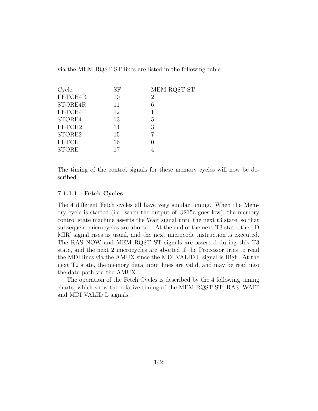via the MEM RQST ST lines are listed in the following table

| Cycle              | SF | MEM RQST ST |
|--------------------|----|-------------|
| FETCH4R            | 10 | 2           |
| STORE4R            | 11 | 6           |
| FETCH4             | 12 |             |
| STORE4             | 13 | 5           |
| FETCH <sub>2</sub> | 14 | 3           |
| STORE2             | 15 |             |
| <b>FETCH</b>       | 16 |             |
| <b>STORE</b>       | 17 |             |
|                    |    |             |

The timing of the control signals for these memory cycles will now be described.

#### 7.1.1.1 Fetch Cycles

The 4 different Fetch cycles all have very similar timing. When the Memory cycle is started (i.e. when the output of U215a goes low), the memory control state machine asserts the Wait signal until the next t3 state, so that subsequent microcycles are aborted. At the end of the next T3 state, the LD MIR' signal rises as usual, and the next microcode instruction is executed. The RAS NOW and MEM RQST ST signals are asserted during this T3 state, and the next 2 microcycles are aborted if the Processor tries to read the MDI lines via the AMUX since the MDI VALID L signal is High. At the next T2 state, the memory data input lines are valid, and may be read into the data path via the AMUX.

The operation of the Fetch Cycles is described by the 4 following timing charts, which show the relative timing of the MEM RQST ST, RAS, WAIT and MDI VALID L signals.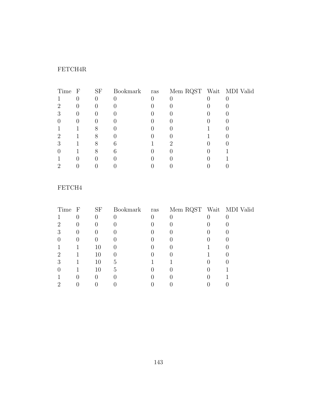# FETCH4R

| Time F | <b>SF</b> | Bookmark | ras | Mem RQST Wait MDI Valid |  |
|--------|-----------|----------|-----|-------------------------|--|
|        | U         |          |     |                         |  |
| ٠,     |           |          |     |                         |  |
| ٠Í     |           |          |     |                         |  |
|        |           |          |     |                         |  |
|        |           |          |     |                         |  |
| ٠,     |           |          |     |                         |  |
|        |           |          |     |                         |  |
|        |           |          |     |                         |  |
|        |           |          |     |                         |  |
|        |           |          |     |                         |  |

## FETCH4

| Time F | <b>SF</b> | Bookmark | ras | Mem RQST Wait MDI Valid |  |
|--------|-----------|----------|-----|-------------------------|--|
|        | U         |          |     |                         |  |
|        |           |          |     |                         |  |
| 3      |           |          |     |                         |  |
|        |           |          |     |                         |  |
|        | 10        |          |     |                         |  |
| ٠,     | 10        |          |     |                         |  |
| 3      | 10        | 5        |     |                         |  |
|        | 10        | G,       |     |                         |  |
|        |           |          |     |                         |  |
|        |           |          |     |                         |  |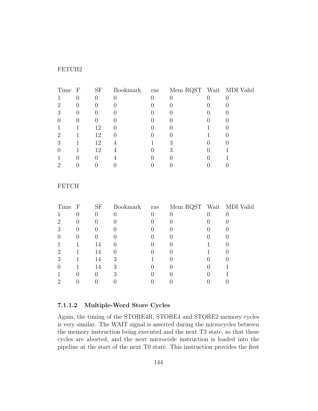#### FETCH2

| Time F | <b>SF</b> | Bookmark |     |                         |
|--------|-----------|----------|-----|-------------------------|
|        | O         |          |     |                         |
|        |           |          |     |                         |
|        |           |          |     |                         |
|        |           |          |     |                         |
|        | 12        |          |     |                         |
|        | 12        |          |     |                         |
|        | 12        |          |     |                         |
|        | 12        |          |     |                         |
|        |           |          |     |                         |
|        |           |          |     |                         |
|        |           |          | ras | Mem RQST Wait MDI Valid |

#### FETCH

| Time F | <b>SF</b>        | Bookmark ras | Mem RQST Wait MDI Valid |  |
|--------|------------------|--------------|-------------------------|--|
|        | $\left( \right)$ |              |                         |  |
| ٠,     |                  |              |                         |  |
| 3      |                  |              |                         |  |
|        |                  |              |                         |  |
|        | 14               |              |                         |  |
| ٠,     | 14               |              |                         |  |
| ٠Ć     | 14               | 3            |                         |  |
|        | 14               | 3            |                         |  |
|        | $\mathbf{0}$     |              |                         |  |
|        |                  |              |                         |  |
|        |                  |              |                         |  |

#### 7.1.1.2 Multiple-Word Store Cycles

Again, the timing of the STORE4R, STORE4 and STORE2 memory cycles is very similar. The WAIT signal is asserted during the microcycles between the memory instruction being executed and the next T3 state, so that these cycles are aborted, and the next microcode instruction is loaded into the pipeline at the start of the next T0 state. This instruction provides the first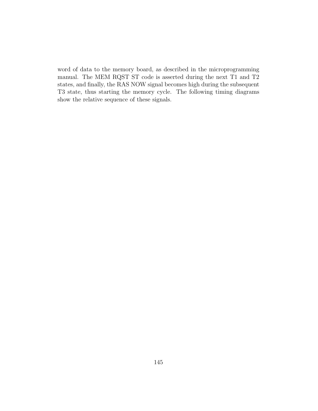word of data to the memory board, as described in the microprogramming manual. The MEM RQST ST code is asserted during the next T1 and T2 states, and finally, the RAS NOW signal becomes high during the subsequent T3 state, thus starting the memory cycle. The following timing diagrams show the relative sequence of these signals.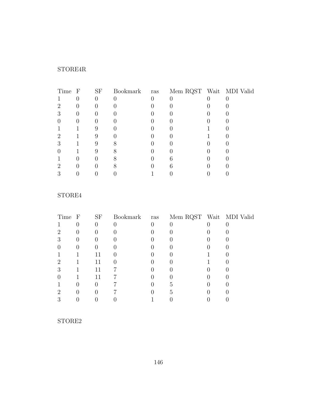# STORE4R

| Time F | <b>SF</b> |  | Bookmark ras Mem RQST Wait MDI Valid |  |
|--------|-----------|--|--------------------------------------|--|
|        |           |  |                                      |  |
|        |           |  |                                      |  |
| ٠Í     |           |  |                                      |  |
|        |           |  |                                      |  |
|        |           |  |                                      |  |
| ٠,     |           |  |                                      |  |
|        |           |  |                                      |  |
|        |           |  |                                      |  |
|        |           |  |                                      |  |
| ٠,     |           |  |                                      |  |
|        |           |  |                                      |  |

## STORE4

| Time F | <b>SF</b> |  | Bookmark ras Mem RQST Wait MDI Valid |  |
|--------|-----------|--|--------------------------------------|--|
|        |           |  |                                      |  |
|        |           |  |                                      |  |
|        |           |  |                                      |  |
|        |           |  |                                      |  |
|        | 11        |  |                                      |  |
| ٠,     | 11        |  |                                      |  |
| റ      | 11        |  |                                      |  |
|        | 11        |  |                                      |  |
|        |           |  |                                      |  |
|        |           |  |                                      |  |
|        |           |  |                                      |  |

## STORE2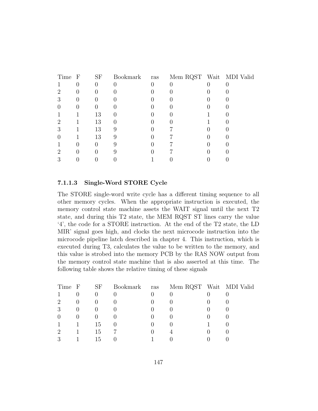| Time F | <b>SF</b> | Bookmark | ras | Mem RQST Wait MDI Valid |  |
|--------|-----------|----------|-----|-------------------------|--|
|        |           |          |     |                         |  |
|        |           |          |     |                         |  |
|        |           |          |     |                         |  |
|        |           |          |     |                         |  |
|        | 13        |          |     |                         |  |
| ٠,     | 13        |          |     |                         |  |
|        | 13        | 9        |     |                         |  |
|        | 13        | 9        |     |                         |  |
|        |           |          |     |                         |  |
| ٠,     |           |          |     |                         |  |
|        |           |          |     |                         |  |

#### 7.1.1.3 Single-Word STORE Cycle

The STORE single-word write cycle has a different timing sequence to all other memory cycles. When the appropriate instruction is executed, the memory control state machine assets the WAIT signal until the next T2 state, and during this T2 state, the MEM RQST ST lines carry the value '4', the code for a STORE instruction. At the end of the T2 state, the LD MIR' signal goes high, and clocks the next microcode instruction into the microcode pipeline latch described in chapter 4. This instruction, which is executed during T3, calculates the value to be written to the memory, and this value is strobed into the memory PCB by the RAS NOW output from the memory control state machine that is also asserted at this time. The following table shows the relative timing of these signals

| Time F | SF  | Bookmark ras | Mem RQST Wait MDI Valid |  |
|--------|-----|--------------|-------------------------|--|
|        |     |              |                         |  |
| 2      |     |              |                         |  |
| 3      |     |              |                         |  |
|        |     |              |                         |  |
|        | 15  |              |                         |  |
|        | 15  |              |                         |  |
|        | T.5 |              |                         |  |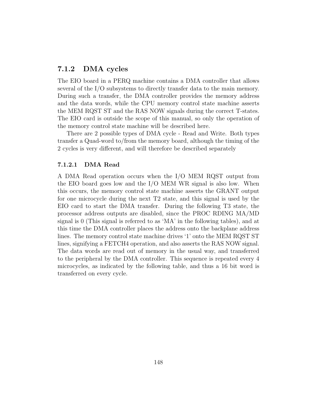### 7.1.2 DMA cycles

The EIO board in a PERQ machine contains a DMA controller that allows several of the I/O subsystems to directly transfer data to the main memory. During such a transfer, the DMA controller provides the memory address and the data words, while the CPU memory control state machine asserts the MEM RQST ST and the RAS NOW signals during the correct T-states. The EIO card is outside the scope of this manual, so only the operation of the memory control state machine will be described here.

There are 2 possible types of DMA cycle - Read and Write. Both types transfer a Quad-word to/from the memory board, although the timing of the 2 cycles is very different, and will therefore be described separately

#### 7.1.2.1 DMA Read

A DMA Read operation occurs when the I/O MEM RQST output from the EIO board goes low and the I/O MEM WR signal is also low. When this occurs, the memory control state machine asserts the GRANT output for one microcycle during the next T2 state, and this signal is used by the EIO card to start the DMA transfer. During the following T3 state, the processor address outputs are disabled, since the PROC RDING MA/MD signal is 0 (This signal is referred to as 'MA' in the following tables), and at this time the DMA controller places the address onto the backplane address lines. The memory control state machine drives '1' onto the MEM RQST ST lines, signifying a FETCH4 operation, and also asserts the RAS NOW signal. The data words are read out of memory in the usual way, and transferred to the peripheral by the DMA controller. This sequence is repeated every 4 microcycles, as indicated by the following table, and thus a 16 bit word is transferred on every cycle.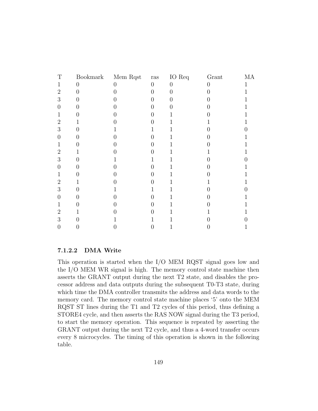| T                |          | Bookmark Mem Rqst | $\ensuremath{\operatorname{ras}}\xspace$ | IO Req         | Grant | MA           |
|------------------|----------|-------------------|------------------------------------------|----------------|-------|--------------|
| 1                | $\theta$ | $\theta$          | $\overline{0}$                           | $\overline{0}$ | 0     |              |
| $\overline{2}$   | 0        |                   | 0                                        | 0              |       |              |
| 3                | 0        |                   |                                          | 0              |       |              |
| $\left( \right)$ |          |                   |                                          |                |       |              |
| 1                |          |                   |                                          |                | 1     |              |
| $\overline{2}$   |          |                   |                                          | 1              |       |              |
| 3                |          |                   |                                          |                |       | <sup>-</sup> |
| 0                |          |                   |                                          |                |       |              |
| 1                |          |                   |                                          | 1              |       |              |
| $\overline{2}$   |          |                   |                                          |                |       |              |
| 3                |          |                   |                                          |                |       | $\mathbf{I}$ |
| 0                |          |                   |                                          |                |       |              |
| 1                |          |                   |                                          | 1              |       |              |
| 2                |          |                   |                                          | 1              |       |              |
| 3                |          |                   |                                          | 1              | D     | 0            |
| 0                |          |                   |                                          | 1              |       |              |
| 1                |          |                   |                                          | 1              |       |              |
| 2                |          |                   |                                          | 1              |       |              |
| 3                | 0        |                   |                                          |                | D     | ⋂            |
| 0                |          |                   |                                          | 1              |       |              |
|                  |          |                   |                                          |                |       |              |

#### 7.1.2.2 DMA Write

This operation is started when the I/O MEM RQST signal goes low and the I/O MEM WR signal is high. The memory control state machine then asserts the GRANT output during the next T2 state, and disables the processor address and data outputs during the subsequent T0-T3 state, during which time the DMA controller transmits the address and data words to the memory card. The memory control state machine places '5' onto the MEM RQST ST lines during the T1 and T2 cycles of this period, thus defining a STORE4 cycle, and then asserts the RAS NOW signal during the T3 period, to start the memory operation. This sequence is repeated by asserting the GRANT output during the next T2 cycle, and thus a 4-word transfer occurs every 8 microcycles. The timing of this operation is shown in the following table.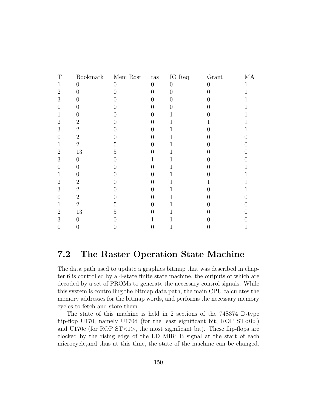| T                | Bookmark         | Mem Rqst | $\operatorname{ras}$ | IO Req   | Grant | МA |
|------------------|------------------|----------|----------------------|----------|-------|----|
| 1                | 0                | 0        | $\overline{0}$       | $\Omega$ | O     |    |
| $\overline{2}$   | ( )              |          | $\mathbf{0}$         | 0        |       |    |
| 3                |                  |          |                      | 0        |       |    |
| 0                |                  |          |                      | 0        |       | 1  |
| 1                | U                |          | I I                  |          | 0     | 1  |
| $\overline{2}$   | $\overline{2}$   |          |                      | 1        |       |    |
| 3                | $\overline{2}$   |          |                      |          |       |    |
| $\left( \right)$ | $\overline{2}$   |          |                      |          |       |    |
| 1                | $\overline{2}$   | 5        |                      | T        |       |    |
| $\overline{2}$   | $13\,$           | 5        |                      |          |       | 0  |
| 3                | $\left( \right)$ |          |                      | 1        |       |    |
| 0                | $\left( \right)$ |          |                      |          |       |    |
| 1                |                  |          |                      |          |       |    |
| $\overline{2}$   | $\overline{2}$   |          | 0                    |          |       |    |
| 3                | $\overline{2}$   |          |                      | 1        |       |    |
| 0                | $\overline{2}$   |          |                      |          |       |    |
| 1                | $\overline{2}$   | 5        |                      |          |       |    |
| $\overline{2}$   | 13               | 5        | 0                    |          |       |    |
| 3                | $\theta$         |          |                      |          |       |    |
| 0                |                  |          | U                    |          |       | 1  |
|                  |                  |          |                      |          |       |    |

# 7.2 The Raster Operation State Machine

The data path used to update a graphics bitmap that was described in chapter 6 is controlled by a 4-state finite state machine, the outputs of which are decoded by a set of PROMs to generate the necessary control signals. While this system is controlling the bitmap data path, the main CPU calculates the memory addresses for the bitmap words, and performs the necessary memory cycles to fetch and store them.

The state of this machine is held in 2 sections of the 74S374 D-type flip-flop U170, namely U170d (for the least significant bit, ROP  $ST < 0$ ) and U170 $c$  (for ROP ST $\lt 1$ ), the most significant bit). These flip-flops are clocked by the rising edge of the LD MIR' B signal at the start of each microcycle,and thus at this time, the state of the machine can be changed.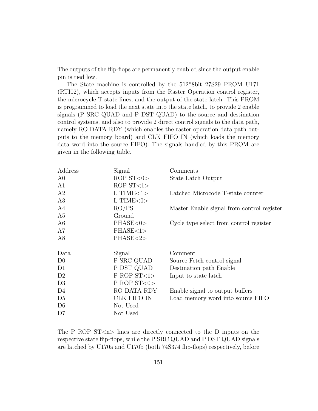The outputs of the flip-flops are permanently enabled since the output enable pin is tied low.

The State machine is controlled by the 512\*8bit 27S29 PROM U171 (RTI02), which accepts inputs from the Raster Operation control register, the microcycle T-state lines, and the output of the state latch. This PROM is programmed to load the next state into the state latch, to provide 2 enable signals (P SRC QUAD and P DST QUAD) to the source and destination control systems, and also to provide 2 direct control signals to the data path, namely RO DATA RDY (which enables the raster operation data path outputs to the memory board) and CLK FIFO IN (which loads the memory data word into the source FIFO). The signals handled by this PROM are given in the following table.

| Address        | Signal             | Comments                                   |
|----------------|--------------------|--------------------------------------------|
| A <sub>0</sub> | ROP $ST < 0$       | State Latch Output                         |
| A1             | ROP $ST < 1>$      |                                            |
| A2             | $L$ TIME $<$ 1 $>$ | Latched Microcode T-state counter          |
| A3             | $L$ TIME $<$ 0 $>$ |                                            |
| A4             | RO/PS              | Master Enable signal from control register |
| A5             | Ground             |                                            |
| A <sub>6</sub> | PHASE<0>           | Cycle type select from control register    |
| A7             | PHASE<1>           |                                            |
| A8             | PHASE<2>           |                                            |
| Data           | Signal             | Comment                                    |
| D <sub>0</sub> | P SRC QUAD         | Source Fetch control signal                |
| D1             | P DST QUAD         | Destination path Enable                    |
| D <sub>2</sub> | P ROP $ST < 1$     | Input to state latch                       |
| D <sub>3</sub> | P ROP $ST < 0$     |                                            |
| D <sub>4</sub> | RO DATA RDY        | Enable signal to output buffers            |
| D <sub>5</sub> | CLK FIFO IN        | Load memory word into source FIFO          |
| D <sub>6</sub> | Not Used           |                                            |
| D7             | Not Used           |                                            |

The P ROP  $ST < n >$  lines are directly connected to the D inputs on the respective state flip-flops, while the P SRC QUAD and P DST QUAD signals are latched by U170a and U170b (both 74S374 flip-flops) respectively, before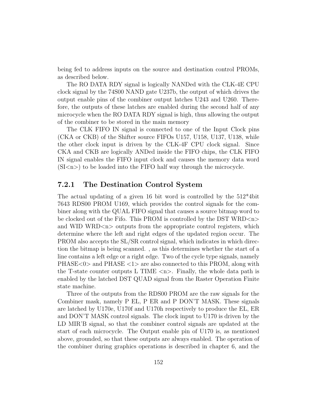being fed to address inputs on the source and destination control PROMs, as described below.

The RO DATA RDY signal is logically NANDed with the CLK-4E CPU clock signal by the 74S00 NAND gate U237b, the output of which drives the output enable pins of the combiner output latches U243 and U260. Therefore, the outputs of these latches are enabled during the second half of any microcycle when the RO DATA RDY signal is high, thus allowing the output of the combiner to be stored in the main memory

The CLK FIFO IN signal is connected to one of the Input Clock pins (CKA or CKB) of the Shifter source FIFOs U157, U158, U137, U138, while the other clock input is driven by the CLK-4F CPU clock signal. Since CKA and CKB are logically ANDed inside the FIFO chips, the CLK FIFO IN signal enables the FIFO input clock and causes the memory data word  $(SI\langle n\rangle)$  to be loaded into the FIFO half way through the microcycle.

### 7.2.1 The Destination Control System

The actual updating of a given 16 bit word is controlled by the 512\*4bit 7643 RDS00 PROM U169, which provides the control signals for the combiner along with the QUAL FIFO signal that causes a source bitmap word to be clocked out of the Fifo. This PROM is controlled by the DST WRD $\langle n \rangle$ and WID WRD $\langle n \rangle$  outputs from the appropriate control registers, which determine where the left and right edges of the updated region occur. The PROM also accepts the SL/SR control signal, which indicates in which direction the bitmap is being scanned. , as this determines whether the start of a line contains a left edge or a right edge. Two of the cycle type signals, namely PHASE<0> and PHASE <1> are also connected to this PROM, along with the T-state counter outputs L TIME  $\langle n \rangle$ . Finally, the whole data path is enabled by the latched DST QUAD signal from the Raster Operation Finite state machine.

Three of the outputs from the RDS00 PROM are the raw signals for the Combiner mask, namely P EL, P ER and P DON'T MASK. These signals are latched by U170e, U170f and U170h respectively to produce the EL, ER and DON'T MASK control signals. The clock input to U170 is driven by the LD MIR'B signal, so that the combiner control signals are updated at the start of each microcycle. The Output enable pin of U170 is, as mentioned above, grounded, so that these outputs are always enabled. The operation of the combiner during graphics operations is described in chapter 6, and the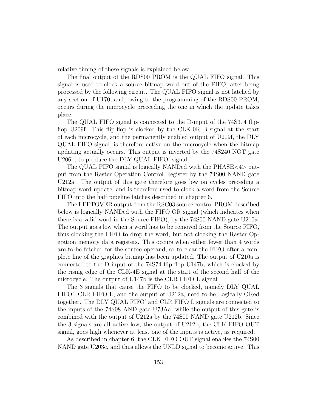relative timing of these signals is explained below.

The final output of the RDS00 PROM is the QUAL FIFO signal. This signal is used to clock a source bitmap word out of the FIFO, after being processed by the following circuit. The QUAL FIFO signal is not latched by any section of U170, and, owing to the programming of the RDS00 PROM, occurs during the microcycle preceeding the one in which the update takes place.

The QUAL FIFO signal is connected to the D-input of the 74S374 flipflop U209f. This flip-flop is clocked by the CLK-0R B signal at the start of each microcycle, and the permanently enabled output of U209f, the DLY QUAL FIFO signal, is therefore active on the microcycle when the bitmap updating actually occurs. This output is inverted by the 74S240 NOT gate U206b, to produce the DLY QUAL FIFO' signal.

The QUAL FIFO signal is logically NANDed with the PHASE<4> output from the Raster Operation Control Register by the 74S00 NAND gate U212a. The output of this gate therefore goes low on cycles preceding a bitmap word update, and is therefore used to clock a word from the Source FIFO into the half pipeline latches described in chapter 6.

The LEFTOVER output from the RSC03 source control PROM described below is logically NANDed with the FIFO OR signal (which indicates when there is a valid word in the Source FIFO), by the 74S00 NAND gate U210a. The output goes low when a word has to be removed from the Source FIFO, thus clocking the FIFO to drop the word, but not clocking the Raster Operation memory data registers. This occurs when either fewer than 4 words are to be fetched for the source operand, or to clear the FIFO after a complete line of the graphics bitmap has been updated. The output of U210a is connected to the D input of the 74S74 flip-flop U147b, which is clocked by the rising edge of the CLK-4E signal at the start of the second half of the microcycle. The output of U147b is the CLR FIFO L signal

The 3 signals that cause the FIFO to be clocked, namely DLY QUAL FIFO', CLR FIFO L, and the output of U212a, need to be Logically ORed together. The DLY QUAL FIFO' and CLR FIFO L signals are connected to the inputs of the 74S08 AND gate U73Aa, while the output of this gate is combined with the output of U212a by the 74S00 NAND gate U212b. Since the 3 signals are all active low, the output of U212b, the CLK FIFO OUT signal, goes high whenever at least one of the inputs is active, as required.

As described in chapter 6, the CLK FIFO OUT signal enables the 74S00 NAND gate U203c, and thus allows the UNLD signal to become active. This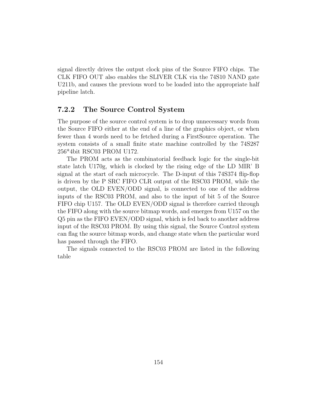signal directly drives the output clock pins of the Source FIFO chips. The CLK FIFO OUT also enables the SLIVER CLK via the 74S10 NAND gate U211b, and causes the previous word to be loaded into the appropriate half pipeline latch.

### 7.2.2 The Source Control System

The purpose of the source control system is to drop unnecessary words from the Source FIFO either at the end of a line of the graphics object, or when fewer than 4 words need to be fetched during a FirstSource operation. The system consists of a small finite state machine controlled by the 74S287 256\*4bit RSC03 PROM U172.

The PROM acts as the combinatorial feedback logic for the single-bit state latch U170g, which is clocked by the rising edge of the LD MIR' B signal at the start of each microcycle. The D-input of this 74S374 flip-flop is driven by the P SRC FIFO CLR output of the RSC03 PROM, while the output, the OLD EVEN/ODD signal, is connected to one of the address inputs of the RSC03 PROM, and also to the input of bit 5 of the Source FIFO chip U157. The OLD EVEN/ODD signal is therefore carried through the FIFO along with the source bitmap words, and emerges from U157 on the Q5 pin as the FIFO EVEN/ODD signal, which is fed back to another address input of the RSC03 PROM. By using this signal, the Source Control system can flag the source bitmap words, and change state when the particular word has passed through the FIFO.

The signals connected to the RSC03 PROM are listed in the following table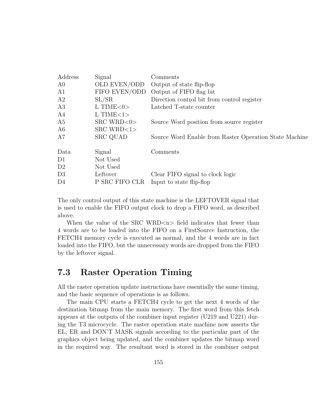| Address        | Signal             | Comments                                               |
|----------------|--------------------|--------------------------------------------------------|
| A0             | OLD EVEN/ODD       | Output of state flip-flop                              |
| A1             | FIFO EVEN/ODD      | Output of FIFO flag bit                                |
| A2             | SL/SR              | Direction control bit from control register            |
| A3             | L TIME $<$ 0 $>$   | Latched T-state counter                                |
| A4             | $L$ TIME $<$ 1 $>$ |                                                        |
| A5             | $SRC$ WRD $<0>$    | Source Word position from source register              |
| A6             | $SRC$ WRD $<1>$    |                                                        |
| A7             | <b>SRC QUAD</b>    | Source Word Enable from Raster Operation State Machine |
| Data           | Signal             | Comments                                               |
| D <sub>1</sub> | Not Used           |                                                        |
| D2             | Not Used           |                                                        |
| D <sub>3</sub> | Leftover           | Clear FIFO signal to clock logic                       |
| D <sub>4</sub> | P SRC FIFO CLR     | Input to state flip-flop                               |

The only control output of this state machine is the LEFTOVER signal that is used to enable the FIFO output clock to drop a FIFO word, as described above.

When the value of the SRC WRD $\langle n \rangle$  field indicates that fewer than 4 words are to be loaded into the FIFO on a FirstSource Instruction, the FETCH4 memory cycle is executed as normal, and the 4 words are in fact loaded into the FIFO, but the unnecessary words are dropped from the FIFO by the leftover signal.

# 7.3 Raster Operation Timing

All the raster operation update instructions have essentially the same timing, and the basic sequence of operations is as follows.

The main CPU starts a FETCH4 cycle to get the next 4 words of the destination bitmap from the main memory. The first word from this fetch appears at the outputs of the combiner input register (U219 and U221) during the T3 microcycle. The raster operation state machine now asserts the EL, ER and DON'T MASK signals according to the particular part of the graphics object being updated, and the combiner updates the bitmap word in the required way. The resultant word is stored in the combiner output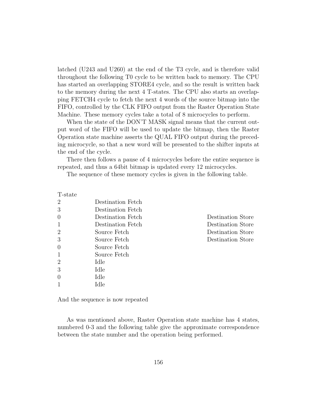latched (U243 and U260) at the end of the T3 cycle, and is therefore valid throughout the following T0 cycle to be written back to memory. The CPU has started an overlapping STORE4 cycle, and so the result is written back to the memory during the next 4 T-states. The CPU also starts an overlapping FETCH4 cycle to fetch the next 4 words of the source bitmap into the FIFO, controlled by the CLK FIFO output from the Raster Operation State Machine. These memory cycles take a total of 8 microcycles to perform.

When the state of the DON'T MASK signal means that the current output word of the FIFO will be used to update the bitmap, then the Raster Operation state machine asserts the QUAL FIFO output during the preceding microcycle, so that a new word will be presented to the shifter inputs at the end of the cycle.

There then follows a pause of 4 microcycles before the entire sequence is repeated, and thus a 64bit bitmap is updated every 12 microcycles.

The sequence of these memory cycles is given in the following table.

| T-state        |                   |                   |
|----------------|-------------------|-------------------|
| 2              | Destination Fetch |                   |
| 3              | Destination Fetch |                   |
| $\overline{0}$ | Destination Fetch | Destination Store |
| 1              | Destination Fetch | Destination Store |
| $\overline{2}$ | Source Fetch      | Destination Store |
| 3              | Source Fetch      | Destination Store |
| $\overline{0}$ | Source Fetch      |                   |
| 1              | Source Fetch      |                   |
| $\overline{2}$ | Idle              |                   |
| 3              | Idle              |                   |
| $\theta$       | Idle              |                   |
|                | Idle              |                   |

And the sequence is now repeated

As was mentioned above, Raster Operation state machine has 4 states, numbered 0-3 and the following table give the approximate correspondence between the state number and the operation being performed.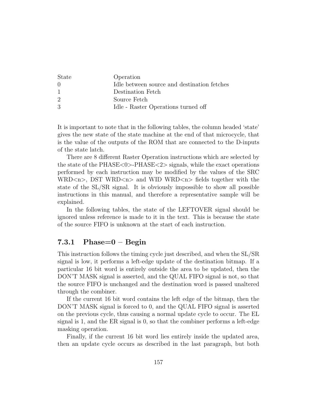| <b>State</b>     | Operation                                   |
|------------------|---------------------------------------------|
| $\left( \right)$ | Idle between source and destination fetches |
| -1               | Destination Fetch                           |
| 2                | Source Fetch                                |
| 3                | Idle - Raster Operations turned off         |

It is important to note that in the following tables, the column headed 'state' gives the new state of the state machine at the end of that microcycle, that is the value of the outputs of the ROM that are connected to the D-inputs of the state latch.

There are 8 different Raster Operation instructions which are selected by the state of the  $PHASE<0>PHASE<2>$  signals, while the exact operations performed by each instruction may be modified by the values of the SRC WRD<n>, DST WRD<n> and WID WRD<n> fields together with the state of the SL/SR signal. It is obviously impossible to show all possible instructions in this manual, and therefore a representative sample will be explained.

In the following tables, the state of the LEFTOVER signal should be ignored unless reference is made to it in the text. This is because the state of the source FIFO is unknown at the start of each instruction.

## 7.3.1 Phase= $0 - \text{Begin}$

This instruction follows the timing cycle just described, and when the SL/SR signal is low, it performs a left-edge update of the destination bitmap. If a particular 16 bit word is entirely outside the area to be updated, then the DON'T MASK signal is asserted, and the QUAL FIFO signal is not, so that the source FIFO is unchanged and the destination word is passed unaltered through the combiner.

If the current 16 bit word contains the left edge of the bitmap, then the DON'T MASK signal is forced to 0, and the QUAL FIFO signal is asserted on the previous cycle, thus causing a normal update cycle to occur. The EL signal is 1, and the ER signal is 0, so that the combiner performs a left-edge masking operation.

Finally, if the current 16 bit word lies entirely inside the updated area, then an update cycle occurs as described in the last paragraph, but both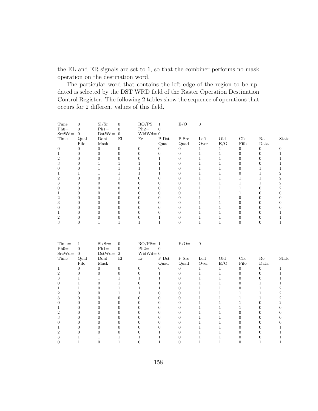the EL and ER signals are set to 1, so that the combiner performs no mask operation on the destination word.

The particular word that contains the left edge of the region to be updated is selected by the DST WRD field of the Raster Operation Destination Control Register. The following 2 tables show the sequence of operations that occurs for 2 different values of this field.

| $Time =$<br>$Ph0=$<br>$SrcWd=$ | $\Omega$<br>0<br>$\overline{0}$ | $SI/Sr=$<br>$Ph1=$<br>$DstWd=$ | $\mathbf{0}$<br>$\overline{0}$<br>$\overline{0}$ | $RO/PS = 1$<br>$Ph2=$<br>$WidthId = 0$ | $\Omega$ | $E/O =$ | $\overline{0}$ |     |      |          |       |
|--------------------------------|---------------------------------|--------------------------------|--------------------------------------------------|----------------------------------------|----------|---------|----------------|-----|------|----------|-------|
| Time                           | Qual                            | Dont                           | El                                               | Er                                     | P Dst    | $P$ Src | Left           | Old | Clk  | Ro       | State |
|                                | Fifo                            | Mask                           |                                                  |                                        | Quad     | Quad    | Over           | E/O | Fifo | Data     |       |
| $\Omega$                       | 0                               | $\Omega$                       | O                                                |                                        |          | 0       |                |     |      | $\Omega$ |       |
|                                |                                 |                                |                                                  |                                        |          |         |                |     |      |          |       |
|                                |                                 |                                |                                                  |                                        |          |         |                |     |      |          |       |
| з                              |                                 |                                |                                                  |                                        |          |         |                |     |      |          |       |
|                                |                                 |                                |                                                  |                                        |          |         |                |     |      |          |       |
|                                |                                 |                                |                                                  |                                        |          |         |                |     |      |          |       |
|                                |                                 |                                |                                                  |                                        |          |         |                |     |      |          |       |
| з                              |                                 |                                |                                                  |                                        |          |         |                |     |      |          |       |
|                                |                                 |                                |                                                  |                                        |          |         |                |     |      |          |       |
|                                |                                 |                                |                                                  |                                        |          |         |                |     |      |          |       |
| 2                              |                                 |                                |                                                  |                                        |          |         |                |     |      |          |       |
| з                              |                                 |                                |                                                  |                                        |          |         |                |     |      | 0        |       |
|                                |                                 |                                |                                                  |                                        |          |         |                |     |      |          |       |
|                                |                                 |                                |                                                  |                                        |          |         |                |     |      |          |       |
| 2                              |                                 |                                |                                                  |                                        |          |         |                |     |      |          |       |
|                                |                                 |                                |                                                  |                                        |          |         |                |     |      |          |       |

| Time=    |                | $SI/Sr=$ | 0              | $RO/PS = 1$ |          | $E/O=$ | $\overline{0}$ |     |      |      |       |
|----------|----------------|----------|----------------|-------------|----------|--------|----------------|-----|------|------|-------|
| $Ph0=$   | 0              | $Ph1=$   | 0              | $Ph2=$      | $\Omega$ |        |                |     |      |      |       |
| $SrcWd=$ | $\overline{0}$ | $DstWd=$ | $\overline{2}$ | $Widthd=0$  |          |        |                |     |      |      |       |
| Time     | Qual           | Dont     | El             | Er          | P Dst    | P Src  | Left           | Old | Clk  | Ro   | State |
|          | Fifo           | Mask     |                |             | Quad     | Quad   | Over           | E/O | Fifo | Data |       |
|          | 0              |          | O              |             |          |        |                |     |      | 0    |       |
|          |                |          |                |             |          |        |                |     |      | 0    |       |
|          |                |          |                |             |          |        |                |     |      |      |       |
|          |                |          |                |             |          |        |                |     |      |      |       |
|          |                |          |                |             |          |        |                |     |      |      |       |
|          |                |          |                |             |          |        |                |     |      |      |       |
| 3        |                |          |                |             |          |        |                |     |      |      |       |
|          |                |          |                |             |          |        |                |     |      |      |       |
|          |                |          |                |             |          |        |                |     |      |      |       |
|          |                |          |                |             |          |        |                |     |      |      |       |
|          |                |          |                |             |          |        |                |     |      |      |       |
|          |                |          |                |             |          |        |                |     |      |      |       |
|          |                |          |                |             |          |        |                |     |      |      |       |
|          |                |          |                |             |          |        |                |     |      |      |       |
|          |                |          |                |             |          |        |                |     |      |      |       |
|          |                |          |                |             |          |        |                |     |      |      |       |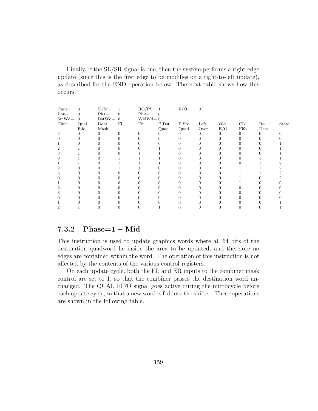Finally, if the SL/SR signal is one, then the system performs a right-edge update (since this is the first edge to be modifies on a right-to-left update), as described for the END operation below. The next table shows how this occurs.

| $Time =$<br>$Ph0=$<br>$SrcWd=$ | 3<br>0<br>$\overline{0}$ | $SI/Sr=$<br>$Ph1=$<br>$DstWd=0$ | 1<br>$\overline{0}$ | $RO/PS = 1$<br>$Ph2=$<br>$WidthId = 0$ | $\Omega$ | $E/O =$                  | $\overline{0}$ |          |      |          |       |
|--------------------------------|--------------------------|---------------------------------|---------------------|----------------------------------------|----------|--------------------------|----------------|----------|------|----------|-------|
| Time                           | Qual                     | Dont                            | El                  | Er                                     | P Dst    | P Src                    | Left           | Old      | Clk  | Ro       | State |
|                                | Fifo                     | Mask                            |                     |                                        | Quad     | $\mathop{\mathrm{Quad}}$ | Over           | E/O      | Fifo | Data     |       |
| 3                              | 0                        | $\Omega$                        | 0                   | $\Omega$                               |          | 0                        | 0              | $\theta$ | 0    | $\Omega$ |       |
| 0                              |                          |                                 |                     |                                        |          |                          |                |          |      | 0        |       |
|                                |                          |                                 |                     |                                        |          |                          |                |          |      |          |       |
| 2                              |                          |                                 |                     |                                        |          |                          |                |          |      |          |       |
| 3                              |                          |                                 |                     |                                        |          |                          |                |          |      |          |       |
| 0                              |                          |                                 |                     |                                        |          |                          |                |          |      |          |       |
|                                |                          |                                 |                     |                                        |          |                          |                |          |      |          |       |
| 2                              |                          |                                 |                     |                                        |          |                          |                |          |      |          |       |
| 3                              |                          |                                 |                     |                                        |          |                          |                |          |      |          |       |
| 0                              |                          |                                 |                     |                                        |          |                          |                |          |      |          |       |
|                                |                          |                                 |                     |                                        |          |                          |                |          |      |          |       |
| 2                              |                          |                                 |                     |                                        |          |                          |                |          |      |          |       |
| 3                              |                          |                                 |                     |                                        |          |                          |                |          |      |          |       |
|                                |                          |                                 |                     |                                        |          |                          |                |          |      |          |       |
|                                |                          |                                 |                     |                                        |          |                          |                |          |      |          |       |
| 2                              |                          |                                 |                     |                                        |          |                          |                |          |      |          |       |

### 7.3.2 Phase=1 – Mid

This instruction is used to update graphics words where all 64 bits of the destination quadword lie inside the area to be updated, and therefore no edges are contained within the word. The operation of this instruction is not affected by the contents of the various control registers.

On each update cycle, both the EL and ER inputs to the combiner mask control are set to 1, so that the combiner passes the destination word unchanged. The QUAL FIFO signal goes active during the microcycle before each update cycle, so that a new word is fed into the shifter. These operations are shown in the following table.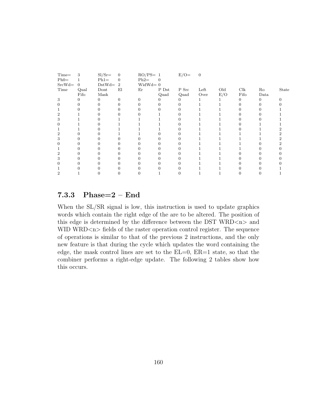| Time=    | 3        | $SI/Sr=$ | $\overline{0}$ | $RO/PS = 1$ |          | $E/O=$ | $\overline{0}$ |     |      |      |       |
|----------|----------|----------|----------------|-------------|----------|--------|----------------|-----|------|------|-------|
| $Ph0=$   |          | $Ph1=$   | 0              | $Ph2=$      | $\Omega$ |        |                |     |      |      |       |
| $SrcWd=$ | $\theta$ | $DstWd=$ | $\overline{2}$ | $Widthd=0$  |          |        |                |     |      |      |       |
| Time     | Qual     | Dont     | El             | Er          | P Dst    | P Src  | Left           | Old | Clk  | Ro   | State |
|          | Fifo     | Mask     |                |             | Quad     | Quad   | Over           | E/O | Fifo | Data |       |
| 3        | $\Omega$ | $\Omega$ | 0              | U           |          | 0      |                |     | 0    | 0    |       |
|          |          |          |                |             |          |        |                |     |      |      |       |
|          |          |          |                |             |          |        |                |     |      |      |       |
|          |          |          |                |             |          |        |                |     |      |      |       |
| 3        |          |          |                |             |          |        |                |     |      |      |       |
|          |          |          |                |             |          |        |                |     |      |      |       |
|          |          |          |                |             |          |        |                |     |      |      |       |
|          |          |          |                |             |          |        |                |     |      |      |       |
|          |          |          |                |             |          |        |                |     |      |      |       |
|          |          |          |                |             |          |        |                |     |      |      |       |
|          |          |          |                |             |          |        |                |     |      |      |       |
|          |          |          |                |             |          |        |                |     |      |      |       |
| 3        |          |          |                |             |          |        |                |     |      |      |       |
|          |          |          |                |             |          |        |                |     |      |      |       |
|          |          |          |                |             |          |        |                |     |      |      |       |
|          |          |          |                |             |          |        |                |     |      |      |       |
|          |          |          |                |             |          |        |                |     |      |      |       |

# 7.3.3 Phase=2 – End

When the SL/SR signal is low, this instruction is used to update graphics words which contain the right edge of the are to be altered. The position of this edge is determined by the difference between the DST WRD $\langle n \rangle$  and WID WRD<n> fields of the raster operation control register. The sequence of operations is similar to that of the previous 2 instructions, and the only new feature is that during the cycle which updates the word containing the edge, the mask control lines are set to the EL=0, ER=1 state, so that the combiner performs a right-edge update. The following 2 tables show how this occurs.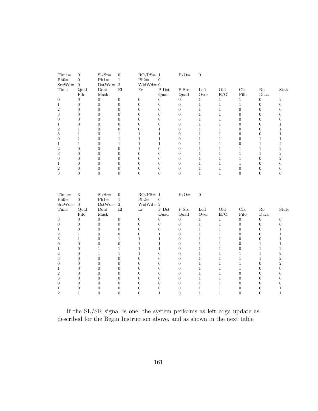| Time=<br>$Ph0=$       | $\boldsymbol{0}$<br>$\overline{0}$   | $SI/Sr=$<br>$Ph1=$    | $\boldsymbol{0}$<br>$\mathbf{1}$ | $RO/PS = 1$<br>$Ph2=$ | $\boldsymbol{0}$               | $E/O=$                             | $\boldsymbol{0}$      |                      |                                  |                              |                  |
|-----------------------|--------------------------------------|-----------------------|----------------------------------|-----------------------|--------------------------------|------------------------------------|-----------------------|----------------------|----------------------------------|------------------------------|------------------|
| $SrcWd=$              | $\theta$                             | $DstWd=$              | $\overline{2}$                   | $WidthId = 0$         |                                |                                    |                       |                      |                                  |                              |                  |
| Time                  | Qual                                 | Dont                  | E1                               | Er                    | $P$ Dst                        | ${\bf P}$ Src                      | Left                  | $\rm Old$            | Clk                              | Ro<br>Data                   | State            |
|                       | Fifo<br>$\overline{0}$               | Mask<br>$\theta$      | $\boldsymbol{0}$                 | $\overline{0}$        | Quad<br>$\overline{0}$         | Quad<br>$\overline{0}$             | Over<br>$\mathbf{1}$  | E/O<br>$\mathbf{1}$  | Fifo<br>$\mathbf{1}$             | $\mathbf{0}$                 | $\,2$            |
| 0<br>$\mathbf{1}$     | $\boldsymbol{0}$                     | $\boldsymbol{0}$      | $\boldsymbol{0}$                 | $\overline{0}$        | $\overline{0}$                 | $\boldsymbol{0}$                   | $\mathbf{1}$          | $\mathbf{1}$         | $\mathbf{1}$                     | $\mathbf{0}$                 | $\boldsymbol{0}$ |
| $\,2$                 | $\boldsymbol{0}$                     | $\boldsymbol{0}$      | $\boldsymbol{0}$                 | $\mathbf{0}$          | $\boldsymbol{0}$               | $\mathbf{0}$                       | $\mathbf{1}$          | $\mathbf{1}$         | $\boldsymbol{0}$                 | $\mathbf{0}$                 | $\boldsymbol{0}$ |
| 3                     | $\boldsymbol{0}$                     | $\boldsymbol{0}$      | $\boldsymbol{0}$                 | $\overline{0}$        | $\overline{0}$                 | $\boldsymbol{0}$                   | $\mathbf 1$           | $\,1$                | $\overline{0}$                   | $\boldsymbol{0}$             | $\boldsymbol{0}$ |
| $\boldsymbol{0}$      | $\overline{0}$                       | $\boldsymbol{0}$      | $\overline{0}$                   | $\overline{0}$        | $\overline{0}$                 | $\overline{0}$                     | $\,1$                 | $\mathbf{1}$         | $\overline{0}$                   | $\overline{0}$               | $\boldsymbol{0}$ |
| $\mathbf{1}$          | $\boldsymbol{0}$                     | $\boldsymbol{0}$      | $\boldsymbol{0}$                 | $\mathbf{0}$          | $\overline{0}$                 | $\boldsymbol{0}$                   | $\mathbf{1}$          | $\mathbf{1}$         | $\boldsymbol{0}$                 | $\mathbf{0}$                 | $\mathbf{1}$     |
| $\,2$                 | $\mathbf{1}$                         | $\boldsymbol{0}$      | $\boldsymbol{0}$                 | $\boldsymbol{0}$      | $\mathbf{1}$                   | $\boldsymbol{0}$                   | $\,1$                 | $1\,$                | $\boldsymbol{0}$                 | $\mathbf{0}$                 | $\,1$            |
| 3                     | $\,1$                                | $\boldsymbol{0}$      | $\mathbf{1}$                     | $\mathbf{1}$          | $\mathbf{1}$                   | $\boldsymbol{0}$                   | $\mathbf{1}$          | $1\,$                | $\boldsymbol{0}$                 | $\boldsymbol{0}$             | $\,1$            |
| $\boldsymbol{0}$      | $\,1$                                | $\boldsymbol{0}$      | $\,1$                            | $\mathbf{1}$          | $\mathbf{1}$                   | $\overline{0}$                     | $\mathbf{1}$          | $\mathbf 1$          | $\boldsymbol{0}$                 | $\mathbf{1}$                 | $\,1\,$          |
| $\mathbf{1}$          | $\,1$                                | $\boldsymbol{0}$      | $\,1$                            | $\,1$                 | $\mathbf{1}$                   | $\boldsymbol{0}$                   | $\,1$                 | $1\,$                | $\boldsymbol{0}$                 | $\mathbf{1}$                 | $\,2$            |
| $\boldsymbol{2}$      | $\boldsymbol{0}$                     | $\boldsymbol{0}$      | $\boldsymbol{0}$                 | $\mathbf{1}$          | $\boldsymbol{0}$               | $\overline{0}$                     | $\mathbf{1}$          | $\mathbf 1$          | $\mathbf{1}$                     | $\mathbf{1}$                 | $\,2$            |
| $\sqrt{3}$            | $\boldsymbol{0}$                     | $\boldsymbol{0}$      | $\boldsymbol{0}$                 | $\overline{0}$        | $\overline{0}$                 | $\overline{0}$                     | $\,1$                 | $1\,$                | $\,1\,$                          | $1\,$                        | $\,2$            |
| $\boldsymbol{0}$      | $\boldsymbol{0}$                     | $\boldsymbol{0}$      | $\boldsymbol{0}$                 | $\overline{0}$        | $\overline{0}$                 | $\boldsymbol{0}$                   | $\,1$                 | $1\,$                | $\,1$                            | $\boldsymbol{0}$             | $\,2$            |
| $\mathbf{1}$          | $\overline{0}$                       | $\boldsymbol{0}$      | $\boldsymbol{0}$                 | $\theta$              | $\overline{0}$                 | $\overline{0}$                     | $\mathbf{1}$          | $\mathbf 1$          | $\mathbf{1}$                     | $\overline{0}$               | $\boldsymbol{0}$ |
| $\overline{2}$        | $\boldsymbol{0}$                     | $\boldsymbol{0}$      | $\boldsymbol{0}$                 | $\mathbf{0}$          | $\overline{0}$                 | $\boldsymbol{0}$                   | $\,1\,$               | $\mathbf{1}$         | $\boldsymbol{0}$                 | $\mathbf{0}$                 | $\boldsymbol{0}$ |
| 3                     | $\overline{0}$                       | $\boldsymbol{0}$      | $\boldsymbol{0}$                 | $\overline{0}$        | $\overline{0}$                 | $\overline{0}$                     | $\mathbf{1}$          | $\mathbf{1}$         | $\overline{0}$                   | $\overline{0}$               | $\mathbf{0}$     |
| Time=<br>$Ph0=$       | $\,3$<br>$\boldsymbol{0}$            | $Sl/Sr =$<br>$Ph1=$   | $\boldsymbol{0}$<br>$\,1\,$      | $RO/PS = 1$<br>$Ph2=$ | $\boldsymbol{0}$               | $E/O=$                             | $\overline{0}$        |                      |                                  |                              |                  |
| $SrcWd=$              | $\overline{0}$                       | $DstWd=$              | $\sqrt{2}$                       | $WidthId = 2$         |                                |                                    |                       |                      |                                  |                              |                  |
| Time                  | Qual                                 | Dont                  | E1                               | Er                    | ${\rm P\ Dst}$                 | P Src                              | Left                  | $\mathrm{Old}$       | $\operatorname{Clk}$             | Ro                           | State            |
|                       | Fifo                                 | Mask                  |                                  |                       | Quad                           | Quad                               | Over                  | E/O                  | Fifo                             | Data                         |                  |
| $\sqrt{3}$            | $\boldsymbol{0}$                     | $\boldsymbol{0}$      | $\boldsymbol{0}$                 | $\boldsymbol{0}$      | $\boldsymbol{0}$               | $\boldsymbol{0}$                   | $\mathbf{1}$          | $\mathbf{1}$         | $\boldsymbol{0}$                 | $\boldsymbol{0}$             | $\boldsymbol{0}$ |
| $\overline{0}$        | $\overline{0}$                       | $\boldsymbol{0}$      | $\boldsymbol{0}$                 | $\overline{0}$        | $\overline{0}$                 | $\boldsymbol{0}$                   | $\,1$                 | $1\,$                | $\boldsymbol{0}$                 | $\mathbf{0}$                 | $\boldsymbol{0}$ |
| $\mathbf{1}$          | $\overline{0}$                       | $\boldsymbol{0}$      | $\overline{0}$                   | $\overline{0}$        | $\overline{0}$                 | $\overline{0}$                     | $\,1$                 | $\mathbf{1}$         | $\theta$                         | $\overline{0}$               | $\mathbf{1}$     |
| $\overline{2}$        | $\mathbf{1}$                         | $\boldsymbol{0}$      | $\boldsymbol{0}$                 | $\mathbf{0}$          | $\mathbf{1}$                   | $\overline{0}$                     | $\mathbf{1}$          | $\mathbf{1}$         | $\boldsymbol{0}$                 | $\mathbf{0}$                 | $\,1$            |
| 3                     | $\mathbf{1}$<br>$\overline{0}$       | $\boldsymbol{0}$      | $\,1$                            | $1\,$<br>$\mathbf{1}$ | $\mathbf{1}$                   | $\boldsymbol{0}$<br>$\overline{0}$ | $\mathbf{1}$          | $1\,$                | $\overline{0}$<br>$\overline{0}$ | $\mathbf{0}$<br>$\mathbf{1}$ | $\,1$            |
| $\boldsymbol{0}$      |                                      | $\boldsymbol{0}$      | $\boldsymbol{0}$                 |                       | $\mathbf{1}$                   | $\mathbf{0}$                       | $\,1$                 | $1\,$                | $\boldsymbol{0}$                 |                              | $\,1\,$          |
| $\mathbf{1}$<br>$\,2$ | $\boldsymbol{0}$<br>$\boldsymbol{0}$ | $\mathbf{1}$<br>$\,1$ | $\mathbf{1}$<br>$\,1$            | $\mathbf{1}$<br>$\,1$ | $\mathbf{1}$<br>$\overline{0}$ | $\boldsymbol{0}$                   | $\mathbf{1}$<br>$\,1$ | $\mathbf 1$<br>$1\,$ | $\mathbf{1}$                     | $\mathbf{1}$<br>$\mathbf{1}$ | $\,2$<br>$\,2$   |
| 3                     | $\overline{0}$                       | $\boldsymbol{0}$      | $\boldsymbol{0}$                 | $\boldsymbol{0}$      | $\overline{0}$                 | $\boldsymbol{0}$                   | $\,1$                 | $\mathbf{1}$         | $\mathbf{1}$                     | $1\,$                        | $\,2$            |
| $\boldsymbol{0}$      | $\boldsymbol{0}$                     | $\boldsymbol{0}$      | $\boldsymbol{0}$                 | $\overline{0}$        | $\overline{0}$                 | $\overline{0}$                     | $\mathbf{1}$          | $\mathbf{1}$         | $\,1$                            | $\mathbf{0}$                 | $\,2$            |
| $\mathbf{1}$          | $\boldsymbol{0}$                     | $\boldsymbol{0}$      | $\boldsymbol{0}$                 | $\boldsymbol{0}$      | $\overline{0}$                 | $\boldsymbol{0}$                   | $\,1$                 | $1\,$                | $\mathbf{1}$                     | $\mathbf{0}$                 | $\boldsymbol{0}$ |
| $\boldsymbol{2}$      | $\overline{0}$                       | $\boldsymbol{0}$      | $\boldsymbol{0}$                 | $\theta$              | $\overline{0}$                 | $\overline{0}$                     | $\mathbf{1}$          | $\mathbf 1$          | $\theta$                         | $\overline{0}$               | $\boldsymbol{0}$ |
| 3                     | $\boldsymbol{0}$                     | $\boldsymbol{0}$      | $\boldsymbol{0}$                 | $\boldsymbol{0}$      | $\overline{0}$                 | $\overline{0}$                     | $\,1$                 | $\mathbf{1}$         | $\boldsymbol{0}$                 | $\mathbf{0}$                 | $\boldsymbol{0}$ |
| $\boldsymbol{0}$      | $\overline{0}$                       | $\boldsymbol{0}$      | $\overline{0}$                   | $\overline{0}$        | $\overline{0}$                 | $\boldsymbol{0}$                   | $\,1$                 | $1\,$                | $\boldsymbol{0}$                 | $\overline{0}$               | $\boldsymbol{0}$ |
| $\mathbf{1}$          | $\overline{0}$                       | $\boldsymbol{0}$      | $\boldsymbol{0}$                 | $\overline{0}$        | $\overline{0}$                 | $\overline{0}$                     | $\,1$                 | $\mathbf 1$          | $\overline{0}$                   | $\overline{0}$               | $\mathbf{1}$     |
| $\overline{2}$        | $\mathbf{1}$                         | $\boldsymbol{0}$      | $\boldsymbol{0}$                 | $\overline{0}$        | $\mathbf{1}$                   | $\boldsymbol{0}$                   | $\mathbf{1}$          | $1\,$                | $\overline{0}$                   | $\mathbf{0}$                 | $\mathbf{1}$     |
|                       |                                      |                       |                                  |                       |                                |                                    |                       |                      |                                  |                              |                  |

If the SL/SR signal is one, the system performs as left edge update as described for the Begin Instruction above, and as shown in the next table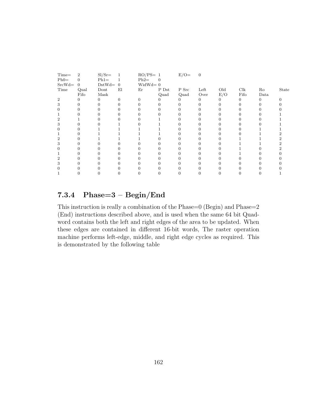| $Time =$       | $\overline{2}$ | $SI/Sr=$ | $\mathbf{1}$   | $RO/PS = 1$ |          | $E/O=$ | $\overline{0}$ |          |      |      |       |
|----------------|----------------|----------|----------------|-------------|----------|--------|----------------|----------|------|------|-------|
| $Ph0=$         | $\Omega$       | $Ph1=$   | 1              | $Ph2=$      | $\Omega$ |        |                |          |      |      |       |
| $SrcWd=$       | $\overline{0}$ | $DstWd=$ | $\overline{0}$ | $Widthd=0$  |          |        |                |          |      |      |       |
| Time           | Qual           | Dont     | El             | Er          | P Dst    | P Src  | Left           | Old      | Clk  | Ro   | State |
|                | Fifo           | Mask     |                |             | Quad     | Quad   | Over           | E/O      | Fifo | Data |       |
| $\overline{2}$ | $\Omega$       | $\Omega$ | 0              |             |          | 0      | 0              | $\Omega$ | 0    | 0    |       |
| 3              | 0              |          |                |             |          |        |                |          |      |      |       |
|                |                |          |                |             |          |        |                |          |      |      |       |
|                |                |          |                |             |          |        |                |          |      |      |       |
|                |                |          |                |             |          |        |                |          |      |      |       |
|                |                |          |                |             |          |        |                |          |      |      |       |
|                |                |          |                |             |          |        |                |          |      |      |       |
|                |                |          |                |             |          |        |                |          |      |      |       |
|                |                |          |                |             |          |        |                |          |      |      |       |
| 3              |                |          |                |             |          |        |                |          |      |      |       |
|                |                |          |                |             |          |        |                |          |      |      |       |
|                |                |          |                |             |          |        |                |          |      |      |       |
|                |                |          |                |             |          |        |                |          |      |      |       |
|                |                |          |                |             |          |        |                |          |      |      |       |
|                |                |          |                |             |          |        |                |          |      |      |       |
|                |                |          |                |             |          |        |                |          |      |      |       |
|                |                |          |                |             |          |        |                |          |      |      |       |

# 7.3.4 Phase=3 – Begin/End

This instruction is really a combination of the Phase=0 (Begin) and Phase=2 (End) instructions described above, and is used when the same 64 bit Quadword contains both the left and right edges of the area to be updated. When these edges are contained in different 16-bit words, The raster operation machine performs left-edge, middle, and right edge cycles as required. This is demonstrated by the following table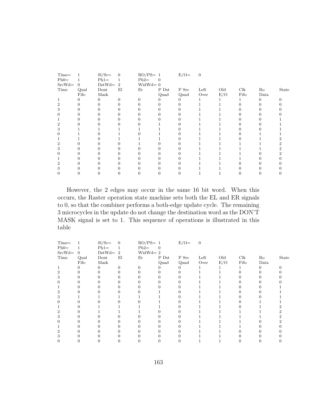| Time=    |                | $SI/Sr=$ | $\mathbf{0}$   | $RO/PS = 1$ |       | $E/O=$     | $\overline{0}$ |     |      |      |       |
|----------|----------------|----------|----------------|-------------|-------|------------|----------------|-----|------|------|-------|
| $Ph0=$   |                | $Ph1=$   |                | $Ph2=$      |       |            |                |     |      |      |       |
| $SrcWd=$ | $\overline{0}$ | $DstWd=$ | $\overline{2}$ | $Widthd=0$  |       |            |                |     |      |      |       |
| Time     | Qual           | Dont     | El             | Er          | P Dst | P Src      | Left           | Old | Clk  | Ro   | State |
|          | Fifo           | Mask     |                |             | Quad  | Quad       | Over           | E/O | Fifo | Data |       |
|          | 0              |          | 0              |             |       | $^{\circ}$ |                |     |      | O    |       |
|          | 0              |          |                |             |       |            |                |     |      |      |       |
|          |                |          |                |             |       |            |                |     |      |      |       |
|          |                |          |                |             |       |            |                |     |      |      |       |
|          |                |          |                |             |       |            |                |     |      |      |       |
|          |                |          |                |             |       |            |                |     |      |      |       |
| 3        |                |          |                |             |       |            |                |     |      |      |       |
|          |                |          |                |             |       |            |                |     |      |      |       |
|          |                |          |                |             |       |            |                |     |      |      |       |
|          |                |          |                |             |       |            |                |     |      |      |       |
| 3        |                |          |                |             |       |            |                |     |      |      |       |
|          |                |          |                |             |       |            |                |     |      |      |       |
|          |                |          |                |             |       |            |                |     |      |      |       |
|          |                |          |                |             |       |            |                |     |      |      |       |
|          |                |          |                |             |       |            |                |     |      |      |       |
|          |                |          |                |             |       |            |                |     |      |      |       |

However, the 2 edges may occur in the same 16 bit word. When this occurs, the Raster operation state machine sets both the EL and ER signals to 0, so that the combiner performs a both-edge update cycle. The remaining 3 microcycles in the update do not change the destination word as the DON'T MASK signal is set to 1. This sequence of operations is illustrated in this table

| Time=        |                | $SI/Sr=$  | $\mathbf{0}$ | $RO/PS = 1$   |       | $E/O=$     | $\overline{0}$ |     |      |      |       |
|--------------|----------------|-----------|--------------|---------------|-------|------------|----------------|-----|------|------|-------|
| $Ph0=$       |                | $Ph1=$    | 1            | $Ph2=$        | 0     |            |                |     |      |      |       |
| $SrcWd=$     | $\overline{0}$ | $DstWd=2$ |              | $WidthId = 2$ |       |            |                |     |      |      |       |
| Time         | Qual           | Dont      | El           | Er            | P Dst | P Src      | Left           | Old | Clk  | Ro   | State |
|              | Fifo           | Mask      |              |               | Quad  | Quad       | Over           | E/O | Fifo | Data |       |
| $\mathbf{1}$ | 0              | 0         | 0            |               |       |            |                |     |      | O    |       |
| 2            | 0              | 0         |              |               | 0     | $^{\circ}$ |                |     | 0    | 0    |       |
| 3            |                | 0         |              |               |       |            |                |     |      |      |       |
|              |                |           |              |               |       |            |                |     |      |      |       |
|              |                |           |              |               |       |            |                |     |      |      |       |
|              |                |           |              |               |       |            |                |     |      |      |       |
| 3            |                |           |              |               |       |            |                |     |      |      |       |
|              |                |           |              |               |       |            |                |     |      |      |       |
|              |                |           |              |               |       |            |                |     |      |      |       |
|              |                |           |              |               |       |            |                |     |      |      |       |
| 3            |                |           |              |               |       |            |                |     |      |      |       |
|              |                |           |              |               |       |            |                |     |      |      |       |
|              |                |           |              |               |       |            |                |     |      |      |       |
|              |                |           |              |               |       |            |                |     |      |      |       |
| 3            |                |           |              |               |       |            |                |     |      |      |       |
|              |                |           |              |               |       |            |                |     |      |      |       |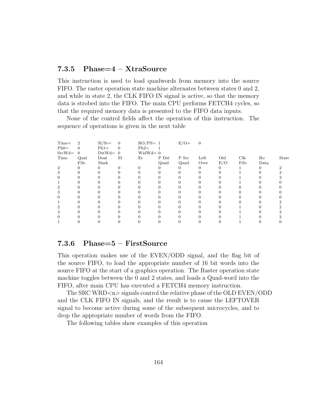### 7.3.5 Phase=4 – XtraSource

This instruction is used to load quadwords from memory into the source FIFO. The raster operation state machine alternates between states 0 and 2, and while in state 2, the CLK FIFO IN signal is active, so that the memory data is strobed into the FIFO. The main CPU performs FETCH4 cycles, so that the required memory data is presented to the FIFO data inputs.

None of the control fields affect the operation of this instruction. The sequence of operations is given in the next table

| $Time =$       | $\overline{2}$ | $SI/Sr=$  | $\overline{0}$ | $RO/PS = 1$ |       | $E/O =$ | $\overline{0}$ |          |      |      |       |
|----------------|----------------|-----------|----------------|-------------|-------|---------|----------------|----------|------|------|-------|
| $Ph0=$         |                | $Ph1=$    | $\overline{0}$ | $Ph2=$      |       |         |                |          |      |      |       |
| $SrcWd=$       | $\Omega$       | $DstWd=0$ |                | $Widthd=0$  |       |         |                |          |      |      |       |
| Time           | Qual           | Dont      | El             | Er          | P Dst | P Src   | Left           | Old      | Clk  | Ro   | State |
|                | Fifo           | Mask      |                |             | Quad  | Quad    | Over           | E/O      | Fifo | Data |       |
| $\overline{2}$ |                | 0         | O              |             |       | 0       | 0              | $\theta$ |      | 0    |       |
| 3              |                |           |                |             |       |         |                |          |      |      |       |
| 0              |                |           |                |             |       |         |                |          |      |      |       |
|                |                |           |                |             |       |         |                |          |      |      |       |
| 2              |                |           |                |             |       |         |                |          |      |      |       |
| 3              |                |           |                |             |       |         |                |          |      |      |       |
| 0              |                |           |                |             |       |         |                |          |      |      |       |
|                |                |           |                |             |       |         |                |          |      |      |       |
| 2              |                |           |                |             |       |         |                |          |      |      |       |
| 3              |                |           |                |             |       |         |                |          |      |      |       |
| 0              |                |           |                |             |       |         |                |          |      |      |       |
|                |                |           |                |             |       |         |                |          |      |      |       |

### 7.3.6 Phase=5 – FirstSource

This operation makes use of the EVEN/ODD signal, and the flag bit of the source FIFO, to load the appropriate number of 16 bit words into the source FIFO at the start of a graphics operation. The Raster operation state machine toggles between the 0 and 2 states, and loads a Quad-word into the FIFO, after main CPU has executed a FETCH4 memory instruction.

The SRC WRD $\langle n \rangle$  signals control the relative phase of the OLD EVEN/ODD and the CLK FIFO IN signals, and the result is to cause the LEFTOVER signal to become active during some of the subsequent microcycles, and to drop the appropriate number of words from the FIFO.

The following tables show examples of this operation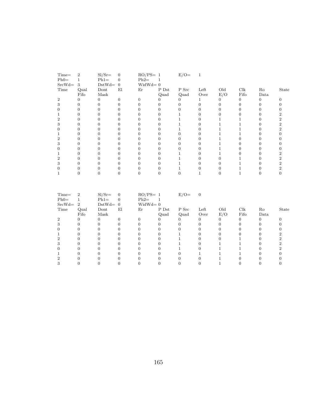| $\overline{2}$ | $SI/Sr=$ | $\mathbf{0}$     |          |       | $E/O=$                    | 1    |     |      |      |       |
|----------------|----------|------------------|----------|-------|---------------------------|------|-----|------|------|-------|
|                | $Ph1=$   | $\boldsymbol{0}$ | $Ph2=$   |       |                           |      |     |      |      |       |
| 3              |          | $\overline{0}$   |          |       |                           |      |     |      |      |       |
| Qual           | Dont     | El               | Er       | P Dst | P Src                     | Left | Old | Clk  | Ro   | State |
| Fifo           | Mask     |                  |          | Quad  |                           | Over |     | Fifo | Data |       |
|                |          | $\Omega$         |          |       |                           |      |     |      | O    |       |
|                |          |                  |          |       |                           |      |     |      |      |       |
|                |          |                  |          |       |                           |      |     |      |      |       |
|                |          |                  |          |       |                           |      |     |      |      |       |
|                |          |                  |          |       |                           |      |     |      |      |       |
|                |          |                  |          |       |                           |      |     |      |      |       |
|                |          |                  |          |       |                           |      |     |      |      |       |
|                |          |                  |          |       |                           |      |     |      |      |       |
|                |          |                  |          |       |                           |      |     |      |      |       |
|                |          |                  |          |       |                           |      |     |      |      |       |
|                |          |                  |          |       |                           |      |     |      |      |       |
|                |          |                  |          |       |                           |      |     |      |      |       |
|                |          |                  |          |       |                           |      |     |      |      |       |
|                |          |                  |          |       |                           |      |     |      |      |       |
|                |          |                  |          |       |                           |      |     |      |      |       |
|                |          |                  |          |       |                           |      |     |      |      |       |
|                |          |                  | $DstWd=$ |       | $RO/PS = 1$<br>$Widthd=0$ | Quad |     | E/O  |      |       |

| $Time =$ | $\overline{2}$ | $SI/Sr=$  | $\overline{0}$ | $RO/PS = 1$   |       | $E/O=$   | $\overline{0}$ |     |      |          |       |
|----------|----------------|-----------|----------------|---------------|-------|----------|----------------|-----|------|----------|-------|
| $Ph0=$   |                | $Ph1=$    | $\overline{0}$ | $Ph2=$        |       |          |                |     |      |          |       |
| $SrcWd=$ | -2             | $DstWd=0$ |                | $WidthId = 0$ |       |          |                |     |      |          |       |
| Time     | Qual           | Dont      | El             | Er            | P Dst | P Src    | Left           | Old | Clk  | Ro       | State |
|          | Fifo           | Mask      |                |               | Quad  | Quad     | Over           | E/O | Fifo | Data     |       |
| 2        |                |           |                |               |       | $\theta$ |                |     |      | $\theta$ |       |
|          |                |           |                |               |       |          |                |     |      |          |       |
|          |                |           |                |               |       |          |                |     |      |          |       |
|          |                |           |                |               |       |          |                |     |      |          |       |
|          |                |           |                |               |       |          |                |     |      |          |       |
|          |                |           |                |               |       |          |                |     |      |          |       |
|          |                |           |                |               |       |          |                |     |      |          |       |
|          |                |           |                |               |       |          |                |     |      |          |       |
|          |                |           |                |               |       |          |                |     |      |          |       |
|          |                |           |                |               |       |          |                |     |      |          |       |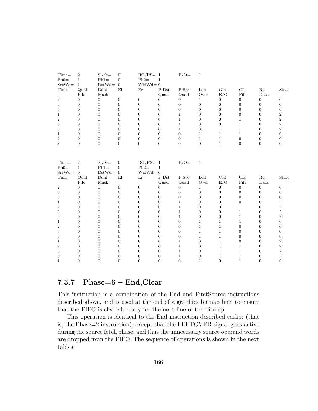| Time=<br>$Ph0=$  | $\,2$<br>$\mathbf{1}$ | $SI/Sr=$<br>$Ph1=$ | $\boldsymbol{0}$<br>$\boldsymbol{0}$ | $RO/PS = 1$<br>$Ph2=$ | $\mathbf{1}$     | $E/O=$           | $\mathbf{1}$     |                |                      |                  |                           |
|------------------|-----------------------|--------------------|--------------------------------------|-----------------------|------------------|------------------|------------------|----------------|----------------------|------------------|---------------------------|
| $SrcWd=$         | $\mathbf{1}$          | $DstWd=$           | $\mathbf{0}$                         | $WidthId = 0$         |                  |                  |                  |                |                      |                  |                           |
| Time             | Qual                  | Dont               | E1                                   | Er                    | $P$ Dst          | P Src            | Left             | Old            | Clk                  | $\rm Ro$         | $\operatorname{State}$    |
|                  | Fifo                  | Mask               |                                      |                       | Quad             | Quad             | Over             | E/O            | Fifo                 | Data             |                           |
| $\boldsymbol{2}$ | $\boldsymbol{0}$      | $\mathbf{0}$       | $\boldsymbol{0}$                     | $\boldsymbol{0}$      | $\boldsymbol{0}$ | $\boldsymbol{0}$ | $\mathbf{1}$     | $\mathbf{0}$   | $\boldsymbol{0}$     | $\boldsymbol{0}$ | $\mathbf{0}$              |
| 3                | $\overline{0}$        | $\theta$           | $\boldsymbol{0}$                     | $\Omega$              | $\overline{0}$   | $\overline{0}$   | $\boldsymbol{0}$ | $\mathbf{0}$   | $\overline{0}$       | $\overline{0}$   | $\overline{0}$            |
| $\overline{0}$   | $\overline{0}$        | $\overline{0}$     | $\boldsymbol{0}$                     | $\overline{0}$        | $\overline{0}$   | $\overline{0}$   | $\overline{0}$   | $\overline{0}$ | $\overline{0}$       | $\overline{0}$   | $\overline{0}$            |
| $\mathbf 1$      | $\boldsymbol{0}$      | $\boldsymbol{0}$   | $\boldsymbol{0}$                     | $\Omega$              | $\overline{0}$   | $\mathbf{1}$     | $\boldsymbol{0}$ | $\mathbf{0}$   | $\overline{0}$       | $\overline{0}$   | $\boldsymbol{2}$          |
| $\overline{2}$   | $\boldsymbol{0}$      | $\mathbf{0}$       | $\boldsymbol{0}$                     | $\overline{0}$        | $\overline{0}$   | $\mathbf{1}$     | $\boldsymbol{0}$ | $\mathbf{0}$   | $\mathbf{1}$         | $\overline{0}$   | $\overline{2}$            |
| 3                | $\boldsymbol{0}$      | $\boldsymbol{0}$   | $\boldsymbol{0}$                     | $\overline{0}$        | $\overline{0}$   | $\mathbf{1}$     | $\boldsymbol{0}$ | $\mathbf{0}$   | $\mathbf{1}$         | $\overline{0}$   | $\overline{2}$            |
| $\boldsymbol{0}$ | $\boldsymbol{0}$      | $\boldsymbol{0}$   | $\boldsymbol{0}$                     | $\boldsymbol{0}$      | $\boldsymbol{0}$ | $\mathbf{1}$     | $\boldsymbol{0}$ | $\mathbf{1}$   | $\mathbf{1}$         | $\boldsymbol{0}$ | $\,2$                     |
| $\mathbf 1$      | $\boldsymbol{0}$      | $\boldsymbol{0}$   | $\boldsymbol{0}$                     | $\overline{0}$        | $\overline{0}$   | $\boldsymbol{0}$ | $\mathbf{1}$     | $\mathbf{1}$   | $\mathbf{1}$         | $\overline{0}$   | $\boldsymbol{0}$          |
| $\overline{2}$   | $\boldsymbol{0}$      | $\boldsymbol{0}$   | $\boldsymbol{0}$                     | $\overline{0}$        | $\overline{0}$   | $\boldsymbol{0}$ | $\mathbf{1}$     | $\mathbf{1}$   | $\boldsymbol{0}$     | $\overline{0}$   | $\boldsymbol{0}$          |
| 3                | $\boldsymbol{0}$      | $\mathbf{0}$       | $\boldsymbol{0}$                     | $\boldsymbol{0}$      | $\boldsymbol{0}$ | $\boldsymbol{0}$ | $\boldsymbol{0}$ | $\mathbf{1}$   | $\boldsymbol{0}$     | $\boldsymbol{0}$ | $\boldsymbol{0}$          |
|                  |                       |                    |                                      |                       |                  |                  |                  |                |                      |                  |                           |
|                  |                       |                    |                                      |                       |                  |                  |                  |                |                      |                  |                           |
| Time=            | $\boldsymbol{2}$      | $Sl/Sr =$          | $\boldsymbol{0}$                     | $RO/PS = 1$           |                  | $E/O=$           | $\mathbf{1}$     |                |                      |                  |                           |
| $Ph0=$           | $\mathbf{1}$          | $Phi =$            | $\mathbf{0}$                         | $Ph2=$                | $\mathbf{1}$     |                  |                  |                |                      |                  |                           |
| $SrcWd=$         | $\overline{0}$        | $DstWd=$           | $\boldsymbol{0}$                     | $WidthId = 0$         |                  |                  |                  |                |                      |                  |                           |
| Time             | Qual                  | Dont               | El                                   | Er                    | P Dst            | ${\bf P}$ Src    | Left             | Old            | $\operatorname{Clk}$ | $\rm Ro$         | State                     |
|                  | Fifo                  | Mask               |                                      |                       | Quad             | Quad             | Over             | E/O            | Fifo                 | $\it Data$       |                           |
| $\,2$            | $\overline{0}$        | $\mathbf{0}$       | $\boldsymbol{0}$                     | $\boldsymbol{0}$      | $\boldsymbol{0}$ | $\boldsymbol{0}$ | $\mathbf{1}$     | $\mathbf{0}$   | $\boldsymbol{0}$     | $\boldsymbol{0}$ | $\mathbf{0}$              |
| 3                | $\overline{0}$        | $\boldsymbol{0}$   | $\boldsymbol{0}$                     | $\overline{0}$        | $\boldsymbol{0}$ | $\boldsymbol{0}$ | $\boldsymbol{0}$ | $\mathbf{0}$   | $\overline{0}$       | $\overline{0}$   | $\boldsymbol{0}$          |
| $\boldsymbol{0}$ | $\overline{0}$        | $\boldsymbol{0}$   | $\boldsymbol{0}$                     | $\overline{0}$        | $\overline{0}$   | $\boldsymbol{0}$ | $\boldsymbol{0}$ | $\theta$       | $\overline{0}$       | $\overline{0}$   | $\boldsymbol{0}$          |
| $\mathbf 1$      | $\theta$              | $\mathbf{0}$       | $\boldsymbol{0}$                     | $\Omega$              | $\overline{0}$   | $\mathbf 1$      | 0                | $\overline{0}$ | $\overline{0}$       | $\Omega$         | $\overline{\mathbf{2}}$   |
| $\overline{2}$   | $\theta$              | $\overline{0}$     | $\overline{0}$                       | $\Omega$              | $\overline{0}$   | $\mathbf 1$      | $\overline{0}$   | $\theta$       | $\mathbf{1}$         | $\overline{0}$   | $\boldsymbol{2}$          |
| 3                | $\boldsymbol{0}$      | $\boldsymbol{0}$   | $\boldsymbol{0}$                     | $\Omega$              | $\overline{0}$   | $\mathbf{1}$     | $\boldsymbol{0}$ | $\theta$       | $\mathbf{1}$         | $\overline{0}$   | $\overline{2}$            |
| $\boldsymbol{0}$ | $\overline{0}$        | $\boldsymbol{0}$   | $\boldsymbol{0}$                     | $\Omega$              | $\overline{0}$   | $\mathbf{1}$     | $\boldsymbol{0}$ | $\theta$       | $\mathbf{1}$         | $\Omega$         | $\overline{2}$            |
| 1                | $\overline{0}$        | $\overline{0}$     | $\boldsymbol{0}$                     | $\Omega$              | $\Omega$         | $\overline{0}$   | $\mathbf{1}$     | 1              | $\mathbf{1}$         | $\Omega$         | $\boldsymbol{0}$          |
| $\overline{2}$   | $\overline{0}$        | $\boldsymbol{0}$   | $\boldsymbol{0}$                     | $\Omega$              | $\overline{0}$   | $\boldsymbol{0}$ | $\mathbf{1}$     | 1              | $\overline{0}$       | $\overline{0}$   | $\boldsymbol{0}$          |
| 3                | $\overline{0}$        | $\overline{0}$     | $\boldsymbol{0}$                     | $\Omega$              | $\overline{0}$   | $\overline{0}$   | $\mathbf{1}$     | 1              | $\Omega$             | $\overline{0}$   | $\overline{0}$            |
| $\overline{0}$   | $\overline{0}$        | $\overline{0}$     | $\boldsymbol{0}$                     | $\Omega$              | $\overline{0}$   | $\boldsymbol{0}$ | $\mathbf{1}$     | 1              | $\Omega$             | $\overline{0}$   | $\boldsymbol{0}$          |
| 1                | $\theta$              | $\theta$           | $\boldsymbol{0}$                     | $\overline{0}$        | $\theta$         | $\mathbf{1}$     | $\boldsymbol{0}$ | $\mathbf{1}$   | $\overline{0}$       | $\overline{0}$   | $\,2$                     |
|                  |                       |                    |                                      |                       |                  |                  |                  |                |                      |                  |                           |
| $\overline{2}$   | $\boldsymbol{0}$      | $\mathbf{0}$       | $\boldsymbol{0}$                     | $\overline{0}$        | $\boldsymbol{0}$ | $\mathbf{1}$     | $\boldsymbol{0}$ | $\mathbf{1}$   | $\mathbf{1}$         | $\overline{0}$   | $\overline{2}$            |
| 3                | $\boldsymbol{0}$      | $\boldsymbol{0}$   | $\boldsymbol{0}$                     | $\overline{0}$        | $\overline{0}$   | $\mathbf{1}$     | $\boldsymbol{0}$ | 1              | $\mathbf{1}$         | $\overline{0}$   | $\,2$                     |
| $\overline{0}$   | $\boldsymbol{0}$      | $\mathbf{0}$       | $\boldsymbol{0}$                     | $\boldsymbol{0}$      | $\boldsymbol{0}$ | $\mathbf{1}$     | $\boldsymbol{0}$ | $\mathbf 1$    | $\mathbf{1}$         | $\overline{0}$   | $\,2$<br>$\boldsymbol{0}$ |

# 7.3.7 Phase= $6 -$  End, Clear

This instruction is a combination of the End and FirstSource instructions described above, and is used at the end of a graphics bitmap line, to ensure that the FIFO is cleared, ready for the next line of the bitmap.

This operation is identical to the End instruction described earlier (that is, the Phase=2 instruction), except that the LEFTOVER signal goes active during the source fetch phase, and thus the unnecessary source operand words are dropped from the FIFO. The sequence of operations is shown in the next tables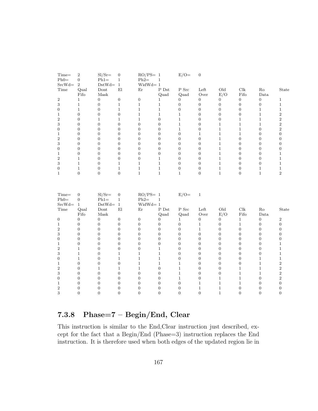| Time=<br>$Ph0=$             | $\,2$<br>$\boldsymbol{0}$                          | $SI/Sr=$<br>$Ph1=$             | $\boldsymbol{0}$<br>$\mathbf{1}$            | $RO/PS = 1$<br>$Ph2=$                  | $\mathbf{1}$     | $E/O=$           | $\boldsymbol{0}$ |                  |                      |                  |                  |
|-----------------------------|----------------------------------------------------|--------------------------------|---------------------------------------------|----------------------------------------|------------------|------------------|------------------|------------------|----------------------|------------------|------------------|
| $SrcWd=$                    | $\overline{2}$                                     | $DstWd= 1$                     |                                             | $WidthId = 1$                          |                  |                  |                  |                  |                      |                  |                  |
| Time                        | Qual                                               | Dont                           | E1                                          | Er                                     | $P$ Dst          | P Src            | Left             | Old              | Clk                  | Ro               | State            |
|                             | Fifo                                               | Mask                           |                                             |                                        | Quad             | Quad             | Over             | E/O              | Fifo                 | Data             |                  |
| $\boldsymbol{2}$            | $\mathbf{1}$                                       | $\theta$                       | $\boldsymbol{0}$                            | $\boldsymbol{0}$                       | $\mathbf{1}$     | $\overline{0}$   | $\overline{0}$   | $\overline{0}$   | $\boldsymbol{0}$     | $\overline{0}$   | $\mathbf{1}$     |
| 3                           | $\mathbf{1}$                                       | $\boldsymbol{0}$               | $\mathbf{1}$                                | $\mathbf{1}$                           | $\mathbf{1}$     | $\boldsymbol{0}$ | $\boldsymbol{0}$ | $\boldsymbol{0}$ | $\boldsymbol{0}$     | $\overline{0}$   | $\,1\,$          |
| $\boldsymbol{0}$            | $\mathbf{1}$                                       | $\boldsymbol{0}$               | $\mathbf{1}$                                | $\mathbf{1}$                           | $\mathbf{1}$     | $\mathbf{0}$     | $\boldsymbol{0}$ | $\boldsymbol{0}$ | $\boldsymbol{0}$     | $\mathbf{1}$     | $\mathbf{1}$     |
| $\mathbf 1$                 | $\boldsymbol{0}$                                   | $\boldsymbol{0}$               | $\boldsymbol{0}$                            | $\mathbf{1}$                           | $\mathbf{1}$     | $\mathbf{1}$     | $\boldsymbol{0}$ | $\boldsymbol{0}$ | $\boldsymbol{0}$     | $\mathbf{1}$     | $\,2$            |
| $\overline{2}$              | $\overline{0}$                                     | $\,1$                          | $\,1$                                       | $\mathbf{1}$                           | $\overline{0}$   | $\mathbf{1}$     | $\boldsymbol{0}$ | $\boldsymbol{0}$ | $\,1$                | $1\,$            | $\,2$            |
| 3                           | $\boldsymbol{0}$                                   | $\boldsymbol{0}$               | $\boldsymbol{0}$                            | $\overline{0}$                         | $\overline{0}$   | $\mathbf{1}$     | $\boldsymbol{0}$ | $\mathbf 1$      | $\mathbf{1}$         | $\mathbf{1}$     | $\overline{2}$   |
| $\boldsymbol{0}$            | $\boldsymbol{0}$                                   | $\boldsymbol{0}$               | $\boldsymbol{0}$                            | $\overline{0}$                         | $\overline{0}$   | $\mathbf{1}$     | $\boldsymbol{0}$ | $\mathbf{1}$     | $\,1$                | $\overline{0}$   | $\overline{2}$   |
| $\mathbf 1$                 | $\boldsymbol{0}$                                   | $\boldsymbol{0}$               | $\boldsymbol{0}$                            | $\overline{0}$                         | $\overline{0}$   | $\overline{0}$   | $\mathbf{1}$     | $\mathbf 1$      | $\mathbf{1}$         | $\theta$         | $\boldsymbol{0}$ |
| $\overline{\mathbf{2}}$     | $\boldsymbol{0}$                                   | $\boldsymbol{0}$               | $\boldsymbol{0}$                            | $\boldsymbol{0}$                       | $\overline{0}$   | $\boldsymbol{0}$ | $\boldsymbol{0}$ | $\mathbf{1}$     | $\boldsymbol{0}$     | $\mathbf{0}$     | $\boldsymbol{0}$ |
| 3                           | $\overline{0}$                                     | $\boldsymbol{0}$               | $\boldsymbol{0}$                            | $\overline{0}$                         | $\overline{0}$   | $\boldsymbol{0}$ | $\boldsymbol{0}$ | $1\,$            | $\boldsymbol{0}$     | $\overline{0}$   | $\boldsymbol{0}$ |
| $\overline{0}$              | $\overline{0}$                                     | $\theta$                       | $\boldsymbol{0}$                            | $\Omega$                               | $\overline{0}$   | $\overline{0}$   | $\boldsymbol{0}$ | $\mathbf{1}$     | $\overline{0}$       | $\overline{0}$   | $\boldsymbol{0}$ |
| $\mathbf 1$                 | $\boldsymbol{0}$                                   | $\boldsymbol{0}$               | $\boldsymbol{0}$                            | $\boldsymbol{0}$                       | $\boldsymbol{0}$ | $\boldsymbol{0}$ | $\boldsymbol{0}$ | $\mathbf{1}$     | $\boldsymbol{0}$     | $\mathbf{0}$     | $\mathbf{1}$     |
| $\boldsymbol{2}$            | $\,1$                                              | $\boldsymbol{0}$               | $\boldsymbol{0}$                            | $\boldsymbol{0}$                       | $\mathbf{1}$     | $\boldsymbol{0}$ | $\boldsymbol{0}$ | $\,1$            | $\boldsymbol{0}$     | $\boldsymbol{0}$ | $\,1$            |
| 3                           | $\mathbf{1}$                                       | $\overline{0}$                 | $\mathbf{1}$                                | $\mathbf{1}$                           | $\mathbf{1}$     | $\overline{0}$   | $\overline{0}$   | $\mathbf{1}$     | $\Omega$             | $\overline{0}$   | $\mathbf{1}$     |
| $\overline{0}$              | $\mathbf{1}$                                       | $\boldsymbol{0}$               | $\mathbf{1}$                                | $1\,$                                  | $\mathbf{1}$     | $\boldsymbol{0}$ | $\boldsymbol{0}$ | $\mathbf{1}$     | $\boldsymbol{0}$     | $\mathbf{1}$     | $\mathbf{1}$     |
| $\mathbf{1}$                | $\overline{0}$                                     | $\boldsymbol{0}$               | $\boldsymbol{0}$                            | $1\,$                                  | $\mathbf{1}$     | $\mathbf{1}$     | $\boldsymbol{0}$ | $\mathbf{1}$     | $\overline{0}$       | $1\,$            | $\,2$            |
| Time=<br>$Ph0=$<br>$SrcWd=$ | $\overline{0}$<br>$\boldsymbol{0}$<br>$\mathbf{1}$ | $SI/Sr=$<br>$Ph1=$<br>$DstWd=$ | $\boldsymbol{0}$<br>$\,1\,$<br>$\mathbf{1}$ | $RO/PS = 1$<br>$Ph2=$<br>$WidthId = 1$ | $\mathbf{1}$     | $E/O=$           | $\,1\,$          |                  |                      |                  |                  |
| Time                        | Qual                                               | Dont                           | $\mathop{\rm El}\nolimits$                  | Er                                     | ${\rm P\ Dst}$   | P Src            | Left             | Old              | $\operatorname{Clk}$ | Ro               | State            |
|                             | Fifo                                               | Mask                           |                                             |                                        | Quad             | Quad             | Over             | E/O              | Fifo                 | Data             |                  |
| 0                           | $\boldsymbol{0}$                                   | $\boldsymbol{0}$               | $\boldsymbol{0}$                            | $\boldsymbol{0}$                       | 0                | $\mathbf{1}$     | $\boldsymbol{0}$ | $\boldsymbol{0}$ | $\mathbf{1}$         | $\mathbf{0}$     | $\sqrt{2}$       |
| $\mathbf{1}$                | $\boldsymbol{0}$                                   | $\boldsymbol{0}$               | $\boldsymbol{0}$                            | $\overline{0}$                         | $\overline{0}$   | $\overline{0}$   | $\,1$            | $\boldsymbol{0}$ | $\mathbf{1}$         | $\overline{0}$   | $\boldsymbol{0}$ |
| $\overline{2}$              | $\boldsymbol{0}$                                   | $\boldsymbol{0}$               | $\boldsymbol{0}$                            | $\overline{0}$                         | $\overline{0}$   | $\overline{0}$   | $\mathbf{1}$     | $\boldsymbol{0}$ | $\boldsymbol{0}$     | $\theta$         | $\boldsymbol{0}$ |
| 3                           | $\boldsymbol{0}$                                   | $\boldsymbol{0}$               | $\boldsymbol{0}$                            | $\boldsymbol{0}$                       | $\overline{0}$   | $\boldsymbol{0}$ | $\boldsymbol{0}$ | $\boldsymbol{0}$ | $\boldsymbol{0}$     | $\mathbf{0}$     | $\boldsymbol{0}$ |
| $\boldsymbol{0}$            | $\overline{0}$                                     | $\boldsymbol{0}$               | $\overline{0}$                              | $\overline{0}$                         | $\overline{0}$   | $\overline{0}$   | $\boldsymbol{0}$ | $\overline{0}$   | $\overline{0}$       | $\overline{0}$   | $\boldsymbol{0}$ |
| $\mathbf 1$                 | $\boldsymbol{0}$                                   | $\theta$                       | $\boldsymbol{0}$                            | $\overline{0}$                         | $\overline{0}$   | $\overline{0}$   | $\boldsymbol{0}$ | $\overline{0}$   | $\overline{0}$       | $\Omega$         | $\,1\,$          |
| $\boldsymbol{2}$            | $\mathbf{1}$                                       | $\boldsymbol{0}$               | $\boldsymbol{0}$                            | $\boldsymbol{0}$                       | $\mathbf{1}$     | $\boldsymbol{0}$ | $\boldsymbol{0}$ | $\boldsymbol{0}$ | $\boldsymbol{0}$     | $\mathbf{0}$     | $\,1\,$          |
| 3                           | $\mathbf{1}$                                       | $\boldsymbol{0}$               | $\mathbf{1}$                                | $\mathbf 1$                            | $\mathbf{1}$     | $\boldsymbol{0}$ | $\boldsymbol{0}$ | $\boldsymbol{0}$ | $\boldsymbol{0}$     | $\boldsymbol{0}$ | $\,1$            |
| $\boldsymbol{0}$            | $\mathbf{1}$                                       | $\overline{0}$                 | $\mathbf{1}$                                | $\mathbf{1}$                           | $\mathbf{1}$     | $\overline{0}$   | $\boldsymbol{0}$ | $\overline{0}$   | $\overline{0}$       | $\mathbf{1}$     | $\mathbf{1}$     |
| $\mathbf 1$                 | $\boldsymbol{0}$                                   | $\boldsymbol{0}$               | $\boldsymbol{0}$                            | $\mathbf{1}$                           | $\mathbf{1}$     | $\mathbf{1}$     | $\boldsymbol{0}$ | $\boldsymbol{0}$ | $\boldsymbol{0}$     | $1\,$            | $\,2$            |
| $\boldsymbol{2}$            | $\boldsymbol{0}$                                   | $\mathbf{1}$                   | $\mathbf{1}$                                | $\mathbf 1$                            | $\boldsymbol{0}$ | $\mathbf{1}$     | $\boldsymbol{0}$ | $\boldsymbol{0}$ | $\mathbf{1}$         | $1\,$            | $\,2$            |
| 3                           | $\overline{0}$                                     | $\boldsymbol{0}$               | $\boldsymbol{0}$                            | $\overline{0}$                         | $\boldsymbol{0}$ | $\mathbf{1}$     | $\boldsymbol{0}$ | $\boldsymbol{0}$ | $\mathbf{1}$         | $\mathbf{1}$     | $\,2$            |
| $\overline{0}$              | $\boldsymbol{0}$                                   | $\boldsymbol{0}$               | $\boldsymbol{0}$                            | $\boldsymbol{0}$                       | $\overline{0}$   | $1\,$            | $\boldsymbol{0}$ | $\mathbf{1}$     | $\,1$                | $\mathbf{0}$     | $\,2$            |
| $\mathbf{1}$                | $\boldsymbol{0}$                                   | $\boldsymbol{0}$               | $\overline{0}$                              | $\overline{0}$                         | $\overline{0}$   | $\overline{0}$   | $\,1$            | $\mathbf{1}$     | $\mathbf{1}$         | $\overline{0}$   | $\boldsymbol{0}$ |
| $\overline{2}$              | $\overline{0}$                                     | $\boldsymbol{0}$               | $\boldsymbol{0}$                            | $\overline{0}$                         | $\overline{0}$   | $\overline{0}$   | $\,1$            | $\mathbf{1}$     | $\overline{0}$       | $\overline{0}$   | $\overline{0}$   |
| 3                           | $\boldsymbol{0}$                                   | $\theta$                       | $\boldsymbol{0}$                            | $\boldsymbol{0}$                       | $\overline{0}$   | $\boldsymbol{0}$ | $\boldsymbol{0}$ | $1\,$            | $\overline{0}$       | $\mathbf{0}$     | $\boldsymbol{0}$ |
|                             |                                                    |                                |                                             |                                        |                  |                  |                  |                  |                      |                  |                  |

# 7.3.8 Phase=7 – Begin/End, Clear

This instruction is similar to the End,Clear instruction just described, except for the fact that a Begin/End (Phase=3) instruction replaces the End instruction. It is therefore used when both edges of the updated region lie in